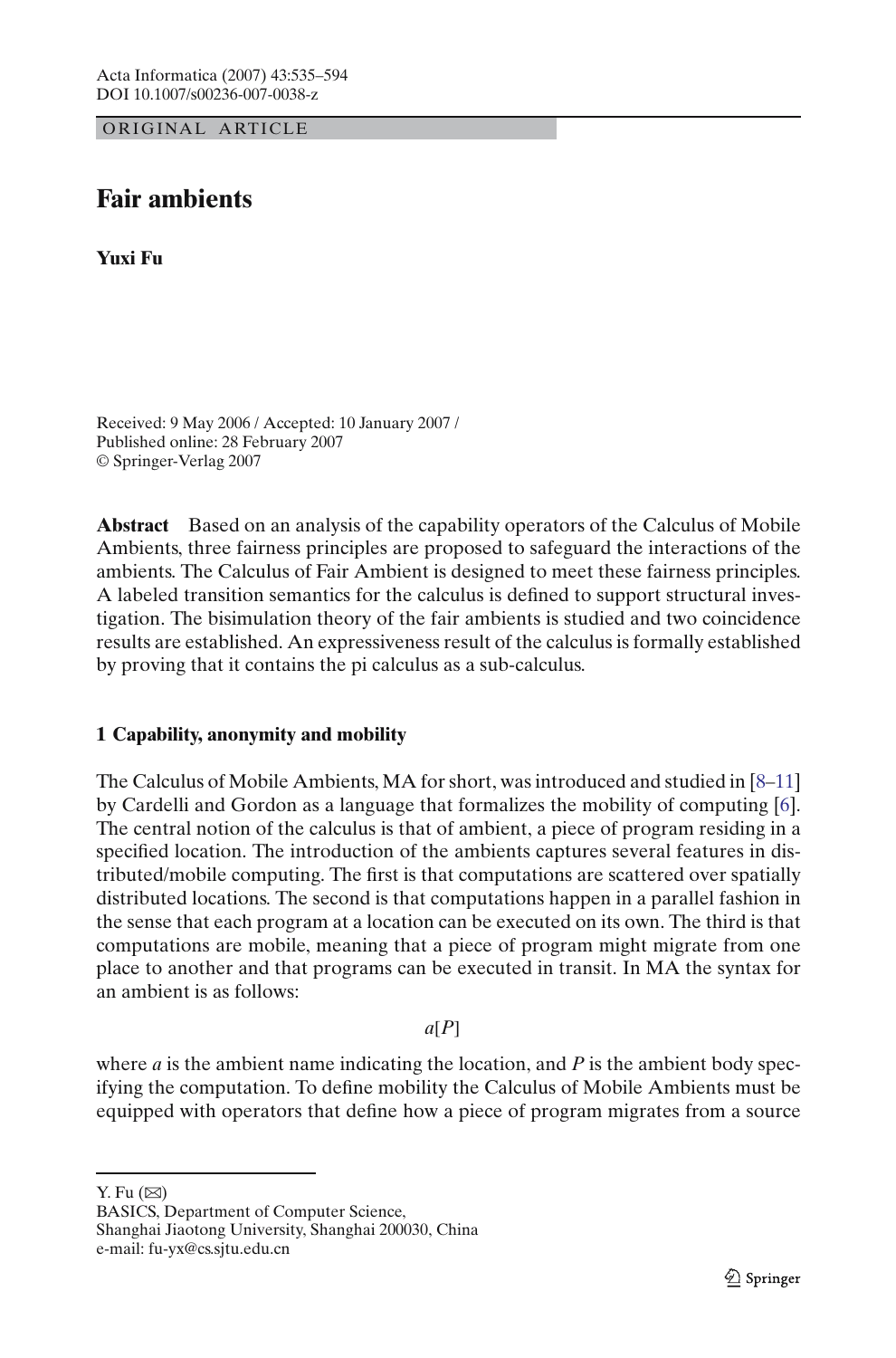ORIGINAL ARTICLE

# **Fair ambients**

**Yuxi Fu**

Received: 9 May 2006 / Accepted: 10 January 2007 / Published online: 28 February 2007 © Springer-Verlag 2007

**Abstract** Based on an analysis of the capability operators of the Calculus of Mobile Ambients, three fairness principles are proposed to safeguard the interactions of the ambients. The Calculus of Fair Ambient is designed to meet these fairness principles. A labeled transition semantics for the calculus is defined to support structural investigation. The bisimulation theory of the fair ambients is studied and two coincidence results are established. An expressiveness result of the calculus is formally established by proving that it contains the pi calculus as a sub-calculus.

## <span id="page-0-0"></span>**1 Capability, anonymity and mobility**

The Calculus of Mobile Ambients, MA for short, was introduced and studied in [\[8](#page-58-0)[–11\]](#page-58-1) by Cardelli and Gordon as a language that formalizes the mobility of computing [\[6\]](#page-57-0). The central notion of the calculus is that of ambient, a piece of program residing in a specified location. The introduction of the ambients captures several features in distributed/mobile computing. The first is that computations are scattered over spatially distributed locations. The second is that computations happen in a parallel fashion in the sense that each program at a location can be executed on its own. The third is that computations are mobile, meaning that a piece of program might migrate from one place to another and that programs can be executed in transit. In MA the syntax for an ambient is as follows:

*a*[*P*]

where *a* is the ambient name indicating the location, and *P* is the ambient body specifying the computation. To define mobility the Calculus of Mobile Ambients must be equipped with operators that define how a piece of program migrates from a source

Y. Fu  $(\boxtimes)$ 

BASICS, Department of Computer Science, Shanghai Jiaotong University, Shanghai 200030, China e-mail: fu-yx@cs.sjtu.edu.cn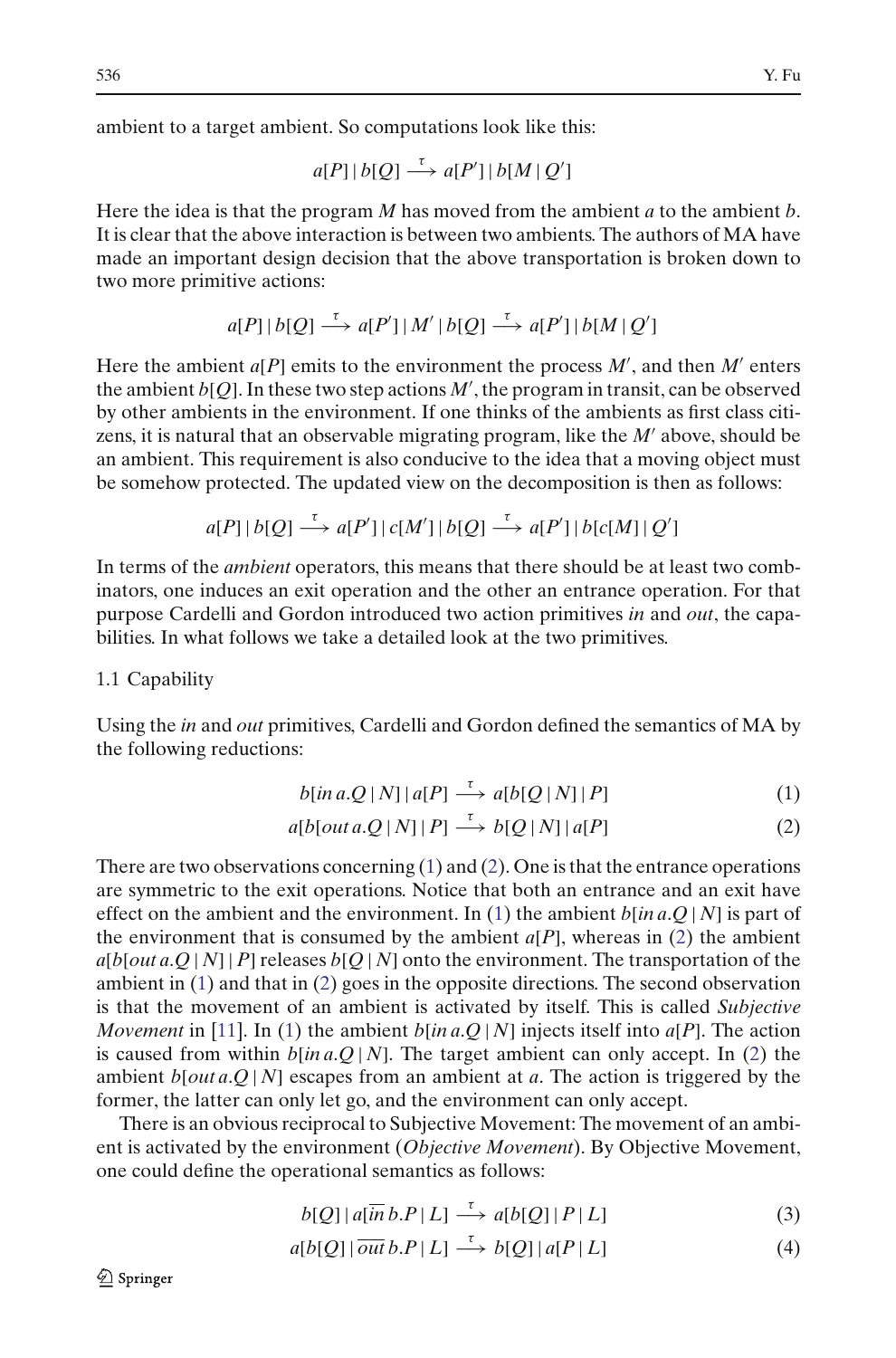ambient to a target ambient. So computations look like this:

$$
a[P] | b[Q] \stackrel{\tau}{\longrightarrow} a[P'] | b[M | Q']
$$

Here the idea is that the program *M* has moved from the ambient *a* to the ambient *b*. It is clear that the above interaction is between two ambients. The authors of MA have made an important design decision that the above transportation is broken down to two more primitive actions:

$$
a[P] | b[Q] \stackrel{\tau}{\longrightarrow} a[P'] | M' | b[Q] \stackrel{\tau}{\longrightarrow} a[P'] | b[M | Q']
$$

Here the ambient  $a[P]$  emits to the environment the process  $M'$ , and then  $M'$  enters the ambient  $b[Q]$ . In these two step actions  $M'$ , the program in transit, can be observed by other ambients in the environment. If one thinks of the ambients as first class citizens, it is natural that an observable migrating program, like the M' above, should be an ambient. This requirement is also conducive to the idea that a moving object must be somehow protected. The updated view on the decomposition is then as follows:

$$
a[P] | b[Q] \stackrel{\tau}{\longrightarrow} a[P'] | c[M'] | b[Q] \stackrel{\tau}{\longrightarrow} a[P'] | b[c[M] | Q']
$$

In terms of the *ambient* operators, this means that there should be at least two combinators, one induces an exit operation and the other an entrance operation. For that purpose Cardelli and Gordon introduced two action primitives *in* and *out*, the capabilities. In what follows we take a detailed look at the two primitives.

## 1.1 Capability

<span id="page-1-0"></span>Using the *in* and *out* primitives, Cardelli and Gordon defined the semantics of MA by the following reductions:

$$
b[ina.Q|N]|a[P] \stackrel{\tau}{\longrightarrow} a[b[Q|N]|P]
$$
 (1)

$$
a[b[out a.Q | N] | P] \stackrel{\tau}{\longrightarrow} b[Q | N] | a[P]
$$
 (2)

There are two observations concerning  $(1)$  and  $(2)$ . One is that the entrance operations are symmetric to the exit operations. Notice that both an entrance and an exit have effect on the ambient and the environment. In [\(1\)](#page-1-0) the ambient  $b$ [*in a*.*Q* | *N*] is part of the environment that is consumed by the ambient  $a[P]$ , whereas in [\(2\)](#page-1-0) the ambient  $a[b[out a.Q | N] | P]$  releases  $b[Q | N]$  onto the environment. The transportation of the ambient in [\(1\)](#page-1-0) and that in [\(2\)](#page-1-0) goes in the opposite directions. The second observation is that the movement of an ambient is activated by itself. This is called *Subjective Movement* in [\[11](#page-58-1)]. In [\(1\)](#page-1-0) the ambient  $b$ [*in a*.*Q* | *N*] injects itself into *a*[*P*]. The action is caused from within *b*[*in a*.*Q* | *N*]. The target ambient can only accept. In [\(2\)](#page-1-0) the ambient *b*[*out a*.*Q* | *N*] escapes from an ambient at *a*. The action is triggered by the former, the latter can only let go, and the environment can only accept.

There is an obvious reciprocal to Subjective Movement: The movement of an ambient is activated by the environment (*Objective Movement*). By Objective Movement, one could define the operational semantics as follows:

$$
b[Q] | a[\overline{in} b.P | L] \stackrel{\tau}{\longrightarrow} a[b[Q] | P | L]
$$
 (3)

$$
a[b[Q] | \overline{out} b.P | L] \stackrel{\tau}{\longrightarrow} b[Q] | a[P|L]
$$
 (4)

<span id="page-1-1"></span> $\mathcal{Q}$  Springer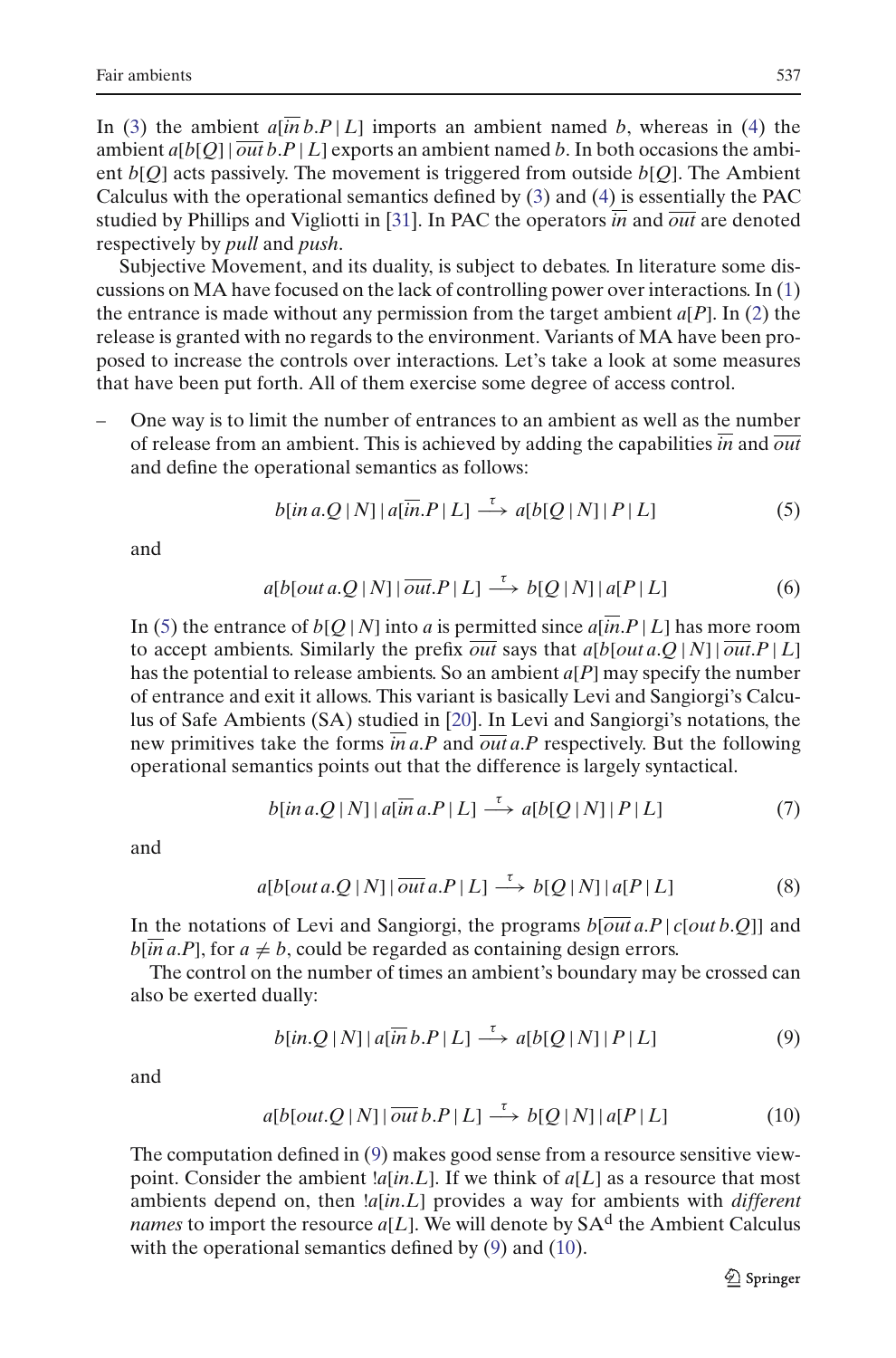In [\(3\)](#page-1-1) the ambient  $a[\overline{in}b.P|L]$  imports an ambient named *b*, whereas in [\(4\)](#page-1-1) the ambient  $a[b[Q] | \overline{out} b.P | L]$  exports an ambient named *b*. In both occasions the ambient *b*[*Q*] acts passively. The movement is triggered from outside *b*[*Q*]. The Ambient Calculus with the operational semantics defined by [\(3\)](#page-1-1) and [\(4\)](#page-1-1) is essentially the PAC studied by Phillips and Vigliotti in [\[31\]](#page-58-2). In PAC the operators *in* and *out* are denoted respectively by *pull* and *push*.

Subjective Movement, and its duality, is subject to debates. In literature some discussions on MA have focused on the lack of controlling power over interactions. In [\(1\)](#page-1-0) the entrance is made without any permission from the target ambient  $a[P]$ . In [\(2\)](#page-1-0) the release is granted with no regards to the environment. Variants of MA have been proposed to increase the controls over interactions. Let's take a look at some measures that have been put forth. All of them exercise some degree of access control.

– One way is to limit the number of entrances to an ambient as well as the number of release from an ambient. This is achieved by adding the capabilities *in* and *out* and define the operational semantics as follows:

$$
b[in a.Q|N]|a[\overline{in}.P|L] \stackrel{\tau}{\longrightarrow} a[b[Q|N]|P|L]
$$
 (5)

<span id="page-2-3"></span><span id="page-2-0"></span>and

$$
a[b[out a.Q | N] | \overline{out}.P | L] \xrightarrow{\tau} b[Q | N] | a[P | L]
$$
 (6)

In [\(5\)](#page-2-0) the entrance of  $b[Q|N]$  into *a* is permitted since  $a[$ *in*.*P* | *L* | has more room to accept ambients. Similarly the prefix  $\overline{out}$  says that  $a[b[out a.O|N] | \overline{out} P|L]$ has the potential to release ambients. So an ambient *a*[*P*] may specify the number of entrance and exit it allows. This variant is basically Levi and Sangiorgi's Calculus of Safe Ambients (SA) studied in [\[20](#page-58-3)]. In Levi and Sangiorgi's notations, the new primitives take the forms  $\overline{in}$  a.*P* and  $\overline{out}$  a.*P* respectively. But the following operational semantics points out that the difference is largely syntactical.

$$
b[\text{in }a\text{.}Q\mid N] \mid a[\overline{\text{in}}\text{ }a\text{.}P\mid L] \stackrel{\tau}{\longrightarrow} a[b[Q\mid N] \mid P\mid L] \tag{7}
$$

<span id="page-2-5"></span><span id="page-2-4"></span>and

$$
a[b[out a.Q | N] | \overline{out} a.P | L] \xrightarrow{\tau} b[Q | N] | a[P | L]
$$
 (8)

In the notations of Levi and Sangiorgi, the programs  $b[out a.P | c[out b.O]]$  and  $b$ [*in a*.*P*], for  $a \neq b$ , could be regarded as containing design errors.

The control on the number of times an ambient's boundary may be crossed can also be exerted dually:

$$
b(inQ|N]|a[\overline{in}b.P|L] \xrightarrow{\tau} a[b[Q|N]|P|L]
$$
 (9)

<span id="page-2-2"></span><span id="page-2-1"></span>and

$$
a[b[out.Q|N] | \overline{out} b.P | L] \xrightarrow{\tau} b[Q|N] | a[P|L]
$$
 (10)

The computation defined in [\(9\)](#page-2-1) makes good sense from a resource sensitive viewpoint. Consider the ambient  $a$ [*in*.*L*]. If we think of  $a$ [*L*] as a resource that most ambients depend on, then !*a*[*in*.*L*] provides a way for ambients with *different names* to import the resource  $a[L]$ . We will denote by  $SA<sup>d</sup>$  the Ambient Calculus with the operational semantics defined by [\(9\)](#page-2-1) and [\(10\)](#page-2-2).

 $\mathcal{D}$  Springer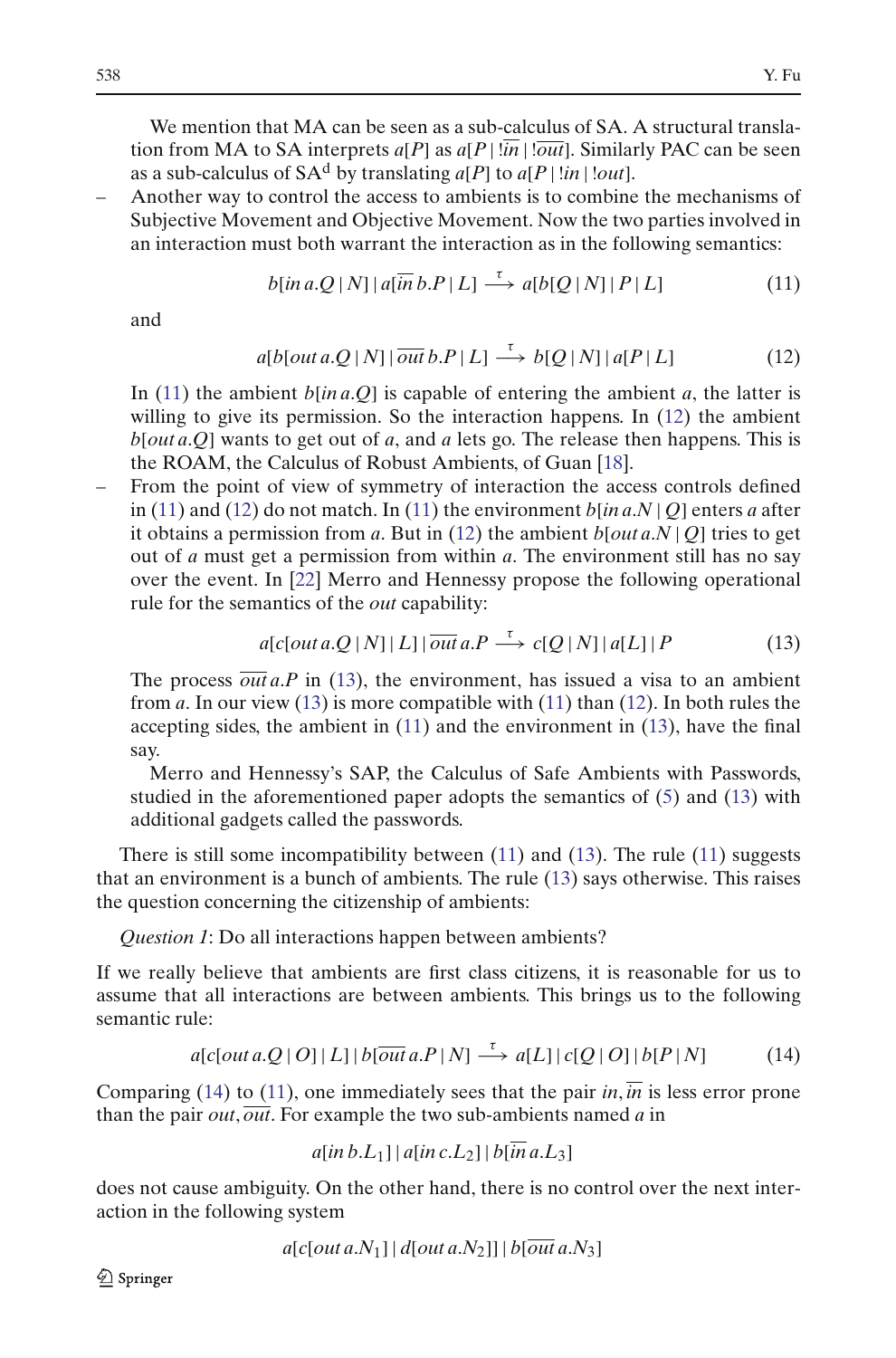We mention that MA can be seen as a sub-calculus of SA. A structural translation from MA to SA interprets  $a[P]$  as  $a[P | \overline{in} | \overline{out}]$ . Similarly PAC can be seen as a sub-calculus of  $SA<sup>d</sup>$  by translating  $a[P]$  to  $a[P]$  !*in* | !*out*].

– Another way to control the access to ambients is to combine the mechanisms of Subjective Movement and Objective Movement. Now the two parties involved in an interaction must both warrant the interaction as in the following semantics:

$$
b[\text{in }a\text{.}Q\mid N] \mid a[\overline{\text{in }}b\text{.}P\mid L] \xrightarrow{\tau} a[b[Q\mid N] \mid P\mid L]
$$
 (11)

<span id="page-3-1"></span><span id="page-3-0"></span>and

$$
a[b[out a.Q | N] | \overline{out} b.P | L] \xrightarrow{\tau} b[Q | N] | a[P | L]
$$
 (12)

In [\(11\)](#page-3-0) the ambient  $b$ [*in a*.*Q*] is capable of entering the ambient *a*, the latter is willing to give its permission. So the interaction happens. In [\(12\)](#page-3-1) the ambient *b*[*out a*.*Q*] wants to get out of *a*, and *a* lets go. The release then happens. This is the ROAM, the Calculus of Robust Ambients, of Guan [\[18\]](#page-58-4).

– From the point of view of symmetry of interaction the access controls defined in [\(11\)](#page-3-0) and [\(12\)](#page-3-1) do not match. In (11) the environment  $b$ [*in a.N* | *Q*] enters *a* after it obtains a permission from *a*. But in [\(12\)](#page-3-1) the ambient  $b[out a.N | Q]$  tries to get out of *a* must get a permission from within *a*. The environment still has no say over the event. In [\[22\]](#page-58-5) Merro and Hennessy propose the following operational rule for the semantics of the *out* capability:

$$
a[c[out a.Q | N] | L] | \overline{out} a.P \xrightarrow{\tau} c[Q | N] | a[L] | P \tag{13}
$$

<span id="page-3-2"></span>The process  $\overline{out}$  *a.P* in [\(13\)](#page-3-2), the environment, has issued a visa to an ambient from *a*. In our view [\(13\)](#page-3-2) is more compatible with [\(11\)](#page-3-0) than [\(12\)](#page-3-1). In both rules the accepting sides, the ambient in [\(11\)](#page-3-0) and the environment in [\(13\)](#page-3-2), have the final say.

Merro and Hennessy's SAP, the Calculus of Safe Ambients with Passwords, studied in the aforementioned paper adopts the semantics of [\(5\)](#page-2-0) and [\(13\)](#page-3-2) with additional gadgets called the passwords.

There is still some incompatibility between  $(11)$  and  $(13)$ . The rule  $(11)$  suggests that an environment is a bunch of ambients. The rule [\(13\)](#page-3-2) says otherwise. This raises the question concerning the citizenship of ambients:

*Question 1*: Do all interactions happen between ambients?

If we really believe that ambients are first class citizens, it is reasonable for us to assume that all interactions are between ambients. This brings us to the following semantic rule:

$$
a[c[out a.Q | O] | L] | b[out a.P | N] \xrightarrow{\tau} a[L] | c[Q | O] | b[P | N]
$$
 (14)

<span id="page-3-3"></span>Comparing [\(14\)](#page-3-3) to [\(11\)](#page-3-0), one immediately sees that the pair  $in, in$  is less error prone than the pair *out*, *out*. For example the two sub-ambients named *a* in

 $a$ [*in b*.*L*<sub>1</sub>] |  $a$ [*in c*.*L*<sub>2</sub>] |  $b$ [*in a*.*L*<sub>3</sub>]

does not cause ambiguity. On the other hand, there is no control over the next interaction in the following system

$$
a[c[out a.N1]| d[out a.N2]]| b[out a.N3]
$$

 $\mathcal{Q}$  Springer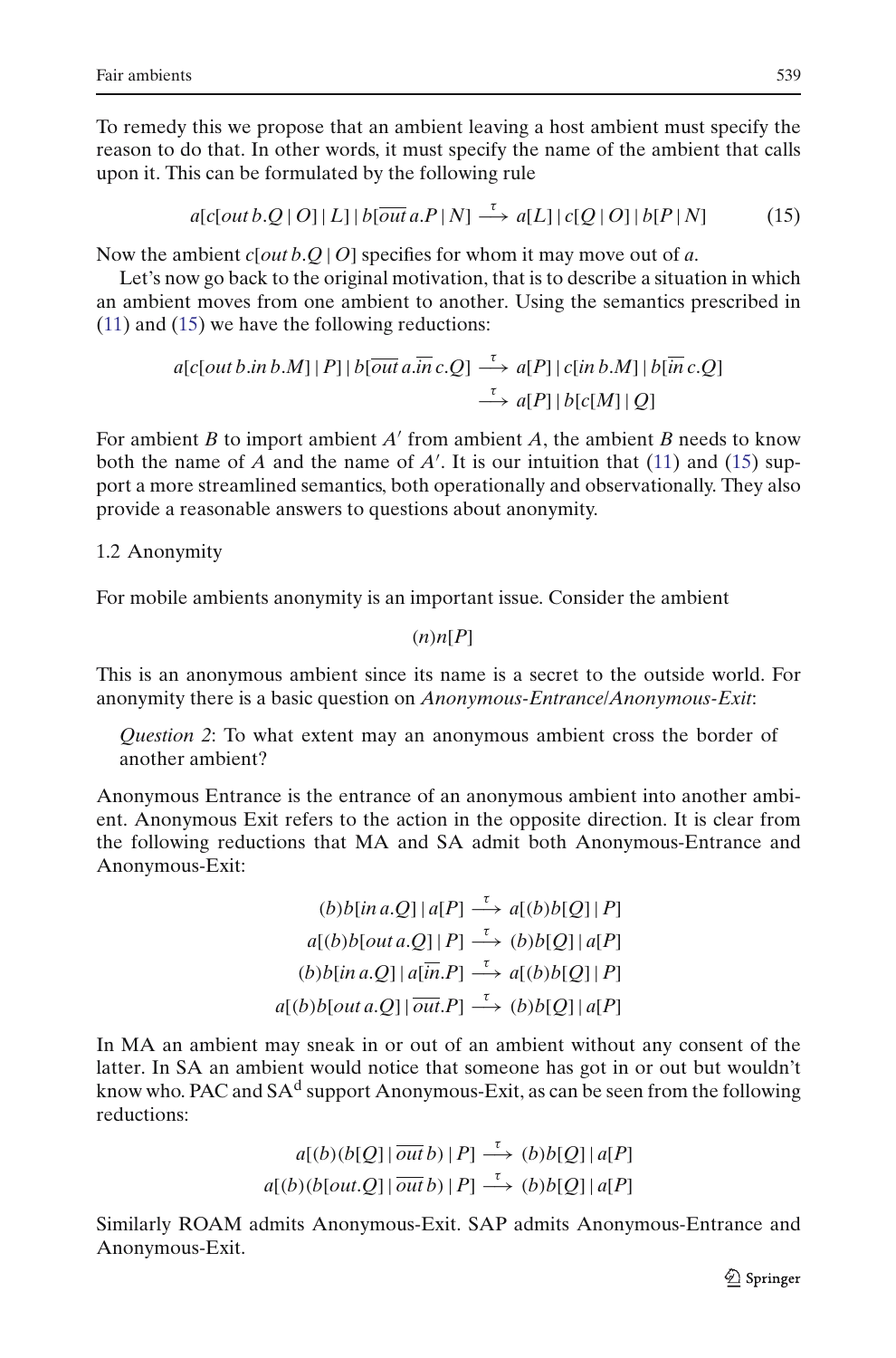To remedy this we propose that an ambient leaving a host ambient must specify the reason to do that. In other words, it must specify the name of the ambient that calls upon it. This can be formulated by the following rule

$$
a[c[out b.Q | O] | L] | b[out a.P | N] \xrightarrow{\tau} a[L] | c[Q | O] | b[P | N]
$$
 (15)

<span id="page-4-0"></span>Now the ambient *c*[*out b*.*Q* | *O*] specifies for whom it may move out of *a*.

Let's now go back to the original motivation, that is to describe a situation in which an ambient moves from one ambient to another. Using the semantics prescribed in [\(11\)](#page-3-0) and [\(15\)](#page-4-0) we have the following reductions:

$$
a[c[out b.in b.M] | P] | b[\overline{out a.in} c.Q] \xrightarrow{\tau} a[P] | c[in b.M] | b[\overline{in} c.Q]
$$
  

$$
\xrightarrow{\tau} a[P] | b[c[M] | Q]
$$

For ambient  $B$  to import ambient  $A'$  from ambient  $A$ , the ambient  $B$  needs to know both the name of  $A$  and the name of  $A'$ . It is our intuition that [\(11\)](#page-3-0) and [\(15\)](#page-4-0) support a more streamlined semantics, both operationally and observationally. They also provide a reasonable answers to questions about anonymity.

## 1.2 Anonymity

For mobile ambients anonymity is an important issue. Consider the ambient

 $(n)$ *n*[*P*]

This is an anonymous ambient since its name is a secret to the outside world. For anonymity there is a basic question on *Anonymous-Entrance*/*Anonymous-Exit*:

*Question 2*: To what extent may an anonymous ambient cross the border of another ambient?

Anonymous Entrance is the entrance of an anonymous ambient into another ambient. Anonymous Exit refers to the action in the opposite direction. It is clear from the following reductions that MA and SA admit both Anonymous-Entrance and Anonymous-Exit:

$$
(b) b [in a.Q] | a[P] \xrightarrow{\tau} a [(b) b [Q] | P]
$$
  
\n
$$
a [(b) b [out a.Q] | P] \xrightarrow{\tau} (b) b [Q] | a [P]
$$
  
\n
$$
(b) b [in a.Q] | a [in.P] \xrightarrow{\tau} a [(b) b [Q] | P]
$$
  
\n
$$
a [(b) b [out a.Q] | out.P] \xrightarrow{\tau} (b) b [Q] | a [P]
$$

In MA an ambient may sneak in or out of an ambient without any consent of the latter. In SA an ambient would notice that someone has got in or out but wouldn't know who. PAC and  $SA<sup>d</sup>$  support Anonymous-Exit, as can be seen from the following reductions:

$$
a[(b)(b[Q] | \overline{out} b) | P] \xrightarrow{\tau} (b)b[Q] | a[P]
$$

$$
a[(b)(b[out.Q] | \overline{out} b) | P] \xrightarrow{\tau} (b)b[Q] | a[P]
$$

Similarly ROAM admits Anonymous-Exit. SAP admits Anonymous-Entrance and Anonymous-Exit.

**◯** Springer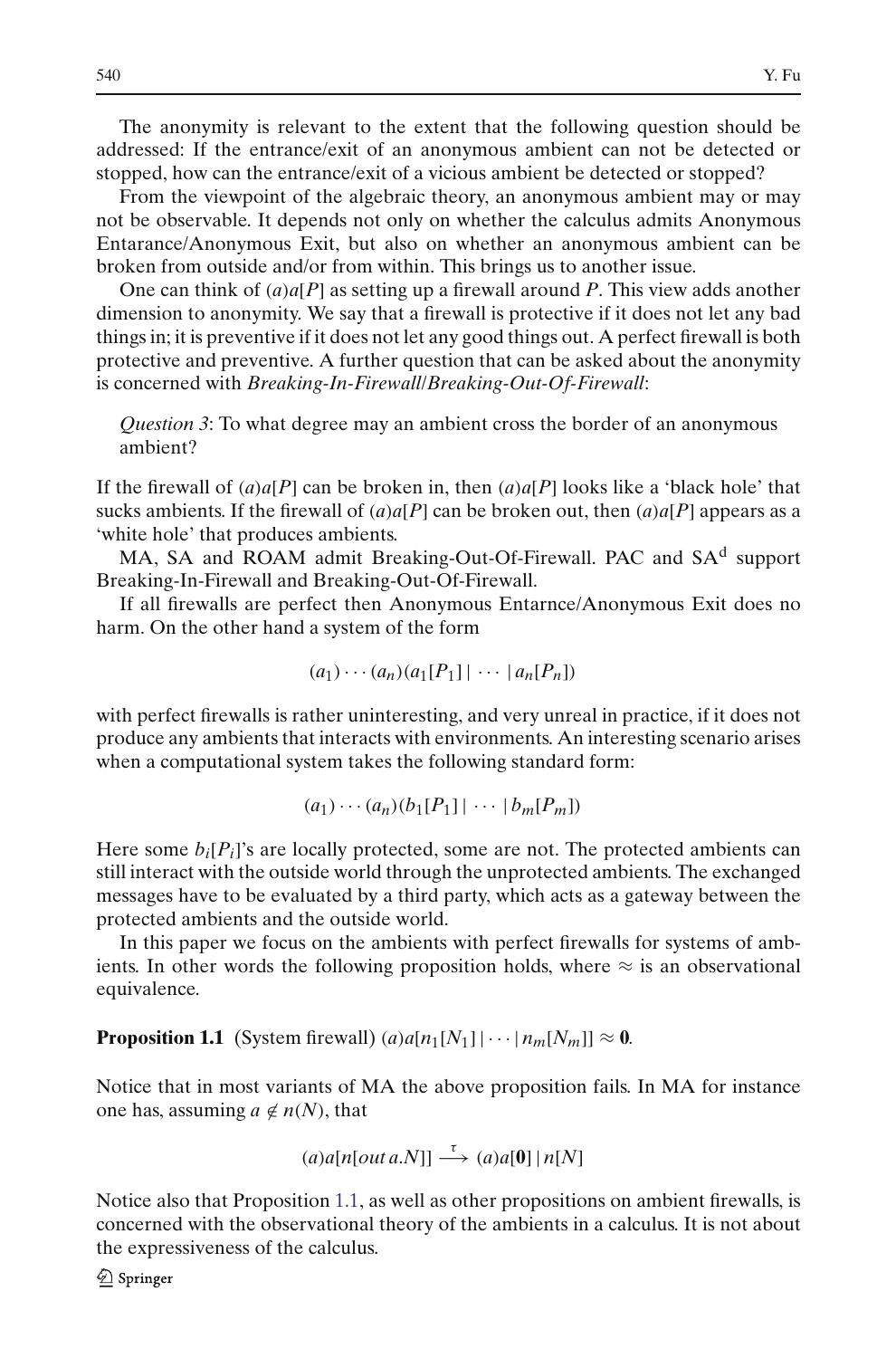The anonymity is relevant to the extent that the following question should be addressed: If the entrance/exit of an anonymous ambient can not be detected or stopped, how can the entrance/exit of a vicious ambient be detected or stopped?

From the viewpoint of the algebraic theory, an anonymous ambient may or may not be observable. It depends not only on whether the calculus admits Anonymous Entarance/Anonymous Exit, but also on whether an anonymous ambient can be broken from outside and/or from within. This brings us to another issue.

One can think of (*a*)*a*[*P*] as setting up a firewall around *P*. This view adds another dimension to anonymity. We say that a firewall is protective if it does not let any bad things in; it is preventive if it does not let any good things out. A perfect firewall is both protective and preventive. A further question that can be asked about the anonymity is concerned with *Breaking-In-Firewall*/*Breaking-Out-Of-Firewall*:

*Question 3*: To what degree may an ambient cross the border of an anonymous ambient?

If the firewall of  $(a)a[P]$  can be broken in, then  $(a)a[P]$  looks like a 'black hole' that sucks ambients. If the firewall of  $(a)a[P]$  can be broken out, then  $(a)a[P]$  appears as a 'white hole' that produces ambients.

MA, SA and ROAM admit Breaking-Out-Of-Firewall. PAC and SA<sup>d</sup> support Breaking-In-Firewall and Breaking-Out-Of-Firewall.

If all firewalls are perfect then Anonymous Entarnce/Anonymous Exit does no harm. On the other hand a system of the form

$$
(a_1)\cdots(a_n)(a_1[P_1]\cdots\cdots\cdots[a_n[P_n])
$$

with perfect firewalls is rather uninteresting, and very unreal in practice, if it does not produce any ambients that interacts with environments. An interesting scenario arises when a computational system takes the following standard form:

$$
(a_1)\cdots(a_n)(b_1[P_1]\cdots \cdots \cdots [b_m[P_m])
$$

Here some  $b_i[P_i]$ 's are locally protected, some are not. The protected ambients can still interact with the outside world through the unprotected ambients. The exchanged messages have to be evaluated by a third party, which acts as a gateway between the protected ambients and the outside world.

In this paper we focus on the ambients with perfect firewalls for systems of ambients. In other words the following proposition holds, where  $\approx$  is an observational equivalence.

<span id="page-5-0"></span>**Proposition 1.1** (System firewall)  $(a)a[n_1[N_1]|\cdots[n_m[N_m]] \approx 0$ .

Notice that in most variants of MA the above proposition fails. In MA for instance one has, assuming  $a \notin n(N)$ , that

$$
(a)a[n[outa.N]] \xrightarrow{\tau} (a)a[0] | n[N]
$$

Notice also that Proposition [1.1,](#page-5-0) as well as other propositions on ambient firewalls, is concerned with the observational theory of the ambients in a calculus. It is not about the expressiveness of the calculus.

 $\mathcal{Q}$  Springer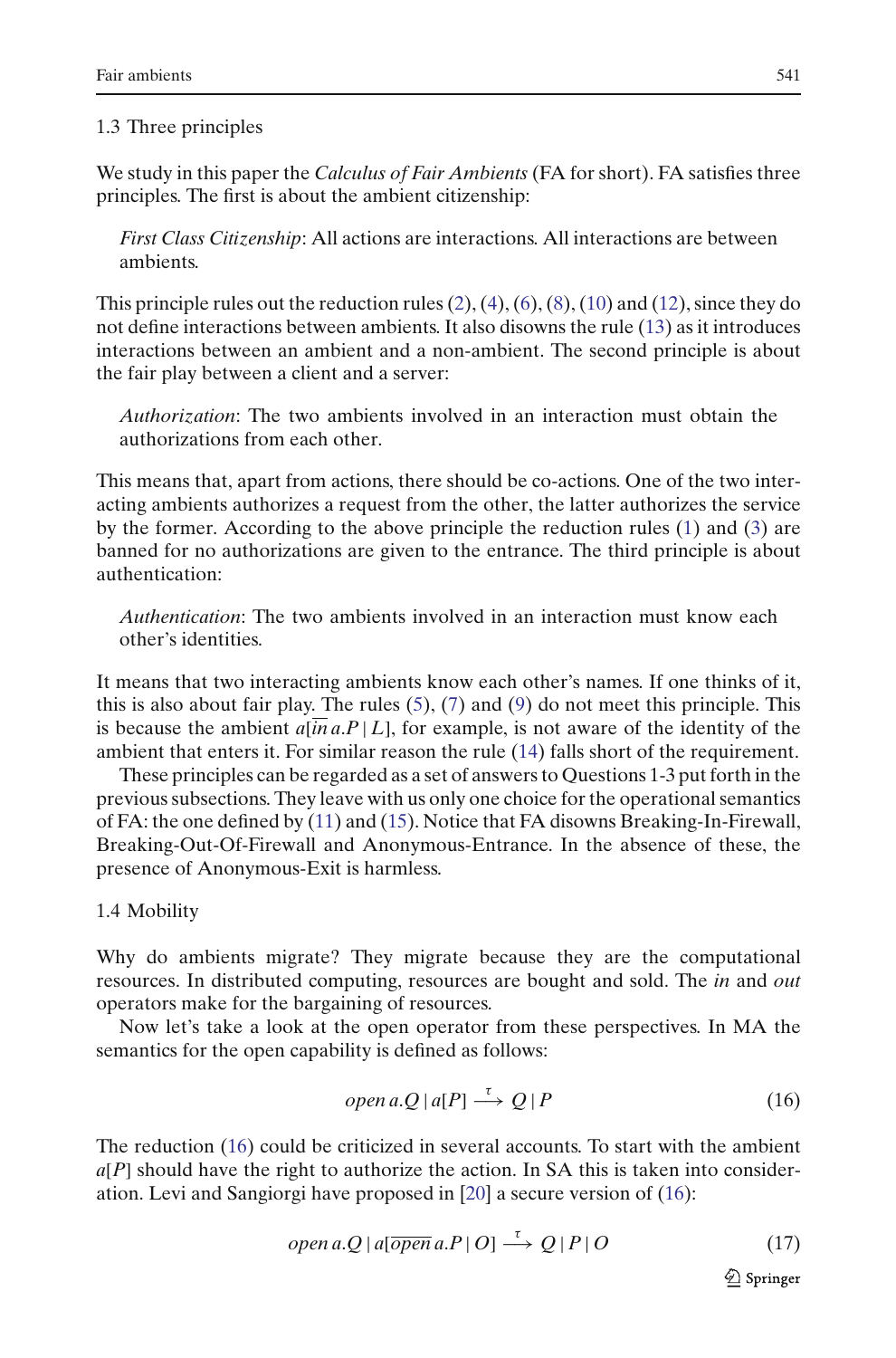#### 1.3 Three principles

We study in this paper the *Calculus of Fair Ambients* (FA for short). FA satisfies three principles. The first is about the ambient citizenship:

*First Class Citizenship*: All actions are interactions. All interactions are between ambients.

This principle rules out the reduction rules  $(2)$ ,  $(4)$ ,  $(6)$ ,  $(8)$ ,  $(10)$  and  $(12)$ , since they do not define interactions between ambients. It also disowns the rule [\(13\)](#page-3-2) as it introduces interactions between an ambient and a non-ambient. The second principle is about the fair play between a client and a server:

*Authorization*: The two ambients involved in an interaction must obtain the authorizations from each other.

This means that, apart from actions, there should be co-actions. One of the two interacting ambients authorizes a request from the other, the latter authorizes the service by the former. According to the above principle the reduction rules [\(1\)](#page-1-0) and [\(3\)](#page-1-1) are banned for no authorizations are given to the entrance. The third principle is about authentication:

*Authentication*: The two ambients involved in an interaction must know each other's identities.

It means that two interacting ambients know each other's names. If one thinks of it, this is also about fair play. The rules  $(5)$ ,  $(7)$  and  $(9)$  do not meet this principle. This is because the ambient  $a[$ *in a*. $P$  |  $L$ ], for example, is not aware of the identity of the ambient that enters it. For similar reason the rule [\(14\)](#page-3-3) falls short of the requirement.

These principles can be regarded as a set of answers to Questions 1-3 put forth in the previous subsections. They leave with us only one choice for the operational semantics of FA: the one defined by [\(11\)](#page-3-0) and [\(15\)](#page-4-0). Notice that FA disowns Breaking-In-Firewall, Breaking-Out-Of-Firewall and Anonymous-Entrance. In the absence of these, the presence of Anonymous-Exit is harmless.

## 1.4 Mobility

Why do ambients migrate? They migrate because they are the computational resources. In distributed computing, resources are bought and sold. The *in* and *out* operators make for the bargaining of resources.

Now let's take a look at the open operator from these perspectives. In MA the semantics for the open capability is defined as follows:

<span id="page-6-0"></span>
$$
open\,a.Q \mid a[P] \stackrel{\tau}{\longrightarrow} Q \mid P \tag{16}
$$

The reduction [\(16\)](#page-6-0) could be criticized in several accounts. To start with the ambient  $a[P]$  should have the right to authorize the action. In SA this is taken into consideration. Levi and Sangiorgi have proposed in [\[20](#page-58-3)] a secure version of [\(16\)](#page-6-0):

$$
open\ a.Q \mid a[\overline{open}\ a.P \mid O] \stackrel{\tau}{\longrightarrow} Q \mid P \mid O \tag{17}
$$

<span id="page-6-1"></span> $\underline{\mathbin{\hat\otimes}}$  Springer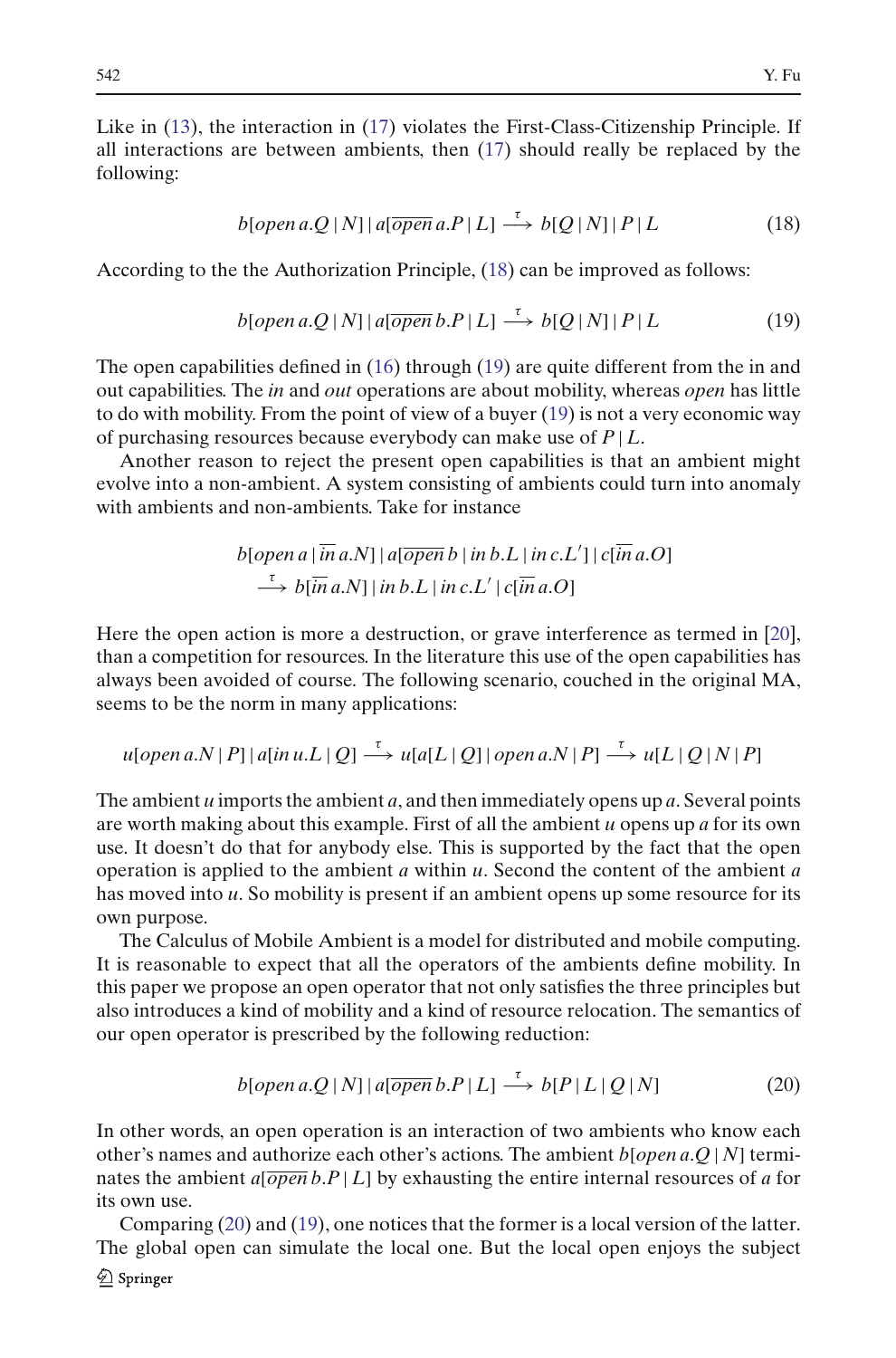Like in [\(13\)](#page-3-2), the interaction in [\(17\)](#page-6-1) violates the First-Class-Citizenship Principle. If all interactions are between ambients, then [\(17\)](#page-6-1) should really be replaced by the following:

$$
b[open\ a.Q|N]|a[open a.P|L] \xrightarrow{\tau} b[Q|N]|P|L
$$
\n(18)

<span id="page-7-0"></span>According to the the Authorization Principle, [\(18\)](#page-7-0) can be improved as follows:

$$
b[open\ a.Q|N]|a[\n(19)
$$

<span id="page-7-1"></span>The open capabilities defined in [\(16\)](#page-6-0) through [\(19\)](#page-7-1) are quite different from the in and out capabilities. The *in* and *out* operations are about mobility, whereas *open* has little to do with mobility. From the point of view of a buyer [\(19\)](#page-7-1) is not a very economic way of purchasing resources because everybody can make use of *P* | *L*.

Another reason to reject the present open capabilities is that an ambient might evolve into a non-ambient. A system consisting of ambients could turn into anomaly with ambients and non-ambients. Take for instance

$$
b[open a | \overline{in} a.N] | a[open b | in b.L | in c.L'] | c[ $\overline{in} a.O]$   
\n
$$
\xrightarrow{r} b[ $\overline{in} a.N]$ | in b.L | in c.L'| c[ $\overline{in} a.O$ ]
$$
$$

Here the open action is more a destruction, or grave interference as termed in [\[20\]](#page-58-3), than a competition for resources. In the literature this use of the open capabilities has always been avoided of course. The following scenario, couched in the original MA, seems to be the norm in many applications:

$$
u[open\ a.N | P] | a[in\ u.L | Q] \stackrel{\tau}{\longrightarrow} u[a[L | Q] | open\ a.N | P] \stackrel{\tau}{\longrightarrow} u[L | Q | N | P]
$$

The ambient *u* imports the ambient *a*, and then immediately opens up *a*. Several points are worth making about this example. First of all the ambient *u* opens up *a* for its own use. It doesn't do that for anybody else. This is supported by the fact that the open operation is applied to the ambient *a* within *u*. Second the content of the ambient *a* has moved into *u*. So mobility is present if an ambient opens up some resource for its own purpose.

The Calculus of Mobile Ambient is a model for distributed and mobile computing. It is reasonable to expect that all the operators of the ambients define mobility. In this paper we propose an open operator that not only satisfies the three principles but also introduces a kind of mobility and a kind of resource relocation. The semantics of our open operator is prescribed by the following reduction:

$$
b[open\ a.Q|N]|a[open\ b.P|L] \xrightarrow{\tau} b[P|L|Q|N]
$$
 (20)

<span id="page-7-2"></span>In other words, an open operation is an interaction of two ambients who know each other's names and authorize each other's actions. The ambient *b*[*open a*.*Q* | *N*] terminates the ambient  $a[\overline{open} b.P | L]$  by exhausting the entire internal resources of *a* for its own use.

Comparing [\(20\)](#page-7-2) and [\(19\)](#page-7-1), one notices that the former is a local version of the latter. The global open can simulate the local one. But the local open enjoys the subject2 Springer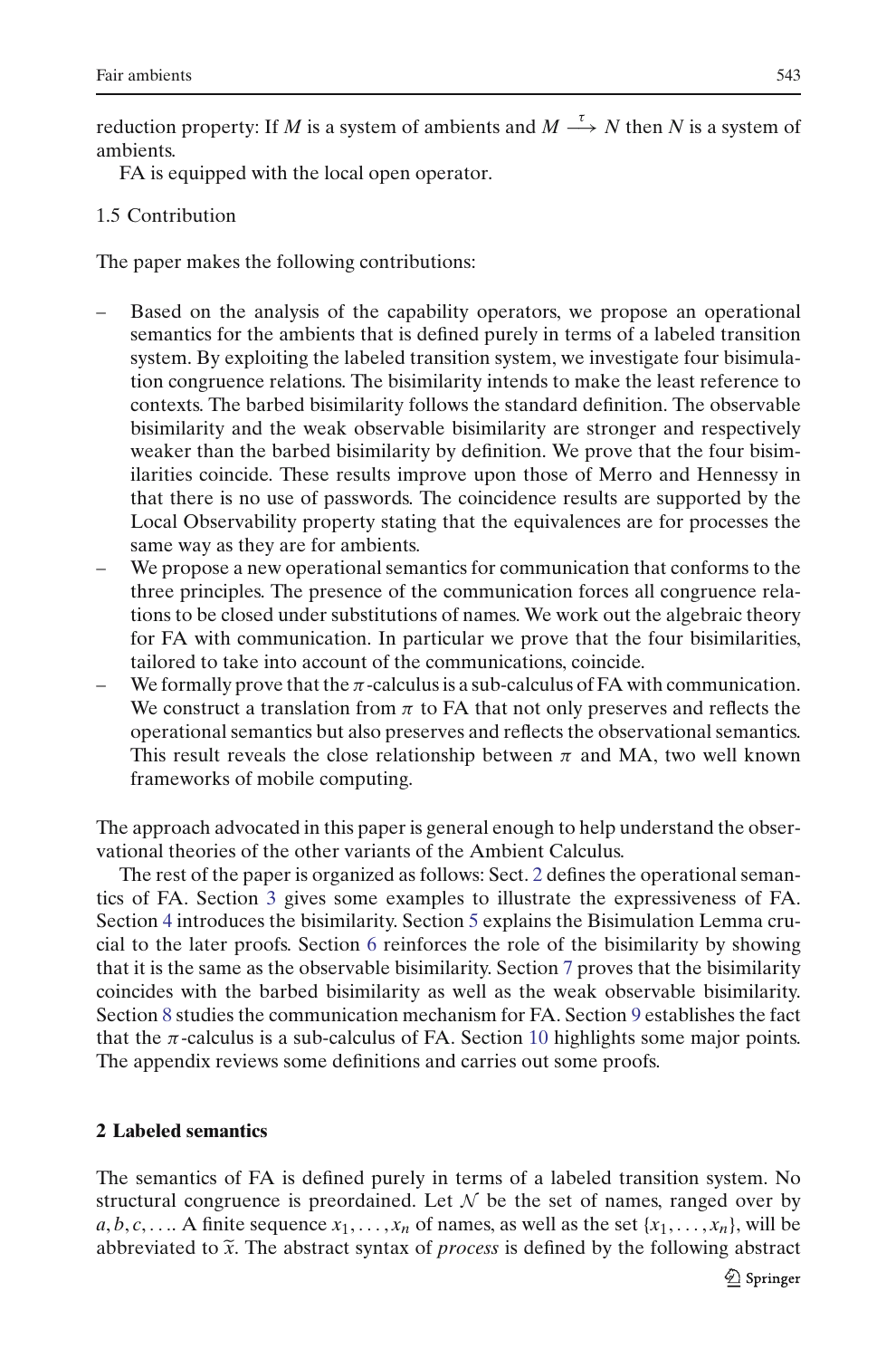reduction property: If *M* is a system of ambients and  $M \stackrel{\tau}{\longrightarrow} N$  then *N* is a system of ambients.

FA is equipped with the local open operator.

## 1.5 Contribution

The paper makes the following contributions:

- Based on the analysis of the capability operators, we propose an operational semantics for the ambients that is defined purely in terms of a labeled transition system. By exploiting the labeled transition system, we investigate four bisimulation congruence relations. The bisimilarity intends to make the least reference to contexts. The barbed bisimilarity follows the standard definition. The observable bisimilarity and the weak observable bisimilarity are stronger and respectively weaker than the barbed bisimilarity by definition. We prove that the four bisimilarities coincide. These results improve upon those of Merro and Hennessy in that there is no use of passwords. The coincidence results are supported by the Local Observability property stating that the equivalences are for processes the same way as they are for ambients.
- We propose a new operational semantics for communication that conforms to the three principles. The presence of the communication forces all congruence relations to be closed under substitutions of names. We work out the algebraic theory for FA with communication. In particular we prove that the four bisimilarities, tailored to take into account of the communications, coincide.
- We formally prove that the  $\pi$ -calculus is a sub-calculus of FA with communication. We construct a translation from  $\pi$  to FA that not only preserves and reflects the operational semantics but also preserves and reflects the observational semantics. This result reveals the close relationship between  $\pi$  and MA, two well known frameworks of mobile computing.

The approach advocated in this paper is general enough to help understand the observational theories of the other variants of the Ambient Calculus.

The rest of the paper is organized as follows: Sect. [2](#page-8-0) defines the operational semantics of FA. Section [3](#page-12-0) gives some examples to illustrate the expressiveness of FA. Section [4](#page-16-0) introduces the bisimilarity. Section [5](#page-18-0) explains the Bisimulation Lemma crucial to the later proofs. Section [6](#page-19-0) reinforces the role of the bisimilarity by showing that it is the same as the observable bisimilarity. Section [7](#page-26-0) proves that the bisimilarity coincides with the barbed bisimilarity as well as the weak observable bisimilarity. Section [8](#page-28-0) studies the communication mechanism for FA. Section [9](#page-37-0) establishes the fact that the  $\pi$ -calculus is a sub-calculus of FA. Section [10](#page-43-0) highlights some major points. The appendix reviews some definitions and carries out some proofs.

## <span id="page-8-0"></span>**2 Labeled semantics**

The semantics of FA is defined purely in terms of a labeled transition system. No structural congruence is preordained. Let *N* be the set of names, ranged over by *a*, *b*, *c*, .... A finite sequence  $x_1, \ldots, x_n$  of names, as well as the set  $\{x_1, \ldots, x_n\}$ , will be abbreviated to  $\tilde{x}$ . The abstract syntax of *process* is defined by the following abstract The semantics of FA is defined purely in terms of a labeled transition system. No structural congruence is preordained. Let  $N$  be the set of names, ranged over by  $a, b, c, \ldots$ . A finite sequence  $x_1, \ldots, x_n$  of names, as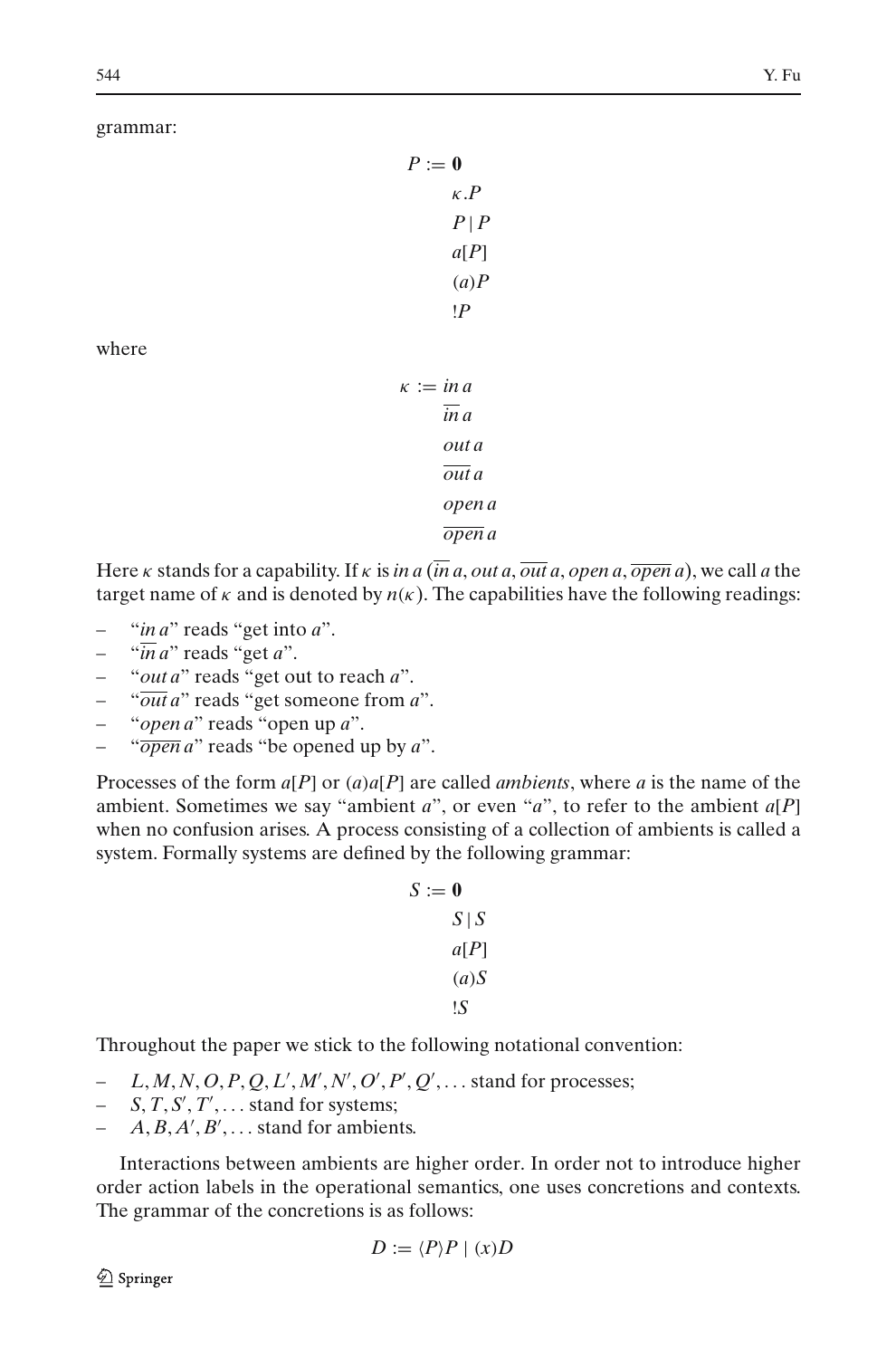#### grammar:

| $P := 0$ |                |  |
|----------|----------------|--|
|          | $\kappa$ . $P$ |  |
|          | $P \mid P$     |  |
|          | a[P]           |  |
|          | (a)P           |  |
|          | ١P             |  |

where

 $\kappa := \text{in } a$ *in a out a out a open a open a*

Here κ stands for a capability. If κ is *in a* (*in a*, *out a*, *out a*, *open a*, *open a*), we call *a* the target name of  $\kappa$  and is denoted by  $n(\kappa)$ . The capabilities have the following readings:

- "*in a*" reads "get into *a*".
- "*in a*" reads "get *a*".
- "*out a*" reads "get out to reach *a*".
- "*out a*" reads "get someone from *a*".
- "*open a*" reads "open up *a*".
- "*open a*" reads "be opened up by *a*".

Processes of the form *a*[*P*] or (*a*)*a*[*P*] are called *ambients*, where *a* is the name of the ambient. Sometimes we say "ambient *a*", or even "*a*", to refer to the ambient *a*[*P*] when no confusion arises. A process consisting of a collection of ambients is called a system. Formally systems are defined by the following grammar:

$$
S := 0
$$
  

$$
S | S
$$
  

$$
a[P]
$$
  

$$
(a)S
$$
  

$$
\vdotsS
$$

Throughout the paper we stick to the following notational convention:

- $-L, M, N, O, P, Q, L', M', N', O', P', Q', \ldots$  stand for processes;
- $-$  *S*, *T*, *S'*, *T'*,  $\ldots$  stand for systems;
- $-$  *A*, *B*, *A'*, *B'*,  $\ldots$  stand for ambients.

Interactions between ambients are higher order. In order not to introduce higher order action labels in the operational semantics, one uses concretions and contexts. The grammar of the concretions is as follows:

$$
D := \langle P \rangle P \mid (x)D
$$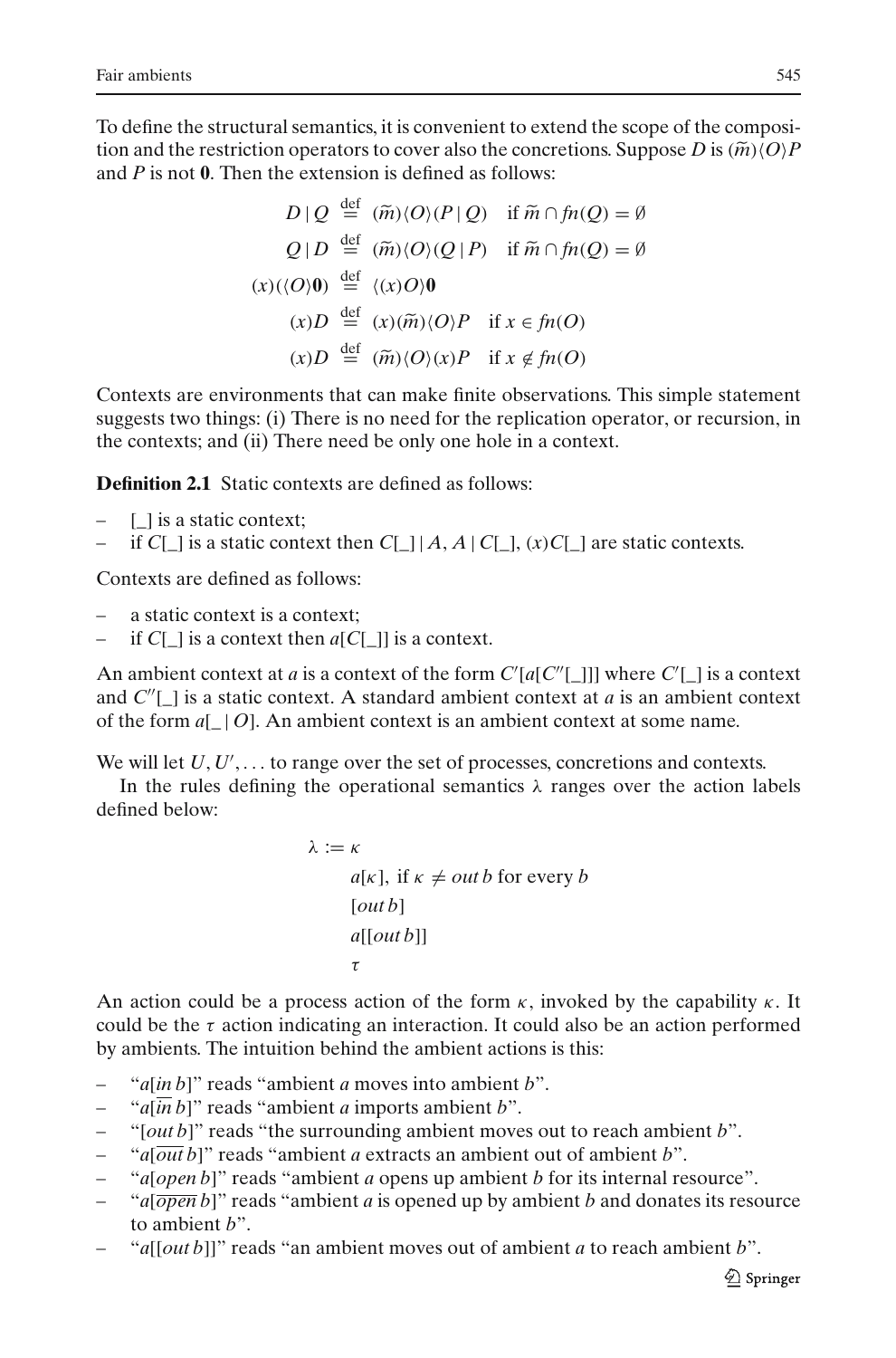To define the structural semantics, it is convenient to extend the scope of the composi-Fair ambients<br>
To define the structural semantics, it is convenient to extend the scope of the composi-<br>
tion and the restriction operators to cover also the concretions. Suppose *D* is  $(\widetilde{m})\langle O \rangle P$ and *P* is not **0**. Then the extension is defined as follows: final is convenient to extend the score ors to cover also the concretions. Sup<br>sion is defined as follows:<br> $\stackrel{\text{def}}{=} (\tilde{m})\langle O \rangle (P | Q)$  if  $\tilde{m} \cap f n(Q) = \emptyset$ 

tion operators to cover also the concretions. Sup  
\n
$$
D \mid Q \stackrel{\text{def}}{=} (\widetilde{m}) \langle O \rangle (P \mid Q) \quad \text{if } \widetilde{m} \cap \mathfrak{f} \mathfrak{n}(Q) = \emptyset
$$
\n
$$
Q \mid D \stackrel{\text{def}}{=} (\widetilde{m}) \langle O \rangle (Q \mid P) \quad \text{if } \widetilde{m} \cap \mathfrak{f} \mathfrak{n}(Q) = \emptyset
$$
\n
$$
(x) (\langle O \rangle \mathbf{0}) \stackrel{\text{def}}{=} \langle x \rangle (O \rangle \mathbf{0}
$$
\n
$$
(x) D \stackrel{\text{def}}{=} (x) (\widetilde{m}) \langle O \rangle P \quad \text{if } x \in \mathfrak{f} \mathfrak{n}(O)
$$
\n
$$
(x) D \stackrel{\text{def}}{=} (\widetilde{m}) \langle O \rangle (x) P \quad \text{if } x \notin \mathfrak{f} \mathfrak{n}(O)
$$

Contexts are environments that can make finite observations. This simple statement suggests two things: (i) There is no need for the replication operator, or recursion, in the contexts; and (ii) There need be only one hole in a context.

<span id="page-10-0"></span>**Definition 2.1** Static contexts are defined as follows:

- $-$  [ ] is a static context:
- if  $C[\ ]$  is a static context then  $C[\ ][A, A]C[\ ]$ ,  $(x)C[\ ]$  are static contexts.

Contexts are defined as follows:

- a static context is a context;
- if  $CI$  1 is a context then  $a[C]$ ] is a context.

An ambient context at *a* is a context of the form  $C'[a[C'']$ ]]] where  $C'[\_]$  is a context and  $C''[\_]$  is a static context. A standard ambient context at *a* is an ambient context of the form *a*[\_ | *O*]. An ambient context is an ambient context at some name.

We will let  $U, U', \ldots$  to range over the set of processes, concretions and contexts.

In the rules defining the operational semantics  $\lambda$  ranges over the action labels defined below:

```
λ := κ
      a[k], if \kappa \neq outb for every b
      [out b]
      a[[out b]]
      τ
```
An action could be a process action of the form  $\kappa$ , invoked by the capability  $\kappa$ . It could be the  $\tau$  action indicating an interaction. It could also be an action performed by ambients. The intuition behind the ambient actions is this:

- "*a*[*in b*]" reads "ambient *a* moves into ambient *b*".
- " $a[\overline{in} b]$ " reads "ambient *a* imports ambient *b*".
- "[*out b*]" reads "the surrounding ambient moves out to reach ambient *b*".
- "*a*[*out b*]" reads "ambient *a* extracts an ambient out of ambient *b*".
- "*a*[*open b*]" reads "ambient *a* opens up ambient *b* for its internal resource".
- " $a[\overline{open} b]$ " reads "ambient *a* is opened up by ambient *b* and donates its resource to ambient *b*".
- "*a*[[*out b*]]" reads "an ambient moves out of ambient *a* to reach ambient *b*".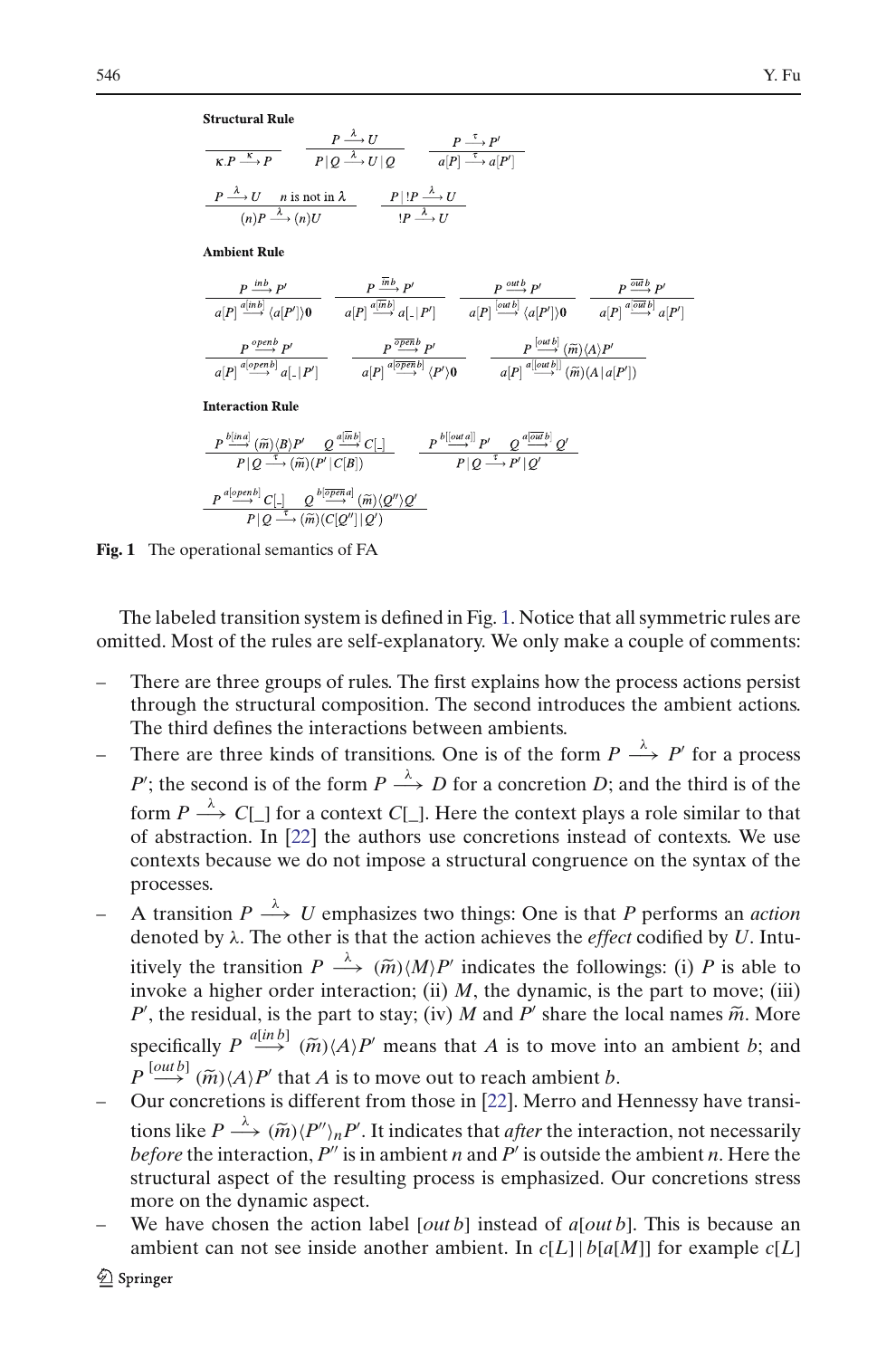**Structural Rule** 

$$
\frac{P \xrightarrow{\Lambda} U}{\mathcal{K}.P \xrightarrow{\kappa} P} \qquad \frac{P \xrightarrow{\Lambda} U}{P | Q \xrightarrow{\lambda} U | Q} \qquad \frac{P \xrightarrow{\tau} P'}{a[P] \xrightarrow{\tau} a[P']}
$$
  
\n
$$
\frac{P \xrightarrow{\lambda} U}{(n)P \xrightarrow{\lambda} (n)U} \qquad \frac{P | !P \xrightarrow{\lambda} U}{!P \xrightarrow{\lambda} U}
$$

**Ambient Rule** 

$$
\begin{array}{ccc}\nP & \frac{inb}{d|P|} \frac{P'}{e^{(inb)}} & P' & P \frac{outb}{dP'} & P' \\
\hline\na[P] & \frac{a^{(inb)}}{d|P'|} \langle a[P'] \rangle 0 & \frac{P}{d[P]} \frac{a^{(inb)}}{d} \frac{P'}{d} \frac{P'}{d} \frac{P'}{d} \frac{P'}{d} \frac{P'}{d} \frac{P'}{d} \frac{P'}{d} \frac{P'}{d} \frac{P'}{d} \frac{P'}{d} \frac{P'}{d} \frac{P'}{d} \frac{P'}{d} \frac{P'}{d} \frac{P'}{d} \frac{P'}{d} \frac{P'}{d} \frac{P'}{d} \frac{P'}{d} \frac{P'}{d} \frac{P'}{d} \frac{P'}{d} \frac{P'}{d} \frac{P'}{d} \frac{P'}{d} \frac{P'}{d} \frac{P'}{d} \frac{P'}{d} \frac{P'}{d} \frac{P'}{d} \frac{P'}{d} \frac{P'}{d} \frac{P'}{d} \frac{P'}{d} \frac{P'}{d} \frac{P'}{d} \frac{P'}{d} \frac{P'}{d} \frac{P'}{d} \frac{P'}{d} \frac{P'}{d} \frac{P'}{d} \frac{P'}{d} \frac{P'}{d} \frac{P'}{d} \frac{P'}{d} \frac{P'}{d} \frac{P'}{d} \frac{P'}{d} \frac{P'}{d} \frac{P'}{d} \frac{P'}{d} \frac{P'}{d} \frac{P'}{d} \frac{P'}{d} \frac{P'}{d} \frac{P'}{d} \frac{P'}{d} \frac{P'}{d} \frac{P'}{d} \frac{P'}{d} \frac{P'}{d} \frac{P'}{d} \frac{P'}{d} \frac{P'}{d} \frac{P'}{d} \frac{P'}{d} \frac{P'}{d} \frac{P'}{d} \frac{P'}{d} \frac{P'}{d} \frac{P'}{d} \frac{P'}{d} \frac{P'}{d} \frac{P'}{d} \frac{P'}{d} \frac{P'}{d} \frac{P'}{d} \frac{P'}{d} \frac{P'}{d} \frac{P'}
$$

**Interaction Rule** 

$$
\begin{array}{ll} \displaystyle P \frac{\stackrel{b[|m a]}{\longrightarrow} (\widetilde{m}) \langle B \rangle P' - Q \frac{a[\overline{m}b]}{\longrightarrow} C[ \_ ] }{P \, | \, Q \stackrel{\tau}{\longrightarrow} (\widetilde{m}) (P' | \, \mathbb{C}[B])} & \displaystyle P \frac{\stackrel{b[|out a]}{\longrightarrow} P' - Q \frac{a[\overline{om}b]}{\longrightarrow} Q' }{P \, | \, Q \stackrel{\tau}{\longrightarrow} P' \, | \, Q' } \\ \hline \end{array}
$$

<span id="page-11-0"></span>**Fig. 1** The operational semantics of FA

The labeled transition system is defined in Fig. [1.](#page-11-0) Notice that all symmetric rules are omitted. Most of the rules are self-explanatory. We only make a couple of comments:

- There are three groups of rules. The first explains how the process actions persist through the structural composition. The second introduces the ambient actions. The third defines the interactions between ambients.
- There are three kinds of transitions. One is of the form  $P \stackrel{\lambda}{\longrightarrow} P'$  for a process *P*'; the second is of the form  $P \stackrel{\lambda}{\longrightarrow} D$  for a concretion *D*; and the third is of the form  $P \stackrel{\lambda}{\longrightarrow} C[\_]$  for a context  $C[\_]$ . Here the context plays a role similar to that of abstraction. In [\[22](#page-58-5)] the authors use concretions instead of contexts. We use contexts because we do not impose a structural congruence on the syntax of the processes.
- $\overline{P}$  A transition *P*  $\stackrel{\lambda}{\longrightarrow} U$  emphasizes two things: One is that *P* performs an *action* denoted by λ. The other is that the action achieves the *effect* codified by *U*. Intuis processes.<br>A transition  $P \xrightarrow{\lambda} U$  emphasizes two<br>denoted by  $\lambda$ . The other is that the acti-<br>itively the transition  $P \xrightarrow{\lambda} (\widetilde{m}) \langle M \rangle P'$  $'$  indicates the followings: (i)  $P$  is able to invoke a higher order interaction; (ii)  $M$ , the dynamic, is the part to move; (iii)  $P'$ , the residual, is the part to stay; (iv) *M* and  $P'$ One is that *P* performs an *action*<br>res the *effect* codified by *U*. Intu-<br>is the followings: (i) *P* is able to<br>pnamic, is the part to move; (iii)<br> $\theta'$  share the local names  $\tilde{m}$ . More itively the transition  $P \xrightarrow{\lambda} (\widetilde{m}) \langle M \rangle P'$  indicates the followings: (i) *P* is able to invoke a higher order interaction; (ii) *M*, the dynamic, is the part to move; (iii) *P'*, the residual, is the part to stay; (iv  $P'$ , the residual, i<br>*P'*, the residual, i<br>specifically  $P \stackrel{a[b]}{\longrightarrow}$ <br> $P \stackrel{[outb]}{\longrightarrow} (\tilde{m}) \langle A \rangle P'$  $P \stackrel{[out\,]}{\longrightarrow} (\widetilde{m}) \langle A \rangle P'$  that A is to move out to reach ambient *b*. specifically  $P \stackrel{a[inb]}{\longrightarrow} (\widetilde{m}) \stackrel{\sim}{\longrightarrow} (\widetilde{m}) \langle A \rangle P'$  that  $P$ <br>Our concretions is differentially be  $P \stackrel{\lambda}{\longrightarrow} (\widetilde{m}) \langle P \rangle$
- Our concretions is different from those in [\[22\]](#page-58-5). Merro and Hennessy have transi- $\gamma$ <sub>n</sub>P'. It indicates that *after* the interaction, not necessarily before the interaction,  $P''$  is in ambient *n* and  $P'$  is outside the ambient *n*. Here the structural aspect of the resulting process is emphasized. Our concretions stress more on the dynamic aspect.
- We have chosen the action label [*out b*] instead of *a*[*out b*]. This is because an ambient can not see inside another ambient. In *c*[*L*] | *b*[*a*[*M*]] for example *c*[*L*]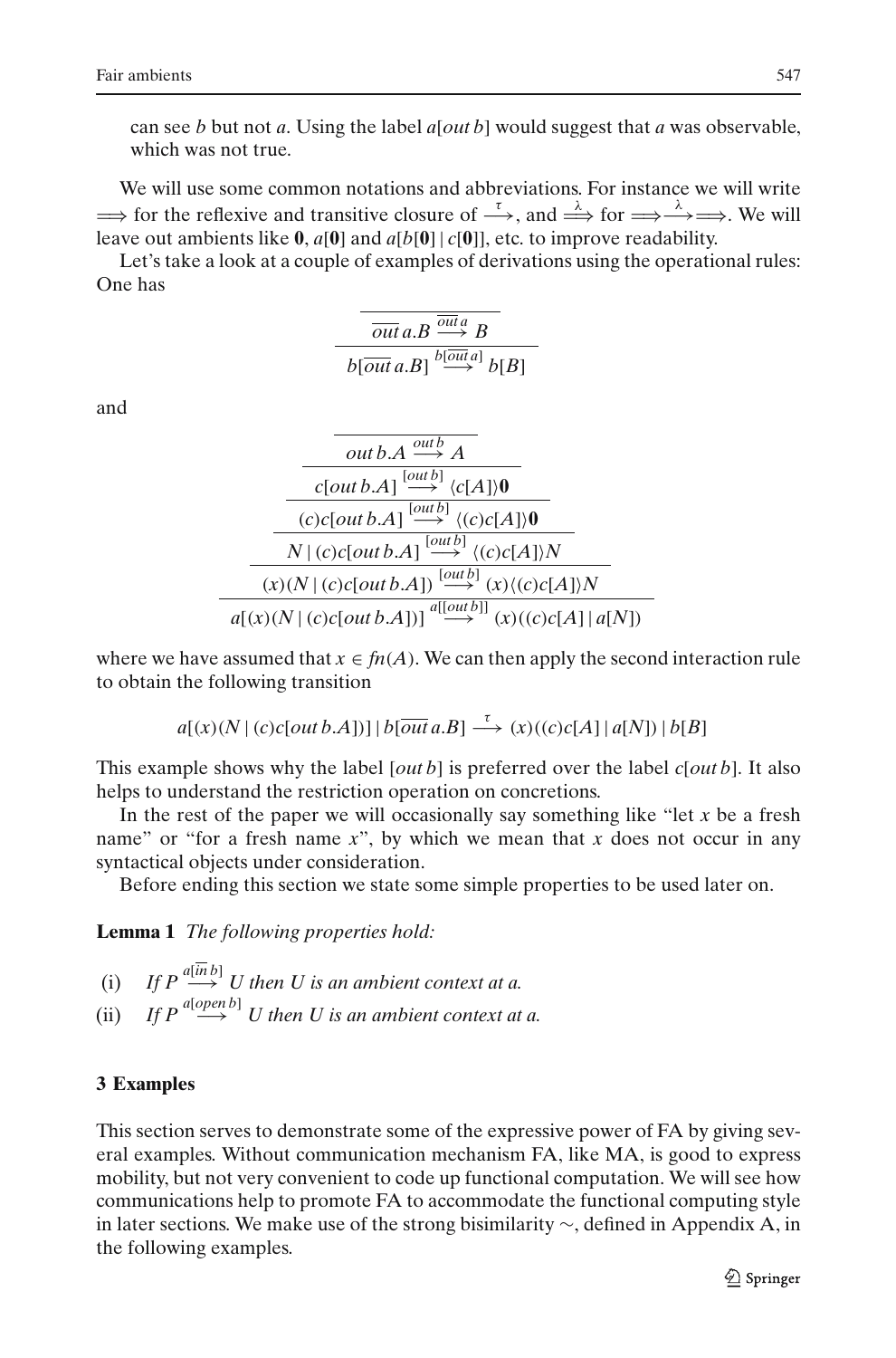can see *b* but not *a*. Using the label *a*[*out b*] would suggest that *a* was observable, which was not true.

We will use some common notations and abbreviations. For instance we will write  $\Rightarrow$  for the reflexive and transitive closure of  $\stackrel{\tau}{\longrightarrow}$ , and  $\stackrel{\lambda}{\Longrightarrow}$  for  $\Rightarrow \stackrel{\lambda}{\longrightarrow} \Rightarrow$ . We will leave out ambients like **0**, *a*[**0**] and *a*[*b*[**0**] | *c*[**0**]], etc. to improve readability.

Let's take a look at a couple of examples of derivations using the operational rules: One has

$$
\overline{out a.B \xrightarrow{\overline{out} a} B}
$$
  

$$
b[\overline{out} a.B] \xrightarrow{b[\overline{out} a]} b[B]
$$

and

out b.A 
$$
\xrightarrow{\text{out } b}
$$
 A  
\n
$$
\xrightarrow{C[\text{out } b.A]} \xrightarrow{[out b]} \langle c[A] \rangle 0
$$
\n
$$
\xrightarrow{(c)c[\text{out } b.A]} \xrightarrow{[out b]} \langle (c)c[A] \rangle 0
$$
\n
$$
\xrightarrow[N] \langle c \rangle c[\text{out } b.A] \xrightarrow{[out b]} \langle (c)c[A] \rangle N
$$
\n
$$
a[(x)(N | (c)c[\text{out } b.A])] \xrightarrow{a[[out b]]} (x)(c)c[A] \rangle a[N]
$$

where we have assumed that  $x \in fn(A)$ . We can then apply the second interaction rule to obtain the following transition

$$
a[(x)(N | (c)c[out b.A])] | b[\overline{out} a.B] \xrightarrow{\tau} (x)((c)c[A] | a[N]) | b[B]
$$

This example shows why the label [*out b*] is preferred over the label *c*[*out b*]. It also helps to understand the restriction operation on concretions.

In the rest of the paper we will occasionally say something like "let *x* be a fresh name" or "for a fresh name *x*", by which we mean that *x* does not occur in any syntactical objects under consideration.

Before ending this section we state some simple properties to be used later on.

<span id="page-12-1"></span>**Lemma 1** *The following properties hold:*

- (i) *If P*  $\stackrel{a[\overline{in}b]}{\longrightarrow}$  *U* then *U* is an ambient context at a.
- (ii) *If P*  $\overset{a[open\,b]}{\longrightarrow}$  *U* then *U* is an ambient context at a.

## <span id="page-12-0"></span>**3 Examples**

This section serves to demonstrate some of the expressive power of FA by giving several examples. Without communication mechanism FA, like MA, is good to express mobility, but not very convenient to code up functional computation. We will see how communications help to promote FA to accommodate the functional computing style in later sections. We make use of the strong bisimilarity ∼, defined in Appendix A, in the following examples.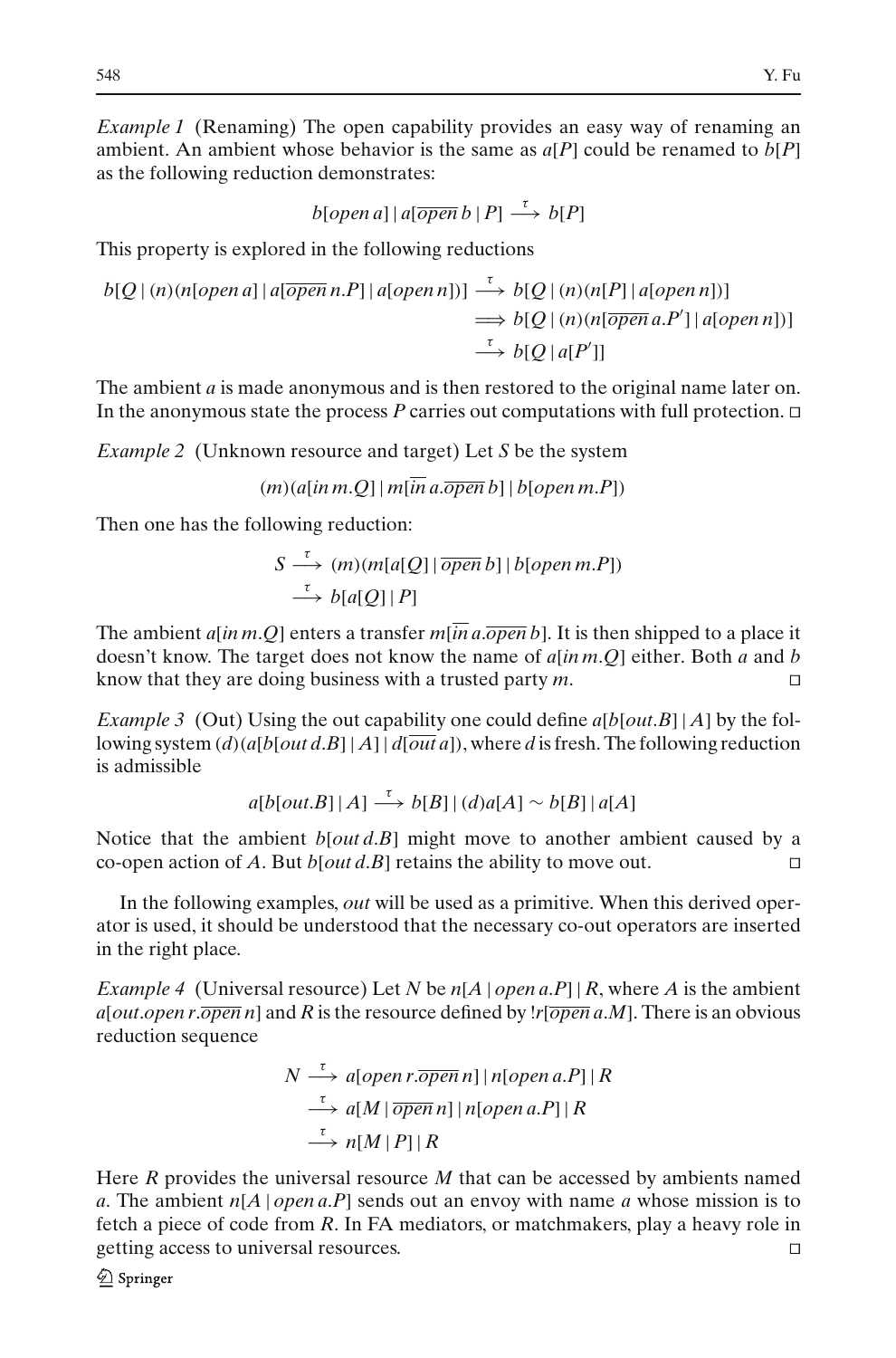*Example 1* (Renaming) The open capability provides an easy way of renaming an ambient. An ambient whose behavior is the same as  $a[P]$  could be renamed to  $b[P]$ as the following reduction demonstrates:

$$
b[open\ a]\,|\,a[\overline{open}\,b\,|\,P]\stackrel{\tau}{\longrightarrow}b[P]
$$

This property is explored in the following reductions

$$
b[Q | (n)(n[open a] | a[open n.P] | a[open n])] \xrightarrow{\tau} b[Q | (n)(n[P] | a[open n])]
$$
  

$$
\implies b[Q | (n)(n[open a.P'] | a[open n])]
$$
  

$$
\xrightarrow{\tau} b[Q | a[P']]
$$

The ambient *a* is made anonymous and is then restored to the original name later on. In the anonymous state the process  $P$  carries out computations with full protection.  $\Box$ 

*Example 2* (Unknown resource and target) Let *S* be the system

$$
(m)(a[in m.Q] | m[\overline{in} a.\overline{open} b] | b[open m.P])
$$

Then one has the following reduction:

$$
S \stackrel{\tau}{\longrightarrow} (m)(m[a[Q]] \overline{open} b] | b[open m.P])
$$
  

$$
\stackrel{\tau}{\longrightarrow} b[a[Q] | P]
$$

The ambient  $a$ [*in m*.*Q*] enters a transfer  $m$ [*in a*.*open b*]. It is then shipped to a place it doesn't know. The target does not know the name of *a*[*in m*.*Q*] either. Both *a* and *b* know that they are doing business with a trusted party *m*.

<span id="page-13-0"></span>*Example 3* (Out) Using the out capability one could define  $a[b[outB] | A]$  by the following system  $(d)$  (*a*[*b*[*out d*.*B*] | *A*] |  $d$ [*out a*]), where *d* is fresh. The following reduction is admissible

 $a[b[out.B]|A] \xrightarrow{\tau} b[B] | (d)a[A] \sim b[B]|a[A]$ 

Notice that the ambient *b*[*out d*.*B*] might move to another ambient caused by a co-open action of *A*. But *b*[*out d*.*B*] retains the ability to move out.

In the following examples, *out* will be used as a primitive. When this derived operator is used, it should be understood that the necessary co-out operators are inserted in the right place.

*Example 4* (Universal resource) Let *N* be  $n[A \mid open a.P] | R$ , where *A* is the ambient *a*[*out*.*open r*.*open n*] and *R* is the resource defined by !*r*[*open a*.*M*]. There is an obvious reduction sequence

$$
N \stackrel{\tau}{\longrightarrow} a[open\ r.\overline{open}\ n] | n[open\ a.P] | R
$$
  

$$
\stackrel{\tau}{\longrightarrow} a[M \,|\, \overline{open}\ n] | n[open\ a.P] | R
$$
  

$$
\stackrel{\tau}{\longrightarrow} n[M \,|\, P] | R
$$

Here *R* provides the universal resource *M* that can be accessed by ambients named *a*. The ambient *n*[*A* | *open a*.*P*] sends out an envoy with name *a* whose mission is to fetch a piece of code from *R*. In FA mediators, or matchmakers, play a heavy role in getting access to universal resources.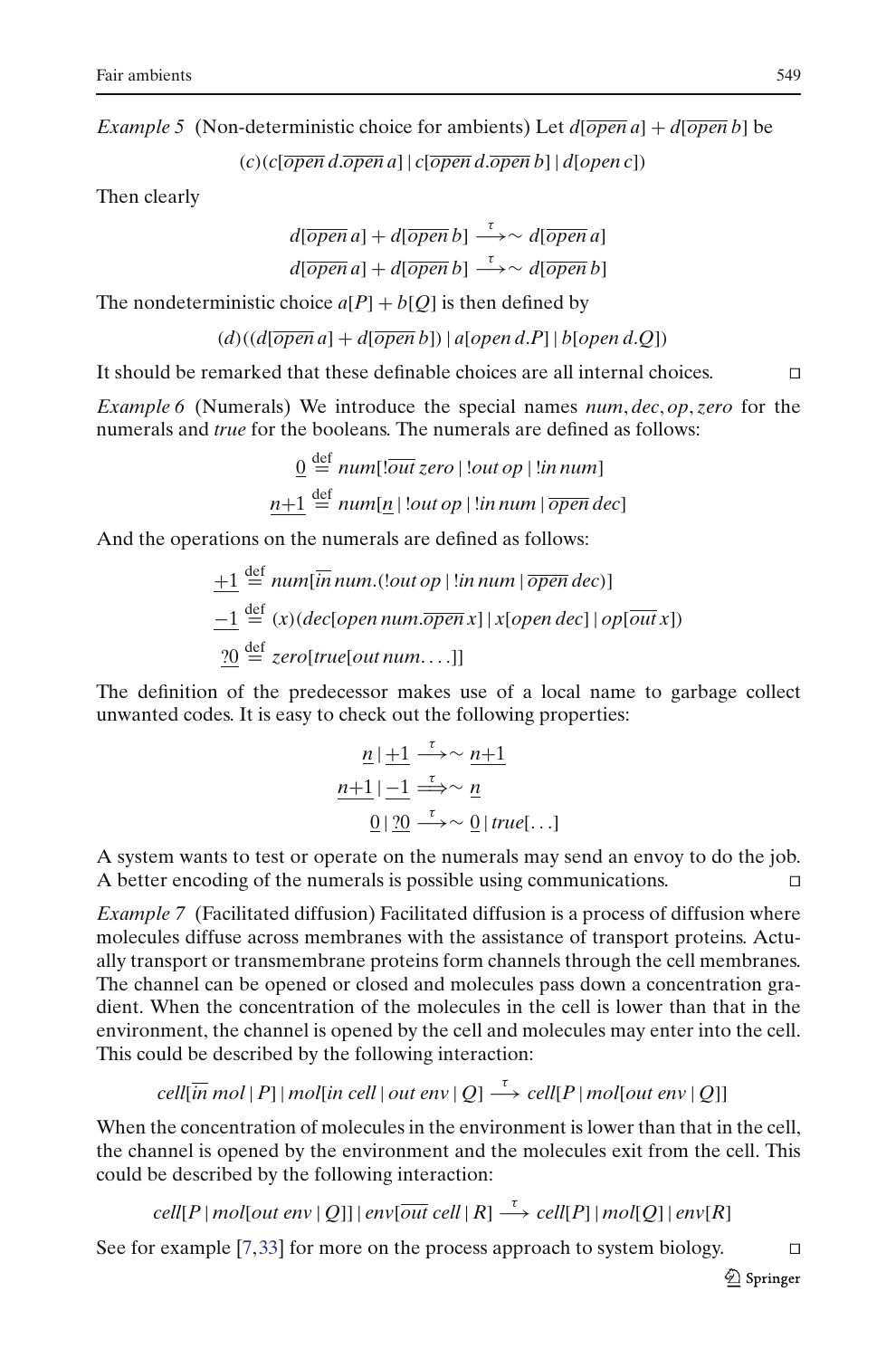*Example 5* (Non-deterministic choice for ambients) Let  $d[\overline{open} a] + d[\overline{open} b]$  be

$$
(c)(c[open d. open a] | c[open d. open b] | d[open c])
$$

Then clearly

$$
d[\overline{open}\,a] + d[\overline{open}\,b] \xrightarrow{\tau} \sim d[\overline{open}\,a]
$$

$$
d[\overline{open}\,a] + d[\overline{open}\,b] \xrightarrow{\tau} \sim d[\overline{open}\,b]
$$

The nondeterministic choice  $a[P] + b[Q]$  is then defined by

$$
(d)((d[\overline{open}\,a]+d[\overline{open}\,b])\,|\,a[open\,d.P]\,|\,b[open\,d.Q])
$$

It should be remarked that these definable choices are all internal choices.

*Example 6* (Numerals) We introduce the special names *num*, *dec*, *op*, *zero* for the numerals and *true* for the booleans. The numerals are defined as follows:

$$
\underline{0} \stackrel{\text{def}}{=} num[:\overline{out} \, zero \mid !out \, op \mid !in \, num]
$$
\n
$$
\underline{n+1} \stackrel{\text{def}}{=} num[\underline{n} \mid !out \, op \mid !in \, num \mid \overline{open} \, dec]
$$

And the operations on the numerals are defined as follows:

$$
\underline{+1} \stackrel{\text{def}}{=} num[\overline{in} num.(\text{out } op \mid \text{lin num} \mid \overline{open} \, dec)]
$$
\n
$$
\underline{-1} \stackrel{\text{def}}{=} (x) (dec[open num. \overline{open} \, x] \mid x[open \, dec] \mid op[\overline{out} \, x])
$$
\n
$$
\underline{?0} \stackrel{\text{def}}{=} zero[true[out num...]]
$$

The definition of the predecessor makes use of a local name to garbage collect unwanted codes. It is easy to check out the following properties:

$$
\frac{n \mid +1 \stackrel{\tau}{\longrightarrow} \sim n+1}{\frac{n+1 \mid -1 \stackrel{\tau}{\longrightarrow} \sim n}{\frac{0 \mid 20 \stackrel{\tau}{\longrightarrow} \sim 0}{\frac{0 \mid true \mid ...}}
$$

A system wants to test or operate on the numerals may send an envoy to do the job. A better encoding of the numerals is possible using communications.

<span id="page-14-0"></span>*Example 7* (Facilitated diffusion) Facilitated diffusion is a process of diffusion where molecules diffuse across membranes with the assistance of transport proteins. Actually transport or transmembrane proteins form channels through the cell membranes. The channel can be opened or closed and molecules pass down a concentration gradient. When the concentration of the molecules in the cell is lower than that in the environment, the channel is opened by the cell and molecules may enter into the cell. This could be described by the following interaction:

$$
cell[\overline{in} \, mol \, | \, P] \, | \, mol[\overline{in} \, cell \, | \, out \, env \, | \, Q] \stackrel{\tau}{\longrightarrow} \, cell[P \, | \, mol[out \, env \, | \, Q]]
$$

When the concentration of molecules in the environment is lower than that in the cell, the channel is opened by the environment and the molecules exit from the cell. This could be described by the following interaction:

$$
cell[P | mol[out env | Q]] | env[out cell | R]  $\xrightarrow{\tau}$   $cell[P] | mol[Q] | env[R]$
$$

See for example [\[7,](#page-57-1)[33](#page-58-6)] for more on the process approach to system biology.  $\square$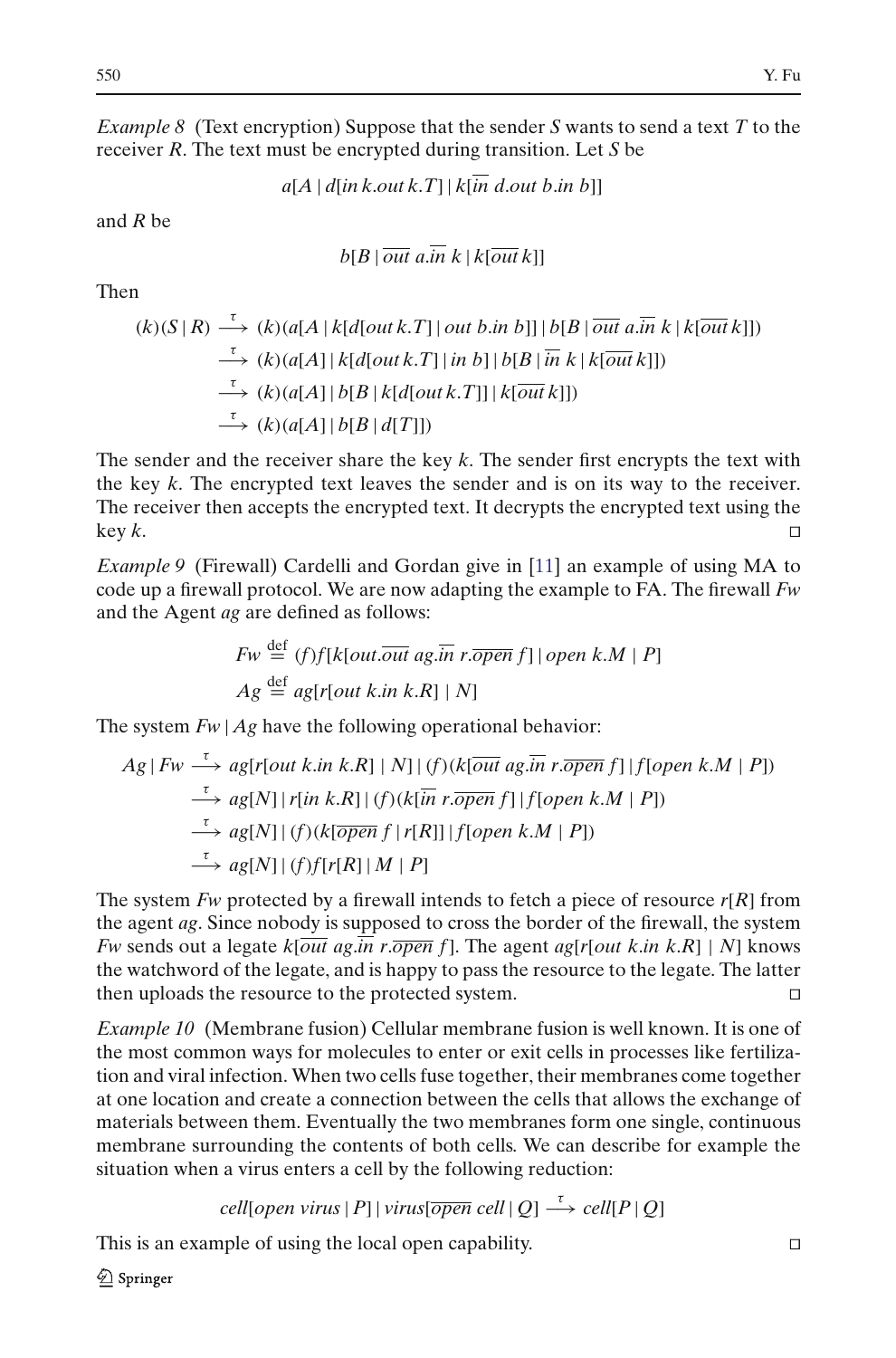<span id="page-15-2"></span>*Example 8* (Text encryption) Suppose that the sender *S* wants to send a text *T* to the receiver *R*. The text must be encrypted during transition. Let *S* be

*a*[*A* | *d*[*in k*.*out k*.*T*] | *k*[*in d*.*out b*.*in b*]]

and *R* be

 $b[B \mid \overline{out} \ a.\overline{in} \ k \mid k[\overline{out} \ k]]$ 

Then

$$
(k)(S | R) \xrightarrow{\tau} (k)(a[A | k[d[out k.T]] out b.in b]] | b[B | \overline{out a.in} k | k[ \overline{out} k]])
$$
  
\n
$$
\xrightarrow{\tau} (k)(a[A] | k[d[out k.T]] in b] | b[B | \overline{in} k | k[ \overline{out} k]])
$$
  
\n
$$
\xrightarrow{\tau} (k)(a[A] | b[B | k[d[out k.T]] | k[ \overline{out} k]])
$$
  
\n
$$
\xrightarrow{\tau} (k)(a[A] | b[B | d[T]])
$$

The sender and the receiver share the key *k*. The sender first encrypts the text with the key *k*. The encrypted text leaves the sender and is on its way to the receiver. The receiver then accepts the encrypted text. It decrypts the encrypted text using the  $key \; k.$ 

<span id="page-15-0"></span>*Example 9* (Firewall) Cardelli and Gordan give in [\[11\]](#page-58-1) an example of using MA to code up a firewall protocol. We are now adapting the example to FA. The firewall *Fw* and the Agent *ag* are defined as follows:

$$
Fw \stackrel{\text{def}}{=} (f)f[k[out.\overline{out} \text{ ag.}\overline{in} \text{ r.}\overline{open} \text{ f}]] \text{ open } k.M \mid P]
$$

$$
Ag \stackrel{\text{def}}{=} ag[r[out k.in k.R] \mid N]
$$

The system  $Fw | Ag$  have the following operational behavior:

$$
Ag \mid Fw \xrightarrow{\tau} ag[r[out k.in k.R] \mid N] \mid (f)(k[\overline{out} ag.\overline{in} r.\overline{open} f] \mid f[open k.M \mid P])
$$
  
\n
$$
\xrightarrow{\tau} ag[N] \mid r[\overline{in} k.R] \mid (f)(k[\overline{in} r.\overline{open} f] \mid f[open k.M \mid P])
$$
  
\n
$$
\xrightarrow{\tau} ag[N] \mid (f)(k[\overline{open} f \mid r[R]] \mid f[open k.M \mid P])
$$
  
\n
$$
\xrightarrow{\tau} ag[N] \mid (f)f[r[R] \mid M \mid P]
$$

The system *Fw* protected by a firewall intends to fetch a piece of resource *r*[*R*] from the agent *ag*. Since nobody is supposed to cross the border of the firewall, the system *Fw* sends out a legate  $k[\overline{out}$  ag. $\overline{in}$  r. $\overline{open}$  f]. The agent ag[ $r[out k.in k.R] | N]$  knows the watchword of the legate, and is happy to pass the resource to the legate. The latter then uploads the resource to the protected system.

<span id="page-15-1"></span>*Example 10* (Membrane fusion) Cellular membrane fusion is well known. It is one of the most common ways for molecules to enter or exit cells in processes like fertilization and viral infection. When two cells fuse together, their membranes come together at one location and create a connection between the cells that allows the exchange of materials between them. Eventually the two membranes form one single, continuous membrane surrounding the contents of both cells. We can describe for example the situation when a virus enters a cell by the following reduction:

$$
cell[open \, virus \, | \, P]
$$
 |  $virus[\overline{open} \, cell \, | \, Q]$   $\xrightarrow{\tau}$   $cell[P \, | \, Q]$ 

This is an example of using the local open capability.

 $\mathcal{Q}$  Springer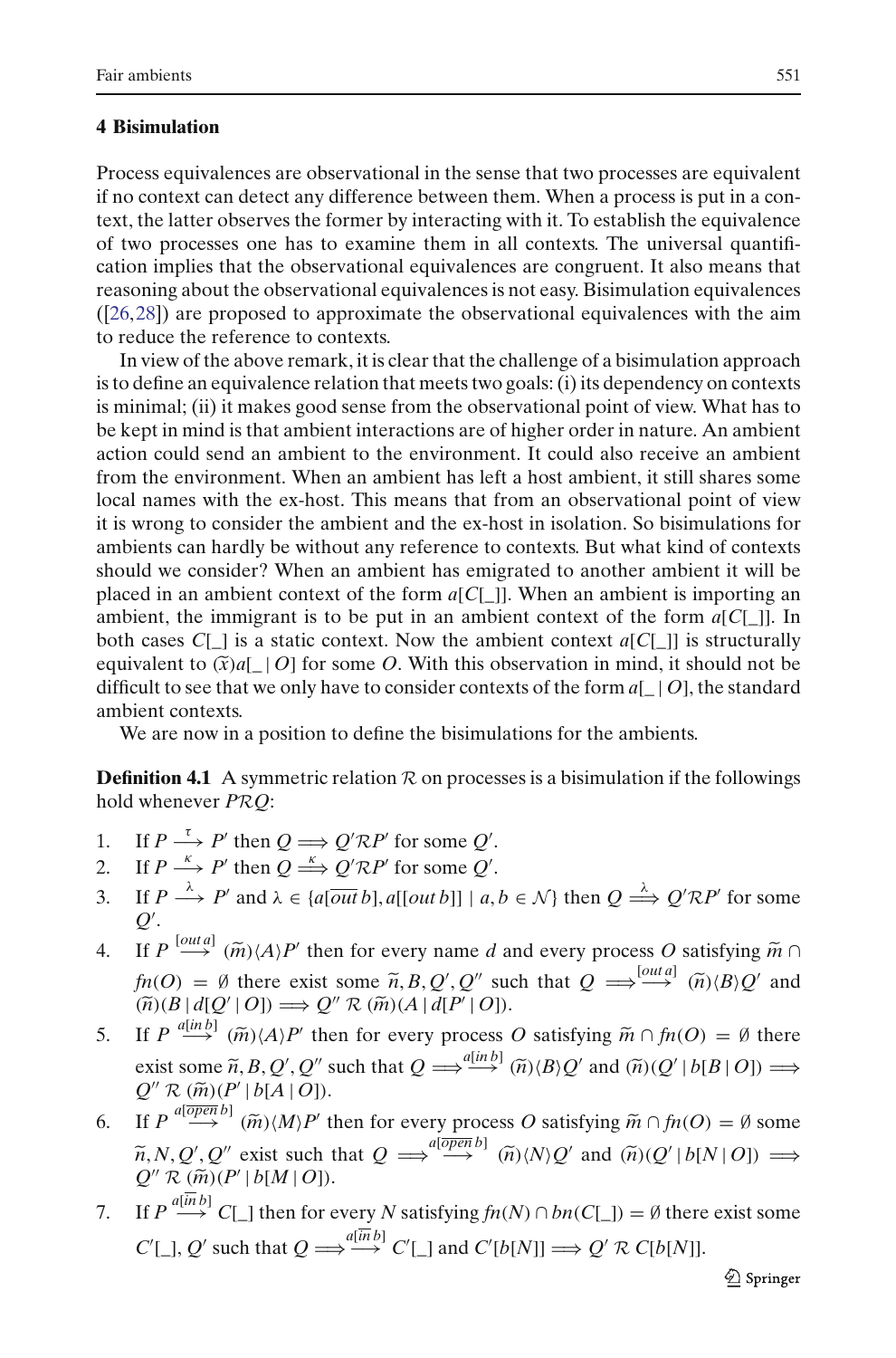## <span id="page-16-0"></span>**4 Bisimulation**

Process equivalences are observational in the sense that two processes are equivalent if no context can detect any difference between them. When a process is put in a context, the latter observes the former by interacting with it. To establish the equivalence of two processes one has to examine them in all contexts. The universal quantification implies that the observational equivalences are congruent. It also means that reasoning about the observational equivalences is not easy. Bisimulation equivalences ([\[26](#page-58-7),[28](#page-58-8)]) are proposed to approximate the observational equivalences with the aim to reduce the reference to contexts.

In view of the above remark, it is clear that the challenge of a bisimulation approach is to define an equivalence relation that meets two goals: (i) its dependency on contexts is minimal; (ii) it makes good sense from the observational point of view. What has to be kept in mind is that ambient interactions are of higher order in nature. An ambient action could send an ambient to the environment. It could also receive an ambient from the environment. When an ambient has left a host ambient, it still shares some local names with the ex-host. This means that from an observational point of view it is wrong to consider the ambient and the ex-host in isolation. So bisimulations for ambients can hardly be without any reference to contexts. But what kind of contexts should we consider? When an ambient has emigrated to another ambient it will be placed in an ambient context of the form *a*[*C*[\_]]. In ambient, the immigrant is to be put in an ambient context of the form *a*[*C*[\_]]. I placed in an ambient context of the form *a*[*C*[\_]]. When an ambient is importing an ambient, the immigrant is to be put in an ambient context of the form *a*[*C*[\_]]. In both cases  $C[\ ]$  is a static context. Now the ambient context  $a[C]$ ] is structurally difficult to see that we only have to consider contexts of the form  $a[ | O]$ , the standard ambient contexts.

We are now in a position to define the bisimulations for the ambients.

<span id="page-16-1"></span>**Definition 4.1** A symmetric relation  $\mathcal{R}$  on processes is a bisimulation if the followings hold whenever *PRQ*:

- 1. If  $P \xrightarrow{t} P'$  then  $Q \Longrightarrow Q' \mathcal{R} P'$  for some  $Q'$ .
- 2. If  $P \xrightarrow{k} P'$  then  $Q \xrightarrow{k} Q' \mathcal{R} P'$  for some  $Q'$ .
- 3. If  $P \xrightarrow{\lambda} P'$  and  $\lambda \in \{a[\overline{out}\,b], a[[\overline{out}\,b]] \mid a, b \in \mathcal{N}\}$  then  $Q \xrightarrow{\lambda} Q' \mathcal{R} P'$  for some  $Q'$ . 4. If  $P \xrightarrow{k} P'$  then  $Q \xrightarrow{k} Q'RP'$  for some  $Q'$ .<br>
3. If  $P \xrightarrow{\lambda} P'$  and  $\lambda \in \{a[outb], a[[outb]] \mid a, b \in N\}$  then  $Q \xrightarrow{\lambda} Q'RP'$  for some  $Q'$ .<br>
4. If  $P \xrightarrow{[outa]} (\widetilde{m}) \langle A \rangle P'$  then for every name *d* and every process *O* satisf
- If  $P \xrightarrow{\lambda} P'$  and  $\lambda \in \{a[\overline{out}b], a[[out b]] \mid a, b \in \mathcal{N}\}$  then  $Q \xrightarrow{\lambda} Q' \mathcal{R} P'$  for  $Q'$ .<br>
If  $P \xrightarrow{[out a]} (\widetilde{m}) \langle A \rangle P'$  then for every name *d* and every process *O* satisfying<br>  $fn(O) = \emptyset$  there exist some  $\widetilde{n}, B, Q', Q''$  ', Q'' such that  $Q \implies \stackrel{[OIII\,a]}{\longrightarrow} \widetilde{(n)} \langle B \rangle Q'$  and (*n*)(*B* | *d*[*Q*- *<sup>R</sup>* (*m*)(*<sup>A</sup>* <sup>|</sup> *<sup>d</sup>*[*P*- $Q'' \mathcal{R} (\tilde{m}) (A | d[P' | O]).$ 4. If  $P \stackrel{[out a]}{\longrightarrow} (\widetilde{m}) \langle A \rangle P'$ <br>  $\hat{m}(O) = \emptyset$  there e:<br>  $(\widetilde{n}) (B | d[Q' | O]) =$ <br>
5. If  $P \stackrel{a[in b]}{\longrightarrow} (\widetilde{m}) \langle A \rangle P'$ then for every name *d* and every process *O* satisfying  $\tilde{m} \cap$ <br>xist some  $\tilde{n}, B, Q', Q''$  such that  $Q \Longrightarrow^{\text{[out } d]}_{\longrightarrow} (\tilde{n})(B)Q'$  and<br> $\Rightarrow Q'' \mathcal{R} (\tilde{m})(A \mid d[P' \mid O]).$ <br>' then for every process *O* satisfying  $\tilde{m} \cap f n(O) = \emptyset$  $\pi(h(O) = \emptyset$  there exist some  $\tilde{n}, B, Q', Q''$  such that  $Q \Longrightarrow^{\text{[out a]}} \widetilde{n}$ <br>  $(\tilde{n})(B \mid d[Q' \mid O]) \Longrightarrow Q'' \mathcal{R} (\tilde{m})(A \mid d[P' \mid O]).$ <br>
If  $P \xrightarrow{a[\text{in }b]} (\tilde{m}) \langle A \rangle P'$  then for every process O satisfying  $\tilde{m} \cap f n$ <br>
exist some  $\tilde{n}, B$
- exist some  $\tilde{n}$ , *B*, *Q'*, *Q''* such that  $Q \Longrightarrow^{\alpha [in b]} (\tilde{n})(B)Q'$  and  $(\tilde{n})(Q' | b[B | O]) \Longrightarrow^{\alpha}$  $Q'' \mathcal{R} (\tilde{m}) (P' | b[A | O]).$  $P(\theta) = \theta$ <br>  $P(\theta | d[Q']|)$ <br> *R* (*m*)(*P'*<br>  $R(\theta | P')$ 6. If  $P \stackrel{a[in\ b]}{\longrightarrow} (\tilde{m}) \langle A \rangle P'$  then for every process *O* satisfying  $\tilde{m} \cap f n(O) = \emptyset$  there exist some  $\tilde{n}, B, Q', Q''$  such that  $Q \stackrel{a[in\ b]}{\longrightarrow} (\tilde{n}) \langle B \rangle Q'$  and  $(\tilde{n}) (Q' | b[B | O]) \stackrel{\longrightarrow}{\longrightarrow} Q'' R (\tilde{m}) (P' | b[A | O])$ .<br>6. If  $P \$  $Q \Longrightarrow^{a[\text{in }b]} (\tilde{n}) \langle B \rangle Q'$  and  $(\tilde{n}) \langle Q \rangle$ <br>very process O satisfying  $\tilde{m} \cap f$ <br> $\Longrightarrow^{a[\overline{open} b]} (\tilde{n}) \langle N \rangle Q'$  and  $(\tilde{n}) \langle Q \rangle$
- $\widetilde{n}, N, Q', Q''$  exist such that  $Q \implies^{\text{alopen }0} \widetilde{\theta}$   $(\widetilde{n}) \langle N \rangle Q'$  and  $(\widetilde{n}) (Q' | b[N | O]) \implies$  $Q'' \mathcal{R} (\widetilde{m}) (P' | b[M | O]).$  $R' \mathcal{R} \times (\widetilde{m})(P')$ <br>  $P \xrightarrow{a[\overline{open} b]}$ <br>  $N, Q', Q''$ <br>  $R \times (\widetilde{m})(P')$
- 7. If  $P \stackrel{a[\overline{in}b]}{\longrightarrow} C[\_]$  then for every *N* satisfying  $fn(N) \cap bn(C[\_]) = \emptyset$  there exist some  $C'[\_], Q'$  such that  $Q \Longrightarrow \stackrel{a(inb]}{\longrightarrow} C'[\_]$  and  $C'[b[N]] \Longrightarrow Q' \mathcal{R} C[b[N]]$ .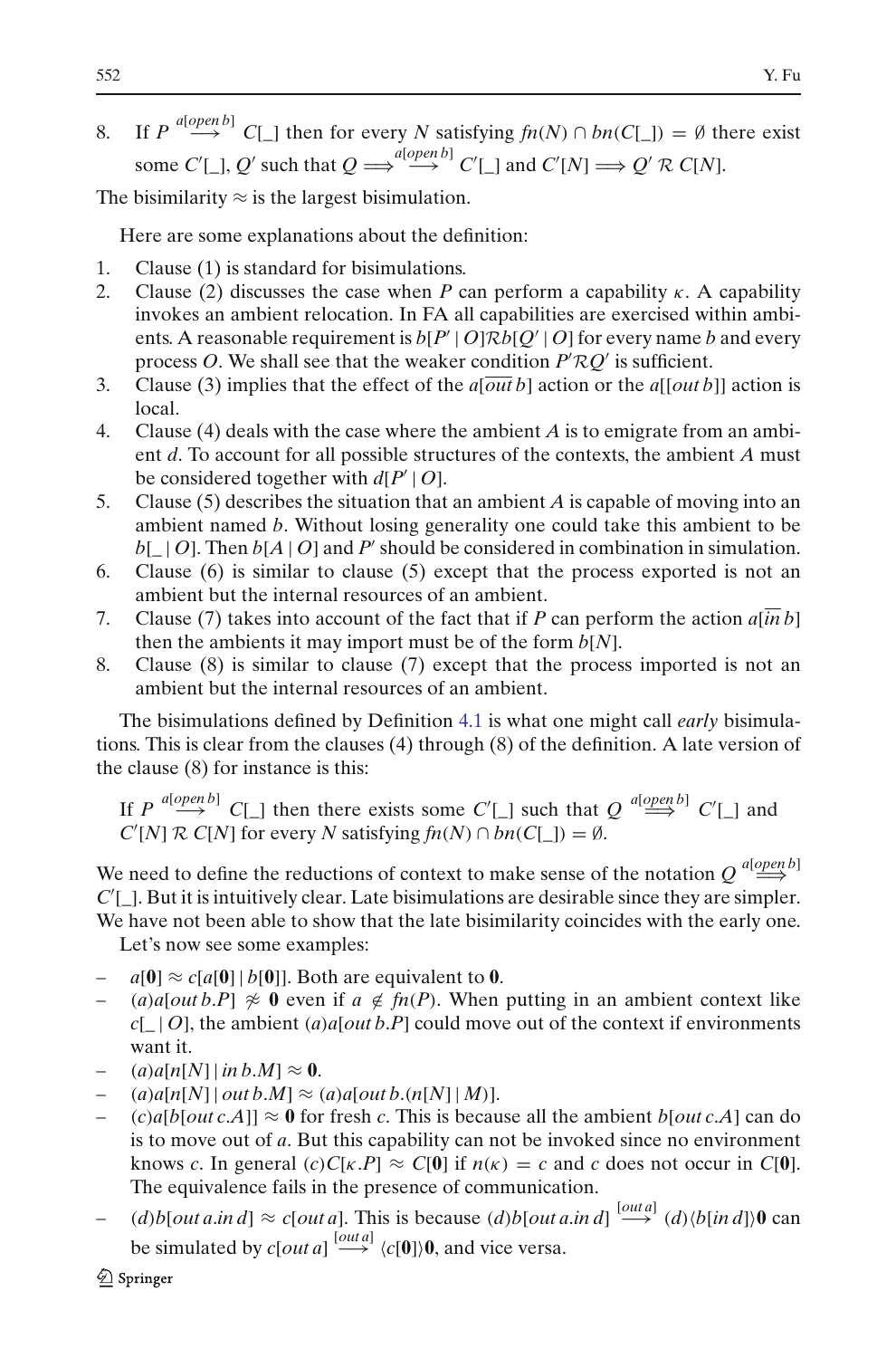8. If  $P \stackrel{a[open\,]}{\longrightarrow} C[\ ]$  then for every *N* satisfying  $fn(N) \cap bn(C[\ ]) = \emptyset$  there exist some  $C'[\_], Q'$  such that  $Q \Longrightarrow^{a[open\ b]} C'[\_]$  and  $C'[N] \Longrightarrow Q' \mathcal{R} C[N]$ .

The bisimilarity  $\approx$  is the largest bisimulation.

Here are some explanations about the definition:

- 1. Clause (1) is standard for bisimulations.
- 2. Clause (2) discusses the case when *P* can perform a capability  $\kappa$ . A capability invokes an ambient relocation. In FA all capabilities are exercised within ambients. A reasonable requirement is  $b[P' | O] \mathcal{R}b[Q' | O]$  for every name *b* and every process *O*. We shall see that the weaker condition  $P' \mathcal{R} Q'$  is sufficient.
- 3. Clause (3) implies that the effect of the *a*[*out b*] action or the *a*[[*out b*]] action is local.
- 4. Clause (4) deals with the case where the ambient *A* is to emigrate from an ambient *d*. To account for all possible structures of the contexts, the ambient *A* must be considered together with  $d[P' | O]$ .
- 5. Clause (5) describes the situation that an ambient *A* is capable of moving into an ambient named *b*. Without losing generality one could take this ambient to be  $b[\ ] O]$ . Then  $b[A | O]$  and P' should be considered in combination in simulation.
- 6. Clause (6) is similar to clause (5) except that the process exported is not an ambient but the internal resources of an ambient.
- 7. Clause (7) takes into account of the fact that if *P* can perform the action *a*[*in b*] then the ambients it may import must be of the form *b*[*N*].
- 8. Clause (8) is similar to clause (7) except that the process imported is not an ambient but the internal resources of an ambient.

The bisimulations defined by Definition [4.1](#page-16-1) is what one might call *early* bisimulations. This is clear from the clauses (4) through (8) of the definition. A late version of the clause (8) for instance is this:

If  $P \stackrel{a[open\, b]}{\longrightarrow} C[\_]$  then there exists some  $C'[\_]$  such that  $Q \stackrel{a[open\, b]}{\Longrightarrow} C'[\_]$  and  $C'[N]$  *R*  $C[N]$  for every *N* satisfying  $fn(N) \cap bn(C[\_]) = \emptyset$ .

We need to define the reductions of context to make sense of the notation  $Q \stackrel{a[open\,]}{\Longrightarrow}$ C'[]. But it is intuitively clear. Late bisimulations are desirable since they are simpler. We have not been able to show that the late bisimilarity coincides with the early one.

Let's now see some examples:

- $a[0] \approx c[a[0] | b[0]]$ . Both are equivalent to 0.
- (*a*)*a*[*out b*.*P*]  $\napprox$  **0** even if  $a \notin \mathcal{f}(P)$ . When putting in an ambient context like  $c[-] O]$ , the ambient  $(a)a[out b.P]$  could move out of the context if environments want it.
- $(a)$ *a*[*n*[*N*] | *in b*.*M*]  $\approx 0$ .
- $(a)$ *a*[ $n[N]$ ]  $out b.M$ ]  $\approx$   $(a)$ *a*[ $out b.(n[N] | M)$ ].
- $(c)a[b[out c.A]] \approx 0$  for fresh *c*. This is because all the ambient  $b[out c.A]$  can do is to move out of *a*. But this capability can not be invoked since no environment knows *c*. In general  $(c)C[\kappa.P] \approx C[0]$  if  $n(\kappa) = c$  and *c* does not occur in *C*[0]. The equivalence fails in the presence of communication.
- $(d)$ *b*[*out a.in d*] ≈ *c*[*out a*]. This is because  $(d)$ *b*[*out a.in d*]  $\stackrel{[out a]}{\longrightarrow}$   $(d)$ */b*[*in d*])**0** can be simulated by  $c[out a] \stackrel{[out a]}{\longrightarrow} \langle c[0] \rangle 0$ , and vice versa.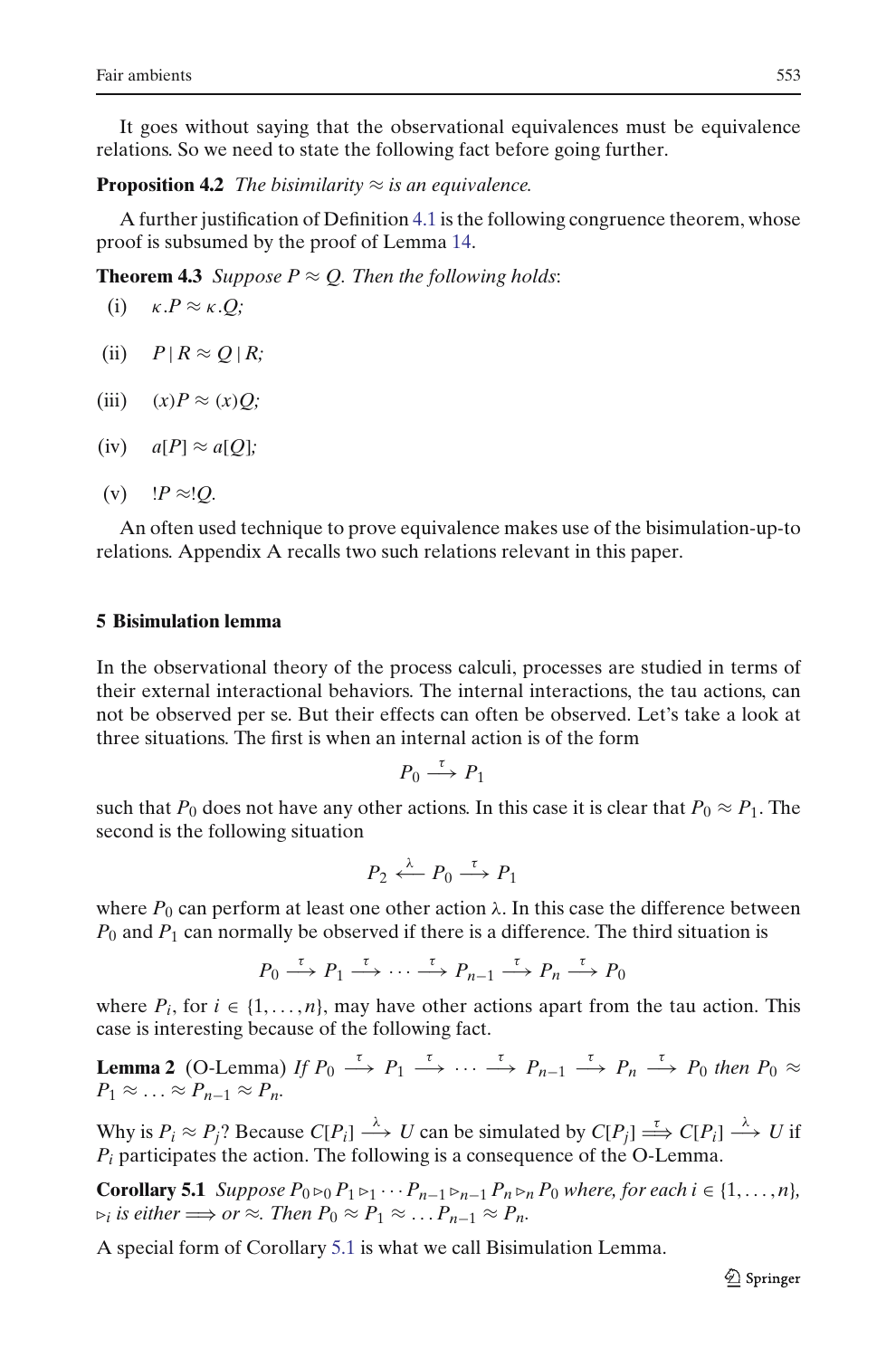It goes without saying that the observational equivalences must be equivalence relations. So we need to state the following fact before going further.

**Proposition 4.2** *The bisimilarity*  $\approx$  *is an equivalence.* 

A further justification of Definition [4.1](#page-16-1) is the following congruence theorem, whose proof is subsumed by the proof of Lemma [14.](#page-50-0)

**Theorem 4.3** *Suppose P*  $\approx$  *Q. Then the following holds:* 

(i) 
$$
\kappa.P \approx \kappa.Q;
$$

- $(iii)$   $P | R \approx Q | R;$
- (iii)  $(x)P \approx (x)Q;$
- $(iv)$   $a[P] \approx a[Q]$ ;

(v) 
$$
\downarrow P \approx \downarrow Q
$$
.

An often used technique to prove equivalence makes use of the bisimulation-up-to relations. Appendix A recalls two such relations relevant in this paper.

## <span id="page-18-0"></span>**5 Bisimulation lemma**

In the observational theory of the process calculi, processes are studied in terms of their external interactional behaviors. The internal interactions, the tau actions, can not be observed per se. But their effects can often be observed. Let's take a look at three situations. The first is when an internal action is of the form

$$
P_0 \stackrel{\tau}{\longrightarrow} P_1
$$

such that  $P_0$  does not have any other actions. In this case it is clear that  $P_0 \approx P_1$ . The second is the following situation

$$
P_2 \xleftarrow{\lambda} P_0 \xrightarrow{\tau} P_1
$$

where  $P_0$  can perform at least one other action  $\lambda$ . In this case the difference between  $P_0$  and  $P_1$  can normally be observed if there is a difference. The third situation is

$$
P_0 \xrightarrow{\tau} P_1 \xrightarrow{\tau} \cdots \xrightarrow{\tau} P_{n-1} \xrightarrow{\tau} P_n \xrightarrow{\tau} P_0
$$

where  $P_i$ , for  $i \in \{1, \ldots, n\}$ , may have other actions apart from the tau action. This case is interesting because of the following fact.

**Lemma 2** (O-Lemma) *If*  $P_0 \xrightarrow{\tau} P_1 \xrightarrow{\tau} \cdots \xrightarrow{\tau} P_{n-1} \xrightarrow{\tau} P_n \xrightarrow{\tau} P_0$  *then*  $P_0 \approx$  $P_1 \approx \ldots \approx P_{n-1} \approx P_n$ .

Why is  $P_i \approx P_j$ ? Because  $C[P_i] \stackrel{\lambda}{\longrightarrow} U$  can be simulated by  $C[P_j] \stackrel{\tau}{\Longrightarrow} C[P_i] \stackrel{\lambda}{\longrightarrow} U$  if *Pi* participates the action. The following is a consequence of the O-Lemma.

<span id="page-18-1"></span>**Corollary 5.1** *Suppose*  $P_0 \triangleright_Q P_1 \triangleright_Q \cdots P_{n-1} \triangleright_{n-1} P_n \triangleright_R P_0$  *where, for each i*  $\in \{1, \ldots, n\}$ *,*  $\triangleright_i$  *is either*  $\Longrightarrow$  *or*  $\approx$ *. Then*  $P_0 \approx P_1 \approx \ldots P_{n-1} \approx P_n$ .

A special form of Corollary [5.1](#page-18-1) is what we call Bisimulation Lemma.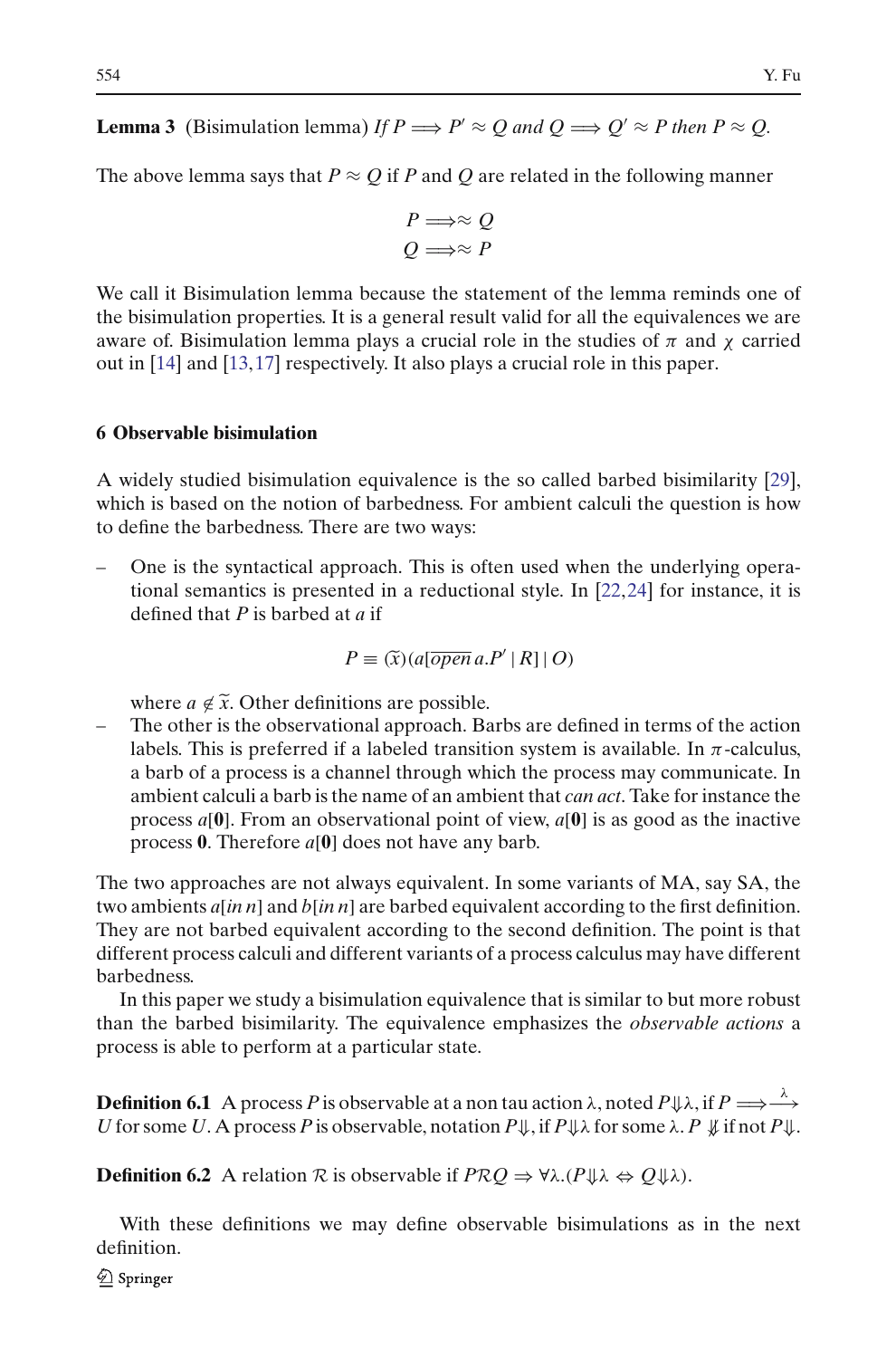<span id="page-19-1"></span>**Lemma 3** (Bisimulation lemma) *If*  $P \Longrightarrow P' \approx Q$  and  $Q \Longrightarrow Q' \approx P$  then  $P \approx Q$ .

The above lemma says that  $P \approx O$  if *P* and *Q* are related in the following manner

$$
P \Longrightarrow \approx Q
$$

$$
Q \Longrightarrow \approx P
$$

We call it Bisimulation lemma because the statement of the lemma reminds one of the bisimulation properties. It is a general result valid for all the equivalences we are aware of. Bisimulation lemma plays a crucial role in the studies of  $\pi$  and  $\chi$  carried out in [\[14](#page-58-9)] and [\[13](#page-58-10)[,17\]](#page-58-11) respectively. It also plays a crucial role in this paper.

#### <span id="page-19-0"></span>**6 Observable bisimulation**

A widely studied bisimulation equivalence is the so called barbed bisimilarity [\[29\]](#page-58-12), which is based on the notion of barbedness. For ambient calculi the question is how to define the barbedness. There are two ways:

− One is the syntactical approach. This is often used when the underlying operational semantics is presented in a reductional style. In [22,24] for instance, it is defined that *P* is barbed at *a* if  $P \equiv (\tilde{x})(a[open a.P'|R]|O)$ tional semantics is presented in a reductional style. In [\[22,](#page-58-5)[24](#page-58-13)] for instance, it is defined that *P* is barbed at *a* if

$$
P \equiv (\widetilde{x}) (a[\overline{open} \, a.P' \, | \, R] \, | \, O)
$$

where  $a \notin \tilde{x}$ . Other definitions are possible.

– The other is the observational approach. Barbs are defined in terms of the action labels. This is preferred if a labeled transition system is available. In  $\pi$ -calculus, a barb of a process is a channel through which the process may communicate. In ambient calculi a barb is the name of an ambient that *can act*. Take for instance the process *a*[**0**]. From an observational point of view, *a*[**0**] is as good as the inactive process **0**. Therefore *a*[**0**] does not have any barb.

The two approaches are not always equivalent. In some variants of MA, say SA, the two ambients *a*[*in n*] and *b*[*in n*] are barbed equivalent according to the first definition. They are not barbed equivalent according to the second definition. The point is that different process calculi and different variants of a process calculus may have different barbedness.

In this paper we study a bisimulation equivalence that is similar to but more robust than the barbed bisimilarity. The equivalence emphasizes the *observable actions* a process is able to perform at a particular state.

**Definition 6.1** A process P is observable at a non tau action  $\lambda$ , noted  $P \Downarrow \lambda$ , if  $P \Longrightarrow \xrightarrow{\lambda}$ *U* for some *U*. A process*P* is observable, notation *P*⇓, if *P*⇓λ for some λ. *P* ⇓ if not*P*⇓.

**Definition 6.2** A relation *R* is observable if  $PRQ \Rightarrow \forall \lambda . (P \Downarrow \lambda \Leftrightarrow Q \Downarrow \lambda)$ .

With these definitions we may define observable bisimulations as in the next definition.

 $\mathcal{Q}$  Springer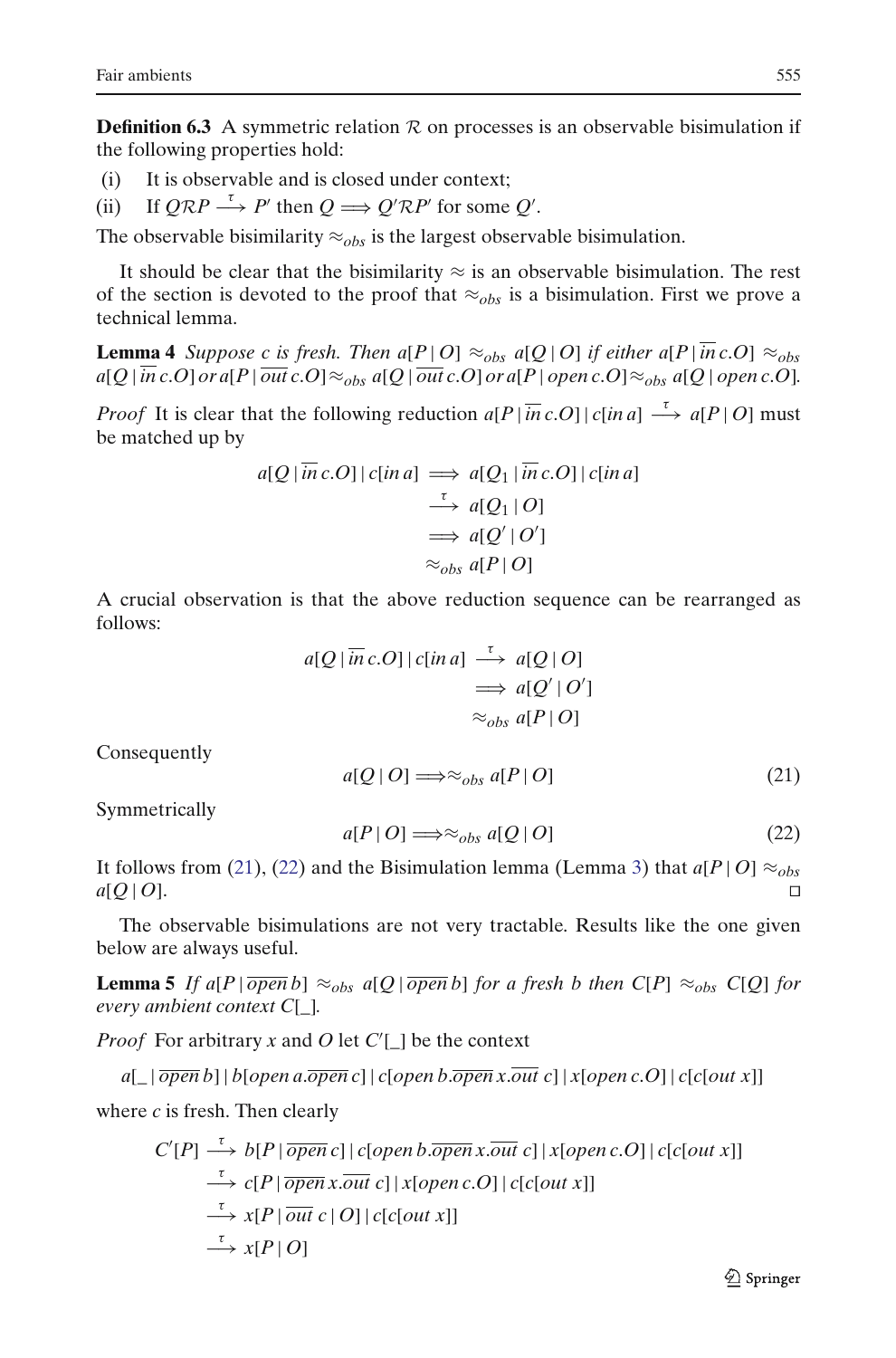<span id="page-20-3"></span>**Definition 6.3** A symmetric relation  $\mathcal{R}$  on processes is an observable bisimulation if the following properties hold:

- (i) It is observable and is closed under context;
- (ii) If  $Q\mathcal{R}P \stackrel{\tau}{\longrightarrow} P'$  then  $Q \Longrightarrow Q'\mathcal{R}P'$  for some  $Q'$ .

The observable bisimilarity  $\approx_{obs}$  is the largest observable bisimulation.

It should be clear that the bisimilarity  $\approx$  is an observable bisimulation. The rest of the section is devoted to the proof that  $\approx_{obs}$  is a bisimulation. First we prove a technical lemma.

**Lemma 4** *Suppose c is fresh. Then a*[*P* | *O*]  $\approx$ <sub>*obs</sub> a*[*Q* | *O*] *if either a*[*P* |  $\overline{in}$  *c.O*]  $\approx$ <sub>*obs*</sub></sub>  $a[Q|\overline{in}c.O]$  or  $a[P|\overline{out}c.O] \approx_{obs} a[Q|\overline{out}c.O]$  or  $a[P|\overline{open}c.O] \approx_{obs} a[Q|\overline{open}c.O]$ .

*Proof* It is clear that the following reduction  $a[P|\overline{in}c.O||c|in a] \rightarrow a[P|O]$  must be matched up by

$$
a[Q | \overline{in} c.O] | c[in a] \implies a[Q_1 | \overline{in} c.O] | c[in a] \n\overset{\tau}{\longrightarrow} a[Q_1 | O] \n\implies a[Q' | O'] \n\approx_{obs} a[P | O]
$$

A crucial observation is that the above reduction sequence can be rearranged as follows:

$$
a[Q | \overline{in} c.O] | c[in a] \stackrel{\tau}{\longrightarrow} a[Q | O] \n\Longrightarrow a[Q' | O'] \n\approx_{obs} a[P | O]
$$

<span id="page-20-0"></span>Consequently

$$
a[Q \mid O] \Longrightarrow \approx_{obs} a[P \mid O] \tag{21}
$$

<span id="page-20-1"></span>Symmetrically

$$
a[P \mid O] \Longrightarrow \approx_{obs} a[Q \mid O] \tag{22}
$$

It follows from [\(21\)](#page-20-0), [\(22\)](#page-20-1) and the Bisimulation lemma (Lemma [3\)](#page-19-1) that  $a[P|O] \approx_{obs}$  $a[Q|O]$ .

<span id="page-20-2"></span>The observable bisimulations are not very tractable. Results like the one given below are always useful.

**Lemma 5** If a[P| $\overline{open}$  $b$ ]  $\approx_{obs}$  a[Q| $\overline{open}$  $b$ ] for a fresh b then  $C[P] \approx_{obs} C[Q]$  for *every ambient context C*[*\_*]*.*

*Proof* For arbitrary *x* and *O* let  $C'[\ ]$  be the context

 $a[\ ]\overline{open}\ b]\ |b[open\ a.\overline{open}\ c]\ |c[open\ b.\overline{open}\ x.\overline{out}\ c]\ |x[open\ c.\overline{O}]\ |c[colut\ x]\$ 

where *c* is fresh. Then clearly

$$
C'[P] \xrightarrow{\tau} b[P | \overline{open} c] | c[open b. \overline{open} x. \overline{out} c] | x[open c. O] | c[c[out x]]
$$
  
\n
$$
\xrightarrow{\tau} c[P | \overline{open} x. \overline{out} c] | x[open c. O] | c[c[out x]]
$$
  
\n
$$
\xrightarrow{\tau} x[P | \overline{out} c | O] | c[c[out x]]
$$
  
\n
$$
\xrightarrow{\tau} x[P | O]
$$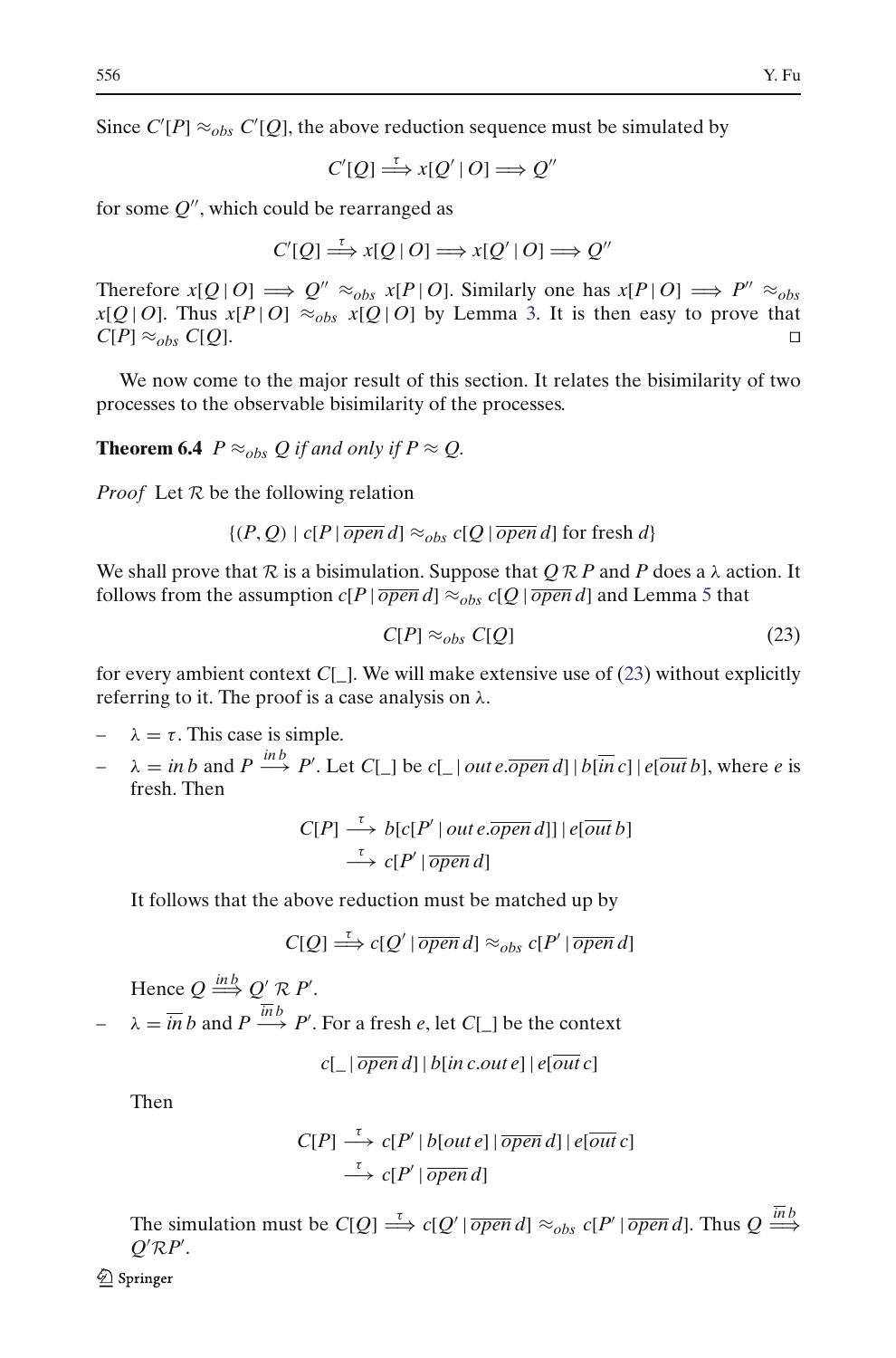Since  $C'[P] \approx_{obs} C'[Q]$ , the above reduction sequence must be simulated by

$$
C'[Q] \stackrel{\tau}{\Longrightarrow} x[Q' | O] \Longrightarrow Q''
$$

for some  $Q''$ , which could be rearranged as

$$
C'[Q] \stackrel{\tau}{\Longrightarrow} x[Q \mid O] \Longrightarrow x[Q' \mid O] \Longrightarrow Q''
$$

Therefore  $x[Q|O] \implies Q'' \approx_{obs} x[P|O]$ . Similarly one has  $x[P|O] \implies P'' \approx_{obs}$  $x[Q|O]$ . Thus  $x[P|O] \approx_{obs} x[Q|O]$  by Lemma [3.](#page-19-1) It is then easy to prove that  $C[P] \approx_{obs} C[Q].$ 

<span id="page-21-1"></span>We now come to the major result of this section. It relates the bisimilarity of two processes to the observable bisimilarity of the processes.

**Theorem 6.4** *P*  $\approx$ <sub>*obs*</sub> *Q if and only if P*  $\approx$  *Q*.

*Proof* Let *R* be the following relation

 $\{(P, Q) \mid c[P | \overline{open} d] \approx_{obs} c[Q | \overline{open} d]$  for fresh *d*}

We shall prove that  $R$  is a bisimulation. Suppose that  $\overline{QR}$  *P* and *P* does a  $\lambda$  action. It follows from the assumption  $c[P | \overline{open} d] \approx_{obs} c[Q | \overline{open} d]$  and Lemma [5](#page-20-2) that

<span id="page-21-0"></span>
$$
C[P] \approx_{obs} C[Q] \tag{23}
$$

for every ambient context  $C[\_]$ . We will make extensive use of [\(23\)](#page-21-0) without explicitly referring to it. The proof is a case analysis on  $\lambda$ .

$$
- \quad \lambda = \tau.
$$
 This case is simple.

 $\lambda = \text{in } b \text{ and } P \stackrel{\text{in } b}{\longrightarrow} P'$ . Let *C*[\_] be *c*[\_| *out e*. *open d*] | *b*[*in c*] | *e*[*out b*], where *e* is fresh. Then

$$
C[P] \stackrel{\tau}{\longrightarrow} b[c[P'] \text{ out } e.\overline{open} \text{ d}]] | e[\overline{out } b]
$$
  

$$
\stackrel{\tau}{\longrightarrow} c[P'] \overline{open} \text{ d}]
$$

It follows that the above reduction must be matched up by

$$
C[Q] \stackrel{\tau}{\Longrightarrow} c[Q' | \overline{open} d] \approx_{obs} c[P' | \overline{open} d]
$$

Hence  $Q \stackrel{inb}{\Longrightarrow} Q' \mathcal{R} P'$ .

 $\lambda = \overline{in} b$  and  $P \stackrel{inb}{\longrightarrow} P'$ . For a fresh *e*, let *C*[\_] be the context

$$
c[\ ]\overline{open}\ d]\ |b[in\ c.out\ e]\ |e[\overline{out}\ c]
$$

Then

$$
C[P] \xrightarrow{\tau} c[P' | b[out e] | \overline{open} d] | e[out c]
$$
  

$$
\xrightarrow{\tau} c[P' | \overline{open} d]
$$

The simulation must be  $C[Q] \stackrel{\tau}{\Longrightarrow} c[Q' | \overline{open} d] \approx_{obs} c[P' | \overline{open} d]$ . Thus  $Q \stackrel{inb}{\Longrightarrow}$  $Q'RP'$ .

2 Springer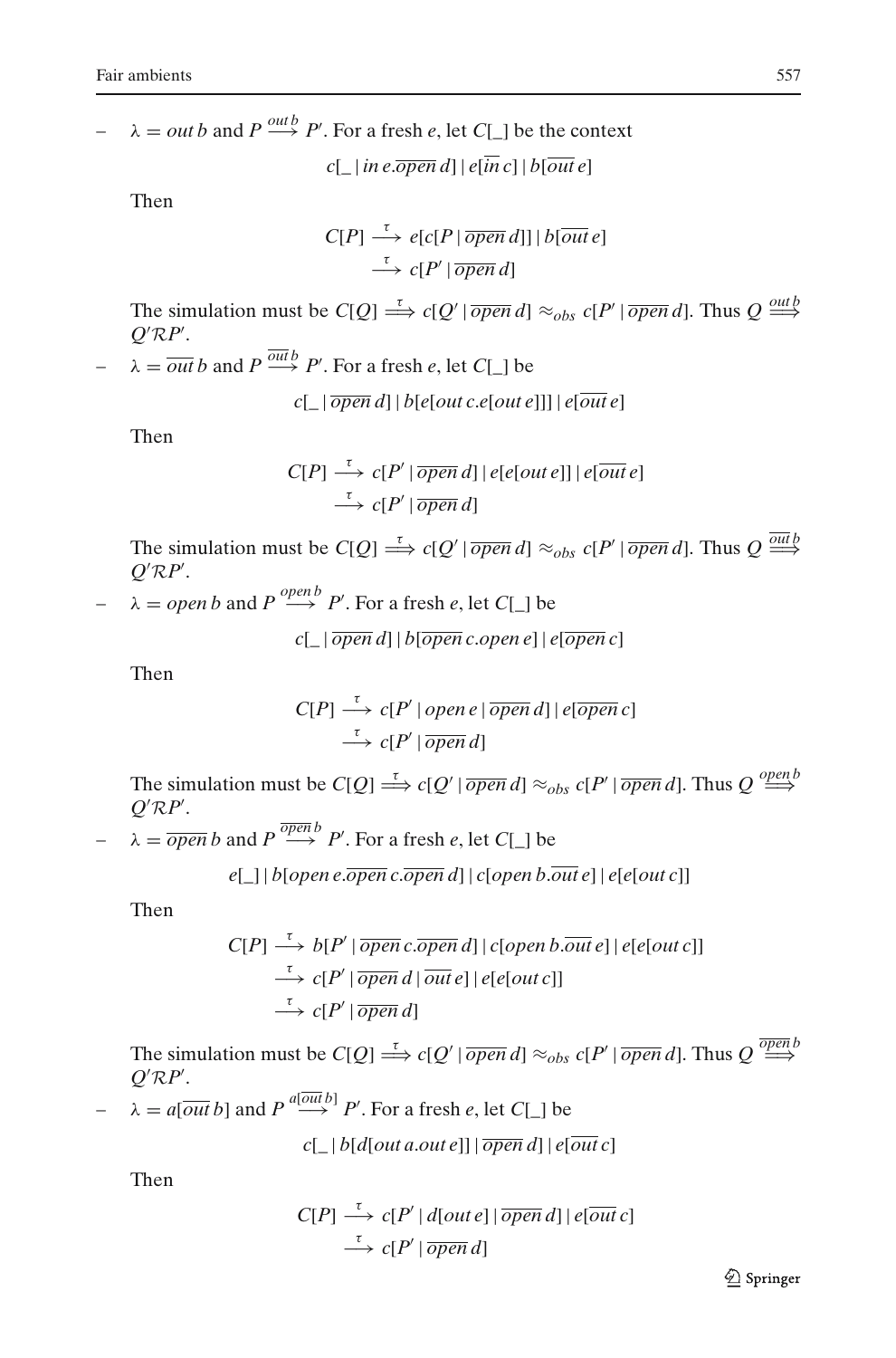$\lambda = outb$  and  $P \stackrel{outb}{\longrightarrow} P'$ . For a fresh *e*, let *C*[\_] be the context

$$
c[\ ]
$$
 in  $e.\overline{open}\,d]$  |  $e[\overline{in}\,c]$  |  $b[\overline{out}\,e]$ 

Then

$$
C[P] \stackrel{\tau}{\longrightarrow} e[c[P \mid \overline{open} \, d]] \mid b[\overline{out} \, e]
$$

$$
\stackrel{\tau}{\longrightarrow} c[P' \mid \overline{open} \, d]
$$

The simulation must be  $C[Q] \stackrel{\tau}{\Longrightarrow} c[Q' | \overline{open} d] \approx_{obs} c[P' | \overline{open} d]$ . Thus  $Q \stackrel{outb}{\Longrightarrow}$  $Q'RP'$ .

 $\rightarrow$   $\lambda = \overline{out} b$  and  $P \xrightarrow{out b} P'$ . For a fresh *e*, let *C*[\_] be

 $c$ [  $|\overline{open} d| |\overline{b}$ [*e*[*out c*.*e*[*out e*]]]  $|e$ [*out e*]

Then

$$
C[P] \xrightarrow{\tau} c[P' | \overline{open} d] | e[e[out e]] | e[out e]
$$
  

$$
\xrightarrow{\tau} c[P' | \overline{open} d]
$$

The simulation must be  $C[Q] \stackrel{\tau}{\Longrightarrow} c[Q' | \overline{open} d] \approx_{obs} c[P' | \overline{open} d]$ . Thus  $Q \stackrel{outb}{\Longrightarrow}$  $Q'RP'$ .

 $\rightarrow$   $\lambda = open b$  and  $P \stackrel{open b}{\longrightarrow} P'$ . For a fresh *e*, let *C*[\_] be

 $c$ [  $|\overline{open} d| |\overline{b| \overline{open}} c. open e| |\overline{e| \overline{open}} c|$ 

Then

$$
C[P] \xrightarrow{\tau} c[P' | open e | \overline{open} d] | e[\overline{open} c]
$$
  

$$
\xrightarrow{\tau} c[P' | \overline{open} d]
$$

The simulation must be  $C[Q] \stackrel{\tau}{\Longrightarrow} c[Q' | \overline{open} d] \approx_{obs} c[P' | \overline{open} d]$ . Thus  $Q \stackrel{open}{\Longrightarrow}$  $Q'RP'$ .

 $\rightarrow \quad \lambda = \overline{open} b$  and  $P \stackrel{\overline{open} b}{\longrightarrow} P'$ . For a fresh *e*, let *C*[\_] be

$$
e[\ ] | b[open e. \overline{open} c. \overline{open} d] | c[open b. \overline{out} e] | e[el out c]]
$$

Then

$$
C[P] \xrightarrow{\tau} b[P' | \overline{open} c.\overline{open} d] | c[open b.\overline{out} e] | e[e[out c]]
$$
  

$$
\xrightarrow{\tau} c[P' | \overline{open} d | \overline{out} e] | e[e[out c]]
$$
  

$$
\xrightarrow{\tau} c[P' | \overline{open} d]
$$

The simulation must be  $C[Q] \stackrel{\tau}{\Longrightarrow} c[Q' | \overline{open} d] \approx_{obs} c[P' | \overline{open} d]$ . Thus  $Q \stackrel{\overline{open}}{\Longrightarrow}$  $Q'RP'$ .

$$
- \lambda = a[\overline{out}\,b] \text{ and } P \stackrel{a[\overline{out}\,b]}{\longrightarrow} P'. \text{ For a fresh } e, \text{ let } C[\_] \text{ be}
$$

 $c[\ ]\ b[d[out a.out e]]\ \overline{open}\ d] \ |e[\overline{out}\ c]$ 

Then

$$
C[P] \xrightarrow{\tau} c[P' | d[out e] | \overline{open} d] | e[out c]
$$
  
\n
$$
\xrightarrow{\tau} c[P' | \overline{open} d]
$$

**◯** Springer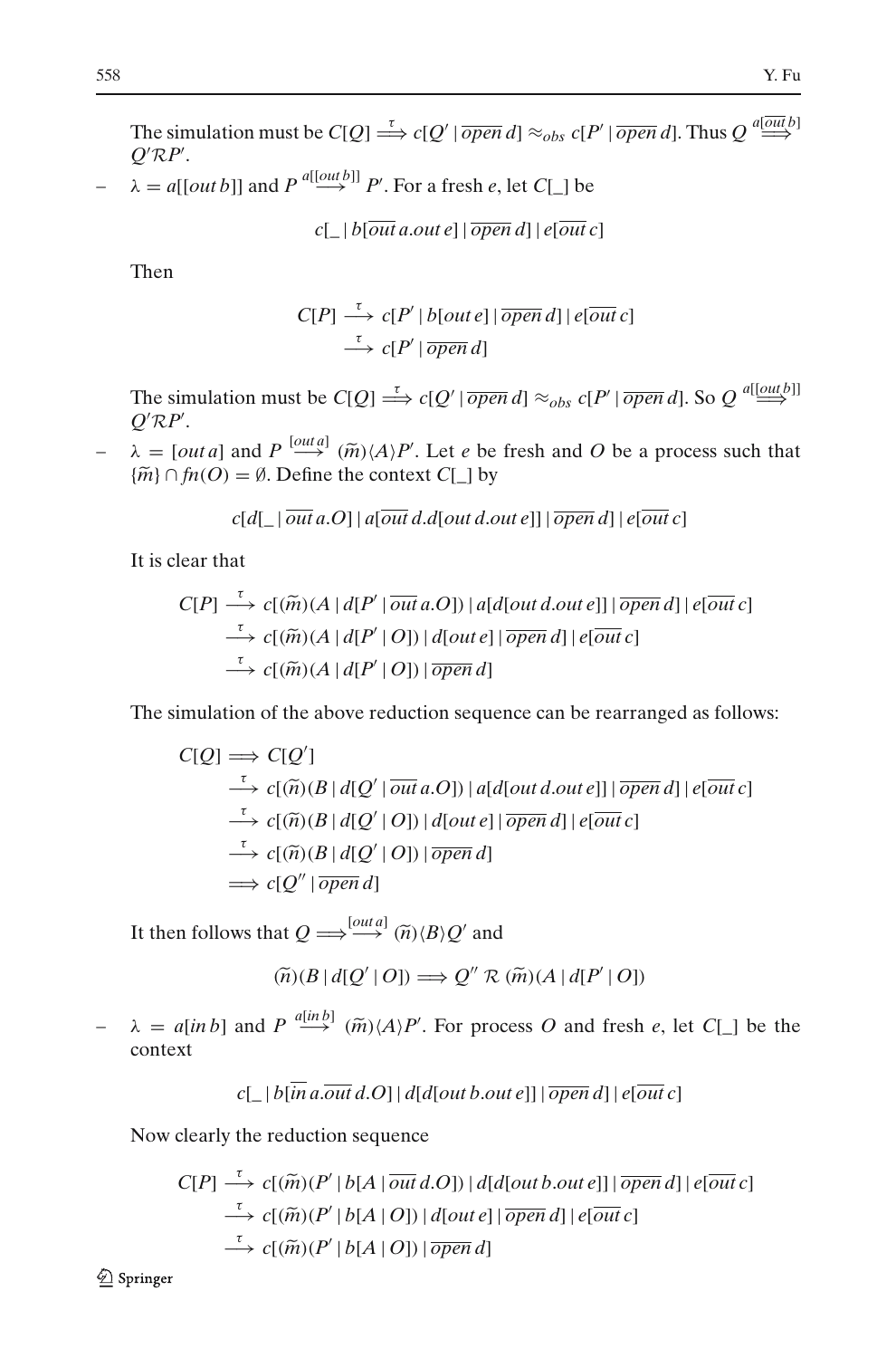The simulation must be  $C[Q] \stackrel{\tau}{\Longrightarrow} c[Q' | \overline{open} d] \approx_{obs} c[P' | \overline{open} d]$ . Thus  $Q \stackrel{a[out\, b]}{\Longrightarrow}$  $Q'RP'$ .

 $\rightarrow$   $\lambda = a[[out b]]$  and  $P \stackrel{a[[out b]]}{\longrightarrow} P'$ . For a fresh *e*, let *C*[\_] be

 $c[\ ]\ b[\overline{\it{out}}\ \it{a.out}\ \it{e}]\ |\ \overline{\it{open}}\ \it{d}]\ |\ \it{e}[\overline{\it{out}}\ \it{c}]$ 

Then

$$
C[P] \xrightarrow{\tau} c[P' | b[out e] | \overline{open} d] | e[out c]
$$
  

$$
\xrightarrow{\tau} c[P' | \overline{open} d]
$$

The simulation must be  $C[Q] \stackrel{\tau}{\Longrightarrow} c[Q' | \overline{open} d] \approx_{obs} c[P' | \overline{open} d]$ . So  $Q \stackrel{a[[outb]]}{\Longrightarrow}$  $Q'RP'$ .  $\longrightarrow$  *c*[*P*<br> *Q' RP'*.<br>  $\rightarrow$  *λ* = [*out a*] and *P*  $\stackrel{[out a]}{\longrightarrow}$  ( $\widetilde{m}$ )(*A*)*P'* The simulation must be  $C[Q] \stackrel{\tau}{\Longrightarrow} c[Q' | \overline{ope}$ <br> $Q'RP'.$ <br> $\lambda = [out a]$  and  $P \stackrel{[out a]}{\Longrightarrow} (\widetilde{m}) \langle A \rangle P'.$  Let *e* be  $\{\widetilde{m}\} \cap \mathfrak{fn}(O) = \emptyset$ . Define the context  $C[\_]$  by

. Let *e* be fresh and *O* be a process such that

It is clear that

$$
c[d[\underline{\ }|\overline{\it{out}}\,a.O]|a[\overline{\it{out}}\,d.d[\overline{\it{out}}\,d.\it{out}\,e]]|\overline{\it{open}}\,d]|e[\overline{\it{out}}\,c]
$$
\n
$$
c[P] \xrightarrow{\tau} c[(\widetilde{m})(A \mid d[P' | \overline{\it{out}}\,a.O]) |a[d[\overline{\it{out}}\,d.\it{out}\,e]]|\overline{\it{open}}\,d]|e[\overline{\it{out}}\,c]
$$
\n
$$
\xrightarrow{\tau} c[(\widetilde{m})(A \mid d[P' | O]) |d[\overline{\it{out}}\,e]|\overline{\it{open}}\,d]|e[\overline{\it{out}}\,c]
$$
\n
$$
\xrightarrow{\tau} c[(\widetilde{m})(A \mid d[P' | O]) |\overline{\it{open}}\,d]
$$

The simulation of the above reduction sequence can be rearranged as follows:

The simulation of the above reduction sequence can be rearranged as follow  
\n
$$
C[Q] \implies C[Q'] \qquad \xrightarrow{\tau} c[(\widetilde{n})(B \mid d[Q' \mid \overline{out} a.O]) \mid a[d[out d.out e]] \mid \overline{open} d] \mid e[\overline{out} c]
$$
\n
$$
\xrightarrow{\tau} c[(\widetilde{n})(B \mid d[Q' \mid O]) \mid d[out e] \mid \overline{open} d] \mid e[\overline{out} c]
$$
\n
$$
\xrightarrow{\tau} c[(\widetilde{n})(B \mid d[Q' \mid O]) \mid \overline{open} d]
$$
\n
$$
\xrightarrow{\tau} c[Q'' \mid \overline{open} d]
$$
\nIt then follows that  $Q \implies \xrightarrow{[out a]} (\widetilde{n})(B)Q'$  and  
\n
$$
(\widetilde{n})(B \mid d[Q' \mid O]) \implies Q'' \mathcal{R} (\widetilde{m})(A \mid d[P' \mid O])
$$

 $\begin{align} \text{Tr}[Q''\,|\,\overline{open}\,d\,, \ \text{at } Q &\Longrightarrow^{\text{Iou}} \ \text{(ii)}(B\,|\,d[Q') \end{align}$ 

$$
(\widetilde{n})(B \mid d[Q' \mid O]) \Longrightarrow Q'' \mathcal{R} \left( \widetilde{m}\right) \left( A \mid d[P' \mid O]\right)
$$

It then follows that  $Q \Longrightarrow^{\text{[out a]}} (\tilde{n}) \langle B \rangle Q'$  and<br>  $(\tilde{n}) (B | d[Q' | O]) \Longrightarrow Q'' \mathcal{R} (\tilde{m}) (A | d[P' | O])$ <br>  $\rightarrow \lambda = a[\text{in b}]$  and  $P \stackrel{a[\text{in b}]}{\longrightarrow} (\tilde{m}) \langle A \rangle P'$ . For process *O* and fresh *e*, let *C*[\_] be the context

$$
c[\_ | b[\overline{in} a.\overline{out} d.O] | d[d[outb.out e]] |\overline{open} d] | e[\overline{out} c]
$$

Now clearly the reduction sequence

$$
c[\_ | b[\overline{in} a.\overline{out} d.O] | d[d[outb.out e]] | \overline{open} d] | e[\overline{out} c]
$$
  
clearly the reduction sequence  

$$
C[P] \xrightarrow{\tau} c[(\widetilde{m})(P' | b[A | \overline{out} d.O]) | d[d[outb.out e]] | \overline{open} d] | e[\overline{out} c]
$$

$$
\xrightarrow{\tau} c[(\widetilde{m})(P' | b[A | O]) | d[out e] | \overline{open} d] | e[\overline{out} c]
$$

$$
\xrightarrow{\tau} c[(\widetilde{m})(P' | b[A | O]) | \overline{open} d]
$$

2 Springer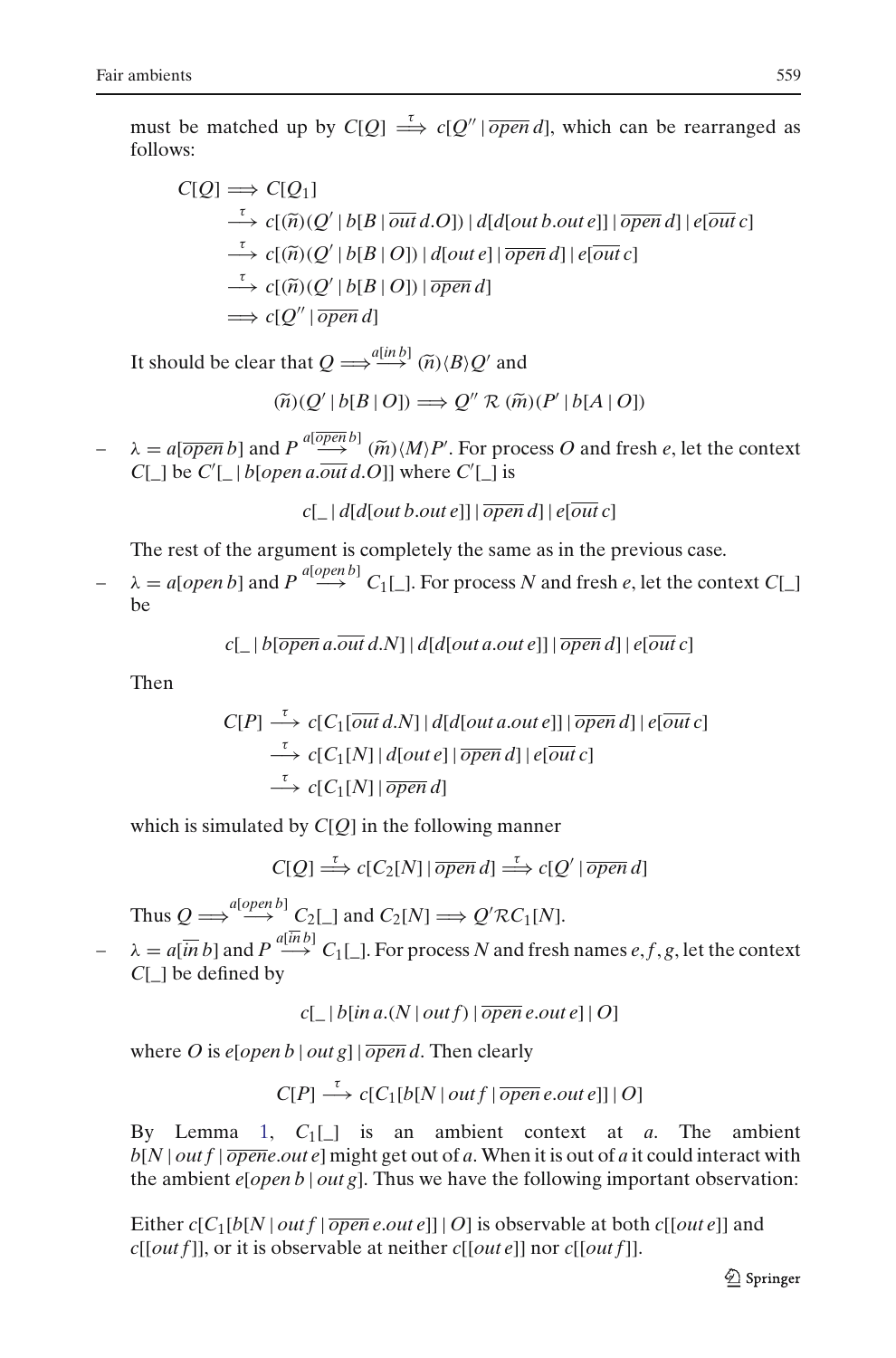follows:

must be matched up by 
$$
C[Q] \stackrel{\tau}{\Longrightarrow} c[Q' | \overline{open} d]
$$
, which can be rearranged as follows:  
\n
$$
C[Q] \Longrightarrow C[Q_1]
$$
\n
$$
\stackrel{\tau}{\Longrightarrow} c[(\widetilde{n})(Q' | b[B | \overline{out} d. O]) | d[d[out b.out e]] | \overline{open} d] | e[\overline{out} c]
$$
\n
$$
\stackrel{\tau}{\Longrightarrow} c[(\widetilde{n})(Q' | b[B | O]) | d[out e] | \overline{open} d] | e[\overline{out} c]
$$
\n
$$
\stackrel{\tau}{\Longrightarrow} c[(\widetilde{n})(Q' | b[B | O]) | \overline{open} d]
$$
\n
$$
\Longrightarrow c[Q'' | \overline{open} d]
$$
\nIt should be clear that  $Q \Longrightarrow^{a[in b]} (\widetilde{n})(B)Q'$  and  
\n
$$
(\widetilde{n})(Q' | b[B | O]) \Longrightarrow Q'' \mathcal{R} (\widetilde{m})(P' | b[A | O])
$$

$$
(\widetilde{n})(Q' | b[B | O]) \Longrightarrow Q'' \mathcal{R} \left( \widetilde{m}(P' | b[A | O]) \right)
$$

It should be clear that  $Q \Longrightarrow^{\{inh\}} (\widetilde{n}) \langle B \rangle Q'$  and<br>  $(\widetilde{n}) (Q' | b[B | O]) \Longrightarrow Q'' \mathcal{R} (\widetilde{m}) (P' | b[A | O])$ <br>  $\rightarrow \Delta = a[\overline{open} b]$  and  $P \stackrel{a[\overline{open} b]}{\longrightarrow} (\widetilde{m}) \langle M \rangle P'$ . For process *O* and fresh *e*, let the context  $C[\_]$  be  $C'[\_]$  *b*[*open a.out d.O*]] where  $C'[\_]$  is

 $c[\ ]\ d[d[outb.oute]]\ \overline{open}\ d][\ e[\overline{out}c]$ 

The rest of the argument is completely the same as in the previous case.

 $\lambda = a[open\ b]$  and  $P \stackrel{a[open\ b]}{\longrightarrow} C_1[\ ]$ . For process *N* and fresh *e*, let the context *C*[\_] be

$$
c[\_ | b[\overline{open} a.\overline{out} d.N] | d[d[out a.out e]] | \overline{open} d] | e[\overline{out} c]
$$

Then

$$
C[P] \xrightarrow{\tau} c[C_1[\overline{out} d.N] | d[d[out a.out e]] | \overline{open} d] | e[\overline{out} c]
$$
  
\n
$$
\xrightarrow{\tau} c[C_1[N] | d[out e] | \overline{open} d] | e[\overline{out} c]
$$
  
\n
$$
\xrightarrow{\tau} c[C_1[N] | \overline{open} d]
$$

which is simulated by *C*[*Q*] in the following manner

 $C[Q] \stackrel{\tau}{\Longrightarrow} c[C_2[N] | \overline{open} d] \stackrel{\tau}{\Longrightarrow} c[Q' | \overline{open} d]$ 

Thus  $Q \Longrightarrow \overset{a[open \, b]}{\longrightarrow} C_2[\_]$  and  $C_2[N] \Longrightarrow Q' \mathcal{R} C_1[N].$ 

 $\lambda = a[\overline{in} b]$  and  $P \stackrel{a[\overline{in} b]}{\longrightarrow} C_1[\_]$ . For process *N* and fresh names *e*, *f*, *g*, let the context *C*[\_] be defined by

 $c[\ ]\ b[\text{in }a(N \mid out f) \mid \overline{open} \text{ } e.out \text{ } e] \mid O]$ 

where *O* is  $e[open b | out g]$   $\overline{open} d$ . Then clearly

 $C[P] \xrightarrow{\tau} c[C_1[b] \cup [outf] \overline{open} \, e.out e]] \, | \, O]$ 

By Lemma [1,](#page-12-1) *C*1[\_] is an ambient context at *a*. The ambient *b*[*N* | *out f* | *opene*.*out e*] might get out of *a*. When it is out of *a* it could interact with the ambient *e*[*open b* | *out g*]. Thus we have the following important observation:

Either  $c[C_1[b[N] out f | \overline{open} e.out e]] | O]$  is observable at both  $c[out e]]$  and *c*[[*out f*]], or it is observable at neither *c*[[*out e*]] nor *c*[[*out f*]].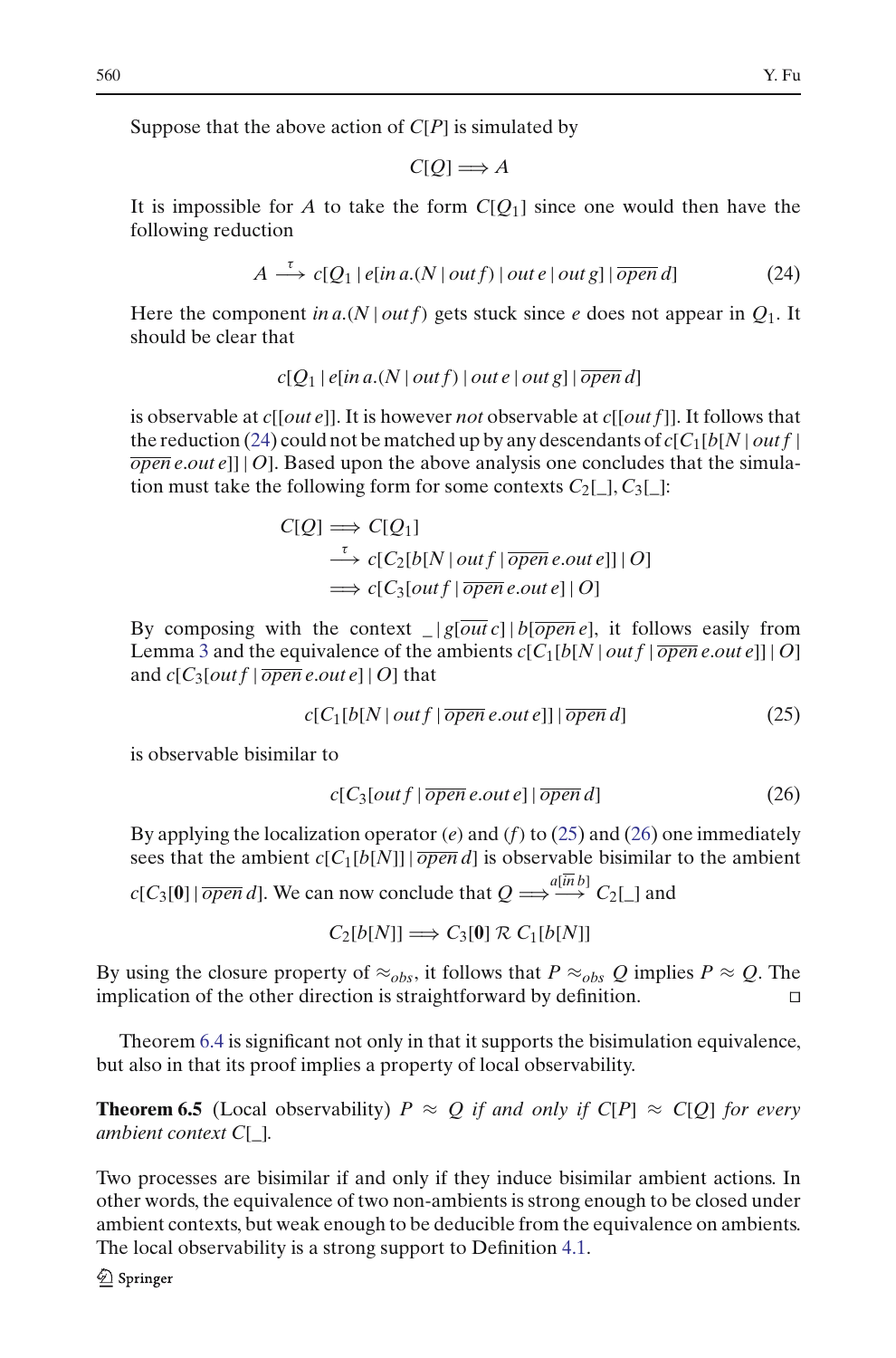Suppose that the above action of *C*[*P*] is simulated by

$$
C[Q] \Longrightarrow A
$$

It is impossible for *A* to take the form  $C[*O*<sub>1</sub>]$  since one would then have the following reduction

$$
A \stackrel{\tau}{\longrightarrow} c[Q_1 | e[in a.(N | out f) | out e | out g] | \overline{open} d]
$$
 (24)

<span id="page-25-0"></span>Here the component *in a*.(*N* | *out f*) gets stuck since *e* does not appear in  $Q_1$ . It should be clear that

$$
c[Q_1 | e[in a.(N | out f) | out e | out g] | \overline{open} d]
$$

is observable at *c*[[*out e*]]. It is however *not* observable at *c*[[*out f*]]. It follows that the reduction [\(24\)](#page-25-0) could not be matched up by any descendants of  $c[C_1[b]N | out f]$ *open e*.*out e*]] | *O*]. Based upon the above analysis one concludes that the simulation must take the following form for some contexts  $C_2[\ ]$ ,  $C_3[\ ]$ :

$$
C[Q] \Longrightarrow C[Q_1] \n\stackrel{\tau}{\longrightarrow} c[C_2[b[N] out f | \overline{open} e.out e]] | O] \n\Longrightarrow c[C_3[out f | \overline{open} e.out e] | O]
$$

By composing with the context  $|g[\overline{out} c]| b[\overline{open} e]$ , it follows easily from Lemma [3](#page-19-1) and the equivalence of the ambients  $c[C_1[b]N | outf |  $\overline{open} e.out e]$ ] | O]$ and  $c[C_3[outf \mid \overline{open} \, e.out \, e] \mid O]$  that

<span id="page-25-1"></span>
$$
c[C_1[b[N] out f | \overline{open} e.out e]] | \overline{open} d]
$$
 (25)

<span id="page-25-2"></span>is observable bisimilar to

$$
c[C_3[outf \,|\, \overline{open}\, e.out e] \,|\, \overline{open}\, d]
$$
\n
$$
(26)
$$

By applying the localization operator (*e*) and (*f*) to [\(25\)](#page-25-1) and [\(26\)](#page-25-2) one immediately sees that the ambient  $c[C_1[b[N]] \mid \overline{open} d]$  is observable bisimilar to the ambient  $c[C_3[0] | \overline{open} d]$ . We can now conclude that  $Q \Longrightarrow^{a[in\,]} C_2[\_]$  and

 $C_2[b[N]] \Longrightarrow C_3[0] \mathcal{R} C_1[b[N]]$ 

By using the closure property of  $\approx_{obs}$ , it follows that  $P \approx_{obs} Q$  implies  $P \approx Q$ . The implication of the other direction is straightforward by definition.  $\Box$ 

Theorem [6.4](#page-21-1) is significant not only in that it supports the bisimulation equivalence, but also in that its proof implies a property of local observability.

**Theorem 6.5** (Local observability)  $P \approx Q$  *if and only if*  $C[P] \approx C[Q]$  *for every ambient context C*[*\_*]*.*

Two processes are bisimilar if and only if they induce bisimilar ambient actions. In other words, the equivalence of two non-ambients is strong enough to be closed under ambient contexts, but weak enough to be deducible from the equivalence on ambients. The local observability is a strong support to Definition [4.1.](#page-16-1)

 $\mathcal{Q}$  Springer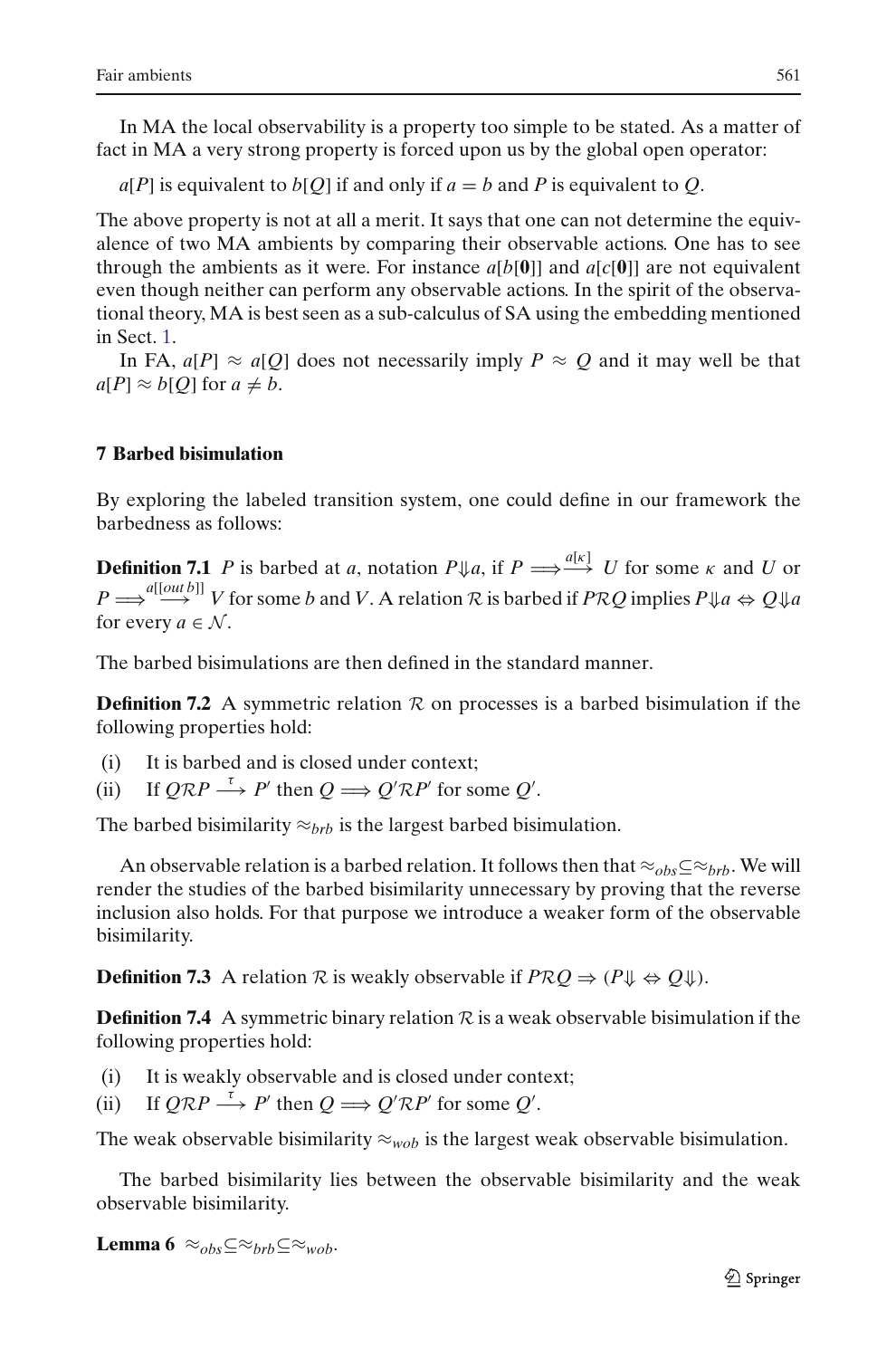In MA the local observability is a property too simple to be stated. As a matter of fact in MA a very strong property is forced upon us by the global open operator:

 $a[P]$  is equivalent to  $b[Q]$  if and only if  $a = b$  and P is equivalent to *Q*.

The above property is not at all a merit. It says that one can not determine the equivalence of two MA ambients by comparing their observable actions. One has to see through the ambients as it were. For instance  $a[b[0]]$  and  $a[c[0]]$  are not equivalent even though neither can perform any observable actions. In the spirit of the observational theory, MA is best seen as a sub-calculus of SA using the embedding mentioned in Sect. [1.](#page-0-0)

In FA,  $a[P] \approx a[Q]$  does not necessarily imply  $P \approx Q$  and it may well be that  $a[P] \approx b[Q]$  for  $a \neq b$ .

## <span id="page-26-0"></span>**7 Barbed bisimulation**

By exploring the labeled transition system, one could define in our framework the barbedness as follows:

**Definition 7.1** *P* is barbed at *a*, notation  $P \Downarrow a$ , if  $P \Longrightarrow^{\{a[k]\}} U$  for some  $\kappa$  and  $U$  or  $P \longrightarrow Q^a[\text{[out } b]]$  *V* for some *b* and *V*. A relation  $R$  is barbed if  $PRQ$  implies  $P \Downarrow a \Leftrightarrow Q \Downarrow a$ for every  $a \in \mathcal{N}$ .

<span id="page-26-1"></span>The barbed bisimulations are then defined in the standard manner.

**Definition 7.2** A symmetric relation  $R$  on processes is a barbed bisimulation if the following properties hold:

- (i) It is barbed and is closed under context;
- (ii) If  $Q\mathcal{R}P \stackrel{\tau}{\longrightarrow} P'$  then  $Q \Longrightarrow Q'\mathcal{R}P'$  for some  $Q'$ .

The barbed bisimilarity  $\approx_{brb}$  is the largest barbed bisimulation.

An observable relation is a barbed relation. It follows then that  $\approx_{obs} \subseteq \approx_{brb}$ . We will render the studies of the barbed bisimilarity unnecessary by proving that the reverse inclusion also holds. For that purpose we introduce a weaker form of the observable bisimilarity.

**Definition 7.3** A relation  $R$  is weakly observable if  $PRQ \Rightarrow (P \Downarrow \Leftrightarrow Q \Downarrow)$ .

<span id="page-26-2"></span>**Definition 7.4** A symmetric binary relation  $\mathcal{R}$  is a weak observable bisimulation if the following properties hold:

- (i) It is weakly observable and is closed under context;
- (ii) If  $Q\mathcal{R}P \stackrel{\tau}{\longrightarrow} P'$  then  $Q \Longrightarrow Q'\mathcal{R}P'$  for some  $Q'$ .

The weak observable bisimilarity  $\approx_{wob}$  is the largest weak observable bisimulation.

The barbed bisimilarity lies between the observable bisimilarity and the weak observable bisimilarity.

**Lemma 6**  $\approx_{obs}$ ⊂ $\approx_{brb}$ ⊆ $\approx_{wob}$ .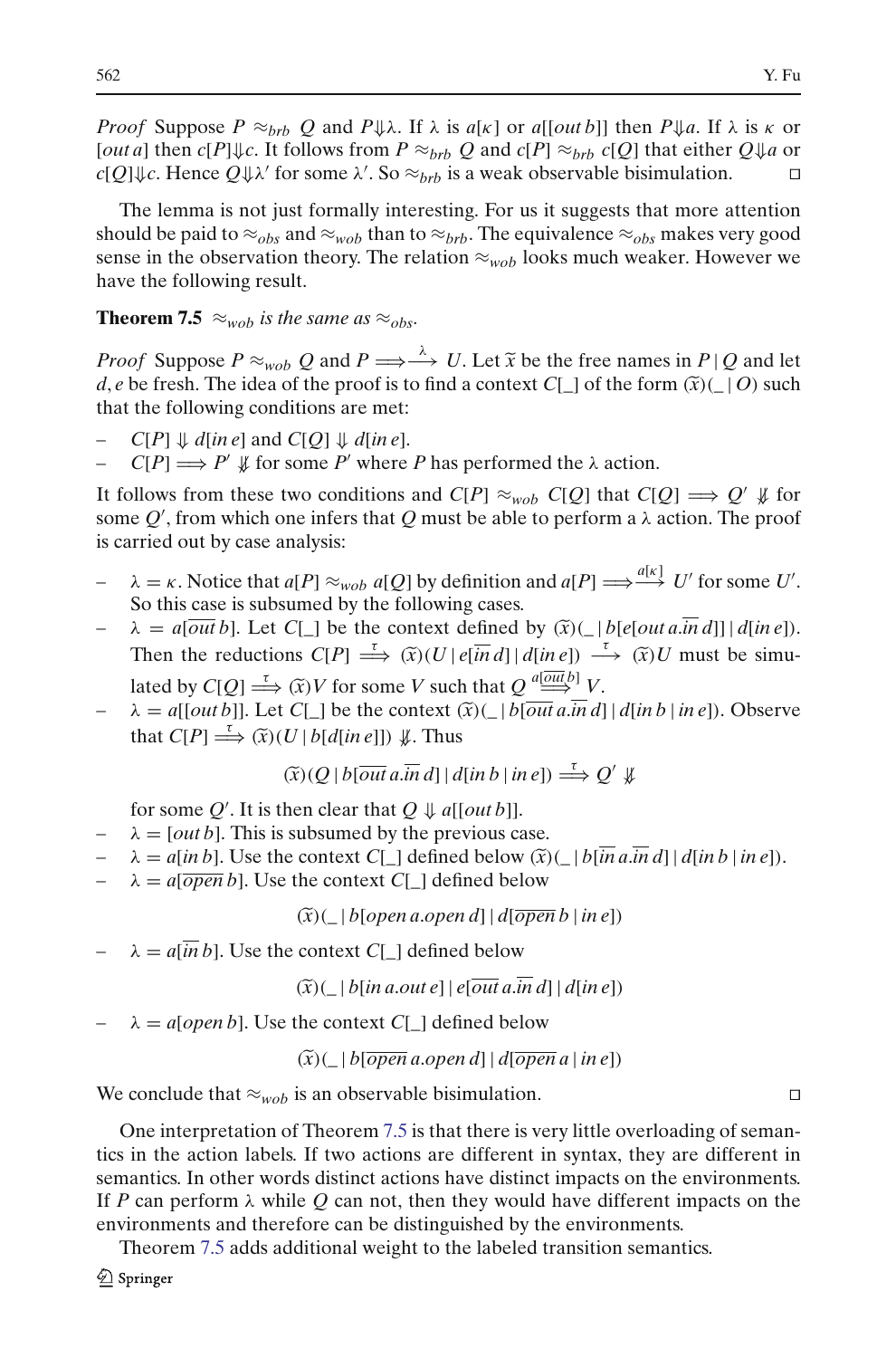*Proof* Suppose  $P \approx_{brb} Q$  and  $P \Downarrow \lambda$ . If  $\lambda$  is  $a[\kappa]$  or  $a[[out b]]$  then  $P \Downarrow a$ . If  $\lambda$  is  $\kappa$  or [*out a*] then  $c[P]\Downarrow c$ . It follows from  $P \approx_{brb} Q$  and  $c[P] \approx_{brb} c[Q]$  that either  $Q\Downarrow a$  or  $c[Q]\Downarrow c$ . Hence  $Q\Downarrow\lambda'$  for some  $\lambda'$ . So  $\approx_{brb}$  is a weak observable bisimulation.

The lemma is not just formally interesting. For us it suggests that more attention should be paid to  $\approx_{obs}$  and  $\approx_{wob}$  than to  $\approx_{brb}$ . The equivalence  $\approx_{obs}$  makes very good sense in the observation theory. The relation  $\approx_{wob}$  looks much weaker. However we have the following result. *Proof* Suppose  $P \approx_{wob} Q$  and  $P \Longrightarrow \rightarrow^{A} U$ . Let  $\tilde{x}$  be the free names in  $P \mid Q$  and let

**Theorem 7.5**  $\approx_{wob}$  *is the same as*  $\approx_{obs}$ .

<span id="page-27-0"></span>**Theorem 7.5**  $\approx_{wob}$  *is the same as*  $\approx_{obs}$ .<br>*Proof* Suppose  $P \approx_{wob} Q$  and  $P \Longrightarrow \stackrel{\lambda}{\longrightarrow} U$ . Let  $\tilde{x}$  be the free names in  $P | Q$  and let *d*, *e* be fresh. The idea of the proof is to find a context *C*[\_] of the f that the following conditions are met:

- $C[P] \Downarrow d$  [*in e*] and  $C[Q] \Downarrow d$  [*in e*].
- $-$  *C*[*P*]  $\implies$  *P'*  $\text{∄}$  for some *P'* where *P* has performed the λ action.

It follows from these two conditions and  $C[P] \approx_{wob} C[Q]$  that  $C[Q] \Longrightarrow Q' \nsubseteq$  for some *Q*- , from which one infers that *Q* must be able to perform a λ action. The proof is carried out by case analysis:

- $-\lambda = \kappa$ . Notice that  $a[P] \approx_{wob} a[Q]$  by definition and  $a[P] \Longrightarrow^{a[\kappa]} U'$  for some U'. So this case is subsumed by the following cases. is carried out by case analysis:<br>  $\lambda = \kappa$ . Notice that  $a[P] \approx_{wob} a[Q]$  by definition and  $a[P] \Longrightarrow^{a[\kappa]} U'$  for some U'.<br>
So this case is subsumed by the following cases.<br>  $\lambda = a[\overline{out}b]$ . Let  $C[\_]$  be the context defined b
- Then the reductions  $C[P] \stackrel{\tau}{=}$  $a[Q]$  by definition and  $a[P] \Longrightarrow^{a[\kappa]} U'$  for some U'.<br>he following cases.<br>e context defined by  $(\tilde{x})(\_ |b[e[out a.in d]] | d[in e])$ .<br> $\stackrel{\tau}{\Longrightarrow} (\tilde{x})(U | e[\overline{in} d] | d[in e]) \stackrel{\tau}{\Longrightarrow} (\tilde{x})U$  must be simu-So this case is subsumed by the following cases.<br>  $\lambda = a[\overline{out} b]$ . Let  $C[\_$  be the context defined by  $(\tilde{x})(\_)$ <br>
Then the reductions  $C[P] \stackrel{\tau}{\Longrightarrow} (\tilde{x})(U | e[\overline{in} d] | d[ine])$ <br>
lated by  $C[Q] \stackrel{\tau}{\Longrightarrow} (\tilde{x})V$  for some *V* such t  $λ = a[\overline{out}b]$ . Let *C*[\_] be the context defined by  $(\tilde{x})$ (\_|*b*[*e*[*out a*. $\overline{in}d$ ]] | *d*[ $\overline{in}e$ ]).<br>
Then the reductions *C*[*P*]  $\stackrel{\tau}{\Longrightarrow} (\tilde{x})(U | e[\overline{in}d] | d[in e]) \stackrel{\tau}{\Longrightarrow} (\tilde{x})U$  must be simulated by *C*[*Q*] eductions  $C[P] \stackrel{\tau}{\Longrightarrow} (\tilde{x})(U | \theta)$ <br>  $Q] \stackrel{\tau}{\Longrightarrow} (\tilde{x})V$  for some V such<br>  $Q$ ]  $\stackrel{\tau}{\Longrightarrow} (\tilde{x})(U | \theta[a[n]]) \psi$ . Thus
- that  $C[P] \stackrel{\tau}{\Longrightarrow} (\widetilde{x})(U | b[d|in e])) \nsubseteq$ . Thus ( $\tilde{x}$ )V for some V such that  $Q \stackrel{a \cancel{\overline{\text{out}}}}{\longrightarrow}$ <br>  $C[\_]$  be the context  $(\tilde{x})(\_]b[\overline{\text{out}}\ \overline{a}.\overline{b}$ <br>  $U | b[d[\text{in } e]]) \nsubseteq$ <br>  $(\tilde{x})(Q | b[\overline{\text{out } a}.\overline{\text{in }} d] | d[\text{in } b | \text{in } e]) \stackrel{\tau}{=}$

$$
(\widetilde{x})(Q \mid b[\overline{\text{out a}} \cdot \overline{\text{in } d}] \mid d[\text{in } b \mid \text{in } e]) \stackrel{\tau}{\Longrightarrow} Q' \nparallel
$$

for some Q'. It is then clear that  $Q \Downarrow a[[out b]]$ .

- $\lambda = [out b]$ . This is subsumed by the previous case.
- $(\tilde{x})(Q | b[\overline{out a} \cdot \overline{in} \, d] | d[\overline{in} \, b | \, \overline{in} \, e]) \Rightarrow Q' \nsubseteq \emptyset$ <br>for some *Q'*. It is then clear that  $Q \nsubseteq a[[out b]].$ <br> $\lambda = [\overline{out} \, b]$ . This is subsumed by the previous case.<br> $\lambda = a[\overline{in} \, b]$ . Use the context *C*[\_] defined bel (*x*)(\_ <sup>|</sup> *<sup>b</sup>*[*open a*.*open d*] | *<sup>d</sup>*[*open b* <sup>|</sup> *in e*])
- $\lambda = a[\overline{open} b]$ . Use the context *C*[\_] defined below

 $(\widetilde{x})(\_ | b[open \, a.open \, d] | d[open \, b | in \, e])$ <br>
context  $C[\_ ]$  defined below<br>  $(\widetilde{x})( | b[in \, a.out \, e] | e[out \, a.in \, d] | d[in \, e])$ 

 $\lambda = a[\overline{in} b]$ . Use the context  $C[\ ]$  defined below

 $\lambda = a$ [*open b*]. Use the context  $C[\_$ ] defined below

 $(\widetilde{x}) \subseteq b$ [*open a.open d*]  $|d$ [*open a* | *in e*])

We conclude that  $\approx_{wob}$  is an observable bisimulation.

One interpretation of Theorem [7.5](#page-27-0) is that there is very little overloading of semantics in the action labels. If two actions are different in syntax, they are different in semantics. In other words distinct actions have distinct impacts on the environments. If *P* can perform λ while *Q* can not, then they would have different impacts on the environments and therefore can be distinguished by the environments.

Theorem [7.5](#page-27-0) adds additional weight to the labeled transition semantics.

 $\mathcal{Q}$  Springer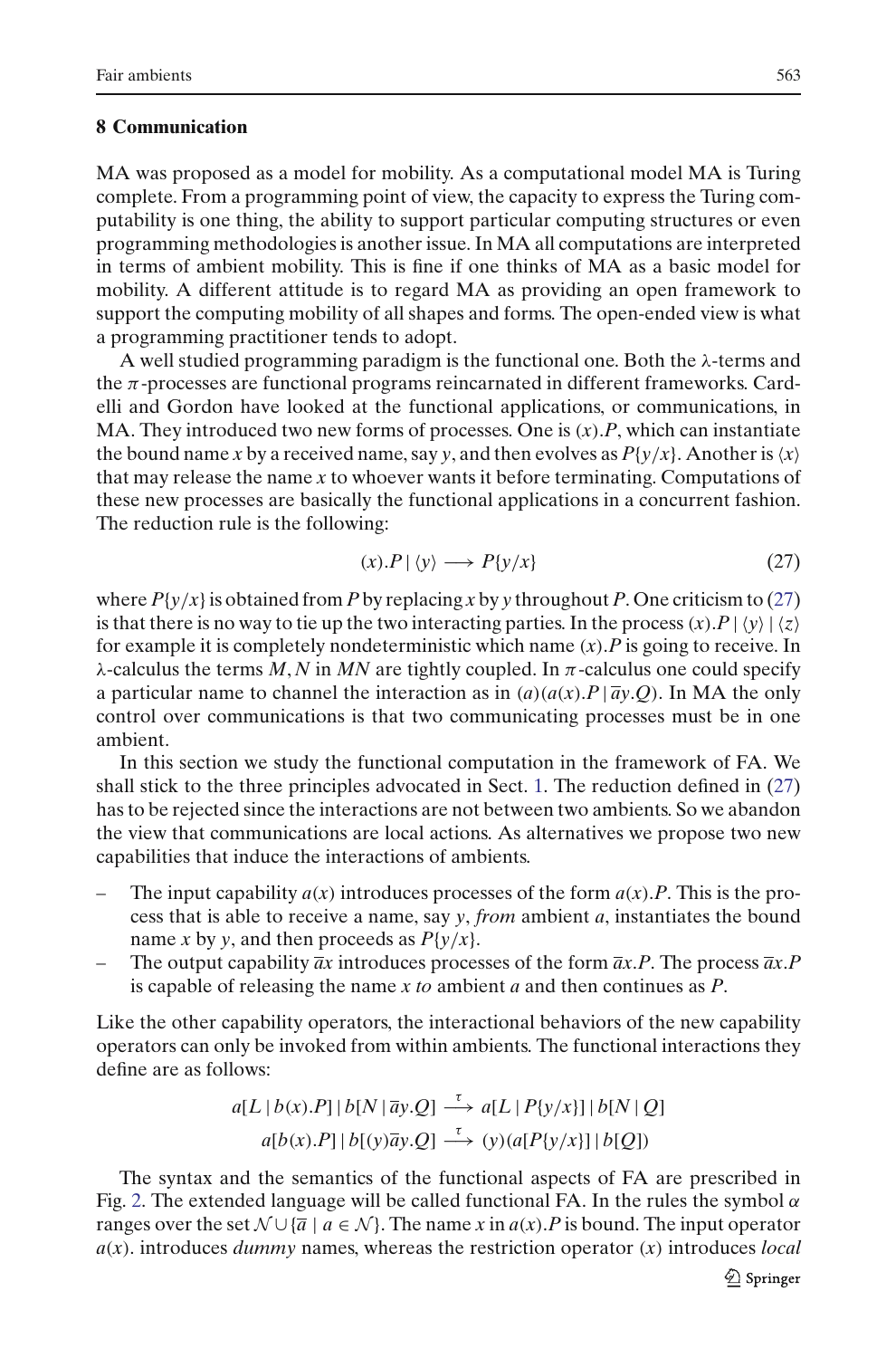#### <span id="page-28-0"></span>**8 Communication**

MA was proposed as a model for mobility. As a computational model MA is Turing complete. From a programming point of view, the capacity to express the Turing computability is one thing, the ability to support particular computing structures or even programming methodologies is another issue. In MA all computations are interpreted in terms of ambient mobility. This is fine if one thinks of MA as a basic model for mobility. A different attitude is to regard MA as providing an open framework to support the computing mobility of all shapes and forms. The open-ended view is what a programming practitioner tends to adopt.

A well studied programming paradigm is the functional one. Both the  $\lambda$ -terms and the  $\pi$ -processes are functional programs reincarnated in different frameworks. Cardelli and Gordon have looked at the functional applications, or communications, in MA. They introduced two new forms of processes. One is (*x*).*P*, which can instantiate the bound name *x* by a received name, say *y*, and then evolves as  $P\{y/x\}$ . Another is  $\langle x \rangle$ that may release the name *x* to whoever wants it before terminating. Computations of these new processes are basically the functional applications in a concurrent fashion. The reduction rule is the following:

<span id="page-28-1"></span>
$$
(x).P \mid \langle y \rangle \longrightarrow P\{y/x\} \tag{27}
$$

where  $P\{y/x\}$  is obtained from *P* by replacing *x* by *y* throughout *P*. One criticism to [\(27\)](#page-28-1) is that there is no way to tie up the two interacting parties. In the process  $(x)$ .  $P | \langle y \rangle | \langle z \rangle$ for example it is completely nondeterministic which name (*x*).*P* is going to receive. In  $λ$ -calculus the terms *M*, *N* in *MN* are tightly coupled. In  $π$ -calculus one could specify a particular name to channel the interaction as in  $(a)(a(x).P | \bar{a}y.Q)$ . In MA the only control over communications is that two communicating processes must be in one ambient.

In this section we study the functional computation in the framework of FA. We shall stick to the three principles advocated in Sect. [1.](#page-0-0) The reduction defined in [\(27\)](#page-28-1) has to be rejected since the interactions are not between two ambients. So we abandon the view that communications are local actions. As alternatives we propose two new capabilities that induce the interactions of ambients.

- The input capability  $a(x)$  introduces processes of the form  $a(x)$ . *P*. This is the process that is able to receive a name, say *y*, *from* ambient *a*, instantiates the bound name *x* by *y*, and then proceeds as  $P\{y/x\}$ .
- The output capability  $\overline{a}x$  introduces processes of the form  $\overline{a}x.P$ . The process  $\overline{a}x.P$ is capable of releasing the name *x to* ambient *a* and then continues as *P*.

Like the other capability operators, the interactional behaviors of the new capability operators can only be invoked from within ambients. The functional interactions they define are as follows:

$$
a[L | b(x).P] | b[N | \overline{a}y.Q] \xrightarrow{\tau} a[L | P\{y/x\}] | b[N | Q]
$$
  

$$
a[b(x).P] | b[y] \overline{a}y.Q] \xrightarrow{\tau} (y)(a[P\{y/x\}] | b[Q])
$$

The syntax and the semantics of the functional aspects of FA are prescribed in Fig. [2.](#page-29-0) The extended language will be called functional FA. In the rules the symbol  $\alpha$ ranges over the set  $\mathcal{N} \cup \{\overline{a} \mid a \in \mathcal{N}\}\.$  The name *x* in  $a(x)$ . P is bound. The input operator *a*(*x*). introduces *dummy* names, whereas the restriction operator (*x*) introduces *local*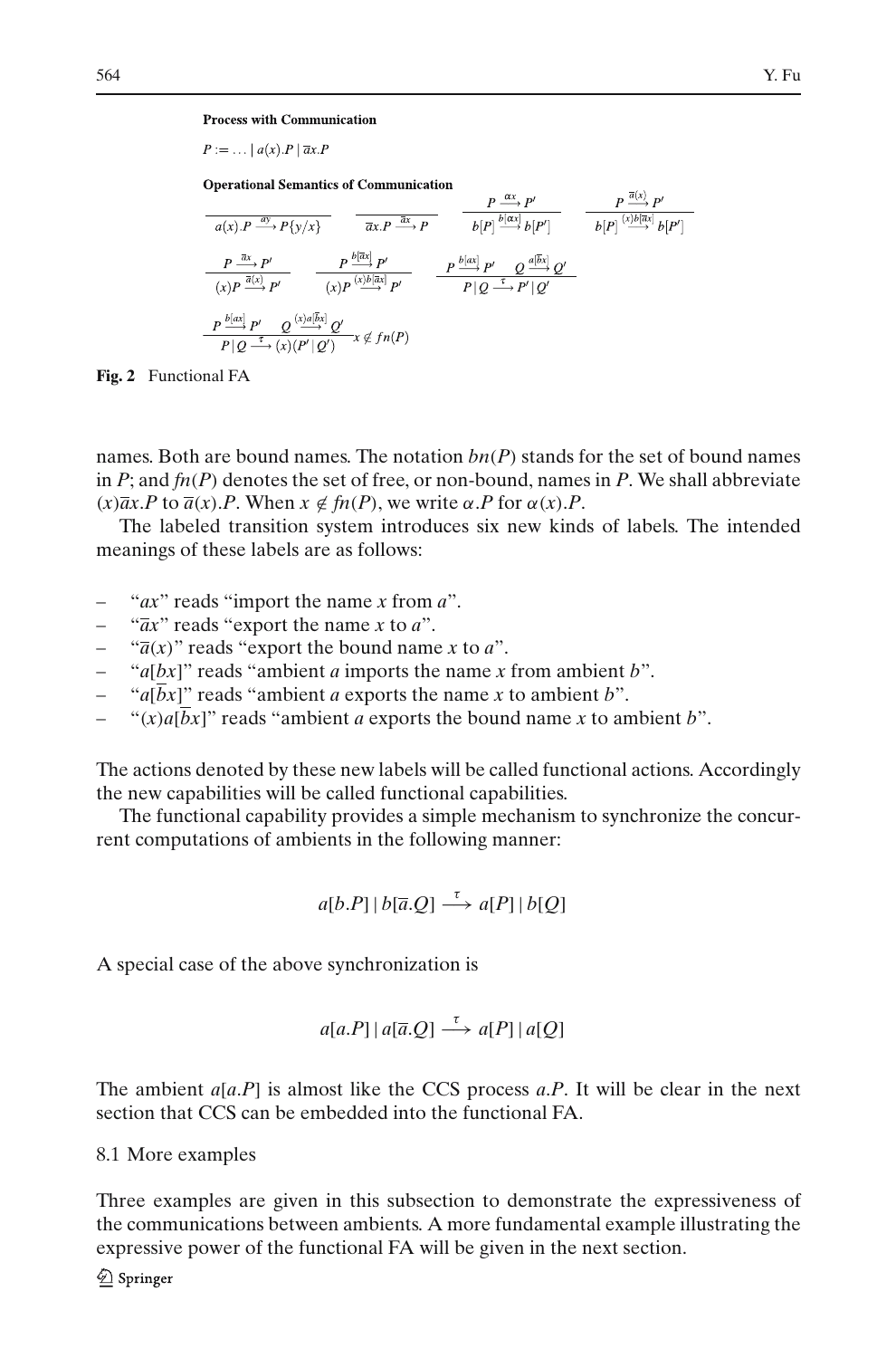$\overline{D} \overline{a}(x)$   $\overline{D'}$ 

**Process with Communication** 

 $P := \ldots |a(x).P| \overline{a}x.P$ 

**Operational Semantics of Communication** 

| P                                                                                                  | P                                                                                               | P                                                    | P                                          |
|----------------------------------------------------------------------------------------------------|-------------------------------------------------------------------------------------------------|------------------------------------------------------|--------------------------------------------|
| $a(x).P \xrightarrow{\alpha} P\{y/x\}$                                                             | $\overline{ax.P} \xrightarrow{\overline{ax} P}$                                                 | $b[P] \xrightarrow{b[\alpha x]} b[P']$               | $\overline{p^{\alpha x}} P'$               |
| $\overline{ax.P} \xrightarrow{\overline{ax} P}$                                                    | $b[P] \xrightarrow{b[\alpha x]} b[P']$                                                          | $b[P] \xrightarrow{(\text{b})[\overline{ax}]} b[P']$ |                                            |
| $\overline{ax.P} \xrightarrow{\overline{a}x} P'$                                                   | $P \xrightarrow{b[\alpha x]} P'$                                                                | $P \xrightarrow{b[\alpha x]} P'$                     | $Q \xrightarrow{\alpha[\overline{b}x]} Q'$ |
| $\overline{P Q \xrightarrow{\overline{a}} P' \ Q} \xrightarrow{\overline{(x)a[\overline{b}x]} Q'}$ | $P \xrightarrow{p \underline{b[\alpha x]} P' \ Q} \xrightarrow{\overline{a[\overline{b}x]} Q'}$ |                                                      |                                            |
| $P \xrightarrow{p \underline{b[\alpha x]} P' \ Q} \xrightarrow{\overline{(x)a[\overline{b}x]} Q'}$ | $x \notin f_n(P)$                                                                               |                                                      |                                            |

<span id="page-29-0"></span>**Fig. 2** Functional FA

names. Both are bound names. The notation  $bn(P)$  stands for the set of bound names in  $P$ ; and  $f_n(P)$  denotes the set of free, or non-bound, names in  $P$ . We shall abbreviate  $(x)\overline{a}x$ .*P* to  $\overline{a}(x)$ .*P*. When  $x \notin f_n(P)$ , we write  $\alpha$ .*P* for  $\alpha(x)$ .*P*.

The labeled transition system introduces six new kinds of labels. The intended meanings of these labels are as follows:

- "*ax*" reads "import the name *x* from *a*".
- "*ax*" reads "export the name *x* to *a*".
- $\sqrt{\overline{a}}(x)$ " reads "export the bound name *x* to *a*".
- "*a*[*bx*]" reads "ambient *a* imports the name *x* from ambient *b*".
- " $a\overline{b}x$ ]" reads "ambient *a* exports the name *x* to ambient *b*".
- " $(x)a[\overline{b}x]$ " reads "ambient *a* exports the bound name *x* to ambient *b*".

The actions denoted by these new labels will be called functional actions. Accordingly the new capabilities will be called functional capabilities.

The functional capability provides a simple mechanism to synchronize the concurrent computations of ambients in the following manner:

$$
a[b.P] | b[\overline{a}.Q] \stackrel{\tau}{\longrightarrow} a[P] | b[Q]
$$

A special case of the above synchronization is

$$
a[a.P] \mid a[\overline{a}.Q] \stackrel{\tau}{\longrightarrow} a[P] \mid a[Q]
$$

The ambient *a*[*a*.*P*] is almost like the CCS process *a*.*P*. It will be clear in the next section that CCS can be embedded into the functional FA.

8.1 More examples

Three examples are given in this subsection to demonstrate the expressiveness of the communications between ambients. A more fundamental example illustrating the expressive power of the functional FA will be given in the next section.

 $\hat{\mathcal{D}}$  Springer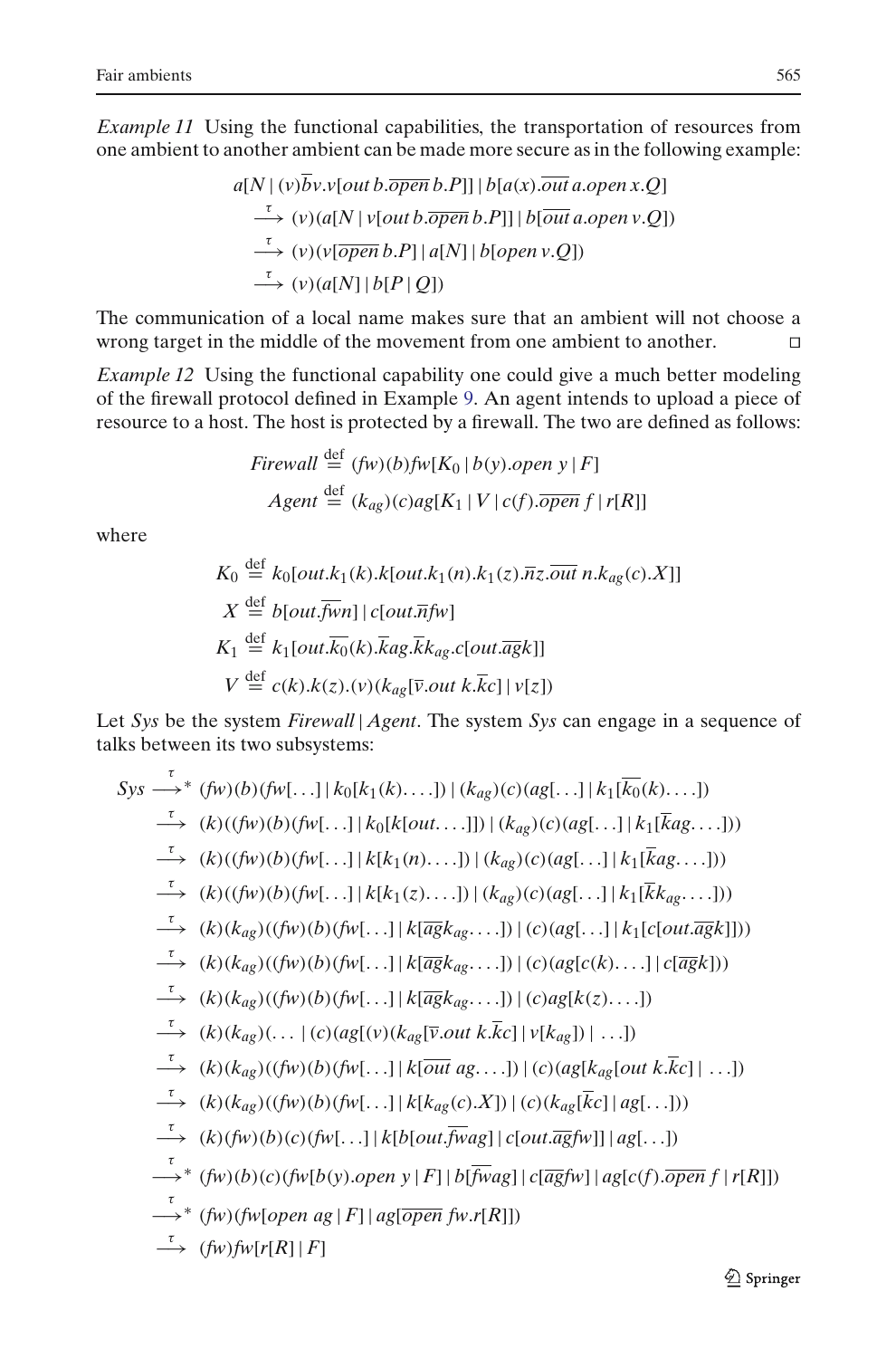*Example 11* Using the functional capabilities, the transportation of resources from one ambient to another ambient can be made more secure as in the following example:

$$
a[N | (v)\overline{b}v.v[out b.\overline{open} b.P]] | b[a(x).\overline{out} a.open x.Q]
$$
  
\n
$$
\xrightarrow{\tau} (v)(a[N | v[out b.\overline{open} b.P]] | b[\overline{out} a.open v.Q])
$$
  
\n
$$
\xrightarrow{\tau} (v)(v[\overline{open} b.P] | a[N] | b[open v.Q])
$$
  
\n
$$
\xrightarrow{\tau} (v)(a[N] | b[P| Q])
$$

The communication of a local name makes sure that an ambient will not choose a wrong target in the middle of the movement from one ambient to another.

*Example 12* Using the functional capability one could give a much better modeling of the firewall protocol defined in Example [9.](#page-15-0) An agent intends to upload a piece of resource to a host. The host is protected by a firewall. The two are defined as follows:

$$
Firewall \stackrel{\text{def}}{=} (fw)(b)fw[K_0 | b(y).open | y | F]
$$
  
Agent 
$$
\stackrel{\text{def}}{=} (k_{ag})(c)ag[K_1 | V | c(f).open | f | r[R]]
$$

where

$$
K_0 \stackrel{\text{def}}{=} k_0[out.k_1(k).k[out.k_1(n).k_1(z).\overline{n}z.\overline{out} n.k_{ag}(c).X]]
$$
  
\n
$$
X \stackrel{\text{def}}{=} b[out.\overline{fwn}] | c[out.\overline{n}fw]
$$
  
\n
$$
K_1 \stackrel{\text{def}}{=} k_1[out.\overline{k_0}(k).\overline{kag}.\overline{k}k_{ag}.c[out.\overline{ag}k]]
$$
  
\n
$$
V \stackrel{\text{def}}{=} c(k).k(z).(v)(k_{ag}[\overline{v}.out k.\overline{k}c] | v[z])
$$

Let *Sys* be the system *Firewall* | *Agent*. The system *Sys* can engage in a sequence of talks between its two subsystems:

$$
Sys \longrightarrow^* (fw)(b)(fw[...] | k_0[k_1(k)...]) | (k_{ag})(c)(ag[...] | k_1[k_0(k)...])
$$
  
\n
$$
\longrightarrow (k)((fw)(b)(fw[...] | k_0[k[out...]]) | (k_{ag})(c)(ag[...] | k_1[kag...]))
$$
  
\n
$$
\longrightarrow (k)((fw)(b)(fw[...] | k[k_1(n)...]) | (k_{ag})(c)(ag[...] | k_1[kag...]))
$$
  
\n
$$
\longrightarrow (k)((fw)(b)(fw[...] | k[k_1(z)...]) | (k_{ag})(c)(ag[...] | k_1[kag...]))
$$
  
\n
$$
\longrightarrow (k)(k_{ag})(((fw)(b)(fw[...] | k[\overline{ag}k_{ag}...]) | (c)(ag[...] | k_1[c[out.\overline{ag}k]]))
$$
  
\n
$$
\longrightarrow (k)(k_{ag})(((fw)(b)(fw[...] | k[\overline{ag}k_{ag}...]) | (c)(ag[c(k)...] | c[\overline{ag}k]))
$$
  
\n
$$
\longrightarrow (k)(k_{ag})(((fw)(b)(fw[...] | k[\overline{ag}k_{ag}...]) | (c)(ag[k(z)...])
$$
  
\n
$$
\longrightarrow (k)(k_{ag})(((fw)(b)(fw[...] | k[\overline{out} a g...]) | (c)(ag[k_{ag}[out k.\overline{k}c] | ...])
$$
  
\n
$$
\longrightarrow (k)(k_{ag})(((fw)(b)(fw[...] | k[\overline{out} a g...]) | (c)(ag[k_{ag}[out k.\overline{k}c] | ...])
$$
  
\n
$$
\longrightarrow (k)(k_{ag})(((fw)(b)(fw[...] | k[kout.\overline{j}wg] | c(out.\overline{ag}fw)] | ag[...]))
$$
  
\n
$$
\longrightarrow^* (fw)(b)(c)(fw[by].open y | F] | b[\overline{f}wag] | c[\overline{ag}fw] | ag[c(f).\overline{open} f | r[R]])
$$
  
\n
$$
\longrightarrow^* (fw)(fw[open a g | F] | ag[\overline{open} f w.r[R]])
$$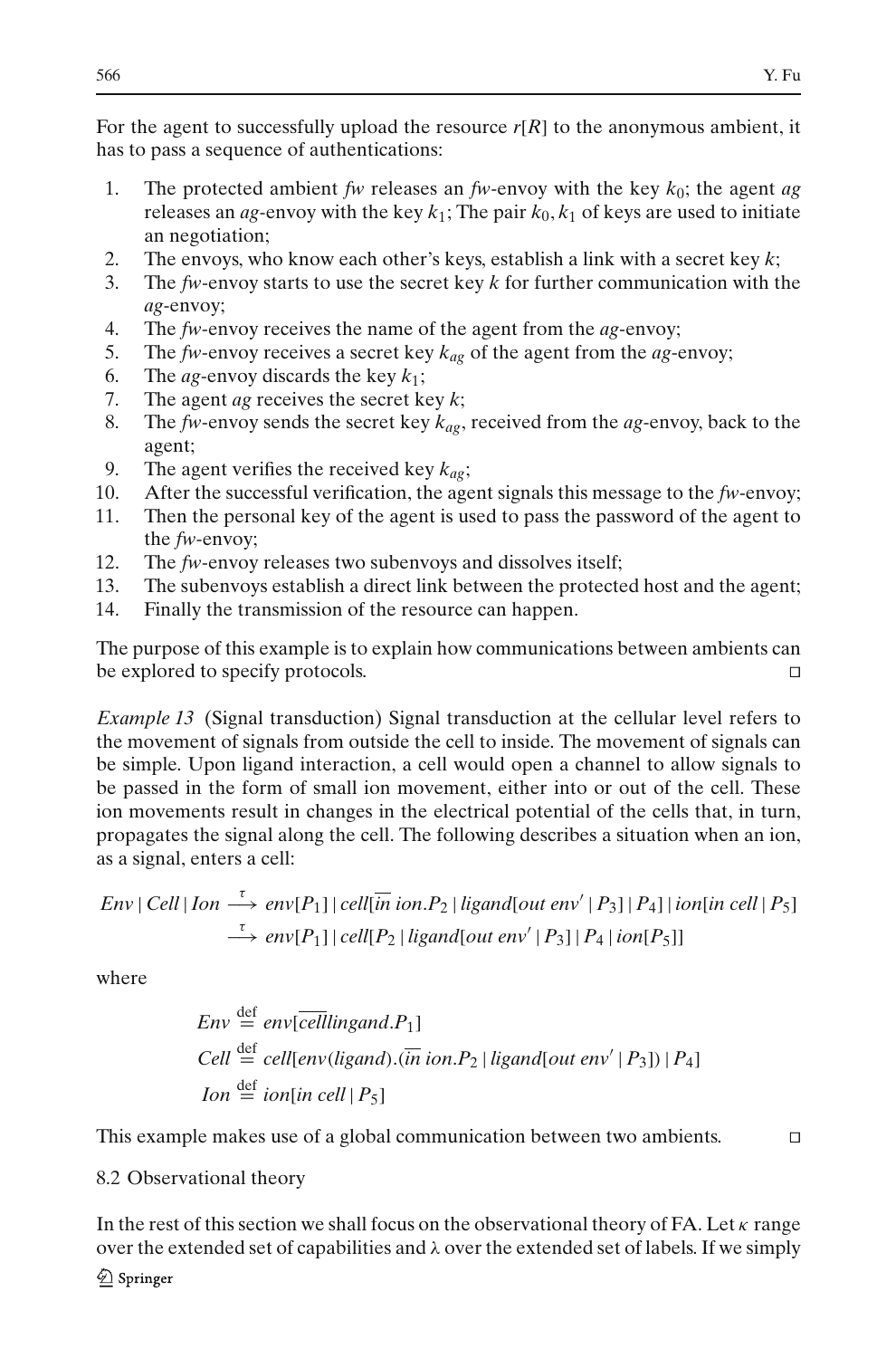For the agent to successfully upload the resource  $r[R]$  to the anonymous ambient, it has to pass a sequence of authentications:

- 1. The protected ambient *fw* releases an *fw*-envoy with the key *k*0; the agent *ag* releases an *ag*-envoy with the key  $k_1$ ; The pair  $k_0$ ,  $k_1$  of keys are used to initiate an negotiation;
- 2. The envoys, who know each other's keys, establish a link with a secret key *k*;
- 3. The *fw*-envoy starts to use the secret key *k* for further communication with the *ag*-envoy;
- 4. The *fw*-envoy receives the name of the agent from the *ag*-envoy;
- 5. The *fw*-envoy receives a secret key  $k_{ag}$  of the agent from the *ag*-envoy;<br>6. The *ag*-envoy discards the key  $k_1$ :
- The *ag*-envoy discards the key  $k_1$ ;
- 7. The agent *ag* receives the secret key *k*;
- 8. The *fw*-envoy sends the secret key  $k_{a}$ , received from the  $a$ g-envoy, back to the agent;
- 9. The agent verifies the received key  $k_{ag}$ ;
- 10. After the successful verification, the agent signals this message to the *fw*-envoy;
- 11. Then the personal key of the agent is used to pass the password of the agent to the *fw*-envoy;
- 12. The *fw*-envoy releases two subenvoys and dissolves itself;
- 13. The subenvoys establish a direct link between the protected host and the agent;
- 14. Finally the transmission of the resource can happen.

The purpose of this example is to explain how communications between ambients can be explored to specify protocols.

<span id="page-31-0"></span>*Example 13* (Signal transduction) Signal transduction at the cellular level refers to the movement of signals from outside the cell to inside. The movement of signals can be simple. Upon ligand interaction, a cell would open a channel to allow signals to be passed in the form of small ion movement, either into or out of the cell. These ion movements result in changes in the electrical potential of the cells that, in turn, propagates the signal along the cell. The following describes a situation when an ion, as a signal, enters a cell:

$$
Env | Cell | Ion \xrightarrow{\tau} env[P_1] | cell[\overline{in} \text{ ion}.P_2 | ligand[out env' | P_3] | P_4] | ion[\overline{in} \text{ cell} | P_5]
$$
  

$$
\xrightarrow{\tau} env[P_1] | cell[P_2 | ligand[out env' | P_3] | P_4 | ion[P_5]]
$$

where

$$
Env \stackrel{\text{def}}{=} env[\overline{cellling} and .P_1]
$$
  
Cell 
$$
\stackrel{\text{def}}{=} cell[\text{env}(lig and).(\overline{in} \text{ ion}.P_2 | lig and[\text{out} \text{ env}' | P_3]) | P_4]
$$
  
Ion 
$$
\stackrel{\text{def}}{=} \text{ion}[\text{in} \text{ cell} | P_5]
$$

This example makes use of a global communication between two ambients.

## 8.2 Observational theory

In the rest of this section we shall focus on the observational theory of FA. Let  $\kappa$  range over the extended set of capabilities and  $\lambda$  over the extended set of labels. If we simply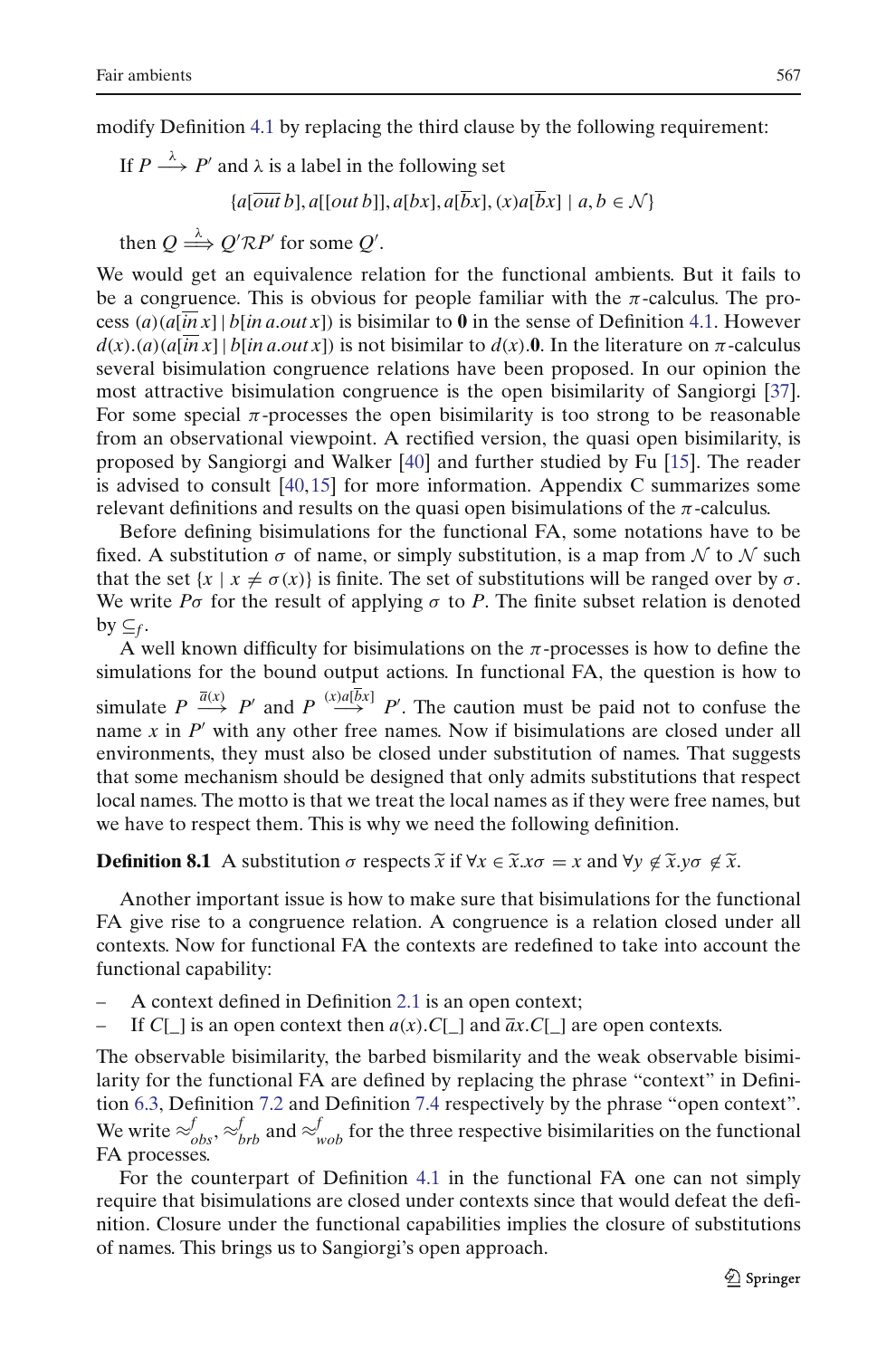modify Definition [4.1](#page-16-1) by replacing the third clause by the following requirement:

If  $P \stackrel{\lambda}{\longrightarrow} P'$  and  $\lambda$  is a label in the following set  ${a[\overline{out}\,b], a[\overline{out}\,b], a[bx], a[\overline{b}x], (x)a[\overline{b}x] \mid a, b \in \mathcal{N}}$ 

then  $Q \stackrel{\lambda}{\Longrightarrow} Q' \mathcal{R} P'$  for some  $Q'$ .

We would get an equivalence relation for the functional ambients. But it fails to be a congruence. This is obvious for people familiar with the  $\pi$ -calculus. The process  $(a)(a[\overline{in} x] | b[in a.out x])$  is bisimilar to 0 in the sense of Definition [4.1.](#page-16-1) However  $d(x)$ .(*a*)(*a*[*in x*] | *b*[*in a*.*out x*]) is not bisimilar to  $d(x)$ . In the literature on  $\pi$ -calculus several bisimulation congruence relations have been proposed. In our opinion the most attractive bisimulation congruence is the open bisimilarity of Sangiorgi [\[37\]](#page-58-14). For some special  $\pi$ -processes the open bisimilarity is too strong to be reasonable from an observational viewpoint. A rectified version, the quasi open bisimilarity, is proposed by Sangiorgi and Walker [\[40](#page-58-15)] and further studied by Fu [\[15](#page-58-16)]. The reader is advised to consult [\[40](#page-58-15),[15](#page-58-16)] for more information. Appendix C summarizes some relevant definitions and results on the quasi open bisimulations of the  $\pi$ -calculus.

Before defining bisimulations for the functional FA, some notations have to be fixed. A substitution σ of name, or simply substitution, is a map from *N* to *N* such that the set  $\{x \mid x \neq \sigma(x)\}$  is finite. The set of substitutions will be ranged over by  $\sigma$ . We write  $P\sigma$  for the result of applying  $\sigma$  to P. The finite subset relation is denoted by  $\subseteq$ *f*.

A well known difficulty for bisimulations on the  $\pi$ -processes is how to define the simulations for the bound output actions. In functional FA, the question is how to simulate  $P \stackrel{\bar{a}(x)}{\longrightarrow} P'$  and  $P \stackrel{(x) a [bx]}{\longrightarrow} P'$ . The caution must be paid not to confuse the name  $x$  in  $P'$  with any other free names. Now if bisimulations are closed under all environments, they must also be closed under substitution of names. That suggests that some mechanism should be designed that only admits substitutions that suggests<br>that some mechanism should be designed that only admits substitutions that respect<br>local names. The motto is that we treat the local name local names. The motto is that we treat the local names as if they were free names, but we have to respect them. This is why we need the following definition.

Another important issue is how to make sure that bisimulations for the functional FA give rise to a congruence relation. A congruence is a relation closed under all contexts. Now for functional FA the contexts are redefined to take into account the functional capability:

- A context defined in Definition [2.1](#page-10-0) is an open context;
- If  $C[\ ]$  is an open context then  $a(x)$ .  $C[\ ]$  and  $\overline{a}x$ .  $C[\ ]$  are open contexts.

The observable bisimilarity, the barbed bismilarity and the weak observable bisimilarity for the functional FA are defined by replacing the phrase "context" in Definition [6.3,](#page-20-3) Definition [7.2](#page-26-1) and Definition [7.4](#page-26-2) respectively by the phrase "open context". We write  $\approx_{obs}^f$ ,  $\approx_{brb}^f$  and  $\approx_{wob}^f$  for the three respective bisimilarities on the functional FA processes.

For the counterpart of Definition [4.1](#page-16-1) in the functional FA one can not simply require that bisimulations are closed under contexts since that would defeat the definition. Closure under the functional capabilities implies the closure of substitutions of names. This brings us to Sangiorgi's open approach.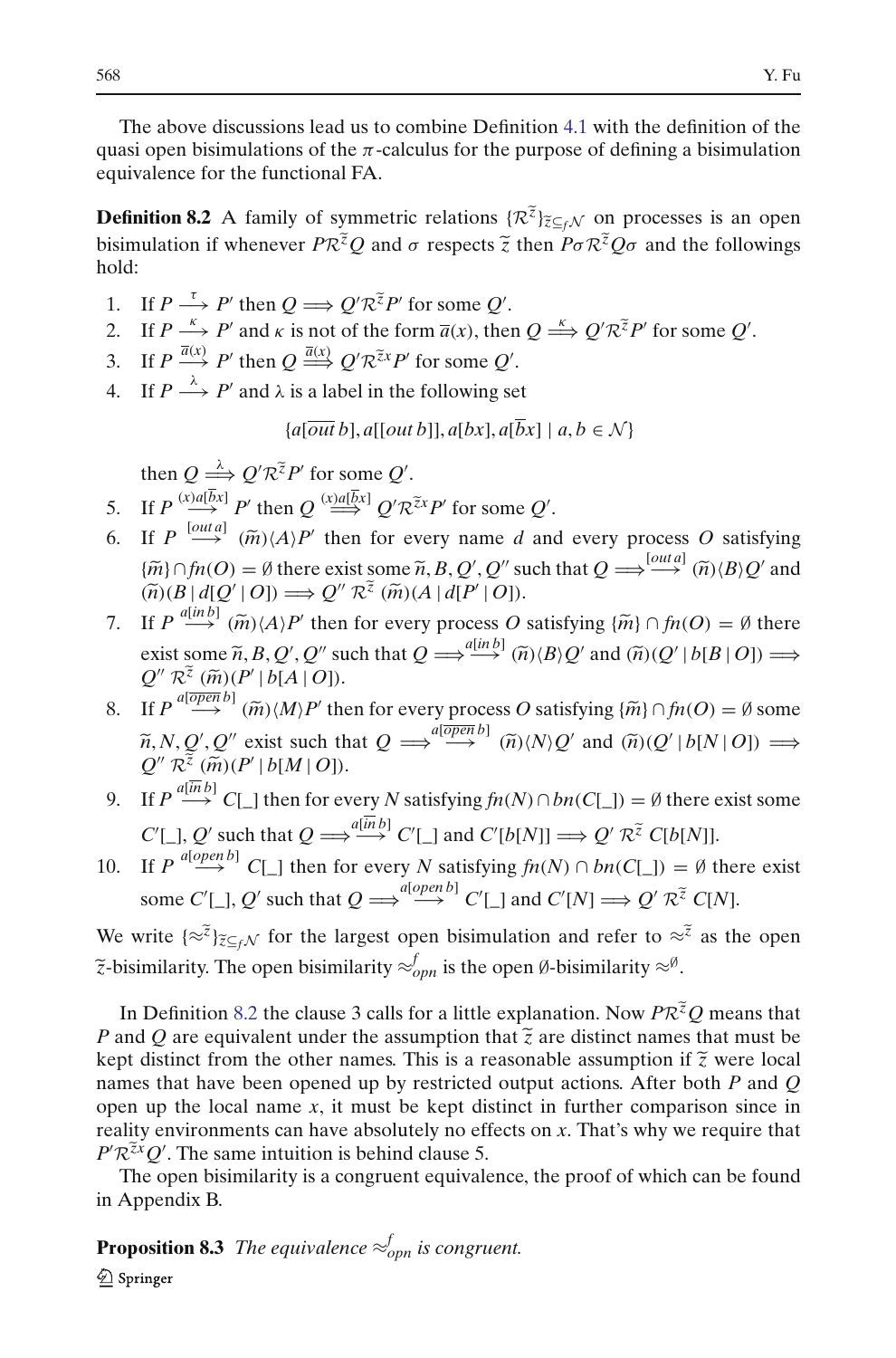The above discussions lead us to combine Definition [4.1](#page-16-1) with the definition of the quasi open bisimulations of the  $\pi$ -calculus for the purpose of defining a bisimulation equivalence for the functional FA.

<span id="page-33-0"></span>quasi open bisimulations of the  $\pi$ -calculus for the purpose of defining a bisimulation<br>equivalence for the functional FA.<br>**Definition 8.2** A family of symmetric relations  $\{\mathcal{R}^{\tilde{z}}\}_{\tilde{z}\subseteq_f\mathcal{N}}$  on processes is hold: bisimulation if whenever  $PR^{\tilde{z}}O$  and  $\sigma$  respects  $\tilde{z}$  then  $P\sigma R^{\tilde{z}}O\sigma$  and the followings 3. If  $P \xrightarrow{\tau} P'$  then  $Q \Longrightarrow Q' \mathcal{R}^{\tilde{z}}P'$  for some *Q'*.<br>2. If  $P \xrightarrow{\kappa} P'$  and  $\kappa$  is not of the form  $\overline{a}(x)$ , then  $Q \xrightarrow{\kappa} Q' \mathcal{R}^{\tilde{z}}P'$  for some *Q'*.

- 1. If  $P \stackrel{\tau}{\longrightarrow} P'$  then  $Q \Longrightarrow Q' \mathcal{R}^{\tilde{z}} P'$  for some  $Q'$ .
- 3. If  $P \xrightarrow{\tau} P'$  then  $Q \Longrightarrow Q' \mathcal{R}^{\tilde{z}}P'$  for some  $Q'$ .<br>
3. If  $P \xrightarrow{\tilde{\alpha}} P'$  and  $\kappa$  is not of the form  $\overline{a}(x)$ , then<br>
3. If  $P \xrightarrow{\overline{a}(x)} P'$  then  $Q \xrightarrow{\overline{a}(x)} Q' \mathcal{R}^{\tilde{z}x}P'$  for some  $Q'$ .
- 
- 4. If  $P \stackrel{\lambda}{\longrightarrow} P'$  and  $\lambda$  is a label in the following set

 ${a[\overline{out}\,b], a[\overline{out}\,b], a[\overline{b}x], a[\overline{b}x] \mid a, b \in \mathcal{N}}$ 

If  $P \longrightarrow P'$  and  $\lambda$  is a label in the<br>  $\{a\overline{out}b\}, a[\overline{out}$ <br>
then  $Q \stackrel{\lambda}{\Longrightarrow} Q'R^{\tilde{\chi}}P'$  for some  $Q'$ .

- ${a[out b], a[out b], a[bx], a[bx]}$ <br>
then  $Q \stackrel{\lambda}{\Longrightarrow} Q' \mathcal{R}^{\tilde{z}} P'$  for some *Q'*.<br>
5. If  $P \stackrel{(x)a[\bar{b}x]}{\Longrightarrow} P'$  then  $Q \stackrel{(x)a[\bar{b}x]}{\Longrightarrow} Q' \mathcal{R}^{\tilde{x}} P'$  for some *Q'*.
- 6. If  $P \xrightarrow{(\alpha) a[\overline{b}x]} P'$  then  $Q \xrightarrow{(\alpha) a[\overline{b}x]} P'$  for some  $Q'$ .<br>
5. If  $P \xrightarrow{(\alpha) a[\overline{b}x]} P'$  then  $Q \xrightarrow{(\alpha) a[\overline{b}x]} Q' \mathcal{R}^{z}x P'$  for some  $Q'$ .<br>
6. If  $P \xrightarrow{[\alpha u] a]} (\widetilde{m}) \langle A \rangle P'$  then for every name *d* and every *f*<sub>*f*</sub>  $Q \xrightarrow{\sim} Q' \mathcal{R}^{\overline{z}} P'$  for some *Q'*.<br> *H*  $P \xrightarrow{(\text{val}\overline{b}x)} P'$  then  $Q \xrightarrow{(\text{val}\overline{b}x)} Q' \mathcal{R}^{\overline{z}x} P'$  for some *Q'*.<br> *H*  $P \xrightarrow{[outa]} (\widetilde{m}) \langle A \rangle P'$  then for every name *d* and every process *O* satisf ', Q'' such that  $Q \Longrightarrow^{\text{[out a]}} (\widetilde{n}) \langle B \rangle Q'$  and If  $P \stackrel{(x)a[\bar{b}x]}{\longrightarrow} P'$  then  $Q \stackrel{(x)a[\bar{b}x]}{\longrightarrow} Q' \mathcal{R}^{\tilde{z}x} P'$  for<br>
If  $P \stackrel{[out,a]}{\longrightarrow} (\tilde{m}) \langle A \rangle P'$  then for every na<br>  $\{\tilde{m}\} \cap f n(O) = \emptyset$  there exist some  $\tilde{n}, B, Q'$ <br>  $(\tilde{n}) (B | d[Q' | O]) \Longrightarrow Q'' \mathcal{R}^{\tilde{z}} (\tilde{m}) (A | d[P'$  $Q'' \mathcal{R}^{\tilde{z}}(\tilde{m}) (A | d[P' | O]).$ 6. If *P*  $\stackrel{\text{[out a]}}{\longrightarrow}$  ( $\tilde{m}$ )/*A*)*P*' then for every name *d* and every process *O* satisfying { $\tilde{m}$ } ∩ *fn*(*O*) = Ø there exist some  $\tilde{n}$ , *B*, *Q*', *Q*" such that  $Q \rightleftharpoons \stackrel{\text{[out a]}}{\longrightarrow}$  ( $\tilde{n}$ )/*B*  $\{\widetilde{m}\}\cap \text{fn}(O) = \emptyset$  there exist some  $\widetilde{n}$ , *B*, *Q'*, *Q''* such that  $Q \Longrightarrow^{\text{[out a]}} (\widetilde{n})\langle B \rangle Q'$  and  $(\widetilde{n})\langle B | d[Q' | O] \rangle \Longrightarrow Q'' \mathcal{R}^{\widetilde{z}}(\widetilde{m})(A | d[P' | O]).$ <br>If  $P \stackrel{a[\text{in }b]}{\longrightarrow} (\widetilde{m})\langle A \rangle P'$  then for every proc
- $Q'' R^{\tilde{z}}(\tilde{m}) (P' | b[A | O]).$  $P(\mathcal{B} | d[Q'] | \theta) = P \stackrel{a[inb]}{\longrightarrow} (\widetilde{m})$ <br>ist some  $\widetilde{n}$ ,<br>ist some  $\widetilde{n}$ , 7. If  $P \stackrel{a[in\ b]}{\longrightarrow} (\tilde{m}) \langle A \rangle P'$  th<br>
exist some  $\tilde{n}$ ,  $B$ ,  $Q'$ ,  $Q'$ <br>  $Q'' R^{\tilde{z}} (\tilde{m}) (P' | b[A])$ <br>
8. If  $P \stackrel{a[oporb]}{\longrightarrow} (\tilde{m}) \langle M \rangle P'$ then for every process *O* satisfying  $\{\tilde{m}\} \cap f n(O) = \emptyset$  there<br>
" such that  $Q \Longrightarrow^{a[\tilde{m}b]} (\tilde{n}) \langle B \rangle Q'$  and  $(\tilde{n}) (Q' | b[B | O]) \Longrightarrow$ <br>
(7).<br>
" then for every process *O* satisfying  $\{\tilde{m}\} \cap f n(O) = \emptyset$  some  $\overline{a}$  $Q \Longrightarrow^{a[\text{in }b]} (\tilde{n}) \langle B \rangle Q'$  and  $(\tilde{n}) \langle Q \rangle$ <br>
very process O satisfying  $\{\tilde{m}\} \cap j$ <br>  $\Longrightarrow^{a[\overline{Op}p\bar{b}]} (\tilde{n}) \langle N \rangle Q'$  and  $(\tilde{n}) \langle Q \rangle$
- $\widetilde{n}, N, Q', Q''$  exist such that  $Q \implies^{\text{alopen }D_1} \widetilde{n} \times N, Q'$  and  $\widetilde{n}(Q' | b[N | O]) \implies$  $Q'' R^{\tilde{z}}(\tilde{m}) (P' | b[M | O]).$  $R^{\mathcal{Z}}(\widetilde{m})(P')$ <br>  $R^{\mathcal{Z}}(\widetilde{m})(P')$ <br>  $R^{\mathcal{Z}}(\widetilde{m})(P')$ <br>  $R^{\mathcal{Z}}(\widetilde{m})(P')$
- 9. If  $P \stackrel{a[in b]}{\longrightarrow} C[\_]$  then for every *N* satisfying  $fn(N) \cap bn(C[\_]) = \emptyset$  there exist some  $C'[\_], Q'$  such that  $Q \Longrightarrow^{\{injh\}} C'[\_]$  and  $C'[b[N]] \Longrightarrow Q'$ *R*<sup> $\bar{z}$  *C*[*b*[*N*]].</sup>
- 10. If  $P \stackrel{a[open\,]}{\longrightarrow} C[\_]$  then for every *N* satisfying  $fn(N) \cap bn(C[\_]) = \emptyset$  there exist some  $C'[\_], Q'$  such that  $Q \Longrightarrow^{a[open\, b]} C'[\_]$  and  $C'[N] \Longrightarrow Q'$  $C[b[N]]$ .<br>  $B = \emptyset$  the<br>  $B' \mathcal{R}^{\tilde{z}} C[N]$ . 10. If  $P \stackrel{a[open\,]}{\longrightarrow} C[\_]$  then for every *N* satisfying  $fn(N) \cap bn(C[\_]) = \emptyset$  there exist some  $C'[\_]$ ,  $Q'$  such that  $Q \stackrel{a[open\,]}{\Longrightarrow} C'[\_]$  and  $C'[N] \stackrel{\sim}{\Longrightarrow} Q' \mathcal{R}^{\tilde{z}} C[N]$ .<br>We write  $\{\approx \tilde{z}\}_{\tilde{z} \subseteq_f \mathcal{N}}$  for the

 $\widetilde{z}$ -bisimilarity. The open bisimilarity  $\approx_{opn}^f$  is the open Ø-bisimilarity  $\approx^g$ . We write  $\{\approx \tilde{i}\}_{\tilde{i} \leq f, \mathcal{N}}$  for the largest open bisimulation and refer to  $\approx \tilde{i}$  as the open  $\tilde{i}$ -bisimilarity. The open bisimilarity  $\approx^{\theta} g$ .<br>In Definition [8.2](#page-33-0) the clause 3 calls for a little explanatio *P* write  $\{\approx^2\}_{\approx\leq f,N}$  for the largest open bisimulation and refer to  $\approx^2$  as the open  $\tilde{z}$ -bisimilarity. The open bisimilarity  $\approx^f_{\rho pn}$  is the open  $\emptyset$ -bisimilarity  $\approx^{\emptyset}$ .<br>In Definition 8.2 the clause

 $\tilde{z}$ -bisimilarity. The open bisimilarity  $\approx_{opn}^{f}$  is the open  $\emptyset$ -bisimilarity  $\approx^{\emptyset}$ .<br>In Definition 8.2 the clause 3 calls for a little explanation. Now  $PR^{\tilde{z}}Q$  means that  $P$  and  $Q$  are equivalent under names that have been opened up by restricted output actions. After both *P* and *Q* open up the local name  $x$ , it must be kept distinct in further comparison since in reality environments can have absolutely no effects on *x*. That's why we require that  $P'R^{\tilde{x}x}Q'$ . The same intuition is behind clause 5. *R*<br>**R**<br>*R*<sub>*zx*</sub></sup>*Q*<sup>-*R*</sup><br>*R*<sup>*zx*</sup>*Q*<sup>-</sup>

<span id="page-33-1"></span>The open bisimilarity is a congruent equivalence, the proof of which can be found in Appendix B.

**Proposition 8.3** The equivalence  $\approx_{opn}^f$  is congruent.

2 Springer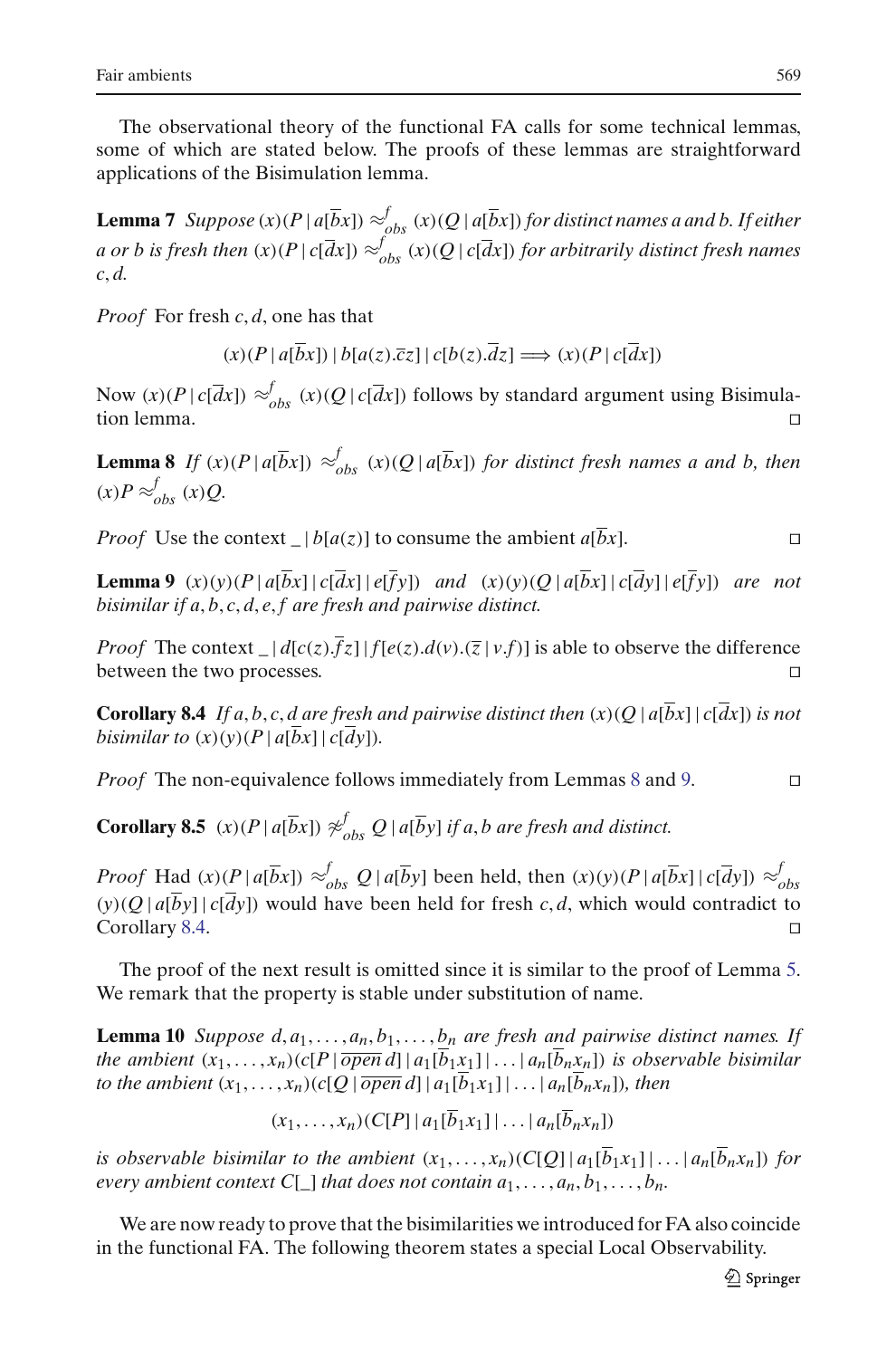The observational theory of the functional FA calls for some technical lemmas, some of which are stated below. The proofs of these lemmas are straightforward applications of the Bisimulation lemma.

<span id="page-34-3"></span>**Lemma 7** *Suppose* (*x*)( $P | a[\overline{b}x]$ )  $\approx^f_{obs}$  (*x*)( $Q | a[\overline{b}x]$ ) for distinct names a and b. If either *a or b is fresh then*  $(x)(P | c[ $\bar{d}x$ ]) \approx_{obs}^f (x)(Q | c[ $\bar{d}x$ ]) for arbitrarily distinct fresh names$ *c*, *d.*

*Proof* For fresh *c*, *d*, one has that

 $(x)(P | a[bx]) | b[a(z).\overline{c}z] | c[b(z).dz] \implies (x)(P | c[dx])$ 

Now  $(x)(P | c[*d*x]) \approx^f_{obs} (x)(Q | c[*d*x])$  follows by standard argument using Bisimulation lemma.

<span id="page-34-0"></span>**Lemma 8** *If* (*x*)(*P* |  $a[\overline{b}x]$ )  $\approx^f_{obs}$  (*x*)(*Q* |  $a[\overline{b}x]$ ) *for distinct fresh names a and b, then*  $(x)P \approx_{obs}^{f}(x)Q$ .

*Proof* Use the context  $\lfloor b[a(z)] \rfloor$  to consume the ambient  $a[\overline{b}x]$ .

<span id="page-34-1"></span>**Lemma 9**  $(x)(y)(P | a[\overline{b}x] | c[\overline{d}x] | e[\overline{f}y])$  and  $(x)(y)(Q | a[\overline{b}x] | c[\overline{d}y] | e[\overline{f}y])$  are not *bisimilar if a*, *b*, *c*, *d*, *e*, *f are fresh and pairwise distinct.*

*Proof* The context  $|d[c(z), \overline{f}_z]|f[e(z), d(v), (\overline{z}|v.f)]$  is able to observe the difference between the two processes.

<span id="page-34-2"></span>**Corollary 8.4** *If a, b, c, d are fresh and pairwise distinct then*  $(x)(Q | a | \overline{b}x] | c | \overline{d}x|)$  *is not bisimilar to*  $(x)(y)(P | a|b]$  $c|d$  $y$ ])*.* 

*Proof* The non-equivalence follows immediately from Lemmas [8](#page-34-0) and [9.](#page-34-1) □

<span id="page-34-5"></span>**Corollary 8.5**  $(x)(P | a[\overline{b}x]) \not\approx_{obs}^f Q | a[\overline{b}y]$  *if a*, *b* are fresh and distinct.

*Proof* Had  $(x)(P \mid a[\overline{b}x]) \approx_{obs}^{f} Q \mid a[\overline{b}y]$  been held, then  $(x)(y)(P \mid a[\overline{b}x] \mid c[\overline{d}y]) \approx_{obs}^{f}$  $(y)(Q | a[\overline{b}y] | c[\overline{d}y])$  would have been held for fresh *c*, *d*, which would contradict to Corollary [8.4.](#page-34-2)

<span id="page-34-4"></span>The proof of the next result is omitted since it is similar to the proof of Lemma [5.](#page-20-2) We remark that the property is stable under substitution of name.

**Lemma 10** *Suppose d, a*<sub>1</sub>*,..., a*<sub>n</sub>, *b*<sub>1</sub>*,..., b*<sub>n</sub> *are fresh and pairwise distinct names. If the ambient*  $(x_1, \ldots, x_n)$   $(c[P | \overline{open} d] | a_1[\overline{b_1}x_1]| \ldots | a_n[\overline{b_n}x_n])$  *is observable bisimilar to the ambient*  $(x_1, \ldots, x_n)$  (*c*[*Q* |  $\overline{open} d$ ] |  $a_1[\overline{b}_1x_1] \ldots$  |  $a_n[\overline{b}_n x_n]$ )*, then* 

 $(x_1, \ldots, x_n)(C[P] | a_1[\overline{b}_1x_1] | \ldots | a_n[\overline{b}_nx_n])$ 

*is observable bisimilar to the ambient*  $(x_1, \ldots, x_n)(C[Q] | a_1[\overline{b}_1x_1]| \ldots | a_n[\overline{b}_nx_n])$  *for every ambient context C*[*\_*] *that does not contain*  $a_1, \ldots, a_n, b_1, \ldots, b_n$ *.* 

<span id="page-34-6"></span>We are now ready to prove that the bisimilarities we introduced for FA also coincide in the functional FA. The following theorem states a special Local Observability.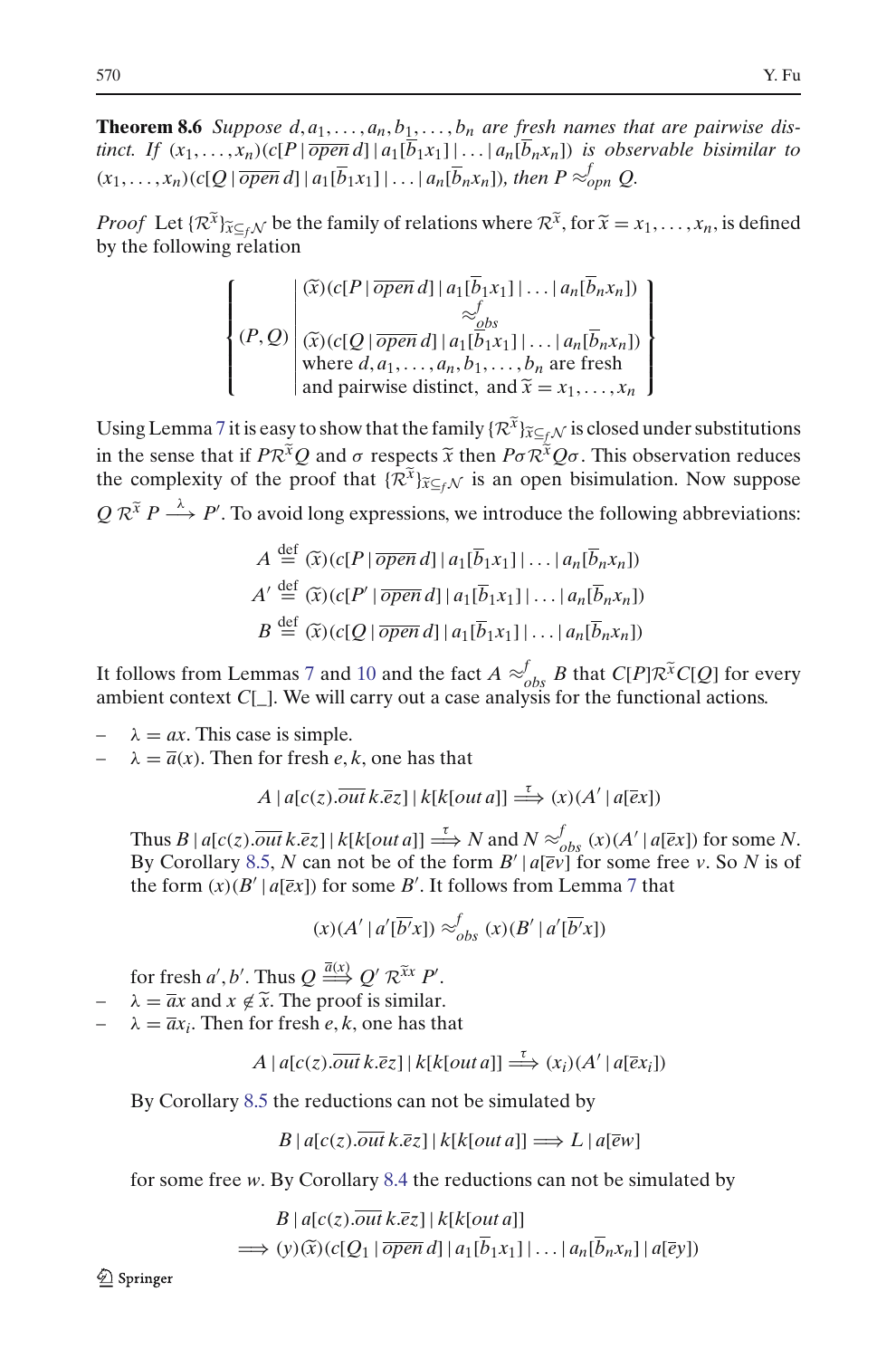**Theorem 8.6** *Suppose d,*  $a_1, \ldots, a_n, b_1, \ldots, b_n$  *are fresh names that are pairwise distinct. If*  $(x_1, \ldots, x_n)$   $(c[P | \overline{open} d] | a_1[\overline{b_1}x_1]| \ldots | a_n[\overline{b_n}x_n])$  *is observable bisimilar to*  $(x_1, \ldots, x_n)$  (*c*[*Q* |  $\overline{open} d$ ] |  $a_1[\overline{b}_1x_1]$  | ... |  $a_n[\overline{b}_n x_n]$ )*, then*  $P \approx_{opn}^{f} Q$ . **Theorem 8.6** Suppose  $d, a_1, ..., a_n, b_1, ..., b_n$  are fresh names that are pairwise distinct. If  $(x_1, ..., x_n)$   $(c[P | \overline{open} d] | a_1[\overline{b_1}x_1]|... | a_n[\overline{b_n}x_n])$  is observable bisimilar to  $(x_1, ..., x_n)$   $(c[Q | \overline{open} d] | a_1[\overline{b_1}x_1]|... | a_n[\overline{b_n$ 

by the following relation (*x*)(*c*[*P* |  $\overline{open} d$ ] |  $a_1[\overline{b}_1x_1]$  | ... |  $a_n[\overline{b}_nx_n]$ ) |  $\ddot{\phantom{a}}$ 

relation  
\n
$$
\begin{cases}\n(P, Q) \begin{pmatrix}\n\widetilde{x} \cdot (c[P \mid \overline{open} d] \mid a_1[\overline{b}_1 x_1] \mid \dots \mid a_n[\overline{b}_n x_n]) \\
\widetilde{x} \cdot b_1 \\
\widetilde{x} \cdot (c[Q \mid \overline{open} d] \mid a_1[\overline{b}_1 x_1] \mid \dots \mid a_n[\overline{b}_n x_n]) \\
\text{where } d, a_1, \dots, a_n, b_1, \dots, b_n \text{ are fresh} \\
\text{and pairwise distinct, and } \widetilde{x} = x_1, \dots, x_n\n\end{cases}\n\end{cases}
$$

Using Lemma [7](#page-34-3) it is easy to show that the family  $\{R^{\tilde{x}}\}_{\tilde{x}\subseteq f}$  *N* is closed under substitutions in the sense that if *PR*<sup>*x*</sup>Q and *o* respects  $\tilde{x}$  then *Po*  $R^{\tilde{x}}$ <sub>*x*⊂*f*</sub>, $\gamma$ </sub> is closed under substitutions in the sense that if *PR*<sup>*x*</sup>Q and *o* respects  $\tilde{x}$  then *Po*  $R^{\tilde{x}}$ Q*o*. This observation Using Lemma 7 it is easy to show that the family  $\{\mathcal{R}^{\tilde{x}}\}_{\tilde{x}\subseteq_f\mathcal{N}}$  is closed under substitutions in the sense that if  $P\mathcal{R}^{\tilde{x}}Q$  and  $\sigma$  respects  $\tilde{x}$  then  $P\sigma \mathcal{R}^{\tilde{x}}Q\sigma$ . This observation red Using Lemma / it is easy to show that the rainity { $\kappa$ <sup>-</sup>  $j\tilde{x}\epsilon_f\mathcal{N}$  is closed under substitutions:<br>in the sense that if  $P\mathcal{R}^{\tilde{x}}Q$  and  $\sigma$  respects  $\tilde{x}$  then  $P\sigma \mathcal{R}^{\tilde{x}}Q\sigma$ . This observation reduc  $\int_{\mathcal{C}}^{\infty} Q$  and  $\sigma$  respects x then  $P\sigma \kappa^{\infty} Q\sigma$ . Intervalse proof that  $\{\mathcal{R}^{\tilde{x}}\}_{\tilde{x}\subseteq_f\mathcal{N}}$  is an open bisimular bid long expressions, we introduce the following expressions, we introduce the followi

$$
Q \mathcal{R}^{\tilde{x}} P \xrightarrow{\lambda} P'.
$$
 To avoid long expressions, we introduce the following abbreviations:  
\n
$$
A \stackrel{\text{def}}{=} (\tilde{x})(c[P | \overline{open} d] | a_1[\overline{b}_1 x_1] | \dots | a_n[\overline{b}_n x_n])
$$
\n
$$
A' \stackrel{\text{def}}{=} (\tilde{x})(c[P' | \overline{open} d] | a_1[\overline{b}_1 x_1] | \dots | a_n[\overline{b}_n x_n])
$$
\n
$$
B \stackrel{\text{def}}{=} (\tilde{x})(c[Q | \overline{open} d] | a_1[\overline{b}_1 x_1] | \dots | a_n[\overline{b}_n x_n])
$$
\nIt follows from Lemmas 7 and 10 and the fact  $A \approx_{obs}^{f} B$  that  $C[P] \mathcal{R}^{\tilde{x}} C[Q]$  for every

ambient context *C*[\_]. We will carry out a case analysis for the functional actions.

 $\lambda = ax$ . This case is simple.

 $\lambda = \overline{a}(x)$ . Then for fresh *e*, *k*, one has that

$$
A | a[c(z). \overline{out} k. \overline{e}z] | k[k[out a]] \stackrel{\tau}{\Longrightarrow} (x) (A' | a[\overline{e}x])
$$

Thus  $B | a[c(z). \overline{out} k.\overline{e}z] | k[k[out a]] \Longrightarrow N$  and  $N \approx_{obs}^{f}(x) (A' | a[\overline{e}x])$  for some *N*. By Corollary [8.5,](#page-34-5) N can not be of the form  $B' | a[\overline{ev}]$  for some free *v*. So N is of the form  $(x)(B' | a[\overline{e}x])$  for some *B'*. It follows from Lemma [7](#page-34-3) that

$$
(x)(A' | a'[\overline{b'}x]) \approx_{obs}^{f} (x)(B' | a'[\overline{b'}x])
$$

 $(x)(A' | a'[\overline{b'}x])$ <br>
for fresh *a'*, *b'*. Thus  $Q \stackrel{\overline{a}(x)}{\Longrightarrow} Q' \mathcal{R}^{\overline{x}x} P'$ . (x)(A' | a'[ $\overline{b}$ 'x]) <sup>2</sup><br>
for fresh a', b'. Thus  $Q \stackrel{\overline{a}(x)}{\Longrightarrow} Q' \mathcal{R}^{\tilde{x}x} P'.$ <br>  $\lambda = \overline{a}x$  and  $x \notin \tilde{x}$ . The proof is similar.

- 
- $\lambda = \overline{a}x_i$ . Then for fresh *e*, *k*, one has that

$$
A | a[c(z). \overline{out} k. \overline{e}z] | k[k[out a]] \stackrel{\tau}{\Longrightarrow} (x_i) (A' | a[\overline{e}x_i])
$$

By Corollary [8.5](#page-34-5) the reductions can not be simulated by

$$
B | a[c(z). \overline{out} k. \overline{e} z] | k[k[out a]] \Longrightarrow L | a[\overline{e} w]
$$

for some free *w*. By Corollary [8.4](#page-34-2) the reductions can not be simulated by

$$
B | u[c(z).out k. \varepsilon z] | k[k[out a]] \implies E | u[ew]
$$
  
we we. By Corollary 8.4 the reductions can not be simulate  

$$
B | a[c(z).out k. \overline{\varepsilon} z] | k[k[out a]]
$$

$$
\implies (y) (\widetilde{x}) (c[Q_1 | \overline{open} d] | a_1[\overline{b}_1 x_1] | \dots | a_n[\overline{b}_n x_n] | a[\overline{e}y])
$$

 $\mathcal{Q}$  Springer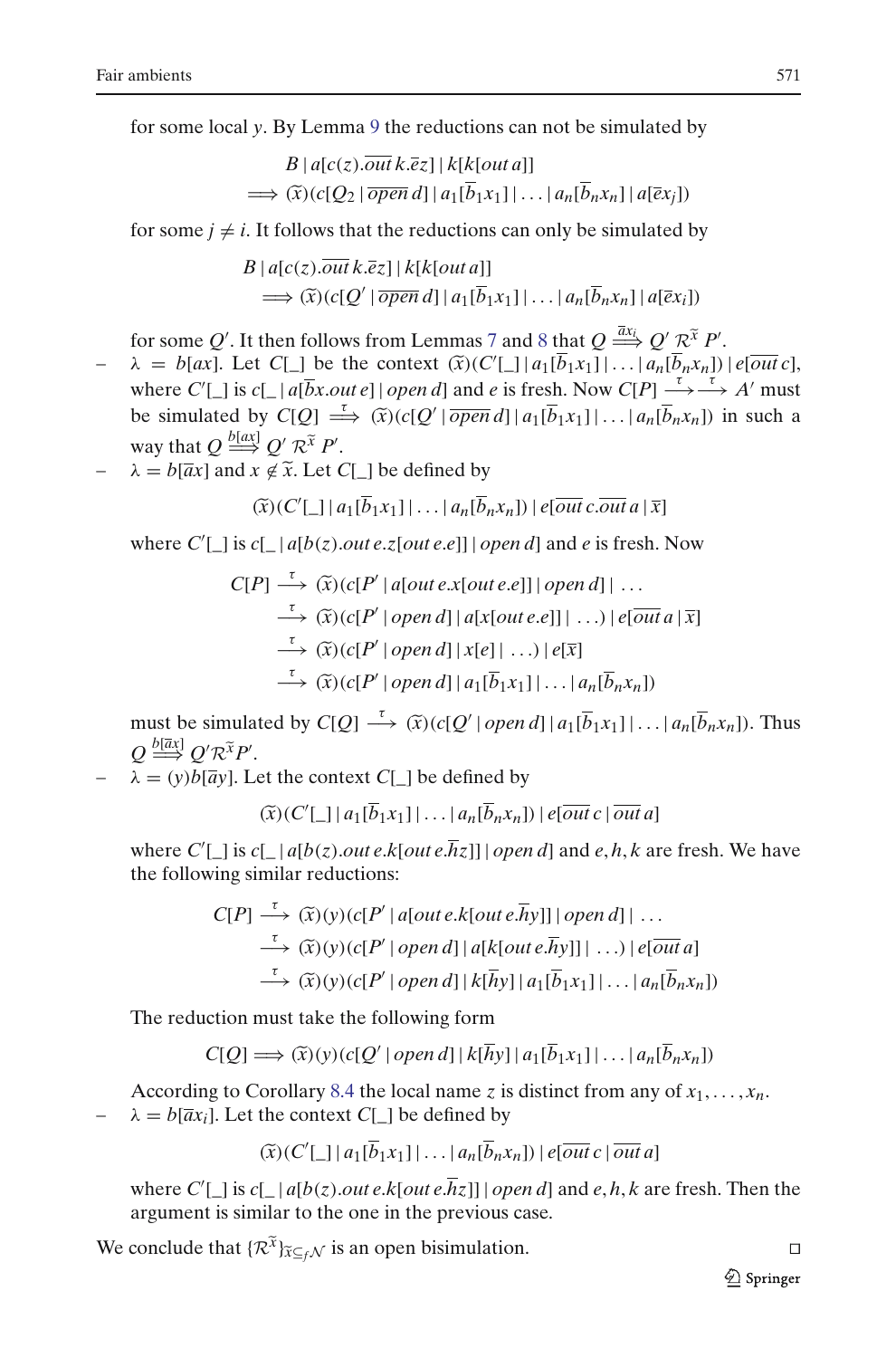for some local *y*. By Lemma [9](#page-34-1) the reductions can not be simulated by

1 y. By Lemma 9 the reductions can not be simulated by  
\n
$$
B | a[c(z). \overline{out} k. \overline{e}z] | k[k[out a]]
$$
\n
$$
\implies (\widetilde{x})(c[Q_2 | \overline{open} d] | a_1[\overline{b}_1 x_1] | \dots | a_n[\overline{b}_n x_n] | a[\overline{e}x_j])
$$

for some  $j \neq i$ . It follows that the reductions can only be simulated by

$$
\Rightarrow (x)(c[Q_2 \mid open a] \mid a_1 [b_1 x_1] \mid ... \mid a_n [b_n x_n] \mid a [ex_j])
$$
  
for some  $j \neq i$ . It follows that the reductions can only be simulated by  

$$
B \mid a[c(z). \overline{out } k.\overline{e}z] \mid k[k[out a]]
$$

$$
\Rightarrow (\widetilde{x})(c[Q' \mid \overline{open } d] \mid a_1 [\overline{b}_1 x_1] \mid ... \mid a_n [\overline{b}_n x_n] \mid a [\overline{e}x_i])
$$
  
for some  $Q'$ . It then follows from Lemmas 7 and 8 that  $Q \stackrel{\overline{a}x_i}{\Longrightarrow} Q' \mathcal{R}^{\widetilde{x}} P'$ .  

$$
\Rightarrow b[ax]. Let C[] be the context  $(\widetilde{x})(C'[\ ]\mid a_1 [\overline{b}_1 x_1] \mid ... \mid a_n [\overline{b}_n x_n])$
$$

- 
- $\mathbb{Z}[\Box] | a_1[b_1x_1] | \dots | a_n[b_nx_n] | e[\overline{out} c],$ where  $C'[\ ]$  is  $c[\ ] | a[\overline{b}x.out e] | open d]$  and *e* is fresh. Now  $C[P] \stackrel{\tau}{\longrightarrow} \stackrel{\tau}{\longrightarrow} A'$  must for some *Q'*. It then follows from Lemmas 7 and 8 that  $Q \xrightarrow{\bar{a}x_i} Q' \mathcal{R}^{\bar{x}} P'$ .<br>  $\lambda = b[ax]$ . Let  $C[\_]$  be the context  $(\tilde{x})(C'[\_] | a_1[\overline{b}_1x_1]| \dots | a_n[\overline{b}_nx_n]) | e[\overline{out} c]$ ,<br>
where  $C'[\_]$  is  $c[\_]a[\overline{b}x.out e] | open d]$  an way that  $Q \stackrel{b[ax]}{\Longrightarrow} Q' \mathcal{R}^{\tilde{x}} P'$ . *R*<sub>*R*</sub>  $\lambda = b[a\alpha]$ . Let *C*[\_] be the context  $(x)(C$  where  $C'[L]$  is  $c[L|a[\overline{b}x.out e]|open d]$  and be simulated by  $C[Q] \stackrel{\tau}{\Longrightarrow} (\tilde{x})(c[Q'] \overline{open}$  way that  $Q \stackrel{b[a\alpha]}{\Longrightarrow} Q' \mathcal{R}^{\tilde{x}} P'$ .<br> $-\lambda = b[\overline{a}x]$  and  $x \notin \tilde{x}$ . Let  $C[L]$ by  $C[\begin{matrix} x \\ y \\ z \end{matrix}]$   $Q'$   $\mathcal{F}$ <br> $x \notin \widetilde{x}$ .<br> $(\widetilde{x})(C')$
- 

$$
(\widetilde{x})(C'[\_]\,|a_1[\overline{b}_1x_1]\,|\ldots|a_n[\overline{b}_nx_n])\,|\,e[\overline{out}\,c.\overline{out}\,a\,|\,\overline{x}]
$$

where  $C'[\ ]$  is  $c[\ ] | a[b(z).out e.z[out e.e]] | open d]$  and *e* is fresh. Now

$$
(\widetilde{x})(C'[\_] | a_1[\overline{b}_1x_1]| \dots | a_n[\overline{b}_nx_n])| e[\overline{out} c.\overline{out} a | \overline{x}]
$$
  
where  $C'[\_]$  is  $c[\_] a[b(z).\overline{out} e.z[\overline{out} e.e]] | open d]$  and  $e$  is fresh. Now  

$$
C[P] \xrightarrow{\tau} (\widetilde{x})(c[P' | a[\overline{out} e.x[\overline{out} e.e]] | open d]| \dots
$$

$$
\xrightarrow{\tau} (\widetilde{x})(c[P' | open d] | a[x[\overline{out} e.e]] | \dots) | e[\overline{out} a | \overline{x}]
$$

$$
\xrightarrow{\tau} (\widetilde{x})(c[P' | open d] | x[e] | \dots) | e[\overline{x}]
$$

$$
\xrightarrow{\tau} (\widetilde{x})(c[P' | open d] | a_1[\overline{b}_1x_1]| \dots | a_n[\overline{b}_nx_n])
$$
  
must be simulated by  $C[Q] \xrightarrow{\tau} (\widetilde{x})(c[Q' | open d] | a_1[\overline{b}_1x_1]| \dots | a_n[\overline{b}_nx_n]).$  Thus

 $Q \stackrel{b[\bar{a}x]}{\Longrightarrow} Q' \mathcal{R}^{\widetilde{x}} P'.$ *imula*<br> $R^{\tilde{X}}P'$ (*x*)(*C*<sup> $\overline{x}$ </sup>)(*C*<sup> $\overline{x}$ </sup>)(*C*<sup> $\overline{x}$ )</sup>

 $\lambda = (y)b[\overline{a}y]$ . Let the context *C*[\_] be defined by

$$
(\widetilde{x})(C'[\_]\,|a_1[\overline{b}_1x_1]\,|\ldots|a_n[\overline{b}_nx_n])\,|\,e[\overline{out}\,c\,|\,\overline{out}\,a]
$$

where  $C'[\ ]$  is  $c[\ ]a[b(z).out\ e.k[out\ e.hz]]$  *open d*] and  $e, h, k$  are fresh. We have the following similar reductions:  $(\hat{x})(C'|_q)|a_1|b_1$ <br>  $\Box$  is  $c|_q|a[b(z).out e]$ <br> *C*[*P*]  $\xrightarrow{\tau} (\hat{x})(y)(c[P])$ 

$$
\begin{aligned}\n\Box \text{ is } c[\_\text{a}[b(z).out \, e.k[out \, e.hz]]] \, \text{open d] and } e, h, k \text{ are fresh} \\
\text{ving similar reductions:} \\
C[P] \xrightarrow{\tau} (\widetilde{x})(y)(c[P' | a[out \, e.k[out \, e.hy]] | open \, d] | \, \dots \\
\xrightarrow{\tau} (\widetilde{x})(y)(c[P' | open \, d] | a[k[out \, e.hy]] | \, \dots) | e[\overline{out} \, a] \\
\xrightarrow{\tau} (\widetilde{x})(y)(c[P' | open \, d] | k[hy] | a_1[\overline{b}_1x_1] | \dots | a_n[\overline{b}_nx_n]) \\
\end{aligned}
$$
\n
$$
\text{ction must take the following form} \\
C[Q] \implies (\widetilde{x})(y)(c[Q' | open \, d] | k[\overline{h}y] | a_1[\overline{b}_1x_1] | \dots | a_n[\overline{b}_nx_n])
$$

The reduction must take the following form

$$
C[Q] \Longrightarrow (\widetilde{x})(y)(c[Q' | open d] | k[\overline{h}y] | a_1[\overline{b}_1x_1] | \dots | a_n[\overline{b}_nx_n])
$$

According to Corollary [8.4](#page-34-2) the local name *z* is distinct from any of  $x_1, \ldots, x_n$ .  $\lambda = b[\overline{a}x_i]$ . Let the context *C*[\_] be defined by  $\Rightarrow$  ( $\widetilde{x}$ )<br>orolla<br>the co<br> $(\widetilde{x})(C')$ 

$$
(\widetilde{x})(C'[\_]\,|a_1[\overline{b}_1x_1]\,|\ldots|a_n[\overline{b}_nx_n])\,|e[\overline{out}\,c\,|\,\overline{out}\,a]
$$

where  $C'[\ ]$  is  $c[\ ] | a[b(z).out e.k[out e.hz]]$  | *open d*] and *e*, *h*, *k* are fresh. Then the argument is similar to the one in the previous case. where  $C'[\_]$  is  $c[\_] | a[b(z).out e.k[out e.\overline{h}z]] | open d]$  and  $e, h, k$  are fresh. Then the argument is similar to the one in the previous case.<br>We conclude that  $\{R^{\tilde{x}}\}_{\tilde{x}\subseteq_f\mathcal{N}}$  is an open bisimulation.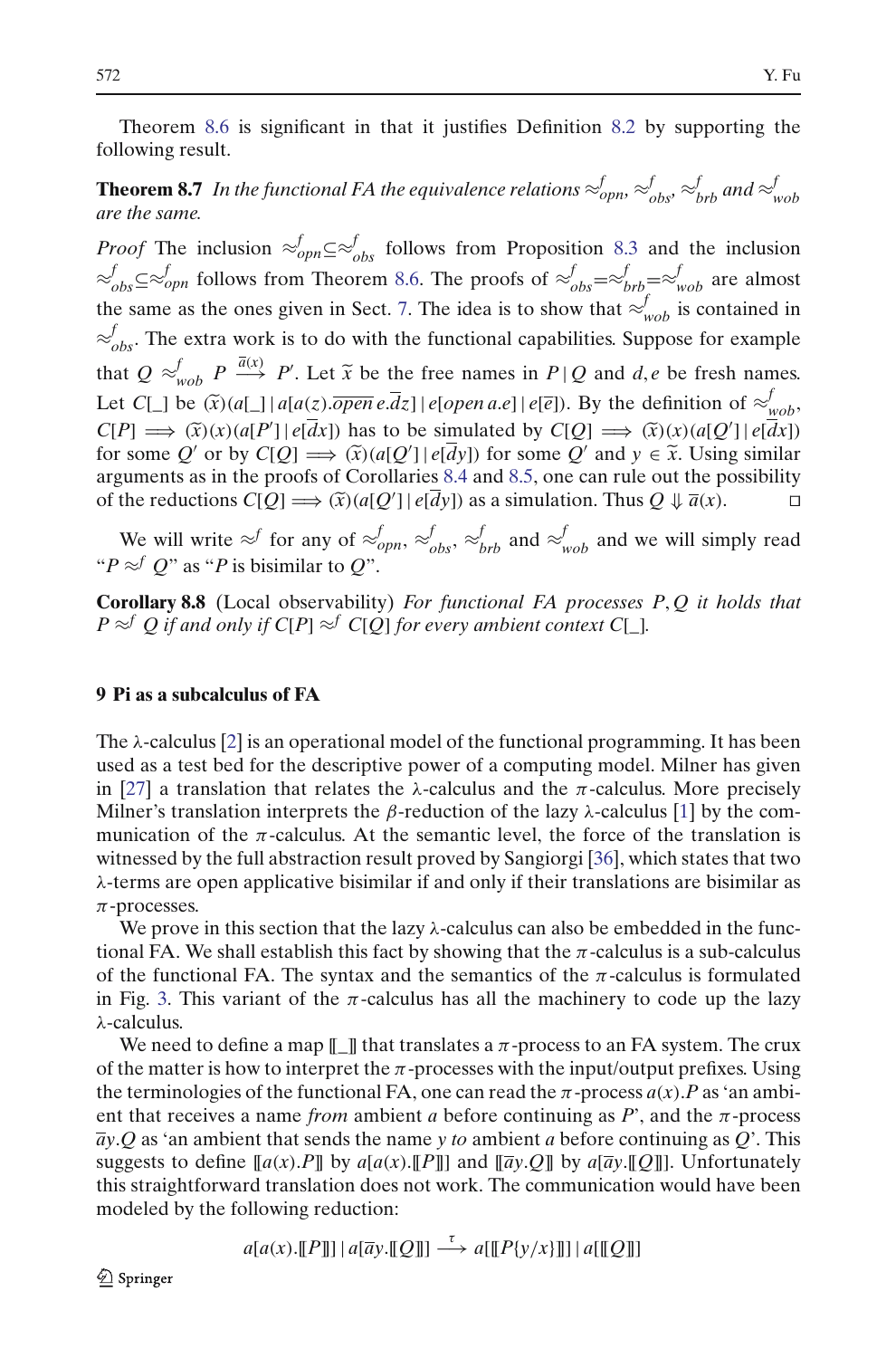Theorem [8.6](#page-34-6) is significant in that it justifies Definition [8.2](#page-33-0) by supporting the following result.

## **Theorem 8.7** In the functional FA the equivalence relations  $\approx_{oppn}^f$ ,  $\approx_{obs}^f$ ,  $\approx_{brb}^f$  and  $\approx_{wob}^f$ *are the same.*

*Proof* The inclusion  $\approx^f_{opp} \subseteq \approx^f_{obs}$  follows from Proposition [8.3](#page-33-1) and the inclusion  $\approx$ <sup>*f*</sup></sup><sub>*obs*</sub>⊆≈<sup>*f*</sup><sub>*opn*</sub> follows from Theorem [8.6.](#page-34-6) The proofs of  $\approx$ <sup>*f*</sup><sub>*obs*</sub>=≈<sup>*f*</sup><sub>*wob*</sub> are almost the same as the ones given in Sect. [7.](#page-26-0) The idea is to show that  $\approx^f_{wob}$  is contained in  $\varepsilon$ <sup>*f*</sup><sub>obs</sub>. The extra work is to do with the functional capabilities. Suppose for example  $\approx^f_{obs} \subseteq \approx^f_{oppn}$  follows from Theorem 8.6. The proofs of  $\approx^f_{obs} = \approx^f_{brb} = \approx^f_{wob}$  are almost<br>the same as the ones given in Sect. 7. The idea is to show that  $\approx^f_{wob}$  is contained in<br> $\approx^f_{obs}$ . The extra work is t the same as the ones given in Sect. 7. The idea is to show that  $\approx_{wob}^{f}$  is contained  $\approx_{wob}^{f}$ . The extra work is to do with the functional capabilities. Suppose for exam that  $Q \approx_{wob}^{f} P \xrightarrow{\overline{a}(x)} P'$ . Let  $\tilde{x}$ *w*(*z*). *i w*(*z*) *e <i>w*(*x*) *e i e i w*(*x*) *i e <i>w*(*x*) *i*) as to be simulated by  $C[Q] \implies (\tilde{x})(x)(a[Q'] | e[dx])$   $\implies (\tilde{x})(a[Q'] | e[dx])$   $\implies (\tilde{x})(a[Q'] | e[dy])$  for some  $Q'$  and  $y \in \tilde{x}$ . Using similar fs o  $C[P] \implies (\tilde{x})(x)(a[P'] | e[dx])$  has to be simulated by  $C[Q] \implies (\tilde{x})(x)(a[Q'] | e[dx])$ he extra work is to do with the functional capabilities. Suppose for  $\approx_{wob}^{f} P \stackrel{\overline{a}(x)}{\longrightarrow} P'$ . Let  $\tilde{x}$  be the free names in  $P | Q$  and  $d, e$  be fresh  $\Box$  be  $(\tilde{x})(a[\Box] | a[a(z).\overline{open} e.\overline{d}z] | e[open a.e] | e[\overline{e}])$ . By the for some Q' or by  $C[Q] \Longrightarrow (\widetilde{x})(a[Q'] | e[\overline{d}y])$  for some Q' et  $\tilde{x}$  be the free names in  $P | Q$  and  $d, e$  be fresh names.<br> *z*).*open e*.*dz*] | *e*[*open a.e*] | *e*[*e*]). By the definition of  $\approx$  *v*<sub>*wob*</sub></sub>,  $\tilde{x}$ ] has to be simulated by  $C[Q] \implies (\tilde{x})(x)(a[Q'] | e[dx])$ <br>  $\Rightarrow (\$ arguments as in the proofs of Corollaries [8.4](#page-34-2) and [8.5,](#page-34-5) one can rule out the possibility of the reductions  $C[Q] \Longrightarrow (\tilde{x})(a[Q'] | e[dy])$  as a simulation. Thus  $Q \Downarrow \overline{a}(x)$ .

We will write  $\approx$ <sup>*f*</sup> for any of  $\approx$ <sup>*f*</sup><sub>*opn*</sub>,  $\approx$ <sup>*f*</sup><sub>*obs*</sub>,  $\approx$ <sup>*f*</sup><sub>*brb*</sub> and  $\approx$ <sup>*f*</sup><sub>*wob*</sub> and we will simply read " $P \approx^f Q$ " as " $P$  is bisimilar to  $Q$ ".

**Corollary 8.8** (Local observability) *For functional FA processes P*, *Q it holds that P* ≈<sup>*f*</sup> *Q if and only if C*[*P*] ≈<sup>*f*</sup> *C*[*Q*] *for every ambient context C*[\_].

## <span id="page-37-0"></span>**9 Pi as a subcalculus of FA**

The  $\lambda$ -calculus [\[2](#page-57-2)] is an operational model of the functional programming. It has been used as a test bed for the descriptive power of a computing model. Milner has given in [\[27](#page-58-17)] a translation that relates the  $\lambda$ -calculus and the  $\pi$ -calculus. More precisely Milner's translation interprets the β-reduction of the lazy  $\lambda$ -calculus [\[1](#page-57-3)] by the communication of the  $\pi$ -calculus. At the semantic level, the force of the translation is witnessed by the full abstraction result proved by Sangiorgi [\[36\]](#page-58-18), which states that two λ-terms are open applicative bisimilar if and only if their translations are bisimilar as  $\pi$ -processes.

We prove in this section that the lazy  $\lambda$ -calculus can also be embedded in the functional FA. We shall establish this fact by showing that the  $\pi$ -calculus is a sub-calculus of the functional FA. The syntax and the semantics of the  $\pi$ -calculus is formulated in Fig. [3.](#page-38-0) This variant of the  $\pi$ -calculus has all the machinery to code up the lazy λ-calculus.

We need to define a map  $[\![\ ]\!]$  that translates a  $\pi$ -process to an FA system. The crux of the matter is how to interpret the  $\pi$ -processes with the input/output prefixes. Using the terminologies of the functional FA, one can read the  $\pi$ -process  $a(x)$ . *P* as 'an ambient that receives a name *from* ambient *a* before continuing as  $P'$ , and the  $\pi$ -process *ay*.*Q* as 'an ambient that sends the name *y to* ambient *a* before continuing as *Q*'. This suggests to define  $[a(x).P]$  by  $a[a(x).[P]]$  and  $[\overline{a}y.Q]$  by  $a[\overline{a}y.[Q]]$ . Unfortunately this straightforward translation does not work. The communication would have been modeled by the following reduction:

$$
a[a(x),[[P]]] | a[\overline{a}y,[[Q]]] \xrightarrow{\tau} a[[[P\{y/x\}]]] | a[[Q]]]
$$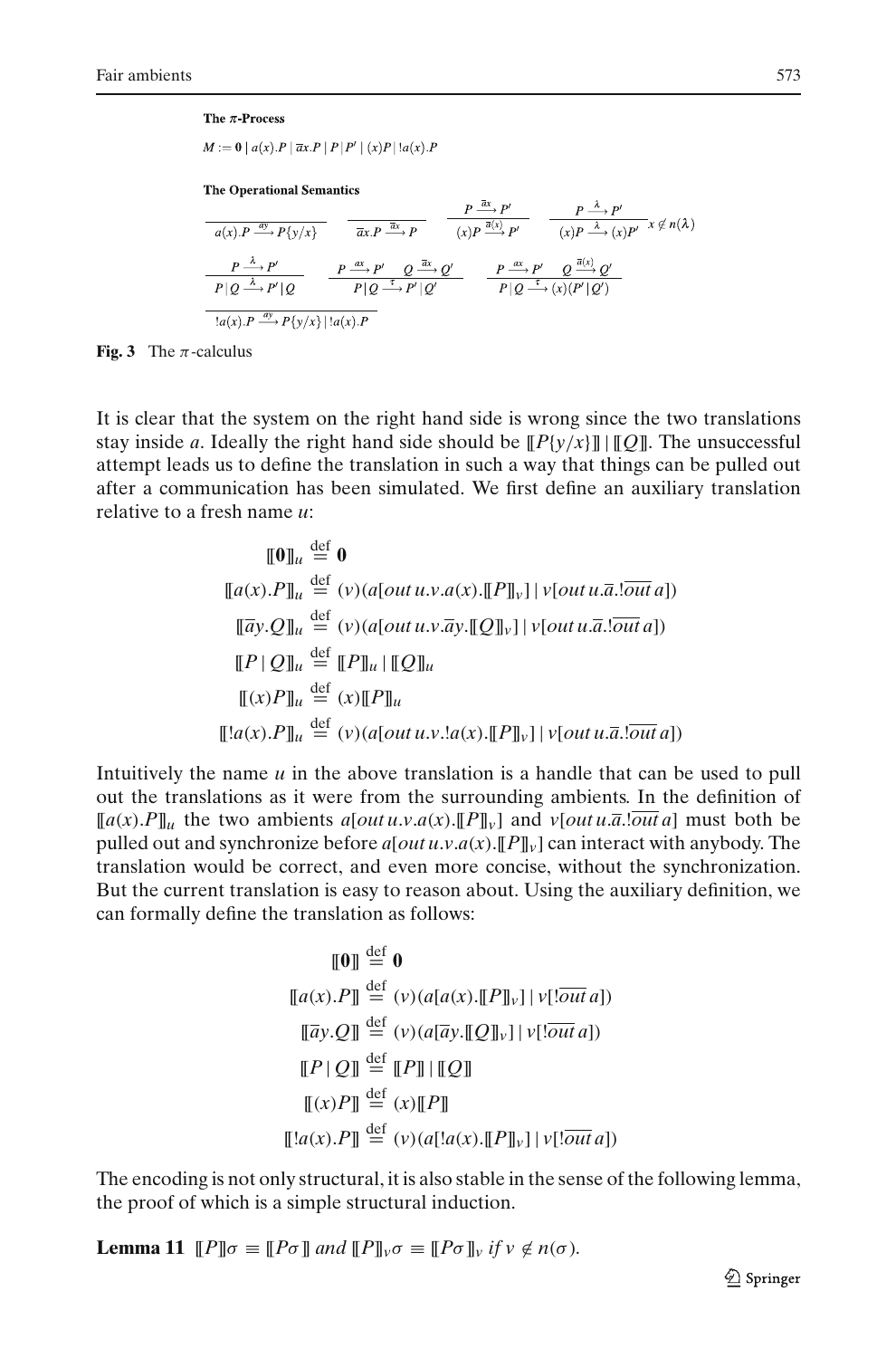#### The  $\pi$ -Process

 $M := 0 |a(x).P|\overline{a}x.P|P|P'| (x)P|!a(x).P$ 

**The Operational Semantics** 

$$
\frac{P \xrightarrow{\overline{\alpha}} P'}{(x)P \xrightarrow{\overline{\alpha}} P} \qquad \frac{P \xrightarrow{\overline{\alpha}} P'}{(x)P \xrightarrow{\overline{\alpha}} P'} \qquad \frac{P \xrightarrow{\overline{\lambda}} P'}{(x)P \xrightarrow{\overline{\lambda}} P'} \qquad \frac{P \xrightarrow{\lambda} P'}{(x)P \xrightarrow{\lambda} P'}(x)P' \xrightarrow{x} \notin n(\lambda)
$$
\n
$$
\frac{P \xrightarrow{\lambda} P'}{P|Q \xrightarrow{\lambda} P'|Q} \qquad \frac{P \xrightarrow{\alpha} P'}{P|Q \xrightarrow{\overline{\lambda}} P'|Q'} \qquad \frac{P \xrightarrow{\alpha} P'}{P|Q \xrightarrow{\overline{\lambda}} (x) (P'|Q')}
$$
\n
$$
\frac{I(a(x).P \xrightarrow{\alpha} P\{y/x\} | \{a(x).P\}
$$

<span id="page-38-0"></span>**Fig. 3** The  $\pi$ -calculus

It is clear that the system on the right hand side is wrong since the two translations stay inside *a*. Ideally the right hand side should be  $[ P \{ \gamma / x \} ] [ Q ] ]$ . The unsuccessful attempt leads us to define the translation in such a way that things can be pulled out after a communication has been simulated. We first define an auxiliary translation relative to a fresh name *u*:

$$
\begin{aligned}\n\llbracket \mathbf{0} \rrbracket_u & \stackrel{\text{def}}{=} \mathbf{0} \\
\llbracket a(x).P \rrbracket_u & \stackrel{\text{def}}{=} (v)(a[out u.v.a(x).[[P]]_v] | v[out u.\overline{a}].\overline{out} a]) \\
\llbracket \overline{a}y.Q \rrbracket_u & \stackrel{\text{def}}{=} (v)(a[out u.v.\overline{a}y.[[Q]]_v] | v[out u.\overline{a}].\overline{out} a]) \\
\llbracket P \mid Q \rrbracket_u & \stackrel{\text{def}}{=} (\llbracket P \rrbracket_u | [[Q]]_u \\
\llbracket (x)P \rrbracket_u & \stackrel{\text{def}}{=} (v)(a[out u.v.!a(x).[[P]]_v] | v[out u.\overline{a}].\overline{out} a])\n\end{aligned}
$$

Intuitively the name *u* in the above translation is a handle that can be used to pull out the translations as it were from the surrounding ambients. In the definition of  $[[a(x).P]]_u$  the two ambients  $a[out u.v.a(x).[P]]_v]$  and  $v[out u.\overline{a}.\overline{out}a]$  must both be pulled out and synchronize before  $a[outu.v.a(x)$ . [[P][v] can interact with anybody. The translation would be correct, and even more concise, without the synchronization. But the current translation is easy to reason about. Using the auxiliary definition, we can formally define the translation as follows:

$$
\llbracket \mathbf{0} \rrbracket \stackrel{\text{def}}{=} \mathbf{0}
$$
\n
$$
\llbracket a(x).P \rrbracket \stackrel{\text{def}}{=} (v) (a[a(x).[[P]]_v] | v[!\overline{\text{out } a}])
$$
\n
$$
\llbracket \overline{a}y.Q \rrbracket \stackrel{\text{def}}{=} (v) (a[\overline{a}y.[[Q]]_v] | v[!\overline{\text{out } a}])
$$
\n
$$
\llbracket P \mid Q \rrbracket \stackrel{\text{def}}{=} [P] \parallel [\hspace{-0.3ex}[ Q] \rrbracket
$$
\n
$$
\llbracket (x)P \rrbracket \stackrel{\text{def}}{=} (x) [\hspace{-0.3ex}[ P] \rrbracket
$$
\n
$$
\llbracket !a(x).P \rrbracket \stackrel{\text{def}}{=} (v) (a[!a(x).[[P]]_v] | v[!\overline{\text{out } a}])
$$

The encoding is not only structural, it is also stable in the sense of the following lemma, the proof of which is a simple structural induction.

**Lemma 11**  $[P]\sigma \equiv [P\sigma]$  *and*  $[P]\sigma \equiv [P\sigma]$ *v if v*  $\notin n(\sigma)$ *.*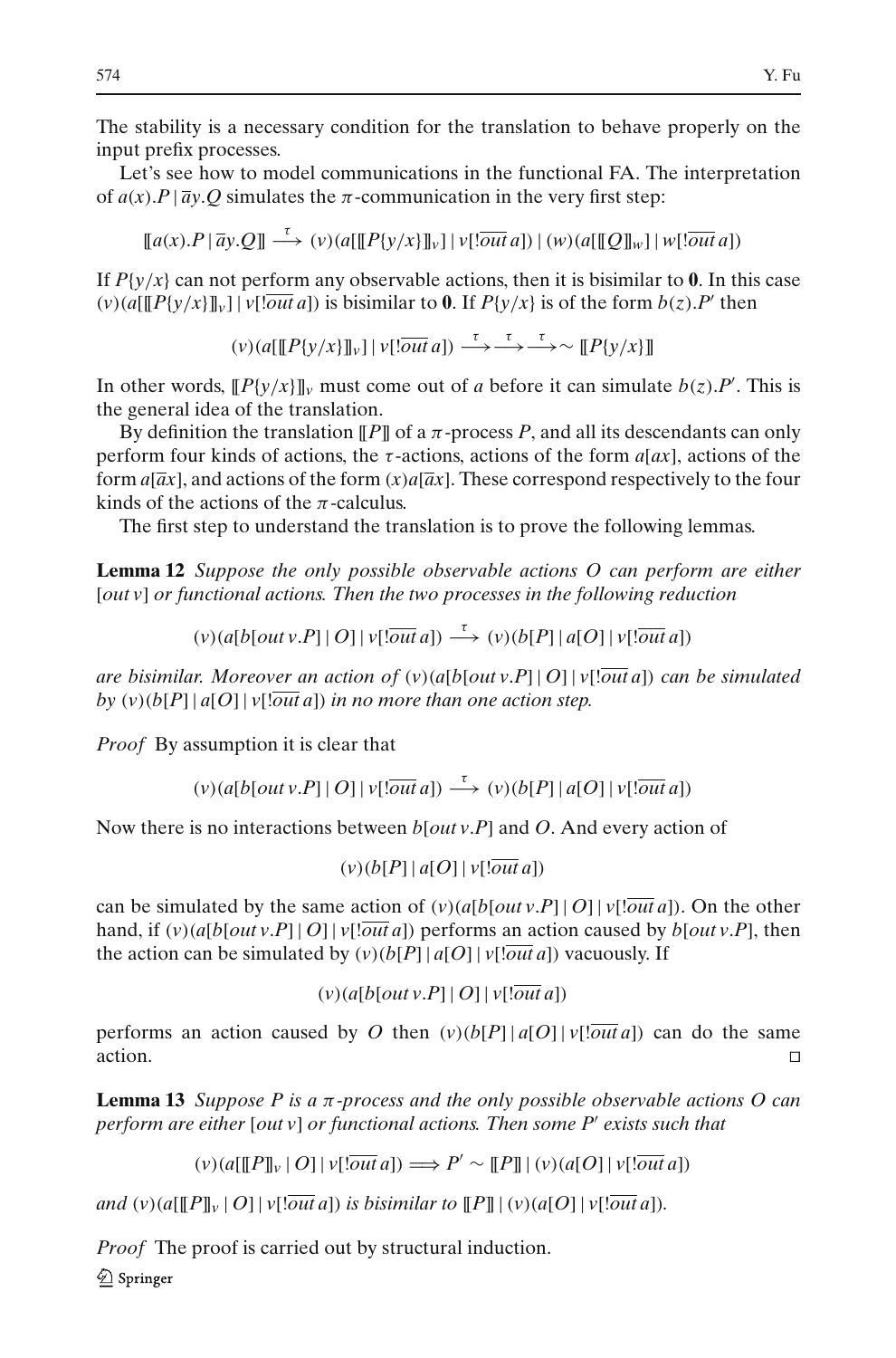The stability is a necessary condition for the translation to behave properly on the input prefix processes.

Let's see how to model communications in the functional FA. The interpretation of  $a(x)$ .*P* |  $\overline{a}y$ .*Q* simulates the  $\pi$ -communication in the very first step:

 $\lceil \lceil \lceil \lceil \sqrt{a} \rceil \rceil$   $\lceil \lceil \sqrt{a} \rceil \rceil$   $\to$   $\lceil \sqrt{a} \rceil \lceil \lceil \lceil \sqrt{a} \rceil \lceil \lceil \sqrt{a} \rceil \rceil}$   $a]$ )  $\lceil \sqrt{a} \lceil \lceil \mathcal{Q} \rceil \rceil$   $w$  $\lceil \lceil \sqrt{a} \rceil$   $a]$ )

If  $P\{y/x\}$  can not perform any observable actions, then it is bisimilar to 0. In this case  $(v)(a[[P{y/x}]]_v] | v[!\overline{\omega}u]$  is bisimilar to **0**. If  $P{y/x}$  is of the form  $b(z)$ . P' then

 $(v)$ ( $a$ [[[*P*{ $v/x$ }]] $v$ [ $\overline{out}$  $a$ ])  $\xrightarrow{\tau} \overline{\rightarrow} \rightarrow \infty$  [[*P*{ $v/x$ }]]

In other words,  $[$ [*P*{ $y/x$ }] $]_v$  must come out of *a* before it can simulate *b*(*z*).*P*<sup>'</sup>. This is the general idea of the translation.

By definition the translation  $\llbracket P \rrbracket$  of a  $\pi$ -process P, and all its descendants can only perform four kinds of actions, the  $\tau$ -actions, actions of the form  $a[ax]$ , actions of the form  $a[\overline{a}x]$ , and actions of the form  $(x)a[\overline{a}x]$ . These correspond respectively to the four kinds of the actions of the  $\pi$ -calculus.

The first step to understand the translation is to prove the following lemmas.

<span id="page-39-0"></span>**Lemma 12** *Suppose the only possible observable actions O can perform are either* [*out v*] *or functional actions. Then the two processes in the following reduction*

 $(v)(a[b[out v.P]|O]|v[!\overline{out}a]) \xrightarrow{\tau} (v)(b[P]|a[O]|v[!\overline{out}a])$ 

*are bisimilar. Moreover an action of* (*v*)(*a*[*b*[*out v*.*P*] | *O*] | *v*[!*out a*]) *can be simulated by*  $(v)(b[P] | a[O] | v![\overline{out} a])$  *in no more than one action step.* 

*Proof* By assumption it is clear that

 $(v)(a[b[out v.P]|O]|v[:out a]) \xrightarrow{\tau} (v)(b[P]|a[O]|v[:out a])$ 

Now there is no interactions between *b*[*out v*.*P*] and *O*. And every action of

 $(v)(b[P] | a[O] | v![\overline{out} a])$ 

can be simulated by the same action of  $(v)(a[b[out v.P]] O] | v[1]ow1a]$ . On the other hand, if  $(v)(a[b[out v.P] | O] | v[out a])$  performs an action caused by  $b[out v.P]$ , then the action can be simulated by  $(v)(b[P] | a[O] | v[1] \overline{out} a])$  vacuously. If

 $(v)(a[b[out v.P]] | O] | v[!out a])$ 

performs an action caused by *O* then  $(v)(b[P] | a[O] | v[Out a])$  can do the same action.

<span id="page-39-1"></span>**Lemma 13** *Suppose P is a* π*-process and the only possible observable actions O can perform are either* [*out v*] *or functional actions. Then some P*- *exists such that*

 $(\nu)(a[[P]]_{\nu} | O] | \nu[!\overline{out} a]) \Longrightarrow P' \sim [[P]] | (\nu)(a[O] | \nu[!\overline{out} a])$ 

*and*  $(v)(a[[P]_v \mid O] \mid v[*out* a])$  *is bisimilar to*  $[[P] \mid (v)(a[O] \mid v[*out* a]).$ 

*Proof* The proof is carried out by structural induction.

2 Springer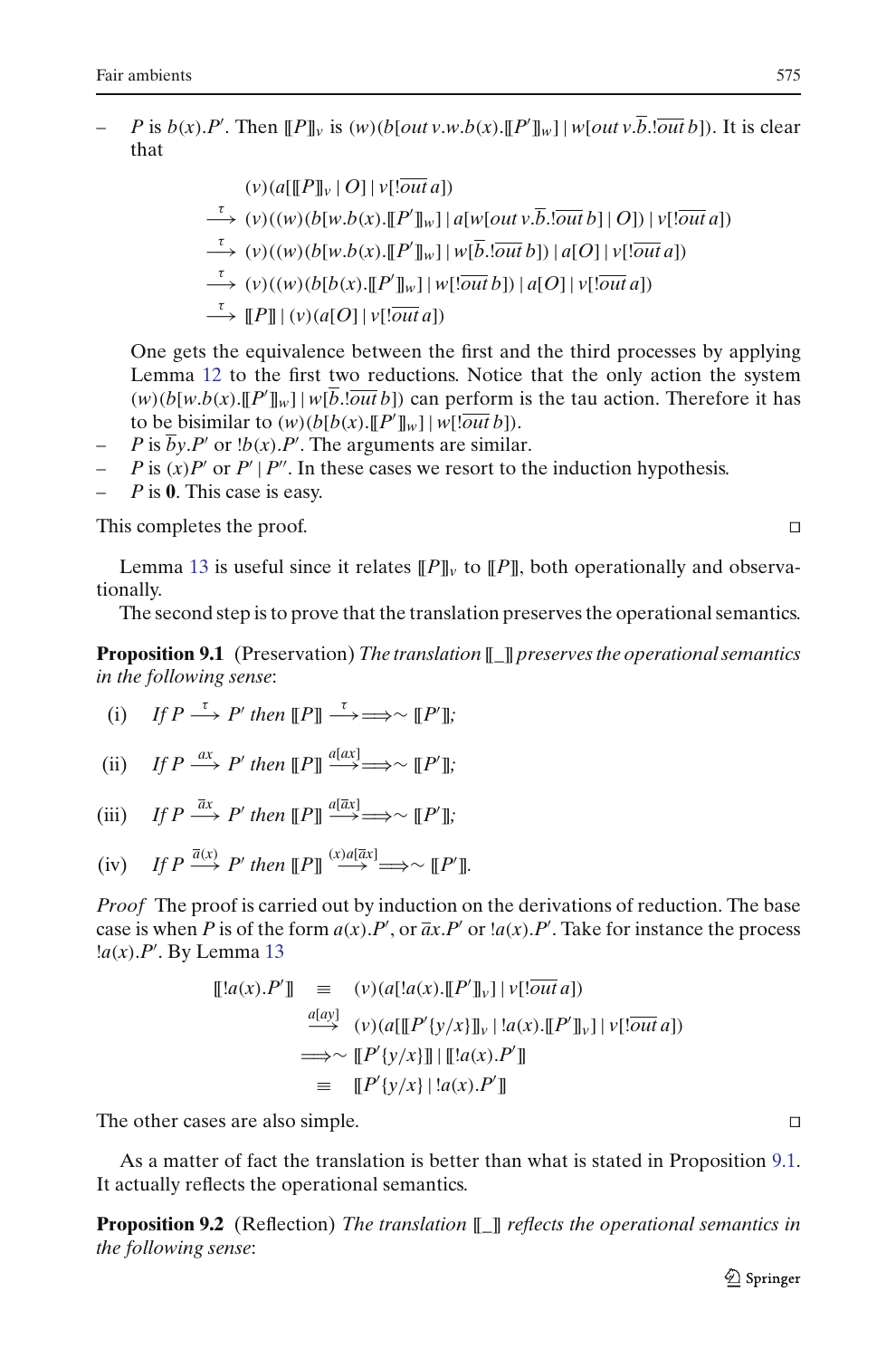$-P$  is  $b(x).P'$ . Then  $[[P]]_v$  is  $(w)(b[out v.w.b(x).[P']]_w] | w[out v.\overline{b}.\overline{lout}b])$ . It is clear that

$$
(v)(a[[P]]_v | O] | v[!\overline{out} a])
$$
\n
$$
\xrightarrow{\tau} (v)((w)(b[w.b(x).[[P']]_w)] a[w[out v.\overline{b}.\overline{out} b] | O]) | v[!\overline{out} a])
$$
\n
$$
\xrightarrow{\tau} (v)((w)(b[w.b(x).[[P']]_w)] w[\overline{b}.\overline{out} b]) | a[O] | v[!\overline{out} a])
$$
\n
$$
\xrightarrow{\tau} (v)((w)(b[b(x).[[P']]_w)] w[!\overline{out} b]) | a[O] | v[!\overline{out} a])
$$
\n
$$
\xrightarrow{\tau} [[P]] | (v)(a[O] | v[!\overline{out} a])
$$

One gets the equivalence between the first and the third processes by applying Lemma [12](#page-39-0) to the first two reductions. Notice that the only action the system  $(w)(b[w.b(x).[[P']]_w] | w[\overline{b}].\overline{out}b])$  can perform is the tau action. Therefore it has to be bisimilar to  $(w)(b[b(x)][P']_w] | w[!\overline{out}\,b]).$ 

- $-P$  is  $\overline{b}y.P'$  or  $!b(x).P'$ . The arguments are similar.
- $-P$  is  $(x)P'$  or  $P' | P''$ . In these cases we resort to the induction hypothesis.
- *P* is **0**. This case is easy.

This completes the proof.

Lemma [13](#page-39-1) is useful since it relates  $[$ *P* $]_v$  to  $[$ *P* $]_v$ , both operationally and observationally.

The second step is to prove that the translation preserves the operational semantics.

<span id="page-40-0"></span>**Proposition 9.1** (Preservation)*The translation* [[*\_*]] *preserves the operational semantics in the following sense*:

(i) If 
$$
P \xrightarrow{\tau} P'
$$
 then  $[[P]] \xrightarrow{\tau} \Longrightarrow \sim [[P']]$ ;

(ii) If 
$$
P \xrightarrow{ax} P'
$$
 then  $[P] \xrightarrow{a[ax]} \longrightarrow \sim [P']$ ;

(iii) If 
$$
P \xrightarrow{\bar{a}x} P'
$$
 then  $[[P]] \xrightarrow{a[\bar{a}x]} \Longrightarrow \sim [[P']]$ ;

(iv) If 
$$
P \xrightarrow{\bar{a}(x)} P'
$$
 then  $[[P]] \xrightarrow{(x)a[\bar{a}x]} \Longrightarrow \sim [[P']]$ .

*Proof* The proof is carried out by induction on the derivations of reduction. The base case is when *P* is of the form  $a(x)$ .*P'*, or  $\overline{a}x$ .*P'* or  $a(x)$ .*P'*. Take for instance the process !*a*(*x*).*P*- . By Lemma [13](#page-39-1)

$$
\begin{array}{rcl}\n[[!a(x).P']] & \equiv & (v)(a[!a(x).[P']]_v] \mid v[!\overline{\it{out}} \, a]) \\
& \xrightarrow{a[ay]} & (v)(a[[P'(y/x)]]_v \mid !a(x).[P']_v] \mid v[!\overline{\it{out}} \, a]) \\
& \Longrightarrow \sim [P'(y/x)][\mid [[!a(x).P']] \\
& \equiv & [[P'(y/x)] \mid !a(x).P']\n\end{array}
$$

The other cases are also simple.

<span id="page-40-1"></span>As a matter of fact the translation is better than what is stated in Proposition [9.1.](#page-40-0) It actually reflects the operational semantics.

**Proposition 9.2** (Reflection) *The translation* [[*\_*]] *reflects the operational semantics in the following sense*: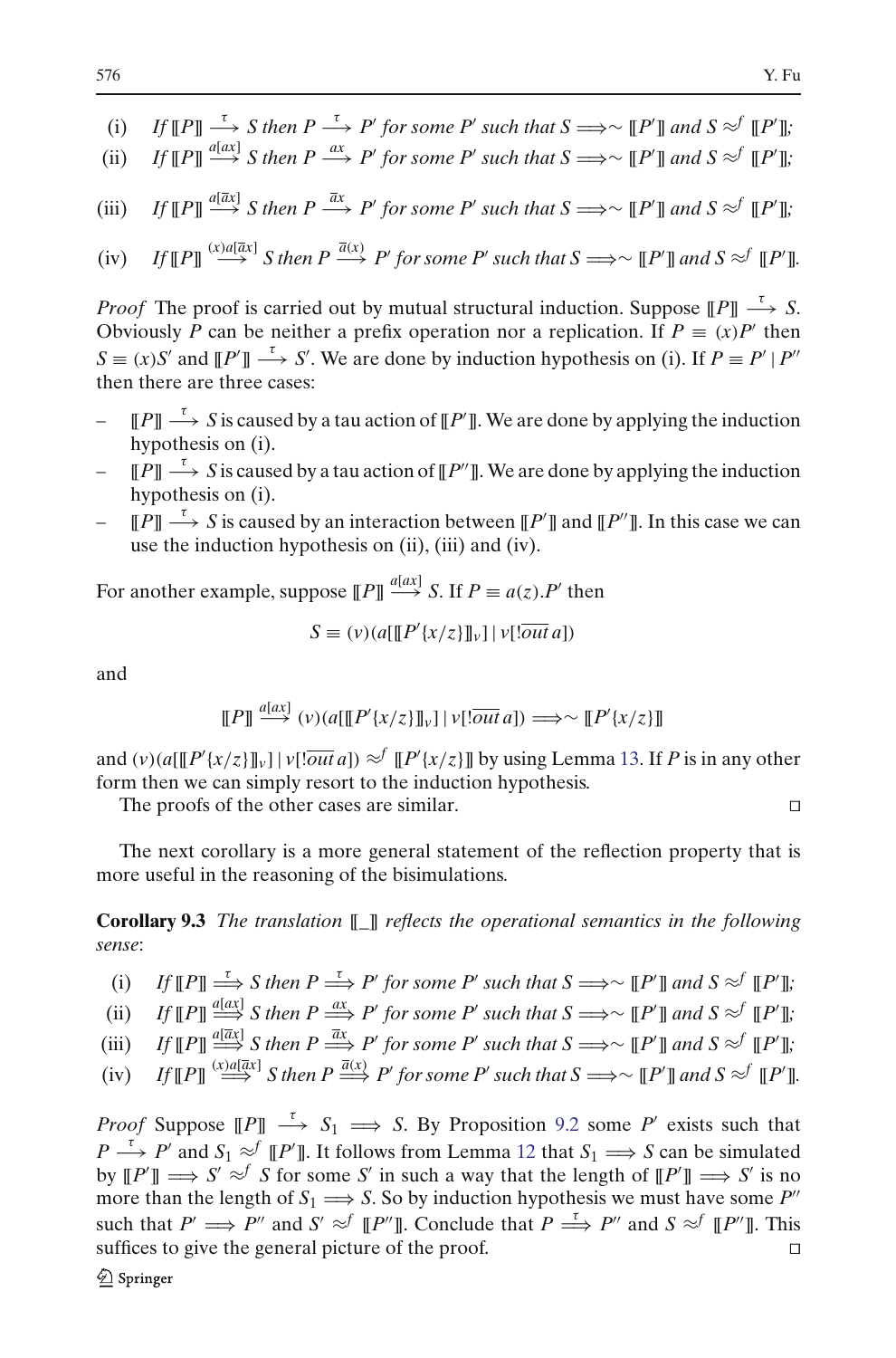- (i) *If*  $[$ *P* $]\longrightarrow$  *S* then *P*  $\xrightarrow{\tau}$  *P'* for some *P'* such that *S*  $\Longrightarrow$   $\sim$   $[$ *P'* $]$  and *S*  $\approx$ <sup>*f*</sup>  $[$ *P'* $]$ ;
- (ii) *If*  $[$ *P* $]\stackrel{a[ax]}{\longrightarrow}$  *S* then *P*  $\xrightarrow{ax}$  *P*<sup>*'*</sup> for some *P'* such that *S*  $\Longrightarrow$   $\sim$   $[$ *P'* $]\,$ *and S*  $\approx$ <sup>*f*</sup>  $[$ *P'* $]\,$ *j*,
- (iii) *If*  $[$ *P* $]\stackrel{a[\bar{a}x]}{\longrightarrow}$  *S* then *P*  $\xrightarrow{\bar{a}x}$  *P'* for some *P'* such that *S*  $\implies$   $\sim$   $[$ *P'* $]\,$  and *S*  $\approx$ <sup>*f*</sup>  $[$ *P'* $]\,$ ;

(iv) If 
$$
\llbracket P \rrbracket \stackrel{(x)a[\overline{a}x]}{\longrightarrow}
$$
 S then  $P \xrightarrow{\overline{a}(x)} P'$  for some P' such that  $S \Longrightarrow \sim \llbracket P' \rrbracket$  and  $S \approx^f \llbracket P' \rrbracket$ .

*Proof* The proof is carried out by mutual structural induction. Suppose  $[|P|] \xrightarrow{\tau} S$ . Obviously *P* can be neither a prefix operation nor a replication. If  $P \equiv (x)P'$  then  $S \equiv (x)S'$  and  $[ [P'] ] \longrightarrow S'$ . We are done by induction hypothesis on (i). If  $P \equiv P' | P''$ then there are three cases:

- $\vdash$  [[*P*]]  $\stackrel{\tau}{\longrightarrow}$  *S* is caused by a tau action of [[*P*<sup>†</sup>]]. We are done by applying the induction hypothesis on (i).
- $[$   $[P]] \stackrel{\tau}{\longrightarrow} S$  is caused by a tau action of  $[$ *P* $']$ . We are done by applying the induction hypothesis on (i).
- $-$  [*P*]]  $\stackrel{\tau}{\longrightarrow} S$  is caused by an interaction between [*P'*]] and [*P'*]]. In this case we can use the induction hypothesis on (ii), (iii) and (iv).

For another example, suppose  $[[P]] \xrightarrow{a[\alpha x]} S$ . If  $P \equiv a(z) \cdot P'$  then

$$
S \equiv (v) (a \left[ \left[ \left[ P' \{x/z\} \right] \right] \right] \mid v \left[ \left[ \overline{out} \, a \right] \right)
$$

and

$$
\llbracket P \rrbracket \stackrel{a[ax]}{\longrightarrow} (v)(a[\llbracket P'\{x/z\}\rrbracket_v] \mid v[\overline{out}\,a]) \Longrightarrow \sim \llbracket P'\{x/z\}\rrbracket
$$

and  $(v)(a[[P'(x/z)]]_v] | v[! \overline{out} a]) \approx^f [P'(x/z)]]$  by using Lemma [13.](#page-39-1) If *P* is in any other form then we can simply resort to the induction hypothesis.

The proofs of the other cases are similar.

<span id="page-41-0"></span>The next corollary is a more general statement of the reflection property that is more useful in the reasoning of the bisimulations.

**Corollary 9.3** *The translation* [[*\_*]] *reflects the operational semantics in the following sense*:

(i) *If*  $[$ *P* $]\Longrightarrow$  *S* then  $P \Longrightarrow P'$  for some P' such that  $S \Longrightarrow \sim [P']$  and  $S \approx^f [P']$ ;

(ii) *If*  $[$ *P* $] \stackrel{a[ax]}{\Longrightarrow} S$  *then P*  $\stackrel{ax}{\Longrightarrow} P'$  *for some P' such that S*  $\Longrightarrow \sim [P']$  *and S*  $\approx$   $f$   $[$ *P'* $]$ *,* 

(iii) *If*  $[$ *P* $]\stackrel{a[\bar{a}x]}{\Longrightarrow}$  *S* then  $P \stackrel{\bar{a}x}{\Longrightarrow} P'$  for some P' such that  $S \Longrightarrow \sim [P']$  and  $S \approx^f [P']$ ;

(iv) If 
$$
\llbracket P \rrbracket \stackrel{(x) a[ax]}{\Longrightarrow} S
$$
 then  $P \stackrel{\overline{a}(x)}{\Longrightarrow} P'$  for some P' such that  $S \Longrightarrow \sim \llbracket P' \rrbracket$  and  $S \approx^f \llbracket P' \rrbracket$ .

*Proof* Suppose  $[$ [*P* $] \longrightarrow S_1 \longrightarrow S$ . By Proposition [9.2](#page-40-1) some *P*<sup> $\prime$ </sup> exists such that *P*  $\stackrel{\tau}{\longrightarrow}$  *P*' and *S*<sub>1</sub>  $\approx$ <sup>*f*</sup> [[*P*<sup>'</sup>]]. It follows from Lemma [12](#page-39-0) that *S*<sub>1</sub>  $\Rightarrow$  *S* can be simulated by  $[$ [*P*<sup> $\prime$ </sup>]  $\implies$  *S'*  $\approx$ <sup>*f*</sup> *S* for some *S'* in such a way that the length of  $[$ [*P*<sup> $\prime$ </sup>]  $\implies$  *S'* is no more than the length of  $S_1 \longrightarrow S$ . So by induction hypothesis we must have some P<sup>''</sup> such that  $P' \implies P''$  and  $S' \approx^f [P'']$ . Conclude that  $P \stackrel{\tau}{\implies} P''$  and  $S \approx^f [P'']$ . This suffices to give the general picture of the proof.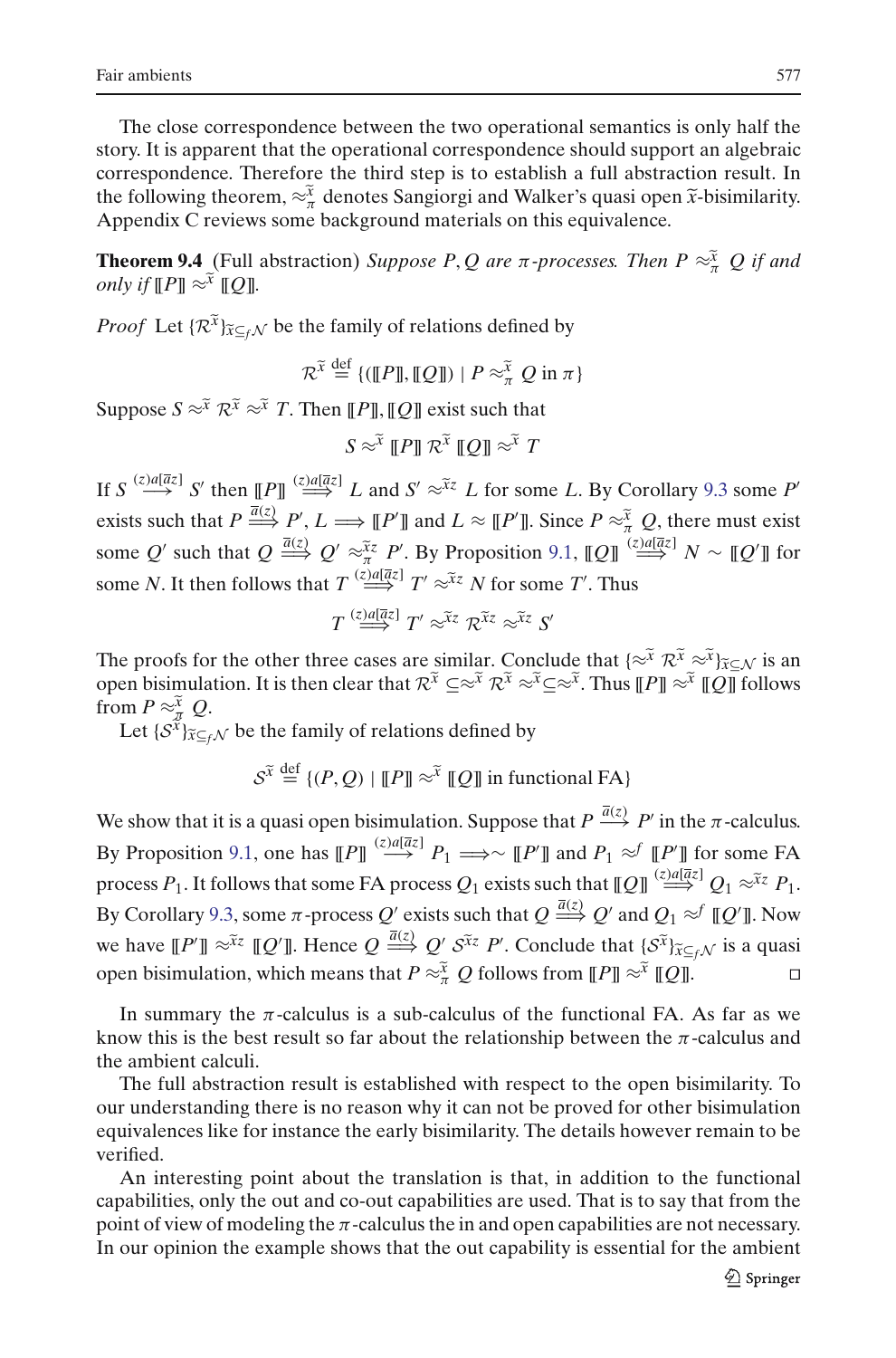The close correspondence between the two operational semantics is only half the story. It is apparent that the operational correspondence should support an algebraic correspondence. Therefore the third step is to establish a full abstraction result. In The close correspondence between the two operational semantics is only half the story. It is apparent that the operational correspondence should support an algebraic correspondence. Therefore the third step is to establis Appendix C reviews some background materials on this equivalence. The following theorem,  $≈^{\tilde{x}}_{\pi}$  denotes Sangiorgi and Walker's quasi open  $\tilde{x}$ -bisimilarity.<br>Appendix C reviews some background materials on this equivalence.<br>**Theorem 9.4** (Full abstraction) *Suppose P*, *Q* ar

*only if* [*P*]  $\propto$   $\tilde{x}$  [*Q*]]*.*<br>*only if* [[*P*]]  $\approx$   $\tilde{x}$  [*Q*]]. **Theorem 9.4** (Full abstraction) Suppose P, Q are  $\pi$ -proconly if  $[[P]] \approx \tilde{x}$   $[[Q]]$ .<br>*Proof* Let  $\{R^{\tilde{x}}\}_{\tilde{x} \subseteq_f \mathcal{N}}$  be the family of relations defined by

the family of relations defined by  
\n
$$
\mathcal{R}^{\widetilde{\chi}} \stackrel{\text{def}}{=} \{([\llbracket P \rrbracket, [\llbracket Q \rrbracket) \mid P \approx_{\pi}^{\widetilde{\chi}} Q \text{ in } \pi \}
$$

*Suppose*  $S \approx^{\tilde{x}} R^{\tilde{x}} \approx^{\tilde{x}} T$ *. Then*  $[[P]]$ *,*  $[Q]]$  *exist such that*  $\begin{bmatrix} \mathbb{F} & \mathbb{F} \\ \mathbb{F} & \mathbb{F} \end{bmatrix}$  *R*<sub>*P*</sub>  $\mathbb{F}$  *R*<sup>2</sup> *R*<sub>*R*</sub> *I R*<sup>2</sup> *R*<sup>2</sup> *I R*<sup>3</sup> *IQ*<sub>*I*</sub>  $\approx$  <sup>7</sup> *T* 

$$
S \approx^{\widetilde{x}} \llbracket P \rrbracket \mathcal{R}^{\widetilde{x}} \llbracket Q \rrbracket \approx^{\widetilde{x}} T
$$

Suppose  $S \approx^{\mathcal{X}} \mathcal{R}^{\mathcal{X}} \approx^{\mathcal{X}} T$ . Then  $[|P]$ ,  $[|Q]$  exist such that<br>  $S \approx^{\widetilde{\mathcal{X}}} [P] \mathcal{R}^{\widetilde{\mathcal{X}}} [Q] \approx^{\widetilde{\mathcal{X}}} T$ <br>
If  $S \stackrel{(z)a[\overline{a}z]}{\longrightarrow} S'$  then  $[|P] \stackrel{(z)\underline{a}[\overline{a}z]}{\longrightarrow} L$  and  $S' \approx^{\widetilde{\mathcal{X}}z} L$  $S \approx^{\tilde{x}} \llbracket P \rrbracket \mathcal{R}^{\tilde{x}} \llbracket Q \rrbracket \approx^{\tilde{x}} T$ <br>
If  $S \stackrel{(z) a[\bar{a}z]}{\longrightarrow} S'$  then  $\llbracket P \rrbracket \stackrel{(z) a[\bar{a}z]}{\longrightarrow} P'$ ,  $L \Longrightarrow \llbracket P' \rrbracket$  and  $L \approx \llbracket P' \rrbracket$ . Since  $P \approx^{\tilde{x}}_{\tilde{x}} Q$ , there must exist<br>
exists such that  $P \stackrel{\bar{$ If  $S \stackrel{(z)a[\bar{a}z]}{\longrightarrow} S'$  then  $[IP] \stackrel{(z)a[\bar{a}z]}{\longrightarrow} L$  and  $S' \approx^{\tilde{x}z} L$  for some *L*. By Corollary 9.3 some *P'* exists such that  $P \stackrel{\bar{a}(z)}{\longrightarrow} P', L \implies [P']$  and  $L \approx [P']$ . Since  $P \approx^{\tilde{x}}_{\pi} Q$ , there must exist some *Q'* some *N*. It then follows that  $T \stackrel{(z)a[\bar{a}z]}{\Longrightarrow} T' \approx \tilde{x} \in N$  for some  $T'$ . Thus *x M N*  $\approx$  *MP*<sup>*I*</sup> *MP*<sup>*I*</sup> *MP*<sup>*n*</sup> *MP*<sup>*n*</sup> *M<sub></sub> N*<sup>*z*<sub>*z*</sub> *X*<sup>*z*</sup> *N* for some *T*<sup>*n*</sup></sup> By Proposition 9<br>
<sup>*r*</sup>  $\approx \tilde{x}z$ </sup> *N* for som<br> *r*  $\approx \tilde{x}z$   $\mathcal{R}^{\tilde{x}z} \approx \tilde{x}z$  *S'* 

$$
T \stackrel{(z) \bar{a}[\bar{a}z]}{\Longrightarrow} T' \approx^{\widetilde{x}z} \mathcal{R}^{\widetilde{x}z} \approx^{\widetilde{x}z} S'
$$

some *N*. It then follows that  $T \stackrel{(z) \text{ and } z}{\sim} T' \approx xz$  *N* for some *T'*. Thus<br> $T \stackrel{(z) \text{ and } z}{\sim} T' \approx xz \approx xz$  *S'*<br>The proofs for the other three cases are similar. Conclude that  $\{\approx^{\tilde{x}} R^{\tilde{x}} \approx \tilde{x}\}_{\tilde{x} \subseteq \mathcal{N}}$  i  $T \stackrel{(z)\text{ and } \overline{z} \text{ and } T'}{\longrightarrow} T' \approx^{\tilde{x}z} \mathcal{R}^{\tilde{x}z} \approx^{\tilde{x}z} S'$ <br>The proofs for the other three cases are similar. Conclude that  $\{\approx^{\tilde{x}} \mathcal{R}^{\tilde{x}} \approx^{\tilde{x}}\}_{\tilde{x} \subseteq \mathcal{N}}$  is an open bisimulation. It is then clear The proofs<br>open bisin<br>from  $P \approx \tilde{X}$ from  $P \approx \tilde{X} Q$ . e proofs for the other three cases are similar. Con<br>en bisimulation. It is then clear that  $\mathcal{R}^{\tilde{x}} \subseteq \approx^{\tilde{x}} \mathcal{R}^{\tilde{x}} \approx^{\tilde{y}} m P \approx^{\tilde{x}} g$ .<br>Let  $\{S^{\tilde{x}}\}_{\tilde{x} \subseteq f\mathcal{N}}$  be the family of relations defined by

Let  $\{S^{\tilde{x}}\}_{\tilde{x}\subset f}$  be the family of relations defined by

$$
\mathcal{S}^{\widetilde{x}} \stackrel{\text{def}}{=} \{ (P, Q) \mid [\![P]\!] \approx \widetilde{x} \; [\![Q]\!] \text{ in functional FA} \}
$$

We show that it is a quasi open bisimulation. Suppose that  $P \xrightarrow{\bar{a}(z)} P'$  in the  $\pi$ -calculus.<br>By Proposition 9.1, one has  $[[P]] \xrightarrow{(z)a[\bar{a}z]} P_1 \Longrightarrow \sim [P']$  and  $P_1 \approx^{\text{f}} [P']$  for some FA process  $P_1$ . It follows that som By Proposition [9.1,](#page-40-0) one has  $[[P]] \stackrel{(z)a[\bar{a}z]}{\longrightarrow} P_1 \Longrightarrow \sim [[P']]$  and  $P_1 \approx^f [P']$  for some FA process  $P_1$ . It follows that some FA process  $Q_1$  exists such that  $\llbracket Q \rrbracket \stackrel{(z) \cdot a[\bar{a}z]}{\Longrightarrow} Q_1 \approx \tilde{x}^z P_1$ . By Corollary [9.3,](#page-41-0) some π-process  $Q'$  exists such that  $Q \stackrel{\overline{a}(z)}{\Longrightarrow} Q'$  and  $Q_1 \approx^f \llbracket Q' \rrbracket.$  Now process  $P_1$ . It follows that some FA process  $Q_1$  exists such that  $[Q] \stackrel{(z)_{\text{all}}[z]}{\longrightarrow} Q_1 \approx^{\tilde{x}_z} P_1$ .<br>By Corollary 9.3, some  $\pi$ -process  $Q'$  exists such that  $Q \stackrel{\overline{a}(z)}{\Longrightarrow} Q'$  and  $Q_1 \approx^f [Q']$ . Now<br>we have  $[$ bisimulation, which means that *P* ≈<sup>*x*</sup><sub>*x*</sub></sub> *Q'* sizes such that *Q*  $\frac{\bar{a}(z)}{z}$  *Q'* and *Q*<sub>1</sub> ≈<sup>*x*</sup> [[*Q'*]]. Now we have [[*P'*]] ≈<sup>*x*</sup><sup>*x*</sup> [*Q'*]]. Hence *Q*  $\frac{\bar{a}(z)}{z}$  *Q' s*<sup>*x*</sup><sub>*x*</sub> *P'*. Conclu

In summary the  $\pi$ -calculus is a sub-calculus of the functional FA. As far as we know this is the best result so far about the relationship between the  $\pi$ -calculus and the ambient calculi.

The full abstraction result is established with respect to the open bisimilarity. To our understanding there is no reason why it can not be proved for other bisimulation equivalences like for instance the early bisimilarity. The details however remain to be verified.

An interesting point about the translation is that, in addition to the functional capabilities, only the out and co-out capabilities are used. That is to say that from the point of view of modeling the  $\pi$ -calculus the in and open capabilities are not necessary. In our opinion the example shows that the out capability is essential for the ambient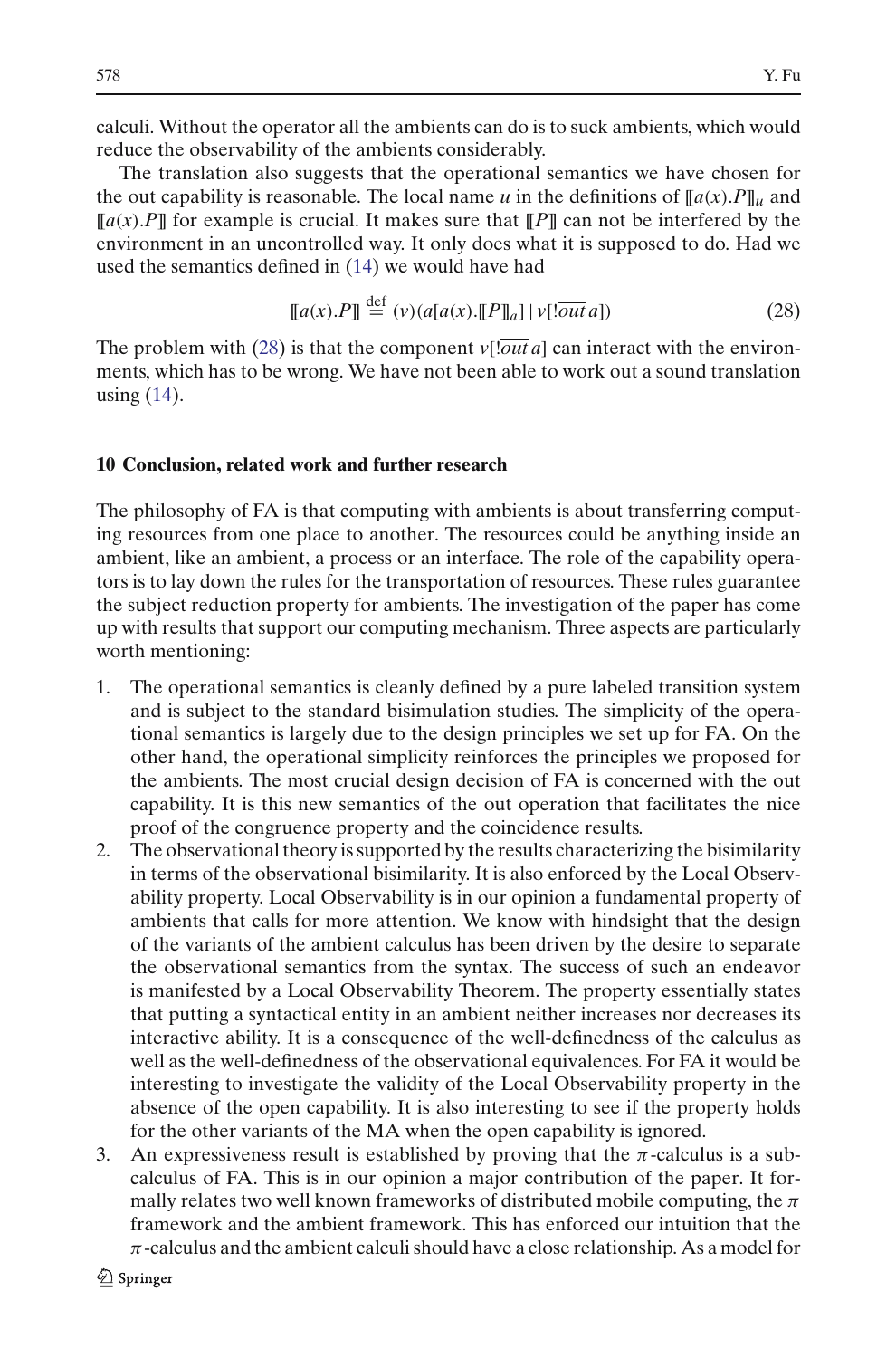calculi. Without the operator all the ambients can do is to suck ambients, which would reduce the observability of the ambients considerably.

The translation also suggests that the operational semantics we have chosen for the out capability is reasonable. The local name *u* in the definitions of  $\llbracket a(x), P \rrbracket$ *u* and  $[[a(x).P]]$  for example is crucial. It makes sure that  $[[P]]$  can not be interfered by the environment in an uncontrolled way. It only does what it is supposed to do. Had we used the semantics defined in [\(14\)](#page-3-3) we would have had

<span id="page-43-1"></span>
$$
[[a(x).P]] \stackrel{\text{def}}{=} (v)(a[a(x).[[P]]_a] | v[!\overline{out} a]) \tag{28}
$$

The problem with [\(28\)](#page-43-1) is that the component  $v$ [*!out a*] can interact with the environments, which has to be wrong. We have not been able to work out a sound translation using [\(14\)](#page-3-3).

#### <span id="page-43-0"></span>**10 Conclusion, related work and further research**

The philosophy of FA is that computing with ambients is about transferring computing resources from one place to another. The resources could be anything inside an ambient, like an ambient, a process or an interface. The role of the capability operators is to lay down the rules for the transportation of resources. These rules guarantee the subject reduction property for ambients. The investigation of the paper has come up with results that support our computing mechanism. Three aspects are particularly worth mentioning:

- 1. The operational semantics is cleanly defined by a pure labeled transition system and is subject to the standard bisimulation studies. The simplicity of the operational semantics is largely due to the design principles we set up for FA. On the other hand, the operational simplicity reinforces the principles we proposed for the ambients. The most crucial design decision of FA is concerned with the out capability. It is this new semantics of the out operation that facilitates the nice proof of the congruence property and the coincidence results.
- 2. The observational theory is supported by the results characterizing the bisimilarity in terms of the observational bisimilarity. It is also enforced by the Local Observability property. Local Observability is in our opinion a fundamental property of ambients that calls for more attention. We know with hindsight that the design of the variants of the ambient calculus has been driven by the desire to separate the observational semantics from the syntax. The success of such an endeavor is manifested by a Local Observability Theorem. The property essentially states that putting a syntactical entity in an ambient neither increases nor decreases its interactive ability. It is a consequence of the well-definedness of the calculus as well as the well-definedness of the observational equivalences. For FA it would be interesting to investigate the validity of the Local Observability property in the absence of the open capability. It is also interesting to see if the property holds for the other variants of the MA when the open capability is ignored.
- 3. An expressiveness result is established by proving that the  $\pi$ -calculus is a subcalculus of FA. This is in our opinion a major contribution of the paper. It formally relates two well known frameworks of distributed mobile computing, the  $\pi$ framework and the ambient framework. This has enforced our intuition that the  $\pi$ -calculus and the ambient calculi should have a close relationship. As a model for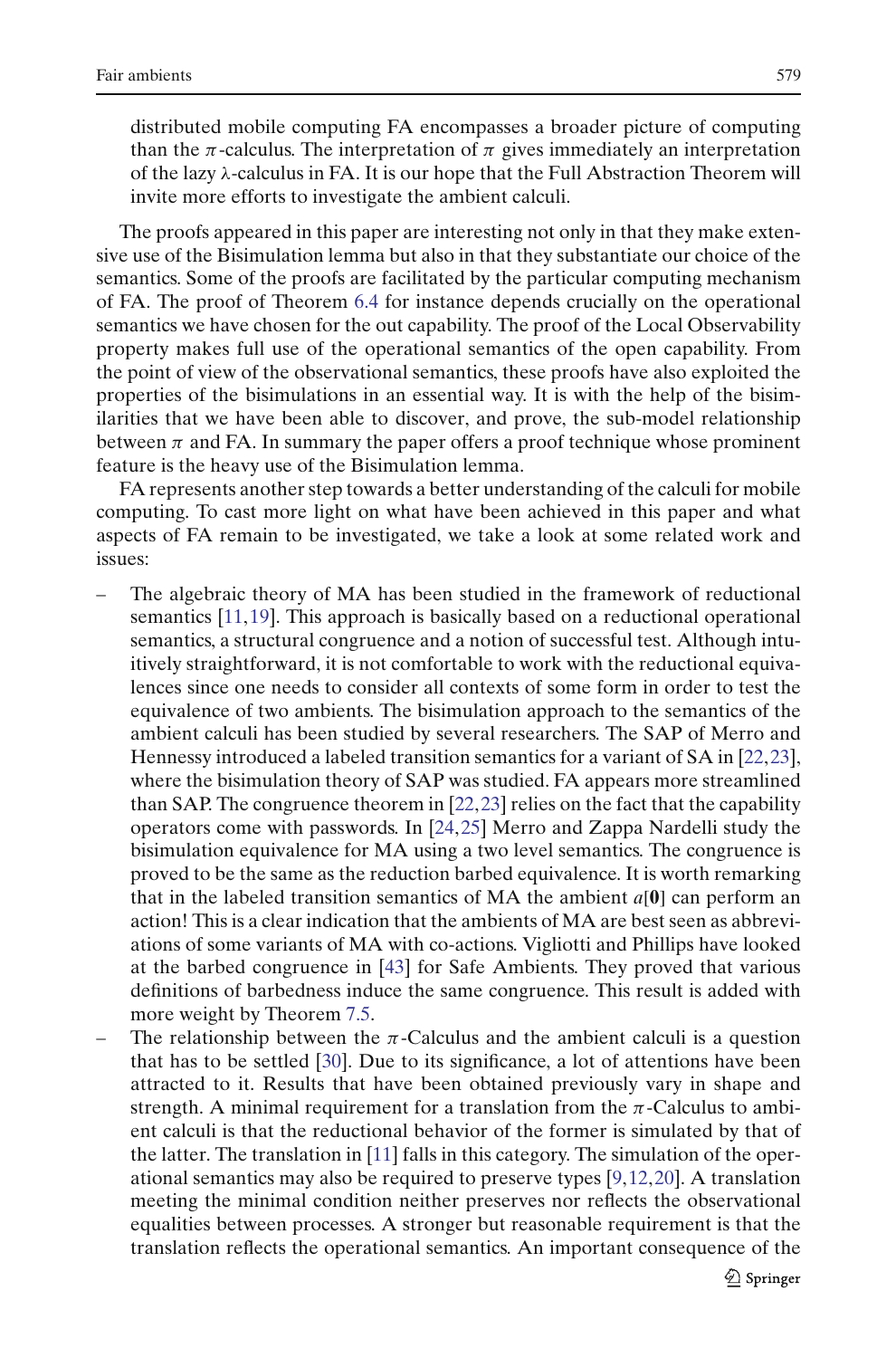distributed mobile computing FA encompasses a broader picture of computing than the  $\pi$ -calculus. The interpretation of  $\pi$  gives immediately an interpretation of the lazy λ-calculus in FA. It is our hope that the Full Abstraction Theorem will invite more efforts to investigate the ambient calculi.

The proofs appeared in this paper are interesting not only in that they make extensive use of the Bisimulation lemma but also in that they substantiate our choice of the semantics. Some of the proofs are facilitated by the particular computing mechanism of FA. The proof of Theorem [6.4](#page-21-1) for instance depends crucially on the operational semantics we have chosen for the out capability. The proof of the Local Observability property makes full use of the operational semantics of the open capability. From the point of view of the observational semantics, these proofs have also exploited the properties of the bisimulations in an essential way. It is with the help of the bisimilarities that we have been able to discover, and prove, the sub-model relationship between  $\pi$  and FA. In summary the paper offers a proof technique whose prominent feature is the heavy use of the Bisimulation lemma.

FA represents another step towards a better understanding of the calculi for mobile computing. To cast more light on what have been achieved in this paper and what aspects of FA remain to be investigated, we take a look at some related work and issues:

- The algebraic theory of MA has been studied in the framework of reductional semantics [\[11](#page-58-1),[19](#page-58-19)]. This approach is basically based on a reductional operational semantics, a structural congruence and a notion of successful test. Although intuitively straightforward, it is not comfortable to work with the reductional equivalences since one needs to consider all contexts of some form in order to test the equivalence of two ambients. The bisimulation approach to the semantics of the ambient calculi has been studied by several researchers. The SAP of Merro and Hennessy introduced a labeled transition semantics for a variant of SA in [\[22,](#page-58-5)[23\]](#page-58-20), where the bisimulation theory of SAP was studied. FA appears more streamlined than SAP. The congruence theorem in [\[22,](#page-58-5)[23\]](#page-58-20) relies on the fact that the capability operators come with passwords. In [\[24](#page-58-13)[,25\]](#page-58-21) Merro and Zappa Nardelli study the bisimulation equivalence for MA using a two level semantics. The congruence is proved to be the same as the reduction barbed equivalence. It is worth remarking that in the labeled transition semantics of MA the ambient *a*[**0**] can perform an action! This is a clear indication that the ambients of MA are best seen as abbreviations of some variants of MA with co-actions. Vigliotti and Phillips have looked at the barbed congruence in [\[43](#page-59-0)] for Safe Ambients. They proved that various definitions of barbedness induce the same congruence. This result is added with more weight by Theorem [7.5.](#page-27-0)
- The relationship between the  $\pi$ -Calculus and the ambient calculi is a question that has to be settled [\[30](#page-58-22)]. Due to its significance, a lot of attentions have been attracted to it. Results that have been obtained previously vary in shape and strength. A minimal requirement for a translation from the  $\pi$ -Calculus to ambient calculi is that the reductional behavior of the former is simulated by that of the latter. The translation in [\[11](#page-58-1)] falls in this category. The simulation of the operational semantics may also be required to preserve types [\[9](#page-58-23),[12](#page-58-24)[,20\]](#page-58-3). A translation meeting the minimal condition neither preserves nor reflects the observational equalities between processes. A stronger but reasonable requirement is that the translation reflects the operational semantics. An important consequence of the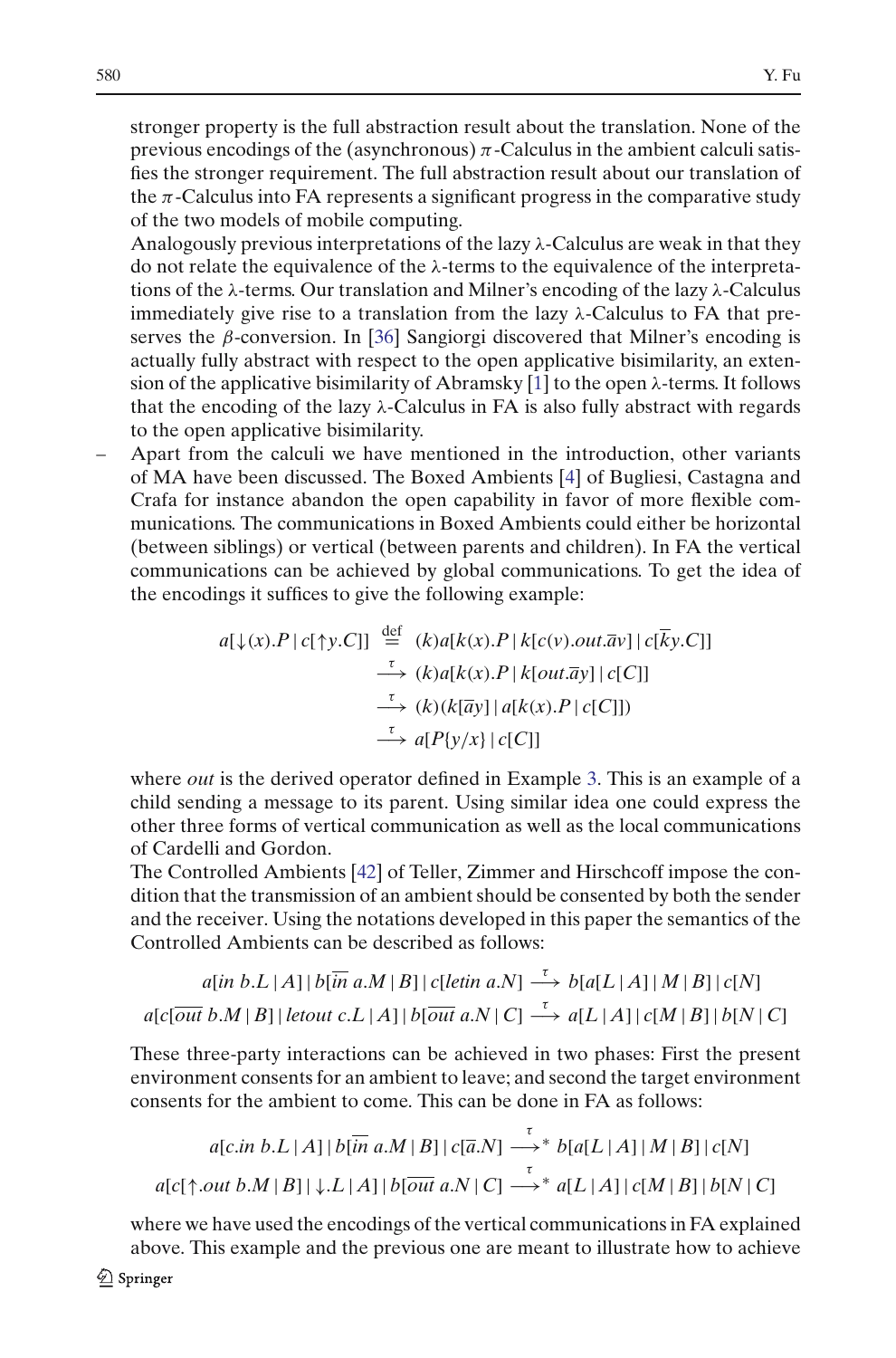stronger property is the full abstraction result about the translation. None of the previous encodings of the (asynchronous)  $\pi$ -Calculus in the ambient calculi satisfies the stronger requirement. The full abstraction result about our translation of the  $\pi$ -Calculus into FA represents a significant progress in the comparative study of the two models of mobile computing.

Analogously previous interpretations of the lazy λ-Calculus are weak in that they do not relate the equivalence of the λ-terms to the equivalence of the interpretations of the  $\lambda$ -terms. Our translation and Milner's encoding of the lazy  $\lambda$ -Calculus immediately give rise to a translation from the lazy  $\lambda$ -Calculus to FA that preserves the  $\beta$ -conversion. In [\[36](#page-58-18)] Sangiorgi discovered that Milner's encoding is actually fully abstract with respect to the open applicative bisimilarity, an extension of the applicative bisimilarity of Abramsky  $[1]$  $[1]$  to the open  $\lambda$ -terms. It follows that the encoding of the lazy  $\lambda$ -Calculus in FA is also fully abstract with regards to the open applicative bisimilarity.

– Apart from the calculi we have mentioned in the introduction, other variants of MA have been discussed. The Boxed Ambients [\[4](#page-57-4)] of Bugliesi, Castagna and Crafa for instance abandon the open capability in favor of more flexible communications. The communications in Boxed Ambients could either be horizontal (between siblings) or vertical (between parents and children). In FA the vertical communications can be achieved by global communications. To get the idea of the encodings it suffices to give the following example:

$$
a[\downarrow(x).P \mid c[\uparrow y.C]] \stackrel{\text{def}}{=} (k)a[k(x).P \mid k[c(v).out.\overline{a}v] \mid c[\overline{k}y.C]]
$$
  
\n
$$
\xrightarrow{\tau} (k)a[k(x).P \mid k[out.\overline{a}y] \mid c[C]]
$$
  
\n
$$
\xrightarrow{\tau} (k)(k[\overline{a}y] \mid a[k(x).P \mid c[C]])
$$
  
\n
$$
\xrightarrow{\tau} a[P\{y/x\} \mid c[C]]
$$

where *out* is the derived operator defined in Example [3.](#page-13-0) This is an example of a child sending a message to its parent. Using similar idea one could express the other three forms of vertical communication as well as the local communications of Cardelli and Gordon.

The Controlled Ambients [\[42\]](#page-59-1) of Teller, Zimmer and Hirschcoff impose the condition that the transmission of an ambient should be consented by both the sender and the receiver. Using the notations developed in this paper the semantics of the Controlled Ambients can be described as follows:

$$
a[in b.L | A] | b[in a.M | B] | c[letin a.N] \xrightarrow{\tau} b[a[L | A] | M | B] | c[N]
$$

$$
a[c[\overline{out} b.M | B] | letout c.L | A] | b[\overline{out} a.N | C] \xrightarrow{\tau} a[L | A] | c[M | B] | b[N | C]
$$

These three-party interactions can be achieved in two phases: First the present environment consents for an ambient to leave; and second the target environment consents for the ambient to come. This can be done in FA as follows:

$$
a[c.in b.L | A] | b[\overline{in} a.M | B] | c[\overline{a}.N] \longrightarrow^* b[a[L | A] | M | B] | c[N]
$$
  

$$
a[c[\uparrow.out b.M | B] | \downarrow L | A] | b[\overline{out} a.N | C] \longrightarrow^* a[L | A] | c[M | B] | b[N | C]
$$

where we have used the encodings of the vertical communications in FA explained above. This example and the previous one are meant to illustrate how to achieve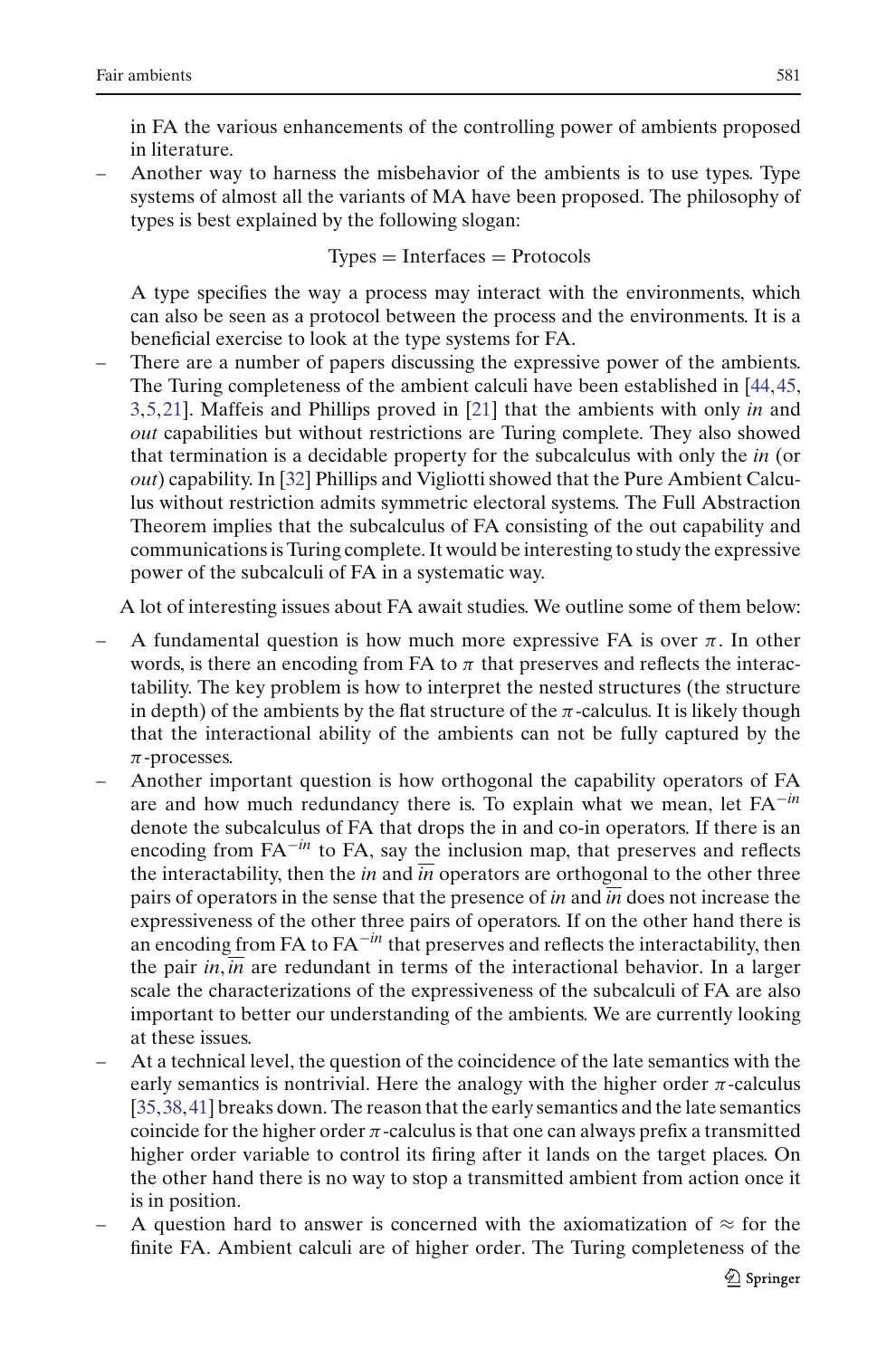in FA the various enhancements of the controlling power of ambients proposed in literature.

– Another way to harness the misbehavior of the ambients is to use types. Type systems of almost all the variants of MA have been proposed. The philosophy of types is best explained by the following slogan:

$$
Types = Interfaces = Protocols
$$

A type specifies the way a process may interact with the environments, which can also be seen as a protocol between the process and the environments. It is a beneficial exercise to look at the type systems for FA.

– There are a number of papers discussing the expressive power of the ambients. The Turing completeness of the ambient calculi have been established in [\[44](#page-59-2)[,45,](#page-59-3) [3,](#page-57-5)[5,](#page-57-6)[21\]](#page-58-25). Maffeis and Phillips proved in [\[21](#page-58-25)] that the ambients with only *in* and *out* capabilities but without restrictions are Turing complete. They also showed that termination is a decidable property for the subcalculus with only the *in* (or *out*) capability. In [\[32\]](#page-58-26) Phillips and Vigliotti showed that the Pure Ambient Calculus without restriction admits symmetric electoral systems. The Full Abstraction Theorem implies that the subcalculus of FA consisting of the out capability and communications is Turing complete. It would be interesting to study the expressive power of the subcalculi of FA in a systematic way.

A lot of interesting issues about FA await studies. We outline some of them below:

- A fundamental question is how much more expressive FA is over  $\pi$ . In other words, is there an encoding from FA to  $\pi$  that preserves and reflects the interactability. The key problem is how to interpret the nested structures (the structure in depth) of the ambients by the flat structure of the  $\pi$ -calculus. It is likely though that the interactional ability of the ambients can not be fully captured by the  $\pi$ -processes.
- Another important question is how orthogonal the capability operators of FA are and how much redundancy there is. To explain what we mean, let FA−*in* denote the subcalculus of FA that drops the in and co-in operators. If there is an encoding from FA−*in* to FA, say the inclusion map, that preserves and reflects the interactability, then the *in* and *in* operators are orthogonal to the other three pairs of operators in the sense that the presence of *in* and *in* does not increase the expressiveness of the other three pairs of operators. If on the other hand there is an encoding from FA to FA−*in* that preserves and reflects the interactability, then the pair *in*, *in* are redundant in terms of the interactional behavior. In a larger scale the characterizations of the expressiveness of the subcalculi of FA are also important to better our understanding of the ambients. We are currently looking at these issues.
- At a technical level, the question of the coincidence of the late semantics with the early semantics is nontrivial. Here the analogy with the higher order  $\pi$ -calculus [\[35,](#page-58-27)[38](#page-58-28),[41](#page-58-29)] breaks down. The reason that the early semantics and the late semantics coincide for the higher order  $\pi$ -calculus is that one can always prefix a transmitted higher order variable to control its firing after it lands on the target places. On the other hand there is no way to stop a transmitted ambient from action once it is in position.
- A question hard to answer is concerned with the axiomatization of  $\approx$  for the finite FA. Ambient calculi are of higher order. The Turing completeness of the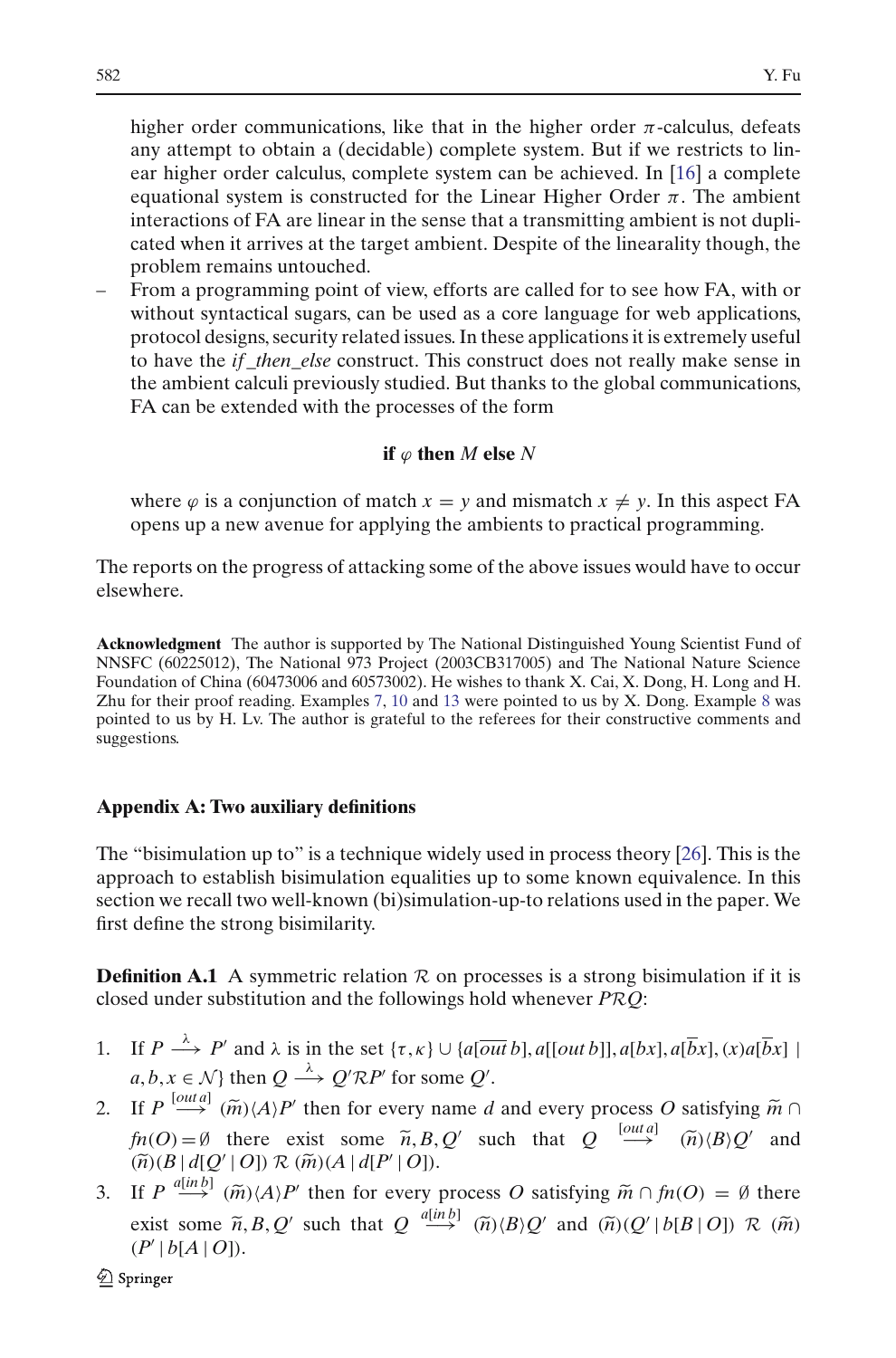higher order communications, like that in the higher order  $\pi$ -calculus, defeats any attempt to obtain a (decidable) complete system. But if we restricts to linear higher order calculus, complete system can be achieved. In [\[16](#page-58-30)] a complete equational system is constructed for the Linear Higher Order  $\pi$ . The ambient interactions of FA are linear in the sense that a transmitting ambient is not duplicated when it arrives at the target ambient. Despite of the linearality though, the problem remains untouched.

– From a programming point of view, efforts are called for to see how FA, with or without syntactical sugars, can be used as a core language for web applications, protocol designs, security related issues. In these applications it is extremely useful to have the *if* \_*then*\_*else* construct. This construct does not really make sense in the ambient calculi previously studied. But thanks to the global communications, FA can be extended with the processes of the form

## **if**  $\varphi$  **then** *M* **else** *N*

where  $\varphi$  is a conjunction of match  $x = y$  and mismatch  $x \neq y$ . In this aspect FA opens up a new avenue for applying the ambients to practical programming.

The reports on the progress of attacking some of the above issues would have to occur elsewhere.

**Acknowledgment** The author is supported by The National Distinguished Young Scientist Fund of NNSFC (60225012), The National 973 Project (2003CB317005) and The National Nature Science Foundation of China (60473006 and 60573002). He wishes to thank X. Cai, X. Dong, H. Long and H. Zhu for their proof reading. Examples [7,](#page-14-0) [10](#page-15-1) and [13](#page-31-0) were pointed to us by X. Dong. Example [8](#page-15-2) was pointed to us by H. Lv. The author is grateful to the referees for their constructive comments and suggestions.

## **Appendix A: Two auxiliary definitions**

The "bisimulation up to" is a technique widely used in process theory [\[26\]](#page-58-7). This is the approach to establish bisimulation equalities up to some known equivalence. In this section we recall two well-known (bi)simulation-up-to relations used in the paper. We first define the strong bisimilarity.

<span id="page-47-0"></span>**Definition A.1** A symmetric relation  $\mathcal{R}$  on processes is a strong bisimulation if it is closed under substitution and the followings hold whenever *PRQ*:

- 1. If  $P \stackrel{\lambda}{\longrightarrow} P'$  and  $\lambda$  is in the set  $\{\tau,\kappa\} \cup \{a[\overline{out}\,b], a[[out\,b]], a[bx], a[\overline{b}x], (x)a[\overline{b}x]\}$  $a, b, x \in \mathcal{N}$  then  $Q \stackrel{\lambda}{\longrightarrow} Q' \mathcal{R} P'$  for some  $Q'$ . 2. If  $P \stackrel{\lambda}{\longrightarrow} P'$  and  $\lambda$  is in the set  $\{\tau, \kappa\} \cup \{a[\overline{out}b], a[[out b]], a[bx], a[\overline{b}x], (x)a[\overline{b}x] \}$ <br>
2. If  $P \stackrel{[out a]}{\longrightarrow} (\widetilde{m}) \langle A \rangle P'$  then for every name *d* and every process *O* satisfying  $\widetilde{m} \cap$
- *f f <i>P*  $\rightarrow$  *P'* and  $\lambda$  is in the set { $\tau, \kappa$ }  $\cup$  { $a[outb]$ ,  $a[outb]$ ,  $a[bx]$ ,  $a[\overline{bx}]$ ,  $(x)\alpha$ ,  $a, b, x \in \mathcal{N}$ } then  $Q \rightarrow Q'RP'$  for some  $Q'$ .<br> *ff*  $P \stackrel{[outa]}{\longrightarrow} (\widetilde{m})(A)P'$  then for every name *d* and every p  $(\widetilde{n})\langle B\rangle Q'$  and  $(a, b, x \in \mathcal{N} \text{ then } Q \xrightarrow{\lambda} Q' \mathcal{R} P'$ <br>
If  $P \stackrel{[out,a]}{\longrightarrow} (\widetilde{m}) \langle A \rangle P'$  then for ev<br>  $\hat{m}(O) = \emptyset$  there exist some<br>  $(\widetilde{n})(B | d[Q' | O]) \mathcal{R} (\widetilde{m}) (A | d[P']$  $(\widetilde{n})(B | d[Q' | O]) \mathcal{R} (\widetilde{m})(A | d[P' | O]).$ 2. If  $P \stackrel{\text{[out a]}}{\longrightarrow} (\widetilde{m}) \langle A \rangle P'$ <br>  $\hat{m}(O) = \emptyset$  there e:<br>  $(\widetilde{n})(B | d[Q' | O]) \mathcal{R}$ <br>
3. If  $P \stackrel{a[in b]}{\longrightarrow} (\widetilde{m}) \langle A \rangle P'$ then for every name *d* and every process *O* satisfying  $\tilde{m} \cap$ <br>xist some  $\tilde{n}, B, Q'$  such that  $Q \stackrel{[out a]}{\longrightarrow} (\tilde{n}) \langle B \rangle Q'$  and<br> $(\tilde{m}) (A | d[P' | O]).$ <br>' then for every process *O* satisfying  $\tilde{m} \cap f n(O) = \emptyset$  there
- $f_n(O) = \emptyset$  there exist some  $\tilde{n}, B, Q'$  such that  $Q \stackrel{[out a]}{\longrightarrow} (\tilde{n}) \langle B \rangle Q'$  and  $(\tilde{n}) \langle B | d[Q' | O] \rangle \mathcal{R}(\tilde{m}) (A | d[P' | O]).$ <br>If  $P \stackrel{a[in b]}{\longrightarrow} (\tilde{m}) \langle A \rangle P'$  then for every process *O* satisfying  $\tilde{m} \cap f_n(O) = \emptyset$  there exi  $(P' | b[A | O]).$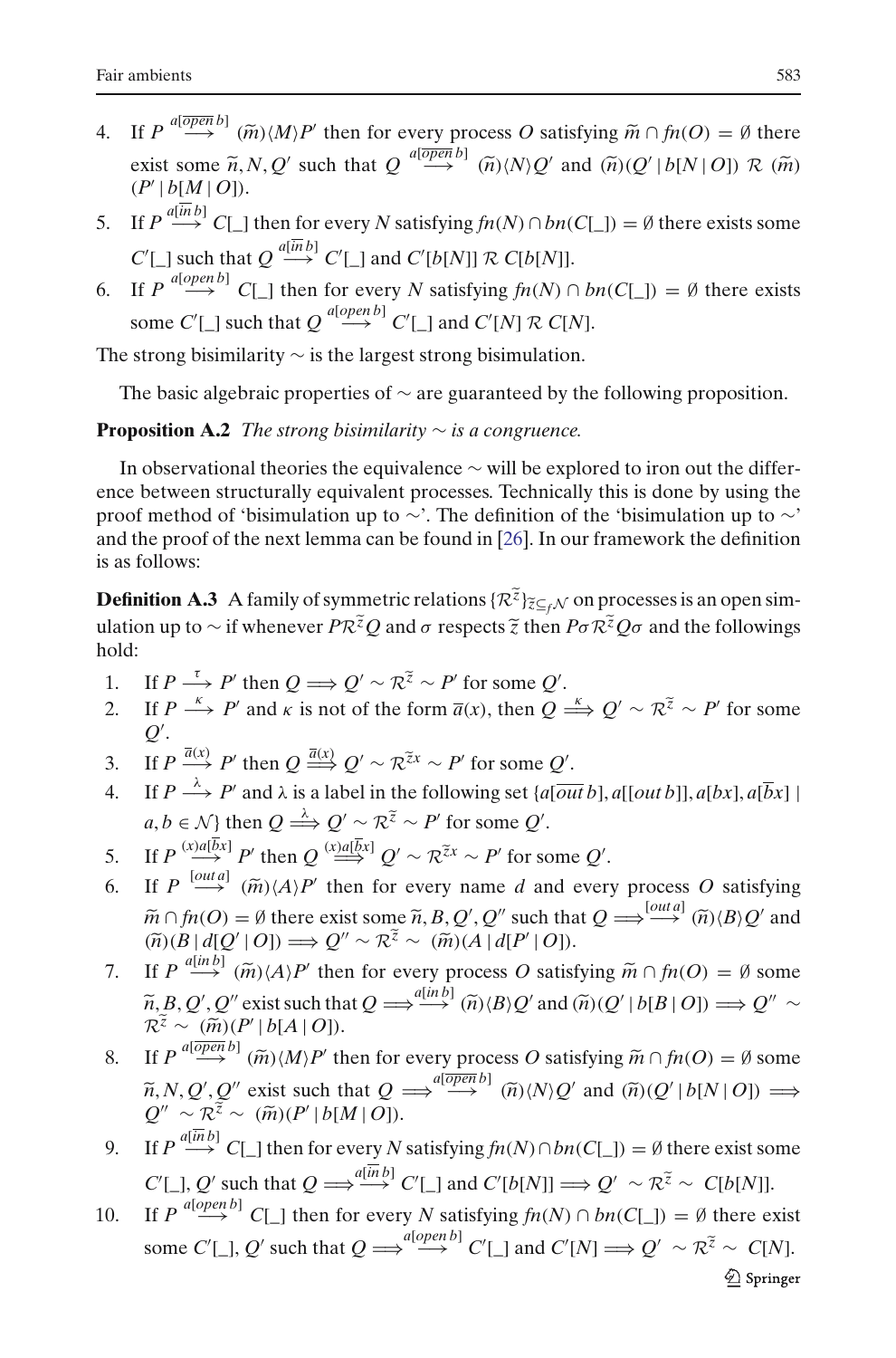- Fair ambients 583<br>
4. If  $P \xrightarrow{a[\overline{open} b]} (\widetilde{m}) \langle M \rangle P'$  then for every process *O* satisfying  $\widetilde{m} \cap f n(O) = \emptyset$  there For  $\lim_{n \to \infty} \frac{1}{n}$ <br>
If  $P \xrightarrow{a[\overline{open} b]} (\widetilde{m}) \langle M \rangle P'$  then for every process O satisfying  $\widetilde{m} \cap f n(O) = \emptyset$  there<br>
exist some  $\widetilde{n}, N, Q'$  such that  $Q \xrightarrow{a[\overline{open} b]} (\widetilde{n}) \langle N \rangle Q'$  and  $(\widetilde{n}) (Q' | b[N | O]) \mathcal{R} (\widetilde{m})$  $(P' | b[M | O]).$
- 5. If  $P \stackrel{a[\overline{in}b]}{\longrightarrow} C[\_]$  then for every *N* satisfying  $fn(N) \cap bn(C[\_]) = \emptyset$  there exists some  $C'[\ ]$  such that  $Q \stackrel{a[in b]}{\longrightarrow} C'[\ ]$  and  $C'[b[N]] \mathcal{R} C[b[N]]$ .
- 6. If  $P \xrightarrow{a[open\ b]} C[\ ]$  then for every *N* satisfying  $fn(N) \cap bn(C[\ ]) = \emptyset$  there exists some  $C'[\_]$  such that  $Q \stackrel{a[open\,]}{\longrightarrow} C'[\_]$  and  $C'[N] \mathcal{R} C[N]$ .

The strong bisimilarity ∼ is the largest strong bisimulation.

The basic algebraic properties of  $\sim$  are guaranteed by the following proposition.

## **Proposition A.2** *The strong bisimilarity* ∼ *is a congruence.*

In observational theories the equivalence  $\sim$  will be explored to iron out the difference between structurally equivalent processes. Technically this is done by using the proof method of 'bisimulation up to ∼'. The definition of the 'bisimulation up to ∼' and the proof of the next lemma can be found in [\[26](#page-58-7)]. In our framework the definition is as follows:

**Definition A.3** A family of symmetric relations  $\{R^{\tilde{z}}\}_{\tilde{z}\subseteq f\mathcal{N}}$  on processes is an open simand the proof of the next lemma can be found in [26]. In our framework the definition<br>is as follows:<br>**Definition A.3** A family of symmetric relations  $\{R^{\tilde{z}}\}_{\tilde{z}\subseteq_f\mathcal{N}}$  on processes is an open sim-<br>ulation up to hold:  $\frac{Z}{Z}Q$  and σ re:<br>' ∼  $R^z$  ∼  $P'$ Lation up to ∼ if whenever  $PR^2Q$  and *σ* respects *z* then  $Pσ'R^2Qσ$  and the followings old:<br>
1. If  $P \xrightarrow{\tau} P'$  then  $Q \Rightarrow Q' \sim R^{\tilde{z}} \sim P'$  for some  $Q'$ .<br>
2. If  $P \xrightarrow{\kappa} P'$  and *κ* is not of the form  $\bar{a}(x)$ , then

- 1. If  $P \stackrel{\tau}{\longrightarrow} P'$  then  $Q \Longrightarrow Q' \sim R^{\tilde{z}} \sim P'$  for some  $Q'$ .
- $Q'$ .  $\sqrt{\sim R^2 \sim P'}$ <br>of the form  $\overline{a}$ <br> $\sqrt{\sim R^{\tilde{z}x}} \sim P'$
- 3. If  $P \stackrel{\overline{a}(x)}{\longrightarrow} P'$  then  $Q \stackrel{\overline{a}(x)}{\longrightarrow} Q' \sim R^{\tilde{z}x} \sim P'$  for some  $Q'$ .
- 4. If  $P \stackrel{\lambda}{\longrightarrow} P'$  and  $\lambda$  is a label in the following set  $\{a[\overline{out}\,b], a[[out\,b]], a[bx], a[\overline{b}x]\}$  $a, b \in \mathcal{N}$  then  $Q \stackrel{\lambda}{\Longrightarrow} Q' \sim \mathcal{R}^{\tilde{z}} \sim P'$  for some  $Q'$ .  $Q' \sim R^{\tilde{z}x} \sim$ <br>bel in the fo<br> $Q' \sim R^{\tilde{z}} \sim P'$ **he following**<br>
∼ *P'* for sor<br>  $V \sim R^{\tilde{z}x} \sim P'$ 6. If  $P \xrightarrow{\Lambda} P'$  and  $\lambda$  is a label in the following set  $\{a[\overline{out}b], a[[out b]], a[bx], a[\overline{b}x] \mid a, b \in \mathcal{N}\}$  then  $Q \xrightarrow{\lambda} Q' \sim \mathcal{R}^{\tilde{z}} \sim P'$  for some  $Q'$ .<br>5. If  $P \xrightarrow{[\text{out } a]} P'$  then  $Q \xrightarrow{(\text{out } a]} Q' \sim \mathcal{R}^{\tilde{z}x} \sim P'$
- 5. If  $P \stackrel{(x)a[bx]}{\longrightarrow} P'$  then  $Q \stackrel{(x)a[\overline{b}x]}{\longrightarrow} Q' \sim R^{\tilde{z}x} \sim P'$  for some  $Q'$ .
- *a*, *b* ∈ *N*} then  $Q \xrightarrow{\triangle} Q' \sim R^{\tilde{z}} \sim P'$  for some  $Q'$ .<br>
If  $P \xrightarrow{(\alpha \mu \bar{b}_x)} P'$  then  $Q \xrightarrow{(\alpha \mu \bar{b}_x)} Q' \sim R^{\tilde{z}x} \sim P'$  for some  $Q'$ .<br>
If  $P \xrightarrow{[out a]} (\tilde{m}) \langle A \rangle P'$  then for every name *d* and every process *O* sa  $\tilde{m} \cap \tilde{m}(O) = \emptyset$  there exist some  $\tilde{n}$ ,  $B$ ,  $Q'$ ,  $Q''$  such that  $Q \Longrightarrow^{[out a]} (\tilde{n}) \langle B \rangle Q'$  and  $(\tilde{n}) (B | d[Q' | O]) \Longrightarrow Q'' \sim \mathcal{R}^{\tilde{z}} \sim (\tilde{m}) (A | d[P' | O]).$ <br>If  $P \stackrel{a(in b]}{\longrightarrow} (\tilde{m}) \langle A \rangle P'$  then for every process *O* satisfy If  $P \xrightarrow{\text{(x) a [b,x]}} P'$  then  $Q \xrightarrow{\text{(x) a [b,x]}} Q' \sim R^{\tilde{z}x} \sim P'$  for<br>
If  $P \xrightarrow{\text{(out a)}} (\tilde{m}) \langle A \rangle P'$  then for every name d<br>  $\tilde{m} \cap f n(O) = \emptyset$  there exist some  $\tilde{n}, B, Q', Q''$  su<br>  $(\tilde{n}) (B | d[Q' | O]) \Longrightarrow Q'' \sim R^{\tilde{z}} \sim (\tilde{m}) (A | d[P']$  $Q'' \sim \mathcal{R}^{\tilde{z}} \sim (\tilde{m})(A | d[P' | O]).$ 6. If  $P \stackrel{[outa]}{\longrightarrow} (\tilde{m}) \langle A \rangle P'$  then for every name *d* and every process *O* satisfying  $\tilde{m} \cap \tilde{m}(O) = \emptyset$  there exist some  $\tilde{n}, B, Q', Q''$  such that  $Q \Longrightarrow^{\text{[outa]}} (\tilde{m}) \langle B \rangle Q'$  and  $(\tilde{n}) (B | d[Q' | O]) \Longrightarrow Q'' \sim \mathbb{R}^{\tilde{z$
- $\widetilde{n}$ , *B*, *Q'*, *Q''* exist such that  $Q \Longrightarrow^{\alpha[\text{in }b]} (\widetilde{n}) \langle B \rangle Q'$  and  $(\widetilde{n}) (Q' | b[B | O]) \Longrightarrow Q'' \sim$ If  $P \stackrel{a[in\{b\}}{\longrightarrow} \widetilde{(m)} \langle A \rangle P'$  then for every process O satisfying  $\widetilde{m} \cap f_n(O) = \emptyset$  some  $\mathcal{R}^{\mathcal{Z}} \sim (\widetilde{m})(P' | b[A | O]).$ 8. If  $P \stackrel{a[in\ b]}{\longrightarrow} (\tilde{m}) \langle A \rangle P'$  then for every process *O* satisfying  $\tilde{m} \cap f n(O) = \emptyset$  some  $\tilde{n}, B, Q', Q''$  exist such that  $Q \stackrel{a[in\ b]}{\longrightarrow} (\tilde{n}) \langle B \rangle Q'$  and  $(\tilde{n}) (Q' | b[B | O]) \implies Q'' \sim R^{\tilde{z}} \sim (\tilde{m}) (P' | b[A | O]).$ <br>8. If  $P \stackrel$  $\overset{a[in\,b]}{\longrightarrow}$   $(\widetilde{n})\langle B\rangle Q'$  and  $(\widetilde{n})(Q' | b[B$ <br>
very process O satisfying  $\widetilde{m} \cap f$ <br>  $\Rightarrow^{a[\overline{open} b]}$   $(\widetilde{n})(N)Q'$  and  $(\widetilde{n})(Q')$
- $\widetilde{n}, N, Q', Q''$  exist such that  $Q \implies^{\text{alopen}} \widetilde{\rightarrow}^{\text{al}}(\widetilde{n}) \langle N \rangle Q'$  and  $(\widetilde{n})(Q' | b[N | O]) \implies$  $Q'' \sim \mathcal{R}^{\tilde{z}} \sim (\tilde{m})(P' | b[M | O]).$  $\overline{P}$   $\sim \frac{\overline{(m)}(P'|b[A])}{(m \overline{P}^{a[open]b]}}$ <br>  $P^{a[open]b]}$   $\sim \overline{R^2}$   $\sim \overline{R^2}$   $\sim \overline{R^2}$   $\sim \overline{R^2}$
- 9. If  $P \stackrel{a[inb]}{\longrightarrow} C[\_]$  then for every *N* satisfying  $fn(N) \cap bn(C[\_]) = \emptyset$  there exist some  $C'[\_], Q'$  such that  $Q \Longrightarrow \stackrel{a[\overline{in}b]}{\longrightarrow} C'[\_]$  and  $C'[b[N]] \Longrightarrow Q'$  $I$ ) = Ø there exist so<br>  $V \sim R^{\tilde{z}} \sim C[b[N]]$ .
- $R^{\tilde{z}} \sim C[b[N]]$ .<br>  $\vert \psi \rangle = \emptyset$  there exis<br>  $\psi' \sim R^{\tilde{z}} \sim C[N]$ . 10. If  $P \stackrel{a[open\ b]}{\longrightarrow} C[\ ]$  then for every *N* satisfying  $fn(N) \cap bn(C[\ ]) = \emptyset$  there exist some  $C'[\_], Q'$  such that  $Q \Longrightarrow^{a[open\, b]} C'[\_]$  and  $C'[N] \Longrightarrow Q'$  $\hat{\mathfrak{D}}$  Springer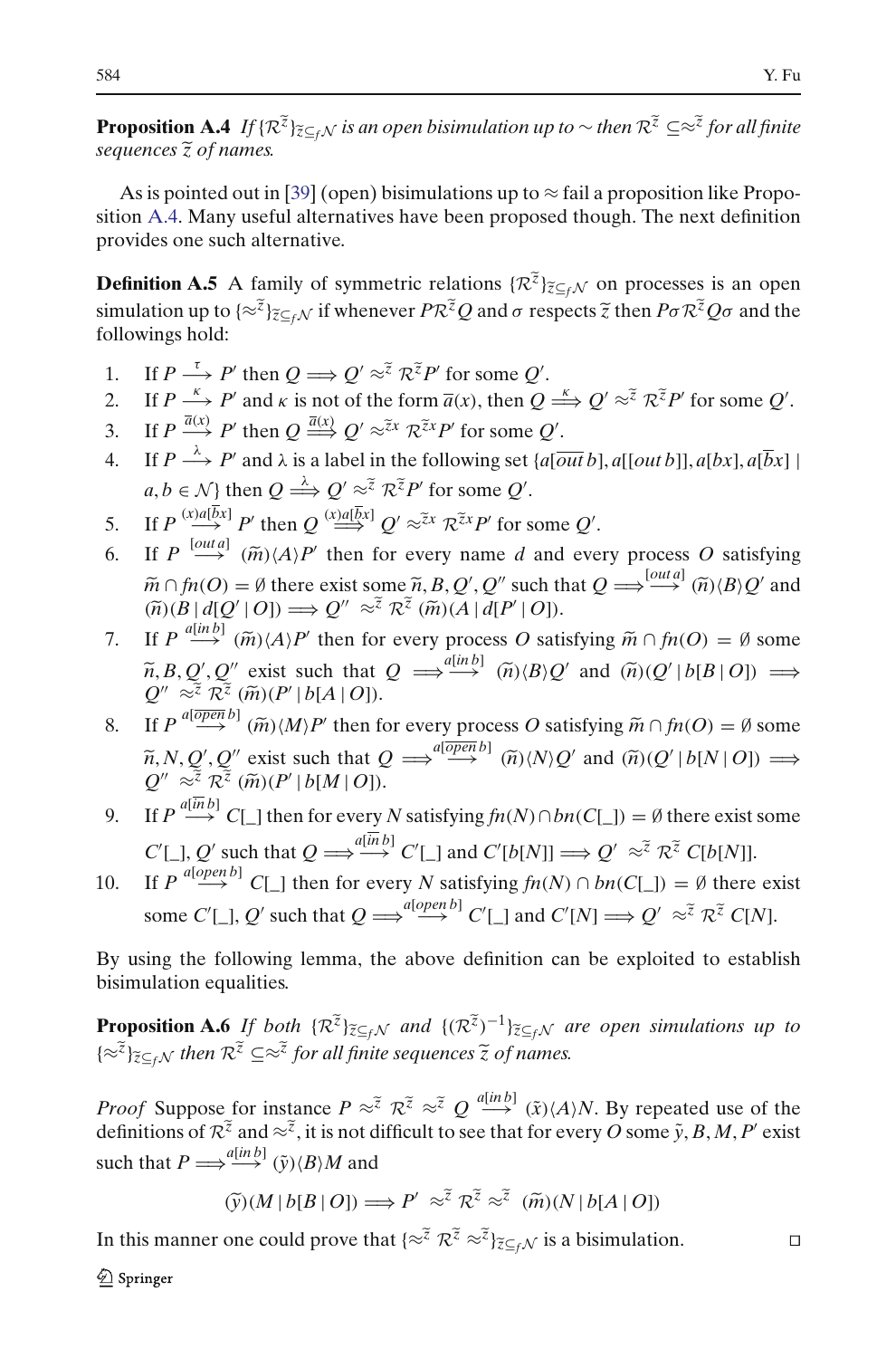<span id="page-49-0"></span>**Proposition A.4** *If* {*R*<sup>*z*</sup>}*z*⊆*f N is an open bisimulation up to* ∼ *then R*<sup> $z$ </sup> ⊆≈<sup>*z*</sup> *for all finite sequences*  $\tilde{z}$  *of names.* 

As is pointed out in [\[39](#page-58-31)] (open) bisimulations up to  $\approx$  fail a proposition like Proposition [A.4.](#page-49-0) Many useful alternatives have been proposed though. The next definition provides one such alternative.

ition A.4. Many useful alternatives have been proposed though. The next definition<br>provides one such alternative.<br>**Definition A.5** A family of symmetric relations  $\{\mathcal{R}^{\tilde{z}}\}_{\tilde{z}\subseteq_f\mathcal{N}}$  on processes is an open<br>s followings hold: simulation up to  $\{\approx \tilde{z}\}_{\tilde{z}\subset \epsilon\mathcal{N}}$  if whenever  $P\mathcal{R}^{\tilde{z}}Q$  and  $\sigma$  respects  $\tilde{z}$  then  $P\sigma\mathcal{R}^{\tilde{z}}Q\sigma$  and the 2. If  $P \xrightarrow{k} P'$  then  $Q \Longrightarrow Q' \approx \bar{z} R^{\bar{z}}P'$  for some *Q'*.<br>
2. If  $P \xrightarrow{k} P'$  and  $\kappa$  is not of the form  $\bar{a}(x)$ , then  $Q \xrightarrow{k} Q' \approx \bar{z} R^{\bar{z}}P'$  for some *Q'*.

- 1. If  $P \stackrel{\tau}{\longrightarrow} P'$  then  $Q \Longrightarrow Q' \approx \tilde{z} \mathcal{R}^{\tilde{z}}P'$  for some  $Q'$ .
- 
- 3. If  $P \xrightarrow{\kappa} P'$  then  $Q \Longrightarrow Q' \approx \tilde{z} R^{\tilde{z}}P'$  for some  $Q'$ .<br>
2. If  $P \xrightarrow{\kappa} P'$  and  $\kappa$  is not of the form  $\overline{a}(x)$ , then  $Q =$ <br>
3. If  $P \xrightarrow{\overline{a}(x)} P'$  then  $Q \xrightarrow{\overline{a}(x)} Q' \approx \tilde{z}^x R^{\tilde{z}x}P'$  for some  $Q'$ .
- 4. If  $P \stackrel{\lambda}{\longrightarrow} P'$  and  $\lambda$  is a label in the following set  $\{a[\overline{out}\,b], a[[out\,b]], a[bx], a[\overline{b}x]\}$  $a, b \in \mathcal{N}$  then  $Q \stackrel{\lambda}{\Longrightarrow} Q' \approx^{\tilde{z}} \mathcal{R}^{\tilde{z}}P'$  for some  $Q'$ .  $Q' \approx \tilde{z}^{\chi} R$ <br>bel in the<br> $\chi' \approx \tilde{z}^{\chi} R^{\tilde{\chi}} P'$ 4. If  $P \xrightarrow{\lambda} P'$  and  $\lambda$  is a label in the following set  $\{a \overline{[out\, b]}$ <br>  $a, b \in \mathcal{N}\}$  then  $Q \xrightarrow{\lambda} Q' \approx \overline{\lambda}^2 R^2 P'$  for some  $Q'$ .<br>
5. If  $P \xrightarrow{(x)a[\overline{b}x]} P'$  then  $Q \xrightarrow{(x)a[\overline{b}x]} Q' \approx \overline{\lambda}^x R^2 P'$  for some  $Q'$ . 6. If  $P \xrightarrow{\Lambda} P'$  and  $\lambda$  is a label in the following set  $\{a[\overline{out}b], a[[out b]], a[bx], a[\overline{b}x] \mid a, b \in \mathcal{N}\}$  then  $Q \xrightarrow{\lambda} Q' \approx \overline{\lambda} \mathcal{R}^{\overline{\lambda}} P'$  for some  $Q'$ .<br>5. If  $P \xrightarrow{(\lambda)a[\overline{b}x]} P'$  then  $Q \xrightarrow{(\lambda)a[\overline{b}x]} Q' \approx \overline{\lambda} \math$
- 
- *a*, *b* ∈ *N*} then  $Q \xrightarrow{\triangle} Q' \approx^{\overline{z}} R^{\overline{z}} P'$  for some  $Q'$ .<br>
If  $P \xrightarrow{(\alpha \mathbf{i} \overline{b}x]} P'$  then  $Q \xrightarrow{(\alpha \mathbf{i} \overline{b}x]} Q' \approx^{\overline{z}x} R^{\overline{z}x} P'$  for some  $Q'$ .<br>
If  $P \xrightarrow{[out a]} (\widetilde{m}) \langle A \rangle P'$  then for every name *d* and  $\tilde{m} \cap \tilde{m}(O) = \emptyset$  there exist some  $\tilde{n}, B, Q', Q''$  such that  $Q \Longrightarrow^{[outa]} (\tilde{n}) \langle B \rangle Q'$  and  $(\tilde{n}) \langle B | d[Q' | O] \rangle \Longrightarrow Q'' \approx^{\tilde{z}} \tilde{k}^{\tilde{z}} (\tilde{m}) (A | d[P' | O]).$ <br>If  $P \xrightarrow{a[inb]} (\tilde{m}) \langle A \rangle P'$  then for every process *O* satisfying  $\$ If  $P \xrightarrow{(\mathbf{x}) \mathbf{d}[\overline{\mathbf{b}}\mathbf{x}]} P'$  then  $Q \xrightarrow{(\mathbf{x}) \mathbf{d}[\overline{\mathbf{b}}\mathbf{x}]} Q' \approx \overline{\mathbf{x}} \mathbf{x} \mathbf{d} \mathbf{x} P'$  for <br>If  $P \xrightarrow{[\mathbf{out}]} (\widetilde{m}) \langle A \rangle P'$  then for every name  $\widetilde{m} \cap f n(O) = \emptyset$  there exist some  $\widetilde{n}, B, Q', Q''$  s<br> $(\$  $Q'' \approx \tilde{z} \mathcal{R}^{\tilde{z}}(\tilde{m})(A | d[P' | O]).$ 6. If  $P \stackrel{[outa]}{\longrightarrow} (\widetilde{m})\langle A \rangle P'$  then for every name *d* and every process *O* satisfying  $\widetilde{m} \cap f n(O) = \emptyset$  there exist some  $\widetilde{n}, B, Q', Q''$  such that  $Q \Longrightarrow^{[outa]} (\widetilde{n})\langle B \rangle Q'$  and  $(\widetilde{n})\langle B | d[Q' | O] \rangle \Longrightarrow Q'' \approx \widetilde{z} \mathcal{R}$
- $\widetilde{n}, B, Q', Q''$  exist such that  $Q \implies^{\mathcal{A}[n] \times D} \widetilde{n} \times (B \times Q' \text{ and } \widetilde{n} \times (Q' \mid b[B \mid O]) \implies$  $Q'' \approx \tilde{z} \mathcal{R}^{\tilde{z}}(\tilde{m})(P' | b[A | O]).$  $P \frac{a_{\text{lin}}(B)}{B} (\widetilde{B} \mid d[Q' \mid O]) =$ <br>  $P \frac{a_{\text{lin}}(B)}{B} (\widetilde{m}) \langle A \rangle$ <br>  $B, Q', Q'' \text{ exist}$ <br>  $\approx \frac{a_{\text{lin}}(B)}{B} (\widetilde{m}) (P')$ 8. If  $P \stackrel{a[in\ b]}{\longrightarrow} (\tilde{m}) \langle A \rangle P'$  then for every process *O* satisfying  $\tilde{m} \cap f n(O) = \emptyset$  some  $\tilde{n}, B, Q', Q''$  exist such that  $Q \stackrel{a[in\ b]}{\longrightarrow} (\tilde{n}) \langle B \rangle Q'$  and  $(\tilde{n}) (Q' | b[B | O]) \stackrel{a[on\ c]}{\longrightarrow} Q'' \approx \tilde{i} R^{\tilde{i}} (\tilde{m}) (P' | b[A | O]).$  $\tilde{u}$  $\Longrightarrow^{\text{a}(inb)} (\widetilde{n})\langle B \rangle Q'$  and  $(\widetilde{n})(Q')$ <br>
very process *O* satisfying  $\widetilde{m} \cap f$ <br>  $\Longrightarrow^{\text{a}(\overline{open}\,b)} (\widetilde{n})\langle N \rangle Q'$  and  $(\widetilde{n})(Q')$
- $\widetilde{n}$ , *N*, *Q'*, *Q''* exist such that  $Q \implies \overset{a[open]}{\rightarrow} \widetilde{n}$   $\widetilde{n}$  $\langle N \rangle Q'$  and  $\widetilde{n}$  $\gamma(Q'|b[N|O]) \implies$  $Q'' \approx \tilde{z} \mathcal{R}^{\tilde{z}}(\tilde{m})(P' | b[M | O]).$  $\widetilde{z} \times \widetilde{z} \times \widetilde{z} \times \widetilde{m}$  (*P*)<br>  $P \xrightarrow{a(\overline{open}} b] (\widetilde{m}) \langle P \rangle$ <br>  $N, Q', Q'' \text{ exist}$ <br>  $\widetilde{z} \times \widetilde{z} (\widetilde{m}) (P')$
- 9. If  $P \stackrel{a[inb]}{\longrightarrow} C[\_]$  then for every *N* satisfying  $fn(N) \cap bn(C[\_]) = \emptyset$  there exist some  $C'[\_], Q'$  such that  $Q \Longrightarrow \stackrel{a[in\ b]}{\longrightarrow} C'[\_]$  and  $C'[b[N]] \Longrightarrow Q'$  $\vec{v}$  =  $\theta$  there exist<br>  $\vec{v}$   $\approx \vec{v}$   $\vec{v}$   $\vec{v}$   $C[b[N]]$ .
- 10. If  $P \stackrel{a[open\ b]}{\longrightarrow} C[\ ]$  then for every *N* satisfying  $fn(N) \cap bn(C[\ ]) = \emptyset$  there exist some  $C'[\_], Q'$  such that  $Q \Longrightarrow^{a[open\, b]} C'[\_]$  and  $C'[N] \Longrightarrow Q'$  $R^{\tilde{z}}$  *C*[*b*[*N*]].<br>  $\beta$  = *Ø* there ex<br>  $\gamma \approx \tilde{z}$   $R^{\tilde{z}}$  *C*[*N*].

<span id="page-49-1"></span>By using the following lemma, the above definition can be exploited to establish bisimulation equalities.

By using the following lemma, the above definition can be exploited to establish<br>bisimulation equalities.<br>**Proposition A.6** If both  $\{\mathcal{R}^{\tilde{z}}\}_{\tilde{z}\subseteq_f\mathcal{N}}$  and  $\{(\mathcal{R}^{\tilde{z}})^{-1}\}_{\tilde{z}\subseteq_f\mathcal{N}}$  are open simula **Proposition A.6** *If both*  $\{R^z\}_{\overline{z}\subseteq_f\mathcal{N}}$  *and*  $\{(R^z)^{\perp}\}_{\overline{z}\subseteq_f\mathcal{N}}$  *are open simulations up to*  $\{\approx \overline{z}\}_{\overline{z}\subseteq_f\mathcal{N}}$  *then*  $R^{\overline{z}} \subseteq \approx \overline{z}$  *for all finite sequences*  $\overline{z}$  *of names.*<br>*Pr* 

 $\{\approx^z\}_{\approx\leq_f N}$  then  $\mathcal{R}^z \subseteq \approx^z$  for all finite sequences  $\widetilde{z}$  of names.<br>*Proof* Suppose for instance  $P \approx^{\widetilde{z}} \mathcal{R}^{\widetilde{z}} \approx^{\widetilde{z}} Q \stackrel{a[in\ b]}{\longrightarrow} (\widetilde{x})(A)N$ . By repeated use of definitions of  $\mathcal{R}^{\wid$ definitions of  $\mathbb{R}^{\tilde{z}}$  and  $\approx \tilde{z}$ , it is not difficult to see that for every O some  $\tilde{y}$ , B, M, P' exist such that  $P \Longrightarrow^{a[in\,]} (\tilde{y}) \langle B \rangle M$  and for instance  $P \approx \tilde{z}$ <br>  $\tilde{z}$  and  $\approx \tilde{z}$ , it is not d<br>  $\frac{a(lnb)}{(y)(B)}$  and<br>  $\tilde{y}$ )(*M* | *b*[*B* | *O*]) =  $\approx \tilde{z}$   $Q \xrightarrow{a | m | D} (\tilde{x}) \langle A \rangle N$ . By repult to see that for every *O* som<br>  $\approx \tilde{z}$   $\pi \tilde{z} \approx \tilde{z}$  ( $\tilde{m}$ )( $N | b[A | O]$ )

$$
\widetilde{\mathbf{y}}(M | b[B | O]) \Longrightarrow P' \approx \widetilde{z} \mathcal{R}^{\widetilde{z}} \approx \widetilde{z} \quad (\widetilde{m})(N | b[A | O])
$$

In this manner one could prove that  $\{z^{\tilde{z}} \mathcal{R}^{\tilde{z}} \approx \tilde{z}\}_{\tilde{z} \subseteq f}$  is a bisimulation.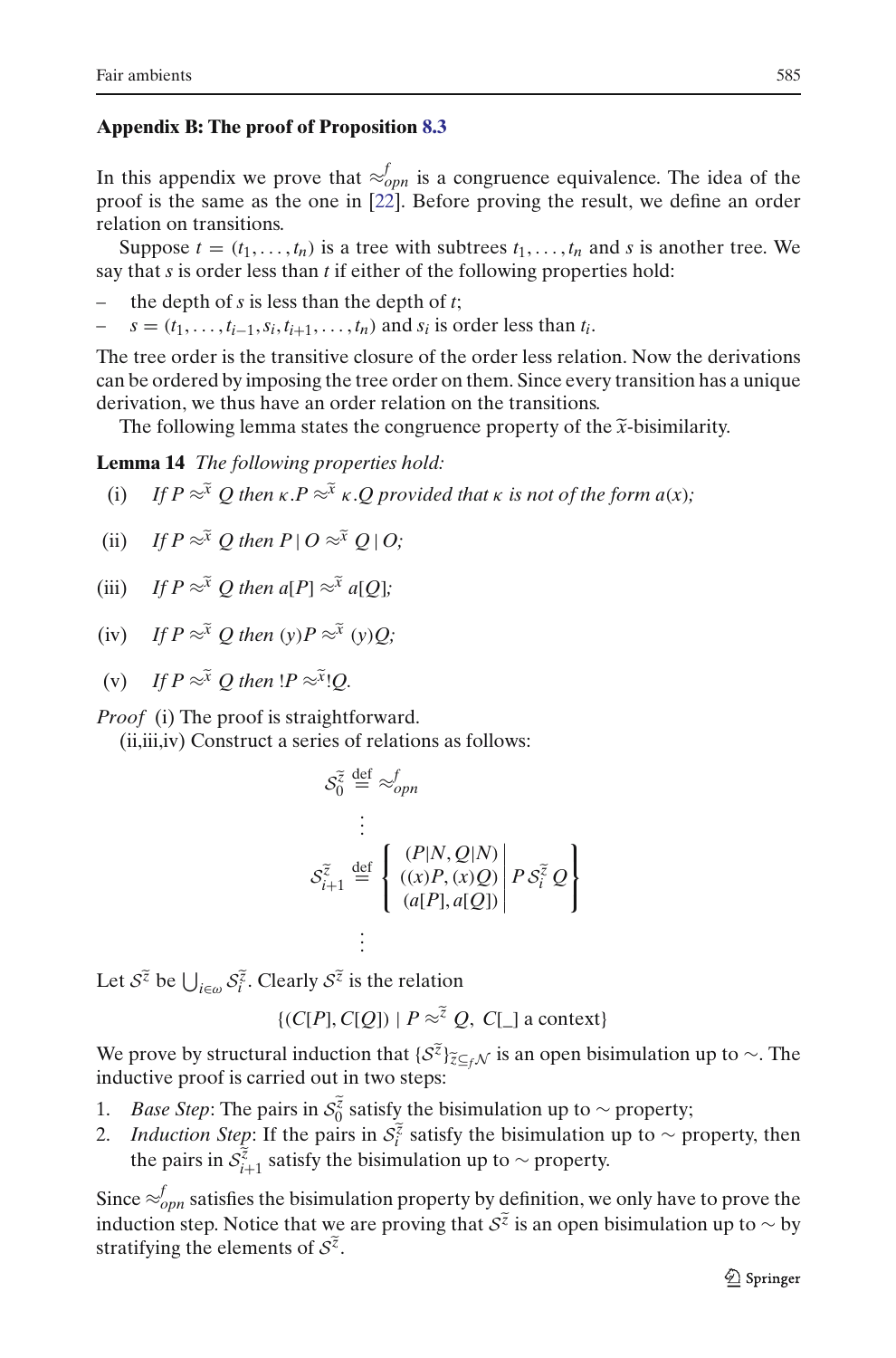## **Appendix B: The proof of Proposition [8.3](#page-33-1)**

In this appendix we prove that  $\approx_{opn}^{f}$  is a congruence equivalence. The idea of the proof is the same as the one in [\[22\]](#page-58-5). Before proving the result, we define an order relation on transitions.

Suppose  $t = (t_1, \ldots, t_n)$  is a tree with subtrees  $t_1, \ldots, t_n$  and *s* is another tree. We say that *s* is order less than *t* if either of the following properties hold:

- the depth of  $s$  is less than the depth of  $t$ ;
- $s = (t_1, \ldots, t_{i-1}, s_i, t_{i+1}, \ldots, t_n)$  and  $s_i$  is order less than  $t_i$ .

The tree order is the transitive closure of the order less relation. Now the derivations can be ordered by imposing the tree order on them. Since every transition has a unique derivation, we thus have an order relation on the transitions.  $s = (t_1, \ldots, t_{i-1}, s_i, t_{i+1}, \ldots, t_n)$  and  $s_i$  is order less than  $t_i$ .<br>
e tree order is the transitive closure of the order less relation. Now the detain be ordered by imposing the tree order on them. Since every transitio

<span id="page-50-0"></span>**Lemma 14** *The following properties hold:*

(i) The following lemma states the congruence property of the  $\tilde{x}$ -bisimilar **and**  $\tilde{x}$ -bisimilar **and**  $\tilde{x}$  *If P*  $\approx$ <sup>*x*</sup> *Q* then  $\kappa$ *.P*  $\approx$ <sup>*x*</sup>  $\kappa$ *x*.*Q provided that*  $\kappa$  *is not of the form a*(

**Lemma 14** The following properties  
\n(i) If 
$$
P \approx^{\tilde{x}} Q
$$
 then  $\kappa.P \approx^{\tilde{x}} \kappa.Q$  pre  
\n(ii) If  $P \approx^{\tilde{x}} Q$  then  $P \mid O \approx^{\tilde{x}} Q \mid O$ ;

- (iii) *If*  $P \approx^{\tilde{x}} Q$  *then*  $a[P] \approx^{\tilde{x}} a[Q]$ ;
- (iii) *If*  $P \approx^{\tilde{x}} Q$  then  $a[P] \approx^{\tilde{x}} a[Q]$ ;<br>(iv) *If*  $P \approx^{\tilde{x}} Q$  then (y)  $P \approx^{\tilde{x}} (y)Q$ ; (iv) *If*  $P \approx^{\tilde{x}} Q$  then  $(y)P \approx^{\tilde{x}} (y)$ <br>(v) *If*  $P \approx^{\tilde{x}} Q$  then  $!P \approx^{\tilde{x}} !Q$ .
- 

*Proof* (i) The proof is straightforward.<br>
(ii,iii,iv) Construct a series of relatio<br>  $S_0^{\tilde{\chi}} \stackrel{\text{def}}{=} \approx_{opn}^{f}$ 

(ii,iii,iv) Construct a series of relations as follows: ⎧

$$
\mathcal{S}_0^{\tilde{z}} \stackrel{\text{def}}{=} \mathcal{L}_{opn}
$$
\n
$$
\vdots
$$
\n
$$
\mathcal{S}_{i+1}^{\tilde{z}} \stackrel{\text{def}}{=} \left\{ \begin{array}{l} (P|N, Q|N) \\ ((x)P, (x)Q) \\ (a[P], a[Q]) \end{array} \middle| P \mathcal{S}_i^{\tilde{z}} Q \right\}
$$
\n
$$
\vdots
$$
\n
$$
i \in \omega \mathcal{S}_i^{\tilde{z}}. Clearly \mathcal{S}^{\tilde{z}} is the relation
$$

Let  $\mathcal{S}^{\widetilde{z}}$  be  $\bigcup$ 

$$
∴
$$
  
early  $S^z$  is the relation  
{ $(C[P], C[Q]) | P \approx^z Q, C[]$  a context}

Let  $S^{\tilde{z}}$  be  $\bigcup_{i \in \omega} S_i^{\tilde{z}}$ . Clearly  $S^{\tilde{z}}$  is the relation<br>{(*C*[*P*], *C*[*Q*]) |  $P \approx^{\tilde{z}} Q$ , *C*[\_] a context}<br>We prove by structural induction that { $S^{\tilde{z}}$ } $_{\tilde{z} \subseteq_f \mathcal{N}}$  is an open bisimula inductive proof is carried out in two steps: We prove by structural induct<br>inductive proof is carried out in<br>1. *Base Step*: The pairs in  $S_{0}^{\tilde{z}}$ We prove by structural induction that  $\{S^z\}_{\tilde{z}\subseteq_f\mathcal{N}}$  is an open bisimulation up to ∼. The inductive proof is carried out in two steps:<br>1. *Base Step*: The pairs in  $S_0^{\tilde{z}}$  satisfy the bisimulation up to ∼ p

- *Base Step*: The pairs in  $S_0^{\tilde{z}}$  satisfy the bisimulation up to ∼ property;
- inctive proof is a<br> *Base Step*: The<br> *Induction Step*<br>
the pairs in  $S_{i+1}^{\tilde{z}}$ the pairs in  $S_{i+1}^{\overline{z}}$  satisfy the bisimulation up to ∼ property.

Since  $\approx_{opn}^f$  satisfies the bisimulation property by definition, we only have to prove the the pairs in  $S_{i+1}^{\bar{z}}$  is an  $S_{i+1}^{\bar{z}}$  is an open bisimulation up to ∼ property.<br>Since  $\approx_{opn}^{f}$  satisfies the bisimulation property by definition, we only have to prove the induction step. Notice that we are stratifying the elements of  $S^z$ .<br>Since  $\approx_{opn}^{f}$  satisfies the bisimu<br>induction step. Notice that we<br>stratifying the elements of  $S^z$ .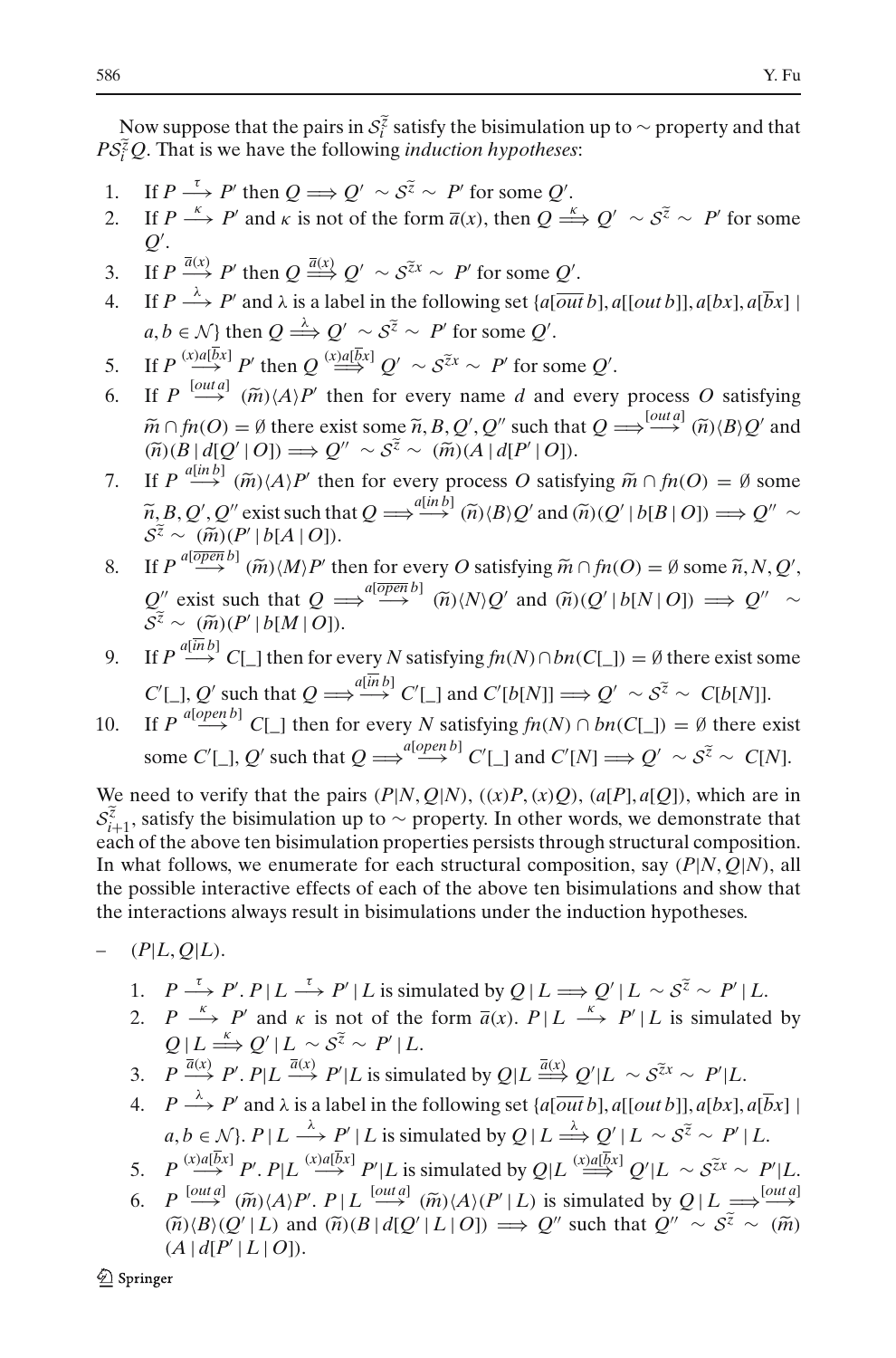Now suppose that the pairs in  $S_i^{\tilde{z}}$  satisfy the bisimulation up to ∼ property and that  $\tilde{C}_i^{\tilde{z}}Q$ . That is we have the following *induction hypotheses*:<br>
If  $P \xrightarrow{\tau} P'$  then  $Q \Longrightarrow Q' \sim S^{\tilde{z}} \sim P'$  for some  $Q'$ <sup>586</sup><br>
Now suppose that the pairs in  $S_i^{\tilde{z}}$  satisfy the bisimulation<br>  $PS_i^{\tilde{z}}Q$ . That is we have the following *induction hypotheses*:

- 1. If  $P \stackrel{\tau}{\longrightarrow} P'$  then  $Q \Longrightarrow Q' \sim S^{\tilde{z}} \sim P'$  for some  $Q'$ .
- 2. If *P*  $\xrightarrow{\kappa} P'$  then  $Q \Longrightarrow Q' \sim S^{\tilde{z}} \sim P'$  for some *Q'*.<br>
2. If *P*  $\xrightarrow{\kappa} P'$  and *k* is not of the form  $\overline{a}(x)$ , then  $Q \xrightarrow{\kappa} Q' \sim S^{\tilde{z}} \sim P'$  for some  $Q'$ . 3. If  $P \xrightarrow{\kappa} P'$  then  $Q \Longrightarrow Q' \sim S^2 \sim P'$  for some  $Q'$ .<br>  $Q'$ .<br>
3. If  $P \xrightarrow{\bar{a}(x)} P'$  then  $Q \xrightarrow{\bar{a}(x)} Q' \sim S^{\tilde{z}x} \sim P'$  for some  $Q'$ .
- 
- 4. If  $P \stackrel{\lambda}{\longrightarrow} P'$  and  $\lambda$  is a label in the following set  $\{a[\overline{out}\,b], a[[out\,b]], a[bx], a[\overline{b}x]\}$  $a, b \in \mathcal{N}$  then  $Q \stackrel{\lambda}{\Longrightarrow} Q' \sim S^{\tilde{z}} \sim P'$  for some  $Q'$ .  $Q' \sim S^{\tilde{z}x} \sim$ <br>bel in the foll<br> $Q' \sim S^{\tilde{z}} \sim P'$  $\hat{P}$  *i* ∼ *P'* for sor<br> $\hat{P}$  ∼  $S^{\tilde{z}x}$  ∼ *P'* 4. If  $P \xrightarrow{\Lambda} P'$  and  $\lambda$  is a<br>  $a, b \in \mathcal{N}$  then  $Q \xrightarrow{\lambda}$ <br>
5. If  $P \xrightarrow{(\lambda a | \bar{b}x) } P'$  then  $Q$ <br>
6. If  $P \xrightarrow{[out a]} (\widetilde{m})(A)P'$
- 5. If  $P \stackrel{(x) a [bx]}{\longrightarrow} P'$  then  $Q \stackrel{(x) a [bx]}{\longrightarrow} Q' \sim S^{\tilde{z}x} \sim P'$  for some  $Q'$ .
- then for every name *d* and every process *O* satisfying  $a, b \in \mathcal{N}$  then  $Q \xrightarrow{\leftrightarrow} Q' \sim S^{\overline{z}} \sim P'$  for<br>
If  $P \xrightarrow{(x)a[\overline{b}x]} P'$  then  $Q \xrightarrow{(x)a[\overline{b}x]} Q' \sim S^{\overline{z}x}$ <br>
If  $P \xrightarrow{[outa]} (\widetilde{m}) \langle A \rangle P'$  then for every n<br>  $\widetilde{m} \cap f n(O) = \emptyset$  there exist some  $\widetilde{n}, B, Q'$  $\widetilde{m} \cap fn(O) = \emptyset$  there exist some  $\widetilde{n}$ ,  $B$ ,  $Q'$ ,  $Q''$  such that  $Q \Longrightarrow^{[out a]} (\widetilde{n}) \langle B \rangle Q'$  and  $\Rightarrow$   $\frac{[out a]}{=}$   $\widetilde{(n)}$   $\widetilde{(B)}$   $Q'$ If  $P \xrightarrow{(\mathbf{x}) \mathbf{d}(\overline{\mathbf{b}}\mathbf{x})} P'$  then  $Q \xrightarrow{(\mathbf{x}) \mathbf{d}(\overline{\mathbf{b}}\mathbf{x})} Q' \sim S^{\overline{z}\mathbf{x}} \sim P'$  for If  $P \xrightarrow{[\mathbf{out}]} (\widetilde{m}) \langle A \rangle P'$  then for every name  $d \widetilde{m} \cap f n(O) = \emptyset$  there exist some  $\widetilde{n}, B, Q', Q''$  su  $(\widetilde{n})(B | d[$  $Q'' \sim S^{\tilde{z}} \sim (\tilde{m})(A \mid d[P' \mid O]).$ 6. If  $P \stackrel{[outa]}{\longrightarrow} (\widetilde{m})\langle A \rangle P'$  then for every name *d* and every process *O* satisfying  $\widetilde{m} \cap f n(O) = \emptyset$  there exist some  $\widetilde{n}, B, Q', Q''$  such that  $Q \Longrightarrow^{\text{[outa]}} (\widetilde{n})\langle B \rangle Q'$  and  $(\widetilde{n})\langle B | d[Q' | O] \rangle \Longrightarrow Q'' \sim S^{\widetilde{z}}$  $\tilde{\alpha} \in \tilde{n}$ ,  $B$ ,  $Q'$ ,  $Q''$  such that  $Q = \tilde{\alpha} \in (\tilde{m}) (A | d[P' | O]).$ <br>every process O satisfying  $\Rightarrow \frac{a(inb)}{(m)(B)Q'}$  and  $(\tilde{n})(Q')$
- $\widetilde{n}, B, Q', Q''$  exist such that  $Q \Longrightarrow^{\mathcal{A}(m|D)} \widetilde{n}, B,Q'$  and  $\widetilde{n}, Q' | b[B|Q] \Longrightarrow Q'' \sim$  $\widetilde{n}$  ( $\widetilde{n}$ )(*B*|d[Q'|<br>
If  $P \stackrel{a[in\ b]}{\longrightarrow} (\widehat{n}$ <br>  $\widetilde{n}$ , *B*, Q', Q'' e<br>  $S^{\widetilde{z}} \sim \frac{(\widetilde{m})(P')}{(P')}$  $S^{\tilde{z}} \sim (\tilde{m})(P'|b[A|O]).$ 8. If  $P \stackrel{a[in\ b]}{\longrightarrow} (\tilde{m}) \langle A \rangle P'$  then for every process O satisfying  $\tilde{m} \cap f n(O) = \emptyset$  some  $\tilde{n}, B, Q', Q''$  exist such that  $Q \stackrel{a[in\ b]}{\Longrightarrow} (\tilde{n}) \langle B \rangle Q'$  and  $(\tilde{n}) (Q' | b[B | O]) \Longrightarrow Q'' \sim S^{\tilde{z}} \sim (\tilde{m}) (P' | b[A | O]).$ <br>8. If  $P \stackrel{a[$ at  $Q \Longrightarrow^{a[in\,b]} (\widetilde{n})\langle B\rangle Q'$  and  $(\widetilde{n})(\widetilde{n})$ <br>
ten for every *O* satisfying  $\widetilde{m} \cap f$ <br>  $\Longrightarrow^{a[\overline{op} \widetilde{en} \widetilde{b}]} (\widetilde{n})\langle N\rangle Q'$  and  $(\widetilde{n})(Q')$
- , Q'' exist such that  $Q \implies \stackrel{a[open]}{\longrightarrow} \widehat{n}(N)Q'$  and  $\widehat{n}(Q' | b[N| O]) \implies Q'' \sim$  $S^{\tilde{z}} \sim (\tilde{m})(P')$ <br> *S*<sup> $\tilde{z} \sim (\tilde{m})(P')$ <br> *S*<sup> $\tilde{z} \sim (\tilde{m})(P')$ <br> *S*<sup> $\tilde{z} \sim (\tilde{m})(P')$ </sup></sup></sup>  $S^{\tilde{z}} \sim (\tilde{m})(P'|b[M|O]).$
- 9. If  $P \stackrel{a[inb]}{\longrightarrow} C[\_]$  then for every *N* satisfying  $fn(N) \cap bn(C[\_]) = \emptyset$  there exist some  $C'[\_], Q'$  such that  $Q \Longrightarrow \stackrel{a[in\ b]}{\longrightarrow} C'[\_]$  and  $C'[b[N]] \Longrightarrow Q'$  $J$  = *S*<sup>*z*</sup> ∼ *C*[*b*[*N*]].<br> $\sim$  *S*<sup>*z*</sup> ∼ *C*[*b*[*N*]].
- 10. If  $P \stackrel{a[open\,]}{\longrightarrow} C[\_]$  then for every *N* satisfying  $fn(N) \cap bn(C[\_]) = \emptyset$  there exist some  $C'[\_], Q'$  such that  $Q \Longrightarrow^{a[open\, b]} C'[\_]$  and  $C'[N] \Longrightarrow Q'$  $S^{\tilde{z}} \sim C[b[N]]$ .<br>  $\vert \tilde{z} \vert = \emptyset$  there exis<br>  $\vert \tilde{z} \vert \sim S^{\tilde{z}} \sim C[N].$

We need to verify that the pairs  $(P|N, Q|N)$ ,  $((x)P, (x)Q)$ ,  $(a[P], a[Q])$ , which are in Some  $C'[\ ]$ ,  $Q'$  such that  $Q \rightleftharpoons^{a[open]} C'[\ ]$  and  $C'[N] \rightleftharpoons Q' \sim S^z \sim C[N]$ .<br> *S*<sup>2</sup> we need to verify that the pairs  $(P|N, Q|N)$ ,  $((x)P, (x)Q)$ ,  $(a[P], a[Q])$ , which are in  $S_{i+1}^z$ , satisfy the bisimulation up to ∼ propert each of the above ten bisimulation properties persists through structural composition. In what follows, we enumerate for each structural composition, say (*P*|*N*, *Q*|*N*), all the possible interactive effects of each of the above ten bisimulations and show that the interactions always result in bisimulations under the induction hypotheses.

- $(P|L, Q|L)$ .
- interactions always result in bisimulations under the induction hypotheses.<br>  $(P|L, Q|L)$ .<br>
1.  $P \stackrel{\tau}{\longrightarrow} P'.P | L \stackrel{\tau}{\longrightarrow} P' | L$  is simulated by  $Q | L \Longrightarrow Q' | L \sim S^{\tilde{z}} \sim P' | L$ .
	- 2. *P*  $\stackrel{\kappa}{\longrightarrow}$  *P'* and  $\kappa$  is not of the form  $\overline{a}(x)$ . *P* | *L*  $\stackrel{\kappa}{\longrightarrow}$  *P'* | *L* is simulated by  $P \xrightarrow{\tau} P'.P | L \xrightarrow{\tau} P' | L$  is sim<br>  $P \xrightarrow{\kappa} P'$  and  $\kappa$  is not of the<br>  $Q | L \xrightarrow{\kappa} Q' | L \sim S^{\tilde{z}} \sim P' | L$ . 1.  $P \to P'.P | L \to P' | L$  is simulated by  $Q | L \Rightarrow Q' | L \sim S^* \sim P' |$ <br>
	2.  $P \xrightarrow{K} P'$  and  $\kappa$  is not of the form  $\overline{a}(x). P | L \xrightarrow{K} P' | L$  is simula<br>  $Q | L \xrightarrow{\kappa} Q' | L \sim S^{\tilde{\kappa}} \sim P' | L$ .<br>
	3.  $P \xrightarrow{\overline{a}(x)} P'. P | L \xrightarrow{\overline{a}(x)} P' | L$  is simula
	-
	- 4. *P*  $\stackrel{\lambda}{\longrightarrow}$  *P'* and  $\lambda$  is a label in the following set  $\{a[\overline{out}\,b], a[[out\,b]], a[bx], a[\overline{b}x]\}$  $a, b \in \mathcal{N}$ ,  $P \mid L \stackrel{\lambda}{\longrightarrow} P' \mid L$  is simulated by  $Q \mid L \stackrel{\lambda}{\Longrightarrow} Q' \mid L \sim S^{\tilde{z}} \sim P' \mid L$ .  $\mu \sim S^{\tilde{z}x} \sim P'|L$ <br>|a[[out b]], a[bx]<br>| | L ~  $S^{\tilde{z}} \sim P'$ 4.  $P \xrightarrow{\lambda} P'$  and  $\lambda$  is a label in the following set  $\{a[\overline{out} b], a[[out b]], a[bx], a[\overline{b}x] \mid a, b \in \mathcal{N}\}\)$ .<br>  $a, b \in \mathcal{N}\}$ ,  $P|L \xrightarrow{\lambda} P'|L$  is simulated by  $Q|L \xrightarrow{\lambda} Q'|L \sim S^{\tilde{z}} \sim P'|L$ .<br>
	5.  $P \xrightarrow{(x)a[\overline{b}x]} P'. P|L \xrightarrow{(x)a[\overline{b}x$ 4.  $P \xrightarrow{\wedge} P'$  and  $\lambda$  is a label in the following set  $\{a[\overline{out}b], a[[out b]], a[bx], a[\overline{bx}]\}$ <br>  $a, b \in \mathcal{N}\}$ ,  $P | L \xrightarrow{\lambda} P' | L$  is simulated by  $Q | L \xrightarrow{\lambda} Q' | L \sim S^{\tilde{z}} \sim P' | L$ .<br>
	5.  $P \xrightarrow{(\textit{val}[\overline{bx}]} P'. P | L \xrightarrow{(\textit{valid}]} P' | L \text{ is simulated by }$
	-
	- $a, b \in \mathcal{N}$ ;  $P | L \xrightarrow{\lambda} P' | L$  is simulated by  $Q | L \xrightarrow{\lambda} Q' | L \sim S^{\tilde{z}} \sim P' | L$ .<br>  $P \xrightarrow{(x)a[\bar{b}x]} P'. P | L \xrightarrow{(x)a[\bar{b}x]} P' | L$  is simulated by  $Q | L \xrightarrow{(x)a[\bar{b}x]} Q' | L \sim S^{\tilde{z}x} \sim P' | L$ .<br>  $P \xrightarrow{[outa]} (\tilde{m}) \langle A \rangle P'. P | L \xrightarrow{[outa]} (\tilde{m}) \langle$  $Q''$  such that  $Q''$  $(A | d[P' | L | O]).$

Springer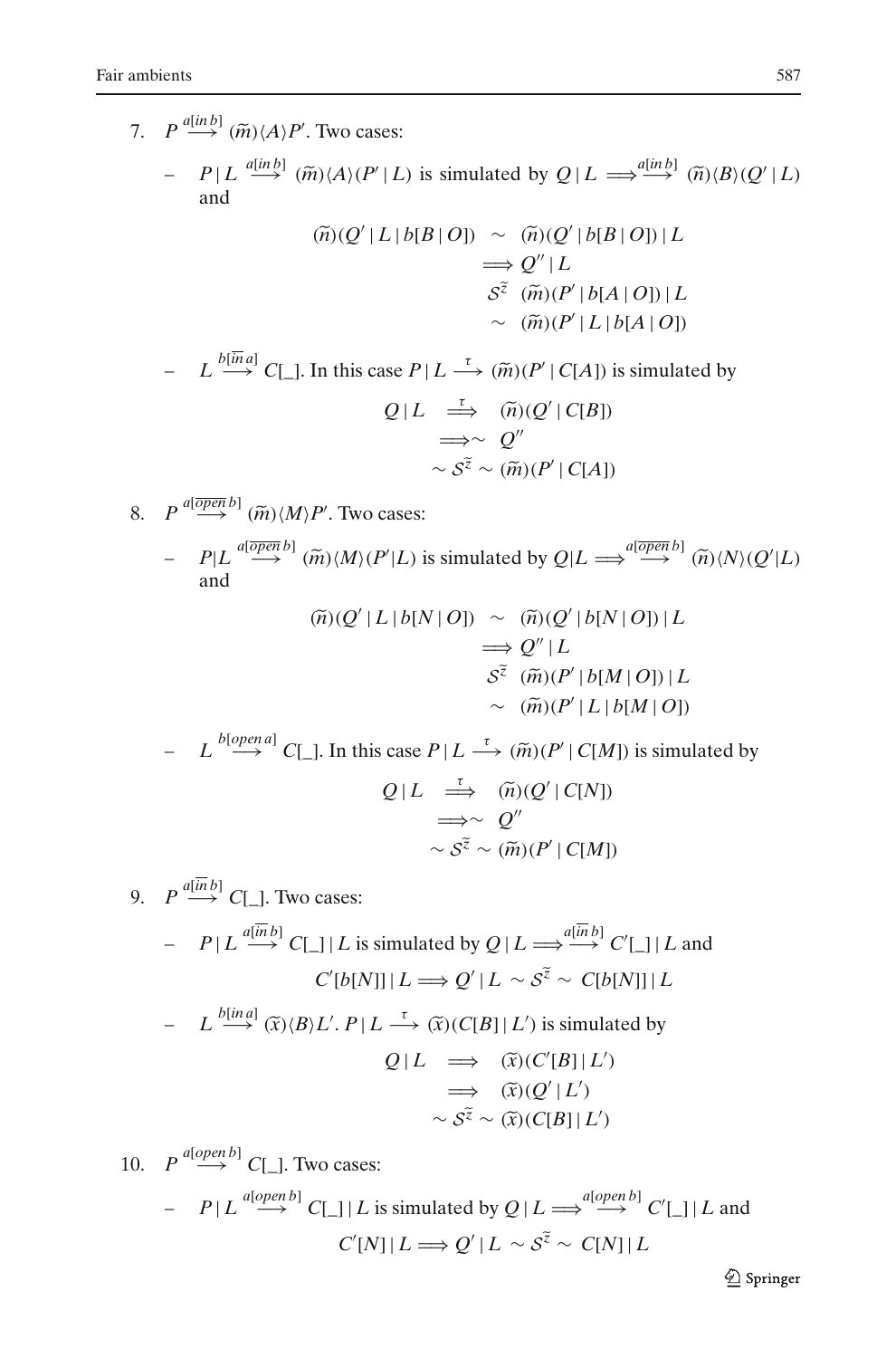ambients<br>
7.  $P \stackrel{a(in b]}{\longrightarrow} (\widetilde{m}) \langle A \rangle P'$ . Two cases: ents<br> *P* <sup>*a*[*in b*]</sup> ( $\widetilde{m}$ ) $\langle A \rangle P'$ . Two cas<br> *- P* | *L* <sup>*a*[*in b*] ( $\widetilde{m}$ ) $\langle A \rangle (P'')$ </sup> | 587<br>  $\text{SBS:}$ <br>  $\mathcal{L} | L$  is simulated by  $Q | L \implies \stackrel{a[in b]}{\longrightarrow} \widetilde{(n)} \langle B \rangle \langle Q' | L \rangle$ and (*n*)(*A*)(*P'* | *L*) is simulated by *Q*<br>
( $\tilde{n}$ )(*Q'* | *L* | *b*[*B* | *O*]) ~ ( $\tilde{n}$ )(*Q'*  $\prime$   $|b[B \mid O])|L$  $\Longrightarrow Q'' | L$  $\sim$  ( $\widetilde{n}$ )( $Q'$ <br>  $\Rightarrow$   $Q''$  |  $L$ <br>  $S^{\widetilde{z}}$  ( $\widetilde{m}$ )( $P'$  $S^{\tilde{z}}$   $(\tilde{m})(P'|b[A|O])|L$  $\sim \pi$  ( $\tilde{m}$ )( $Q'$ <br>  $\Rightarrow Q'' | L$ <br>  $S^{\tilde{z}}$  ( $\tilde{m}$ )( $P'$ <br>  $\sim \pi$ )( $P'$  $\sim$   $(\tilde{m})(P'|L|b[A|O])$  $\Rightarrow$  *Q* + *L*<br>  $S^{\tilde{z}}$  ( $\tilde{m}$ )(*P'* | *b*[*A* | *O*]) | *L*<br>  $\sim$  ( $\tilde{m}$ )(*P'* | *L* | *b*[*A* | *O*])<br>  $-$  *L*  $\stackrel{b[\bar{m}a]}{\rightarrow}$  *C*[\_]. In this case *P* | *L*  $\stackrel{\tau}{\rightarrow}$  ( $\tilde{m}$ )(*P'* | *C*[*A*]) is simula  $Q \mid L \implies (\widetilde{n})(Q' \mid C[B])$  $\sim$  ( $\widetilde{m}$ )<br>  $\rightarrow$  ( $\widetilde{m}$ )( $P'$ <br>  $\Rightarrow$  ( $\widetilde{n}$ )( $Q'$  ⇒∼ *Q*-- *L* →  $(\widetilde{m})(P' | C[A])$  i<br>  $\implies$   $(\widetilde{n})(Q' | C[B])$ <br>  $\implies$   $Q''$ <br>  $\sim$   $S^{\widetilde{z}} \sim (\widetilde{m})(P' | C[A])$ 8.  $P \stackrel{a[open \, b]}{\longrightarrow} (\widetilde{m}) \langle M \rangle P'$ . Two cases:  $P \stackrel{a[\overline{open} b]}{\longrightarrow} (\widetilde{m}) \langle M \rangle P'.$  Two contribution  $P|L \stackrel{a[\overline{open} b]}{\longrightarrow} (\widetilde{m}) \langle M \rangle (P')$  $\sim S^{\tilde{z}} \sim (\tilde{m})(P' | C[A])$ <br>
asses:<br>  $\langle L | L \rangle$  is simulated by  $Q | L \Longrightarrow^{a[\overline{open} b]} (\tilde{m}) \langle N \rangle (Q' | L)$ and *F*. Iwo cases:<br>  $\widetilde{m}$ )(*M*)(*P'*|*L*) is simulated by *Q*<br>
( $\widetilde{n}$ )(*Q'* | *L* | *b*[*N* | *O*]) ∼ ( $\widetilde{n}$ )(*Q'*  $(\widetilde{n})(Q'|L|b[N|O]) \sim (\widetilde{n})(Q'|b[N|O])|L$  $\Rightarrow Q'' | L$  $\sim$  ( $\widetilde{n}$ )( $Q' | b[N | O]) | L$ <br>  $\Rightarrow$   $Q'' | L$ <br>  $S^{\widetilde{z}}$  ( $\widetilde{m}$ )( $P' | b[M | O]) | L$  $\sim \pi$  ( $\tilde{m}$ )( $Q'$ <br>  $\Rightarrow Q'' | L$ <br>  $S^{\tilde{z}}$  ( $\tilde{m}$ )( $P'$ <br>  $\sim \pi$ )( $P'$  $\sim$   $(\widetilde{m})(P'|L|b[M|O])$  $\Rightarrow Q^{\top} | L$ <br>  $S^{\tilde{z}}(\tilde{m}) (P' | b[M | O]) | L$ <br>
→  $(\tilde{m}) (P' | L | b[M | O])$ <br>
- *L* <sup>b[open a]</sup> C[\_]. In this case  $P | L \stackrel{\tau}{\longrightarrow} (\tilde{m}) (P' | C[M])$  is simulated by  $Q \mid L \implies (\widetilde{n})(Q' \mid C[N])$  $\sim$  ( $\widetilde{m}$ )<br>  $L \stackrel{\tau}{\Longrightarrow} (\widetilde{m})(\mathcal{Q})$ <br>  $\Rightarrow$  ( $\widetilde{n}$ )( $\mathcal{Q}'$ ) ⇒∼ *Q*--  $P|L \rightarrow \tilde{m}(i)$ <br>  $\Rightarrow \tilde{m}(Q')$ <br>  $\Rightarrow \sim Q''$ <br>  $\sim S^{\tilde{z}} \sim (\tilde{m})(P')$  $\sim S^{\tilde{z}} \sim (\tilde{m})(P'|C[M])$ 9.  $P \stackrel{a[\overline{in}b]}{\longrightarrow} C[\_]$ . Two cases:  $P \mid L \stackrel{a[in\ b]}{\longrightarrow} C \sqcup \mid L$  is simulated by  $Q \mid L \Longrightarrow^{a[in\ b]} C' \sqcup \mid L$  and  $C'[b[N]] | L \Longrightarrow Q'$  $y Q | L \Longrightarrow^{\widehat{a[n]} b]} C'[\ ] | L$ <br>' |  $L \sim S^{\widetilde{z}} \sim C[b[N]] | L$ *–*  $P|L \xrightarrow{a[\overline{in}b]} C[\_] | L$  is simulated by  $Q|L$ <br>  $C'[b[N]] | L \Longrightarrow Q'| L \sim$ <br> *-*  $L \xrightarrow{b[\text{ind}]} (\widetilde{x})(B)L'. P | L \xrightarrow{\tau} (\widetilde{x})(C[B]| L')$ '.  $P|L \longrightarrow (\tilde{x})(C[B]|L')$  is simulated by  $Q \mid L \implies (\widetilde{x})(C'[B] \mid L')$  $Q' | L \sim S^{\tilde{z}}$ <br>  $C[B] | L'$ ) is<br>  $\Rightarrow \quad (\tilde{x})(C')$  $\implies$   $(\widetilde{x})(Q'|L')$  $C[B]|L'$  is<br>  $\Rightarrow$   $\widehat{x}(C' \Rightarrow \widehat{x})(Q'$  $\widetilde{x}$  (*C*[*B*] | *L'* ) is simula<br>  $\implies$   $\widetilde{x}$  (*C'*[*B*] | *L'*<br>  $\implies$   $\widetilde{x}$  ( $\widetilde{x}$ )( $Q'$  | *L'*)<br>  $\sim S^{\widetilde{z}} \sim (\widetilde{x}) (C[B] | L')$ 10.  $P \stackrel{a[open\,]}{\longrightarrow} C[\_].$  Two cases:

$$
P \stackrel{a[open\,]}{\longrightarrow} C[\_].
$$
 Two cases:  
-  $P|L \stackrel{a[open\,]}{\longrightarrow} C[\_] | L$  is simulated by  $Q|L \Longrightarrow^{a[open\,]} C'[\_] | L$  and  
 $C'[N]|L \Longrightarrow Q'|L \sim S^{\tilde{z}} \sim C[N]|L$ 

 $\hat{\mathfrak{D}}$  Springer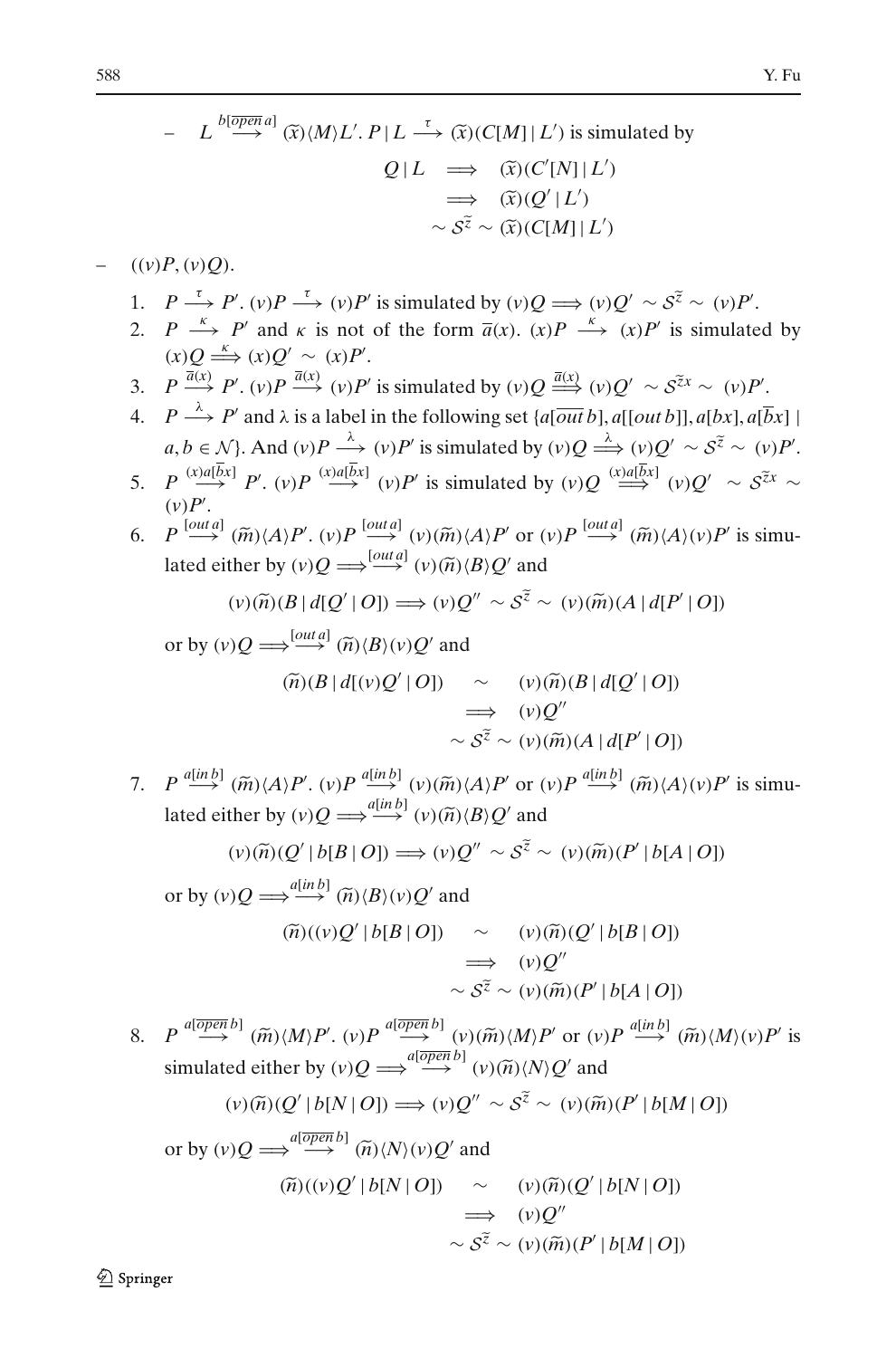.

.

7. Fu  
\n
$$
L \stackrel{b[\overline{open}]}{\longrightarrow} (\widetilde{x})(M)L'. P | L \stackrel{\tau}{\longrightarrow} (\widetilde{x})(C[M] | L') \text{ is simulated by}
$$
\n
$$
Q | L \implies (\widetilde{x})(C'[N] | L')
$$
\n
$$
\implies (\widetilde{x})(C'[N] | L')
$$
\n
$$
\sim \widetilde{S}^{\widetilde{z}} \sim (\widetilde{x})(C[M] | L')
$$
\n
$$
\sim \widetilde{S}^{\widetilde{z}} \sim (\widetilde{x})(C[M] | L')
$$
\n(10) 
$$
P \stackrel{\tau}{\longrightarrow} P'. \quad (v) P \stackrel{\tau}{\longrightarrow} (v) P' \text{ is simulated by } (v) Q \implies (v) Q' \sim S^{\widetilde{z}} \sim (v) P'.
$$
\n2. 
$$
P \stackrel{\kappa}{\longrightarrow} P' \text{ and } \kappa \text{ is not of the form } \overline{a}(x). \quad (x) P \stackrel{\kappa}{\longrightarrow} (x) P' \text{ is simulated by}
$$
\n
$$
(x) Q \stackrel{\kappa}{\longrightarrow} (x) Q' \sim (x) P'.
$$
\n3. 
$$
P \stackrel{\overline{a}(x)}{\longrightarrow} P'. \quad (v) P \stackrel{\overline{a}(x)}{\longrightarrow} (v) P' \text{ is simulated by } (v) Q \stackrel{\overline{a}(x)}{\longrightarrow} (v) Q' \sim S^{\widetilde{z}x} \sim (v) P'.
$$
\n4. 
$$
P \stackrel{\lambda}{\longrightarrow} P' \text{ and } \lambda \text{ is a label in the following set } \{a[\overline{out} b], a[[out b]], a[bx], a[\overline{b}x] \mid a, b \in \mathcal{N}\}.
$$
\n4. 
$$
P \stackrel{\lambda}{\longrightarrow} P' \text{ and } \lambda \text{ is a label in the following set } \{a[\overline{out} b], a[[out b]], a[bx], a[\overline{b}x] \mid a, b \in \mathcal{N}\}.
$$
\n5. 
$$
P \stackrel{(x)a[\overline{b}x]}{\longrightarrow} P'. \quad (y) P \stackrel{(x)a[\overline{b}x]}{\longrightarrow} (y) P' \text{ is simulated by } (y) Q \stackrel{\ell}{\longrightarrow} (y) Q' \sim S^{\widetilde{z}x} \
$$

\n- (v) 
$$
P'
$$
.
\n- (v)  $P$  is simultaneously defined by  $P$  for  $P$  is simultaneously defined either by  $(v)Q \Longrightarrow^{\text{[out }d]} (v)({\tilde{m}})\langle A\rangle P'$  or  $(v)P \stackrel{\text{[out }d]}{\longrightarrow} ({\tilde{m}})\langle A\rangle(v)P'$  is simultaneously. If  $(v)({\tilde{n}})(B \mid d[Q' \mid O]) \Longrightarrow (v)Q'' \sim S^{\tilde{z}} \sim (v)({\tilde{m}})(A \mid d[P' \mid O])$  or by  $(v)Q \Longrightarrow^{\text{[out }d]} ({\tilde{n}})\langle B\rangle(v)Q'$  and
\n

$$
(v)(\widetilde{n})(B \mid d[Q' \mid O]) \Longrightarrow (v)Q'' \sim \mathcal{S}^{\widetilde{z}} \sim (v)(\widetilde{m})(A \mid d[P' \mid O])
$$

$$
(v)(\widetilde{n})(B | d[Q' | O]) \Longrightarrow (v)Q'' \sim \mathcal{S}^{\widetilde{z}} \sim (v)(\widetilde{m})(A | d[P' | O])
$$
  
or by  $(v)Q \Longrightarrow^{[out\mathfrak{a}]} (\widetilde{n})\langle B\rangle(v)Q'$  and  

$$
(\widetilde{n})(B | d[(v)Q' | O]) \sim (v)(\widetilde{n})(B | d[Q' | O])
$$

$$
\Longrightarrow (v)Q''
$$

$$
\sim \mathcal{S}^{\widetilde{z}} \sim (v)(\widetilde{m})(A | d[P' | O])
$$
7.  $P \xrightarrow{a[in\mathfrak{b}]} (\widetilde{m})\langle A\rangle P'. (v)P \xrightarrow{a[in\mathfrak{b}]} (v)(\widetilde{m})\langle A\rangle P' \text{ or } (v)P \xrightarrow{a[in\mathfrak{b}]} (\widetilde{m})\langle A\rangle(v)P' \text{ is simu-}$ 

 $\Rightarrow$  (*v*)(<br>  $P \xrightarrow{a[\text{in }b]} (\widetilde{m}) \langle A \rangle P'. (v) P \xrightarrow{a[\text{in }b]} (v) (\widetilde{m}) \langle A \rangle P' \text{ or (}$ <br>
lated either by (*v*)( $Q \xrightarrow{a[\text{in }b]} (v) (\widetilde{n}) \langle B \rangle Q'$  and  $(\widetilde{m})\langle A \rangle P$ <br>ther by (*v*)<br> $(\widetilde{v})(\widetilde{n})\langle Q \rangle$ *S*<sup>*z*</sup> *S<sup><i>z*</sup> ∞ (*v*)*P*<sup>*a*</sup> $\xrightarrow{a$ [*nb*] (*i*)<br>*S*)*Q'* and<br><sup>*'</sup>* ∼ *S*<sup> $\tilde{z}$  ∼ (*v*)( $\tilde{m}$ )(*P*<sup>*'*</sup></sup></sup>  $\Rightarrow$   $\overset{a[in\ b]}{\rightarrow}$   $(v)$ <br>  $\Rightarrow$   $\overset{a[in\ b]}{\rightarrow}$   $\overset{b)}{\rightarrow}$   $\overset{a[in\ b]}{\rightarrow}$   $\overset{a[in\ b]}{\rightarrow}$   $\overset{a)}{\rightarrow}$   $\overset{a[in\ b)}{\rightarrow}$   $\overset{a)}{\rightarrow}$   $\overset{a)}{\rightarrow}$   $\overset{b)}{\rightarrow}$   $\overset{b)}{\rightarrow}$ 

$$
(v)(\widetilde{n})(Q' | b[B | O]) \Longrightarrow (v)Q'' \sim \mathcal{S}^{\widetilde{z}} \sim (v)(\widetilde{m})(P' | b[A | O])
$$

$$
(v)(\widetilde{n})(Q' | b[B | O]) \Longrightarrow (v)Q'' \sim \mathcal{S}^{\widetilde{z}} \sim (v)(\widetilde{m})(P' | b[A | O])
$$
  
or by  $(v)Q \Longrightarrow^{\alpha[inb]}_{\text{max}} (\widetilde{n})(B)(v)Q'$  and  
 $(\widetilde{n})(v)Q' | b[B | O]) \sim (v)(\widetilde{n})(Q' | b[B | O])$   
 $\Longrightarrow (v)Q''$   
 $\sim \mathcal{S}^{\widetilde{z}} \sim (v)(\widetilde{m})(P' | b[A | O])$   
8.  $P \xrightarrow{a[\overline{open} b]} (\widetilde{m})(M)P', (v)P \xrightarrow{a[\overline{open} b]} (v)(\widetilde{m})(M)P' \text{ or } (v)P \xrightarrow{a[\overline{in} b]} (\widetilde{m})(M)(v)P' \text{ is}$ 

 $\Rightarrow$   $(v)Q$ <br>  $\sim S^{\tilde{z}} \sim (v)(\tilde{m})(P')$ <br>  $P \xrightarrow{a[\overline{open} b]} (\tilde{m}) \langle M \rangle P'$ .  $(v)P \xrightarrow{a[\overline{open} b]} (v)(\tilde{m}) \langle M \rangle P'$  or  $(v)$ <br>
simulated either by  $(v)Q \Longrightarrow^{a[\overline{open} b]} (v)(\tilde{m}) \langle N \rangle Q'$  and  $\widetilde{m}^{[b]}(\widetilde{m})\langle M\rangle P'.$  (*v*) $P \stackrel{a[\overline{open}b]}{\rightarrow} (v)(\widetilde{m})\langle M\rangle P'$  or (*v*) $P \stackrel{a}{\rightarrow}$ <br>
ed either by (*v*) $Q \stackrel{a[\overline{open}b]}{\rightarrow} (v)(\widetilde{n})\langle N\rangle Q'$  and<br>
(*v*) $(\widetilde{n})(Q'|b[N|O]) \Longrightarrow (v)Q'' \sim S^{\widetilde{z}} \sim (v)(\widetilde{m})(P')$  $\Rightarrow$   $\begin{aligned} \n\text{there by } (v)Q &\Longrightarrow^{\text{al}}\overrightarrow{open} \\ \n\text{O}(Q' \mid b[N \mid O]) &\Longrightarrow (v) \\ \n\Rightarrow \n\stackrel{\text{al}{open}}{\longrightarrow} \n\left(\widetilde{n}\right) \langle N \rangle(v)Q' \n\end{aligned}$ 

$$
(v)(\widetilde{n})(Q' | b[N | O]) \Longrightarrow (v)Q'' \sim \mathcal{S}^{\widetilde{z}} \sim (v)(\widetilde{m})(P' | b[M | O])
$$

$$
(v)(\widetilde{n})(Q' | b[N | O]) \Longrightarrow (v)Q'' \sim \mathcal{S}^{\widetilde{z}} \sim (v)(\widetilde{m})(P' | b[M | O])
$$
  
or by  $(v)Q \Longrightarrow^{a[\overline{open}\,b]} (\widetilde{n})(N)(v)Q'$  and  

$$
(\widetilde{n})(v)Q' | b[N | O]) \sim (v)(\widetilde{n})(Q' | b[N | O])
$$

$$
\Longrightarrow (v)Q''
$$

$$
\sim \mathcal{S}^{\widetilde{z}} \sim (v)(\widetilde{m})(P' | b[M | O])
$$

2 Springer

 $1.$ 

 $2.$ 

 $\overline{3}$ .

 $4.$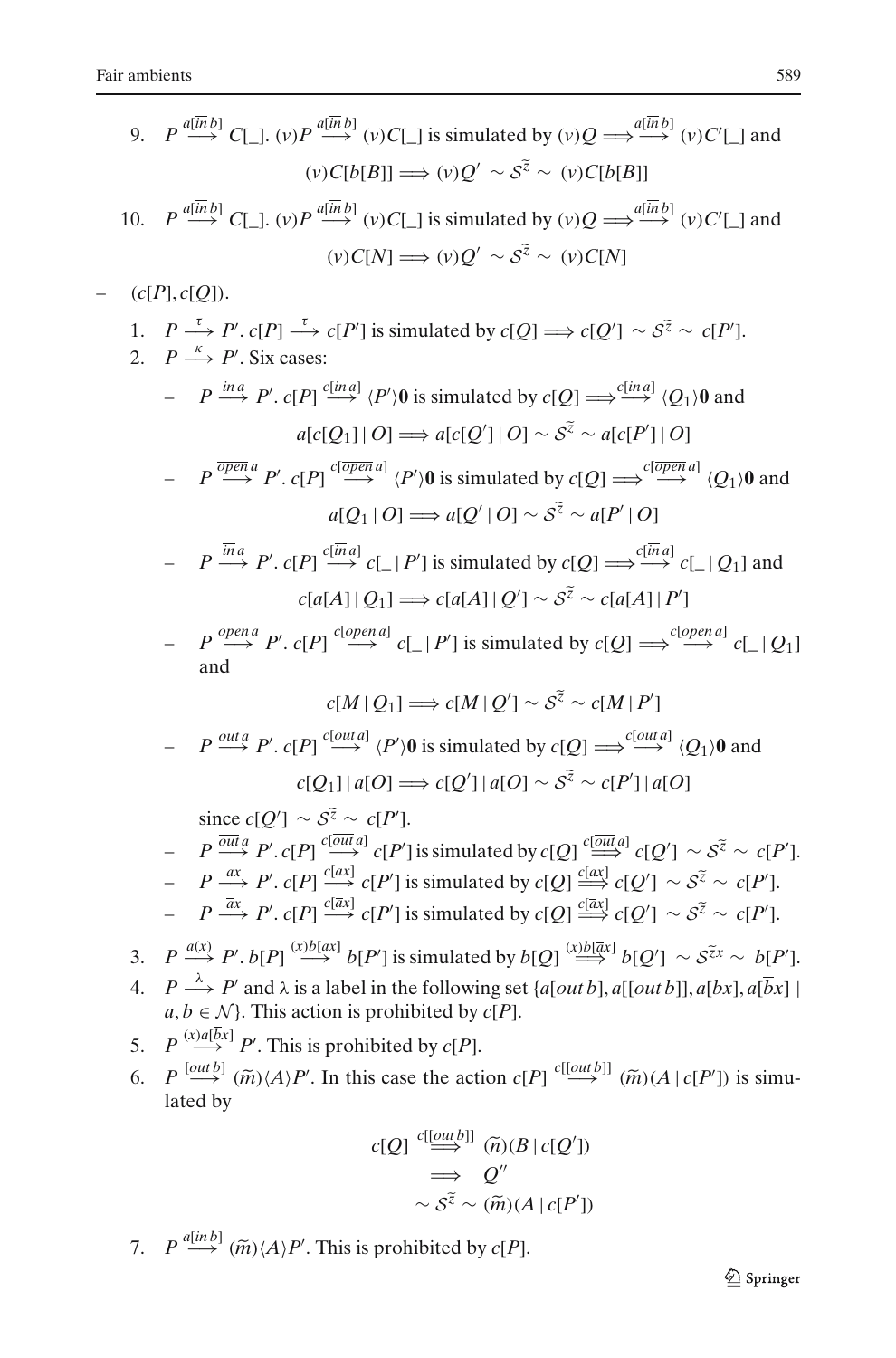9. 
$$
P \stackrel{d(\overline{n}b)}{\longrightarrow} C[\_,](v)P \stackrel{d(\overline{n}b)}{\longrightarrow} (v)C[\_,]
$$
 is simulated by  $(v)Q \Rightarrow \stackrel{d(\overline{n}b)}{\longrightarrow} (v)C'[\_,]$  and  $(v)C[b|B]\longrightarrow (v)Q' \sim S^{\overline{z}} \sim (v)C[b|B]\longrightarrow (v)C'[\_,]$  and  $(v)C[N] \Rightarrow (v)Q' \sim S^{\overline{z}} \sim (v)C[N]$   
\n10.  $P \stackrel{d(\overline{n}b)}{\longrightarrow} C[\_,](v)P \stackrel{d(\overline{n}b)}{\longrightarrow} (v)C[\_,]$  is simulated by  $(v)Q \Rightarrow \stackrel{d(\overline{n}b)}{\longrightarrow} (v)C'[\_,]$  and  $(v)C[N] \Rightarrow (v)Q' \sim S^{\overline{z}} \sim (v)C[N]$   
\n1.  $P \stackrel{\tau}{\longrightarrow} P'$ . Six cases:  
\n $- P \stackrel{\overline{m}a}{\longrightarrow} P'$ .  $c[P]$  is simulated by  $c[Q] \Rightarrow c[Q'] \sim S^{\overline{z}} \sim c[P']$ .  
\n2.  $P \stackrel{\overline{m}a}{\longrightarrow} P'$ .  $c[P] \stackrel{\overline{t}[\overline{m}a]}{\longrightarrow} (P')\overline{0}$  is simulated by  $c[Q] \Rightarrow \stackrel{\overline{t}[\overline{m}a]}{\longrightarrow} (Q_1)\overline{0}$  and  $d[c[Q_1]|O] \Rightarrow d[c[Q']|O] \sim S^{\overline{z}} \sim a[e] \sim (Q_1)\overline{0}$  and  $d[Q_1|O] \Rightarrow d[Q'|O] \sim S^{\overline{z}} \sim a[P']\overline{0}$   
\n $- P \stackrel{\overline{m}a}{\longrightarrow} P'$ .  $c[P] \stackrel{\overline{t}[\overline{m}a]}{\longrightarrow} c[$ .  $|P']$  is simulated by  $c[Q] \Rightarrow \stackrel{\overline{t}[\overline{m}a]}{\longrightarrow} c[$ .  $|Q_1]$  and  $c[a[1]|Q_1] \Rightarrow c[a[A]|Q'] \sim S^{\overline{z}} \sim c[a[A]|P']$   
\n $- P \stackrel{\overline{v}qm}{}^{open} P'$ . <

lated by  
\n
$$
c[Q] \stackrel{c[[out b]]}{\Longrightarrow} (\widetilde{n})(B \mid c[Q'])
$$
\n
$$
\Rightarrow Q''
$$
\n
$$
\sim S^{\widetilde{z}} \sim (\widetilde{m})(A \mid c[P'])
$$
\n7.  $P \stackrel{a[in b]}{\Longrightarrow} (\widetilde{m}) \langle A \rangle P'$ . This is prohibited by  $c[P]$ .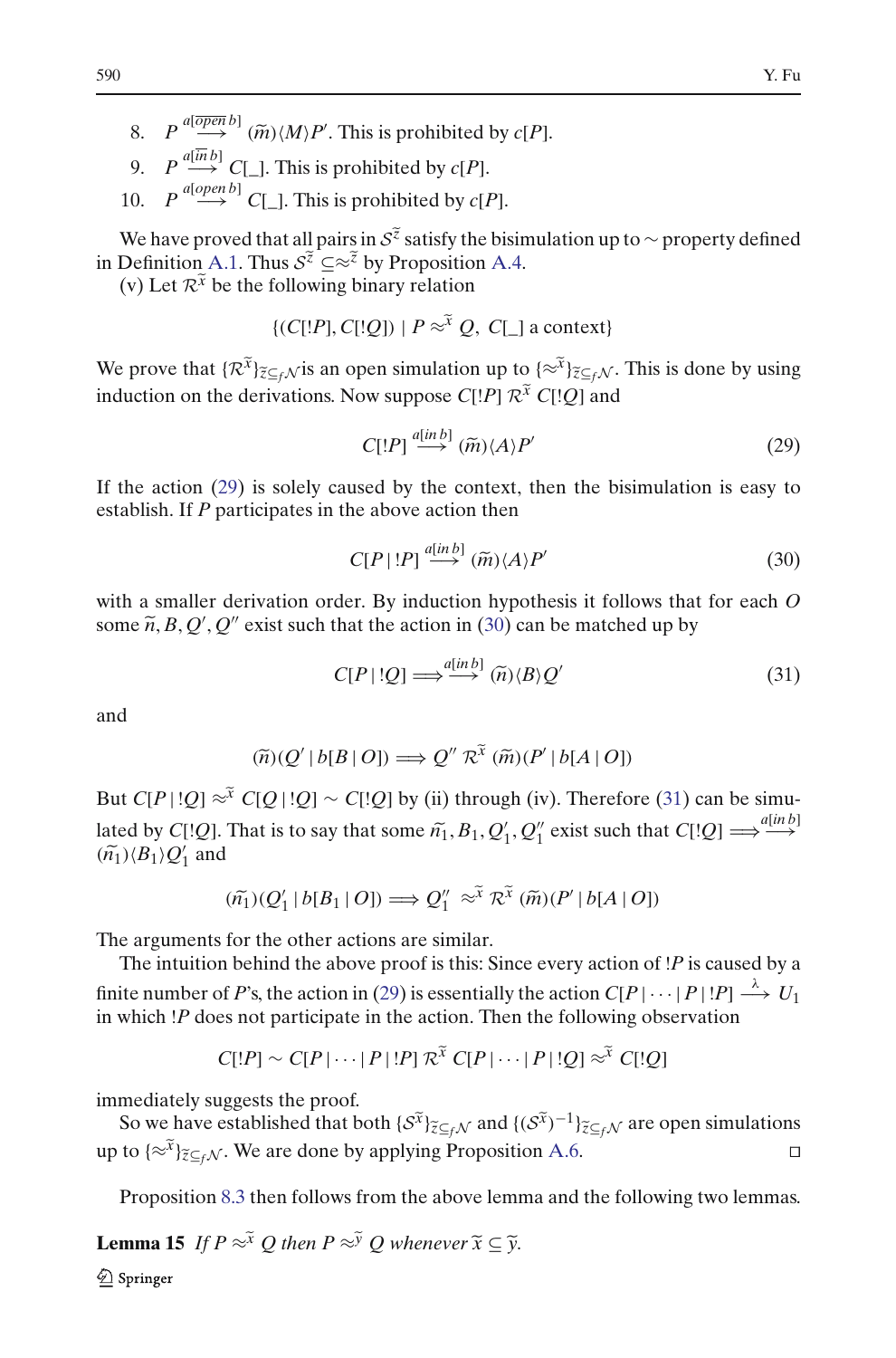- 8.  $P \stackrel{a[\overline{open} b]}{\longrightarrow} (\widetilde{m}) \langle M \rangle P'$ . This is prohibited by *c*[*P*].
- 9.  $P \stackrel{a[\overline{in}b]}{\longrightarrow} C$ [ ]. This is prohibited by *c*[*P*].
- 

10. *P* <sup>*a*[*open b*] *C*[\_]. This is prohibited by *c*[*P*].<br>We have proved that all pairs in  $S^{\tilde{z}}$  satisfy the bisir<br>in Definition [A.1.](#page-47-0) Thus  $S^{\tilde{z}} \subseteq \tilde{z}^{\tilde{z}}$  by Proposition [A.4.](#page-49-0)</sup> 9.  $P \xrightarrow{a[mp]} C[\_]$ . This is prohibited by *c*[*P*].<br>
10.  $P \xrightarrow{a[openb]} C[\_]$ . This is prohibited by *c*[*P*].<br>
We have proved that all pairs in *S*<sup> $\tilde{z}$ </sup> satisfy the bisimulation up to ∼ property defined We have proved that all pairs in  $S^{\tilde{z}}$  satisfy th<br>Definition A.1. Thus  $S^{\tilde{z}} \subseteq \approx^{\tilde{z}}$  by Propositio<br>(v) Let  $\mathcal{R}^{\tilde{x}}$  be the following binary relation in Definition A.1. Thus  $S^{\tilde{z}} \subseteq \approx^{\tilde{z}}$  by Proposition A.4.<br>(v) Let  $\mathcal{R}^{\tilde{x}}$  be the following binary relation

$$
\{ (C[!P], C[!Q]) \mid P \approx^x Q, C[\_\] \text{ a context} \}
$$

We prove that  ${R^x \choose k}$  is an open simulation up to  ${(\infty^x)_{\overline{z} \subseteq f\mathcal{N}}}$ . This is done by using induction on the derivations. Now suppose  $C[I \cdot P] \propto \tilde{x}^T Q$ ,  $C[\_$  a context}<br>induction on the derivations. Now suppose  $C[I \cdot P] \propto \tilde{x}^T C[I \cdot Q]$  and *a*[*in b*]  $\pi^{x}$ <br>*a*[*in b*]  $\pi^{x}$ <br>*a*[*in b*]  $\pi^{y}$ 

<span id="page-55-0"></span>
$$
C[!P] \stackrel{a[in\,]}{\longrightarrow} (\widetilde{m}) \langle A \rangle P' \tag{29}
$$

If the action [\(29\)](#page-55-0) is solely caused by the context, then the bisimulation is easy to establish. If *P* participates in the above action then  $\alpha$  action then<br>action then<br> $\alpha \rightarrow \alpha \rightarrow a[\rightarrow b]$   $(\widetilde{m}) \langle A \rangle P'$ 

<span id="page-55-2"></span><span id="page-55-1"></span>
$$
C[P \mid !P] \stackrel{a[in\,]}{\longrightarrow} (\widetilde{m}) \langle A \rangle P' \tag{30}
$$

with a smaller derivation order. By induction hypothesis it follows that for each *O* with a smaller some  $\tilde{n}$ , *B*, *Q*<sup> $\prime$ </sup>  $Q''$  exist such that the action in [\(30\)](#page-55-1) can be matched up by *a*  $\Rightarrow$   $\frac{a_{1}^{[in]b_{1}}}{a_{1}^{[in]b_{1}}}$  ( $\tilde{n}$ ) $\langle B \rangle Q'$ 

$$
C[P \mid !Q] \Longrightarrow^{a[inb]} (\widetilde{n})\langle B \rangle Q'
$$
(31)  

$$
B \mid O] \Longrightarrow Q'' \mathcal{R}^{\widetilde{x}} (\widetilde{m})(P' \mid b[A \mid O])
$$

and

$$
C[P \mid !Q] \Longrightarrow^{a[in\,]} (\tilde{n})\langle B \rangle Q'
$$

$$
(\tilde{n})(Q' \mid b[B \mid O]) \Longrightarrow Q'' \mathcal{R}^{\tilde{x}} (\tilde{m})(P' \mid b[A \mid O])
$$

But  $C[P \mid Q] \approx^{\tilde{x}} C[Q \mid Q] \sim C[Q]$  by (ii) through (iv). Therefore [\(31\)](#page-55-2) can be simu- $(\widetilde{n})(Q' | b[B | O]) \implies Q'' R^{\widetilde{x}} (\widetilde{m})(P' | b[A | O])$ <br>
But *C*[*P*|!*Q*] ≈<sup> $\widetilde{x}$  *C*[*Q*|!*Q*] ~ *C*[!*Q*] by (ii) through (iv). Therefore (31) can be simulated by *C*[!*Q*]. That is to say that some  $\widetilde{n_1}$ , *B*<sub>1</sub>, *Q*<sup>1</sup></sup> But  $C[P|!]$ <br>lated by  $C[\tilde{n_1}\rangle\langle B_1\rangle Q_1'$  $\frac{7}{1}$  and (*x*<sup>x</sup> *C*[*Q*| !*Q*] ~ *C*[!*Q*] by (ii) through (iv). That is to say that some  $\tilde{n_1}$ ,  $B_1$ ,  $Q'_1$ ,  $Q''_1$  exi<br>
( $\tilde{n_1}$ )( $Q'_1$  |  $b[B_1 | O]$ )  $\implies Q''_1 \approx \tilde{x}^T R^{\tilde{x}}$  ( $\tilde{m}$ )( $P'$ 

$$
(\widetilde{n_1})(Q'_1 | b[B_1 | O]) \Longrightarrow Q''_1 \approx^{\widetilde{x}} \mathcal{R}^{\widetilde{x}}(\widetilde{m})(P' | b[A | O])
$$

The arguments for the other actions are similar.

The intuition behind the above proof is this: Since every action of !*P* is caused by a finite number of *P*'s, the action in [\(29\)](#page-55-0) is essentially the action  $C[P | \cdots | P | !P] \xrightarrow{\lambda} U_1$ <br>in which !*P* does not participate in the action. Then the following observation<br> $C[!P] \sim C[P | \cdots | P | !P] \mathcal{R}^{\tilde{x}} C[P | \cdots | P | !Q] \approx^$ in which !*P* does not participate in the action. Then the following observation

$$
C[!P] \sim C[P] \cdots |P|!P] \mathcal{R}^{\tilde{X}} C[P] \cdots |P|!Q] \approx^{\tilde{X}} C[!Q]
$$

immediately suggests the proof.

 $C[!P] \sim C[P| \cdots | P | !P] \mathcal{R}^{\tilde{x}} C[P| \cdots | P | !Q] \approx^{\tilde{x}} C[!Q]$ <br>mediately suggests the proof.<br>So we have established that both  $\{S^{\tilde{x}}\}_{\tilde{z}\subseteq_f\mathcal{N}}$  and  $\{(\tilde{S}^{\tilde{x}})^{-1}\}_{\tilde{z}\subseteq_f\mathcal{N}}$  are open simulations immediately suggests the proof.<br>So we have established that both  $\{S^{\tilde{x}}\}_{\tilde{z}\subseteq_f\mathcal{N}}$  and  $\{(S^{\tilde{x}})^{-1}\}_{\tilde{z}\subseteq_f\mathcal{N}}$  are open simulations up to  $\{\approx \tilde{x}\}_{\tilde{z}\subseteq_f\mathcal{N}}$ . We are done by applying Proposition A. **Lemma 15** *If P* ≈<sup>*x*</sup> *Q then P* ≈<sup>*y*</sup> *Q whenever*  $\tilde{x}$  ⊆  $\tilde{y}$ .<br>**Lemma 15** *If P* ≈<sup>*x*</sup> *Q then P* ≈<sup>*y*</sup> *Q whenever*  $\tilde{x}$  ⊆  $\tilde{y}$ .

Proposition [8.3](#page-33-1) then follows from the above lemma and the following two lemmas.

2 Springer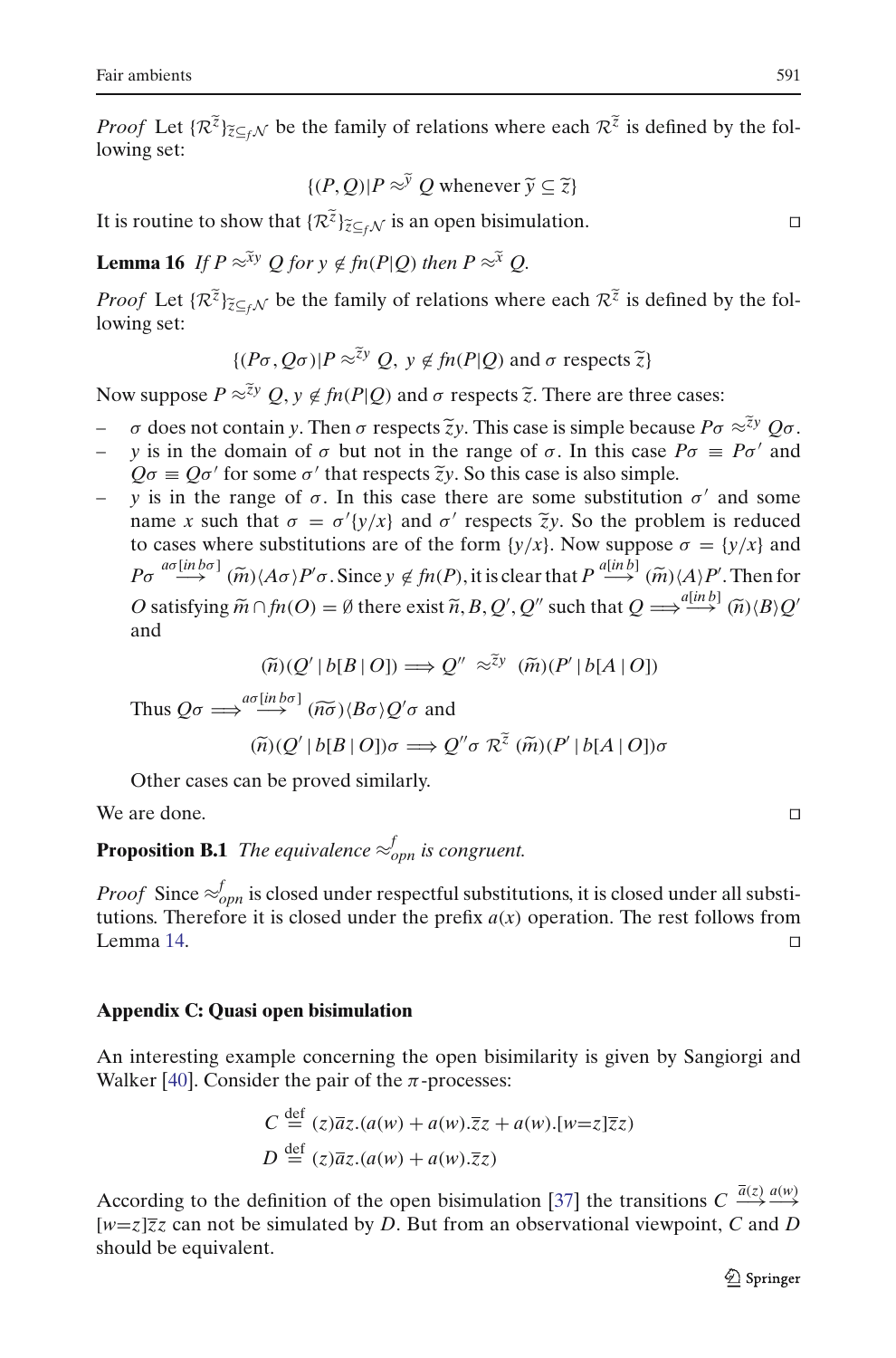*Pair ambients*<br>*Proof* Let  $\{R^{\tilde{z}}\}_{\tilde{z}\subseteq_f \mathcal{N}}$  be the family of relations where each  $R^{\tilde{z}}$  is defined by the following set:  ${ (P,Q)|P \approx \tilde{Y} Q}$  whenever  $\tilde{y} \subseteq \tilde{z}$ 

$$
{P,Q)|P \approx \tilde{Y} Q \text{ whenever } \tilde{y} \subseteq \tilde{z}}
$$

It is routine to show that  $\{R^{\tilde{z}}\}_{\tilde{z}\subset f}$  is an open bisimulation.

**Lemma 16** *If*  $P \approx \tilde{X}^y$  *Q* for  $y \notin \text{fn}(P|O)$  *then*  $P \approx \tilde{X}$  *Q*.

*Proof* Let  ${R^z}_{\geq f}$  *Proof* Let  ${R^z}_{\geq f}$  *Proof* Let  ${R^z}_{\geq f}$  *Proof* Let  ${R^z}_{\geq f}$  *R*<sup>*z*</sup>  $\geq f$  *Rroof* Let  ${R^z}_{\geq f}$  *R<sup>z</sup>* is defined by the following set:  $\approx^{xy} Q$  *for*  $y \notin fn(P|Q)$  *then*  $P \approx^x Q$ .<br>  $\approx_{f} N$  be the family of relations where each  $\mathcal{R}^{\tilde{z}}$  is  $\approx$   $\{(P\sigma, Q\sigma)|P \approx^{\tilde{z}y} Q, y \notin fn(P|Q) \text{ and } \sigma \text{ respects } \tilde{z}\}\$ *Proof* Let  $\{\mathcal{R}^{\tilde{z}}\}_{\tilde{z}\subseteq_f\mathcal{N}}$  be the family of relations where each  $\mathcal{R}^{\tilde{z}}$  is defined b<br>lowing set:<br> $\{(P\sigma, Q\sigma)|P \approx \tilde{z}^y Q, y \notin \textit{fn}(P|Q) \text{ and } \sigma \text{ respects } \tilde{z}\}$ <br>Now suppose  $P \approx \tilde{z}^y Q, y \notin \textit{fn}(P|Q)$ 

$$
\{(P\sigma, Q\sigma)|P \approx \tilde{z}^y Q, y \notin fn(P|Q) \text{ and } \sigma \text{ respects } \tilde{z}\}\
$$

(*P*σ, *Qσ*)|*P* ≈<sup>*zy*</sup> *Q*, *y* ∉ *fn*(*P*|*Q*) and *σ* respects  $\tilde{z}$ }<br>Now suppose *P* ≈<sup> $\tilde{z}y$ </sup> *Q*, *y* ∉ *fn*(*P*|*Q*) and *σ* respects  $\tilde{z}$ . There are three cases:<br> $\sigma$  does not contain *y*. Then *σ* re

- $\sigma$  does not contain y. Then  $\sigma$  respects  $\tilde{\zeta}$ y. This case is simple because  $P\sigma \approx \tilde{\zeta}$ y  $Q\sigma$ .
- $-$  *y* is in the domain of σ but not in the range of σ. In this case  $Pσ ≡ Pσ'$  and  $Q\sigma \equiv Q\sigma'$  for some  $\sigma'$  $\not\in f_n(P|Q)$  and  $\sigma$  respects  $\tilde{z}$ . There are three or Then  $\sigma$  respects  $\tilde{z}y$ . This case is simple becau  $\sigma$  but not in the range of  $\sigma$ . In this case is also simple.
- $-$  *y* is in the range of  $\sigma$ . In this case there are some substitution  $\sigma'$  and some name *x* such that  $\sigma = \sigma'(y/x)$  and  $\sigma'$ to cases where substitutions are of the form  $\{y/x\}$ . Now suppose  $\sigma = \{y/x\}$  and *P*<sub>*Q*</sub>  $\sigma$  *z a*<sup>*d*</sup> *for some*  $\sigma'$  *that respects <i>zy*. So this case is also simple.<br> *y* is in the range of  $\sigma$ . In this case there are some substitution  $\sigma'$  and some<br>
name *x* such that  $\sigma = \sigma'(y/x)$  and  $\sigma'$  r *O* satisfying  $\tilde{m} \cap f_n(O) = \emptyset$  there exist  $\tilde{n}, B, Q', Q''$  such that  $Q \implies \frac{a \sinh \theta}{\theta} \cdot d \vec{r}$  and  $P\sigma \xrightarrow{a \sigma [in b \sigma]} (\tilde{m}) \langle A\sigma \rangle P' \sigma$ . Since  $y \notin f_n(P)$ , it is clear that  $P \xrightarrow{a [in b]} (\tilde{m}) \langle A \rangle P'$ . Then for  $O$  satisfyi ', Q'' such that  $Q \Longrightarrow^{a[un b]} (\widetilde{n}) \langle B \rangle Q$ and  $(A\sigma)P'\sigma$ . Since  $y \notin fn(P)$ , it is clear tha<br>  $\ln fn(O) = \emptyset$  there exist  $\tilde{n}, B, Q', Q''$  suo<br>  $(\tilde{n})(Q' | b[B | O]) \Longrightarrow Q'' \approx \tilde{z}y \quad (\tilde{m})(P')$  $g m \cap m(O) = \emptyset$  there<br>  $(\widetilde{n})(Q' | b[B | O])$ <br>  $\Rightarrow^{a\sigma [in b\sigma]} (\widetilde{n\sigma}) \langle B\sigma \rangle Q'$

$$
(\widetilde{n})(Q' | b[B | O]) \Longrightarrow Q'' \approx \widetilde{z}^y \ (\widetilde{m})(P' | b[A | O])
$$

$$
(\widetilde{n})(Q' | b[B | O]) \Longrightarrow Q'' \approx^{\widetilde{z}y} (\widetilde{m})(P' | b[A | O])
$$
  
Thus  $Q\sigma \Longrightarrow^{a\sigma[in b\sigma]} (\widetilde{n\sigma})(B\sigma)Q'\sigma$  and  

$$
(\widetilde{n})(Q' | b[B | O])\sigma \Longrightarrow Q''\sigma \mathcal{R}^{\widetilde{z}}(\widetilde{m})(P' | b[A | O])\sigma
$$

Other cases can be proved similarly.

We are done.

# **Proposition B.1** *The equivalence*  $\approx_{opn}^f$  *is congruent.*

*Proof* Since  $\approx_{oppn}^f$  is closed under respectful substitutions, it is closed under all substitutions. Therefore it is closed under the prefix  $a(x)$  operation. The rest follows from  $L$ emma [14.](#page-50-0)

#### **Appendix C: Quasi open bisimulation**

An interesting example concerning the open bisimilarity is given by Sangiorgi and Walker [\[40\]](#page-58-15). Consider the pair of the  $\pi$ -processes:

$$
C \stackrel{\text{def}}{=} (z)\overline{a}z.(a(w) + a(w).\overline{z}z + a(w).[w=z]\overline{z}z)
$$
  

$$
D \stackrel{\text{def}}{=} (z)\overline{a}z.(a(w) + a(w).\overline{z}z)
$$

According to the definition of the open bisimulation [\[37](#page-58-14)] the transitions  $C \xrightarrow{\bar{a}(z)} \xrightarrow{a(w)}$ [*w*=*z*]*zz* can not be simulated by *D*. But from an observational viewpoint, *C* and *D* should be equivalent.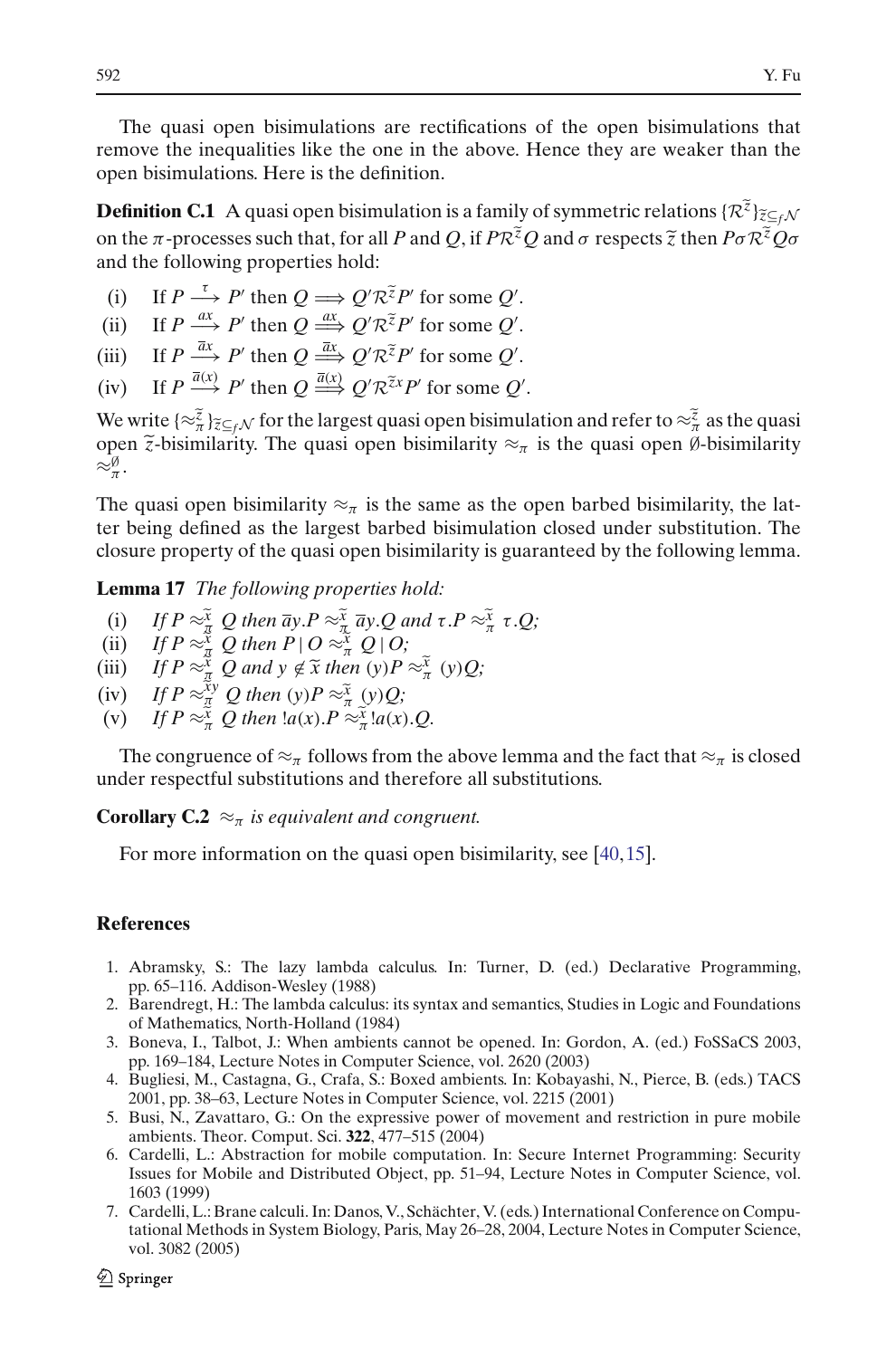The quasi open bisimulations are rectifications of the open bisimulations that remove the inequalities like the one in the above. Hence they are weaker than the open bisimulations. Here is the definition. The quasi open bisimulations are reculications of the open bisimulations that<br>remove the inequalities like the one in the above. Hence they are weaker than the<br>open bisimulations. Here is the definition.<br>**Definition C.1**

and the following properties hold: Fraction **C.1** A quasi open bisinuation is a raining<br>in the π -processes such that, for all *P* and *Q*, if  $PR^{\tilde{z}}$ <br>md the following properties hold:<br>(i) If  $P \xrightarrow{\tau} P'$  then  $Q \Longrightarrow Q'R^{\tilde{z}}P'$  for some *Q'*. **an 7**<br>|:<br>|R<sup>Z</sup>P<sup>|</sup><br>|R<sup>Z</sup>P|

- 
- (ii) If  $P \stackrel{ax}{\longrightarrow} P'$  then  $Q \stackrel{ax}{\Longrightarrow} Q' \mathcal{R}^{\tilde{z}} P'$  for some  $Q'$ . *R*<br><sup>7</sup><br>*R*<sup>z</sup>P'<br>*R*<sup>z</sup>P'
- (iii) If  $P \stackrel{\bar{a}x}{\longrightarrow} P'$  then  $Q \stackrel{\bar{a}x}{\Longrightarrow} Q' \mathcal{R}^{\tilde{z}} P'$  for some  $Q'$ .
- (i) If  $P \xrightarrow{\bar{a}x} P'$  then  $Q \xrightarrow{\bar{a}x} Q' \mathcal{R}^{\bar{z}}P'$  for some *Q'*.<br>
(iii) If  $P \xrightarrow{\bar{a}x} P'$  then  $Q \xrightarrow{\bar{a}x} Q' \mathcal{R}^{\bar{z}}P'$  for some *Q'*.<br>
(iv) If  $P \xrightarrow{\bar{a}(x)} P'$  then  $Q \xrightarrow{\bar{a}(x)} Q' \mathcal{R}^{\bar{z}x}P'$  for some

(iii) If  $P \xrightarrow{\bar{a}x} P'$  then  $Q \xrightarrow{\bar{a}x} Q' \mathcal{R}^{\bar{z}} P'$  for some  $Q'$ .<br>
(iv) If  $P \xrightarrow{\bar{a}(x)} P'$  then  $Q \xrightarrow{\bar{a}(x)} Q' \mathcal{R}^{\bar{z}x} P'$  for some  $Q'$ .<br>
We write  $\{\approx \frac{\bar{z}}{\bar{a}}\}_{\bar{z} \subseteq_f \mathcal{N}}$  for the largest quasi ope (iii) If  $P \xrightarrow{\bar{a}x} P'$  then  $Q \xrightarrow{\bar{a}x} Q' \mathcal{R}^{\bar{z}} P'$  for some  $Q'$ .<br>
(iv) If  $P \xrightarrow{\bar{a}(x)} P'$  then  $Q \xrightarrow{\bar{a}(x)} Q' \mathcal{R}^{\bar{z}x} P'$  for some  $Q'$ .<br>
We write  $\{\approx_{\pi}^{\bar{z}}\}_{\pi=0}^{\infty}$  for the largest quasi open bisi  $\approx^{\emptyset}_{\pi}$ .

The quasi open bisimilarity  $\approx_{\pi}$  is the same as the open barbed bisimilarity, the latter being defined as the largest barbed bisimulation closed under substitution. The closure property of the quasi open bisimilarity is guaranteed by the following lemma. (i) losure property of the quasi open bisimilarity is guar<br> **emma 17** *The following properties hold:*<br>
(i) If  $P \approx \frac{\tilde{x}}{x} Q$  then  $\overline{a}y.P \approx \frac{\tilde{x}}{x} \overline{a}y.Q$  and  $\tau.P \approx \frac{\tilde{x}}{x} \tau.Q$ ;

**Lemma 17** *The following properties hold:*

- **Comma 17** The following properties *i*<br>
(i) *If*  $P \approx \frac{\tilde{x}}{a}$  *Q* then  $\overline{a}y.P \approx \frac{\tilde{x}}{a}$   $\overline{a}y.Q$  *a*<br>
(ii) *If*  $P \approx \frac{\tilde{x}}{a}$  *Q* ihen  $P \mid O \approx \frac{\tilde{x}}{n}$  *Q*  $\mid O$ ; **Lemma 17** The following properties hold<br>
(i) *If*  $P \approx \frac{\tilde{x}}{\pi} Q$  then  $\overline{a}y.P \approx \frac{\tilde{x}}{\pi} \overline{a}y.Q$  and<br>
(ii) *If*  $P \approx \frac{\tilde{x}}{\pi} Q$  then  $P \mid O \approx \frac{\tilde{x}}{\pi} Q \mid O;$ <br>
(iii) *If*  $P \approx \frac{\tilde{x}}{\pi} Q$  and  $y \notin \tilde{x}$  then (y)  $P \$
- (i) *If*  $P \approx \frac{\tilde{x}}{\pi} Q$  then  $\overline{a}y \cdot P \approx \frac{\tilde{x}}{\pi}$ <br>
(ii) *If*  $P \approx \frac{x}{\pi} Q$  then  $P \mid O \approx \frac{x}{\pi}$ <br>
(iii) *If*  $P \approx \frac{x}{\pi} Q$  and  $y \notin \tilde{x}$  then<br>
(iv) *If*  $P \approx \frac{x}{\pi} Q$  then (y)  $P \approx \tilde{x}$
- (iii) If  $P \approx \frac{\tilde{x}}{r} Q$  and  $y \notin \tilde{x}$  then  $(y)P \approx \frac{\tilde{x}}{r} (y)Q$ ;
- <sup>π</sup> (*y*)*Q;*
- (ii) *If*  $P \approx \frac{x}{\pi} Q$  then  $P \mid O \approx \frac{x}{\pi} Q$ .<br>
iii) *If*  $P \approx \frac{x}{\pi} Q$  and  $y \notin \tilde{x}$  then <br>
iv) *If*  $P \approx \frac{x}{\pi} Q$  then  $(y)P \approx \frac{x}{\pi} Q$ .<br>
(v) *If*  $P \approx \frac{x}{\pi} Q$  then  $la(x) \cdot P \approx \frac{x}{\pi} Q$ . (v) If  $P \approx \frac{\tilde{x}}{\pi} Q$  then  $a(x) \cdot P \approx \frac{\tilde{x}}{\pi} a(x) \cdot Q$ .

The congruence of  $\approx_{\pi}$  follows from the above lemma and the fact that  $\approx_{\pi}$  is closed under respectful substitutions and therefore all substitutions.

**Corollary C.2**  $\approx_{\pi}$  *is equivalent and congruent.* 

For more information on the quasi open bisimilarity, see [\[40,](#page-58-15)[15\]](#page-58-16).

## <span id="page-57-3"></span>**References**

- 1. Abramsky, S.: The lazy lambda calculus. In: Turner, D. (ed.) Declarative Programming, pp. 65–116. Addison-Wesley (1988)
- <span id="page-57-2"></span>2. Barendregt, H.: The lambda calculus: its syntax and semantics, Studies in Logic and Foundations of Mathematics, North-Holland (1984)
- <span id="page-57-5"></span>3. Boneva, I., Talbot, J.: When ambients cannot be opened. In: Gordon, A. (ed.) FoSSaCS 2003, pp. 169–184, Lecture Notes in Computer Science, vol. 2620 (2003)
- <span id="page-57-4"></span>4. Bugliesi, M., Castagna, G., Crafa, S.: Boxed ambients. In: Kobayashi, N., Pierce, B. (eds.) TACS 2001, pp. 38–63, Lecture Notes in Computer Science, vol. 2215 (2001)
- <span id="page-57-6"></span>5. Busi, N., Zavattaro, G.: On the expressive power of movement and restriction in pure mobile ambients. Theor. Comput. Sci. **322**, 477–515 (2004)
- <span id="page-57-0"></span>6. Cardelli, L.: Abstraction for mobile computation. In: Secure Internet Programming: Security Issues for Mobile and Distributed Object, pp. 51–94, Lecture Notes in Computer Science, vol. 1603 (1999)
- <span id="page-57-1"></span>7. Cardelli, L.: Brane calculi. In: Danos, V., Schächter, V. (eds.) International Conference on Computational Methods in System Biology, Paris, May 26–28, 2004, Lecture Notes in Computer Science, vol. 3082 (2005)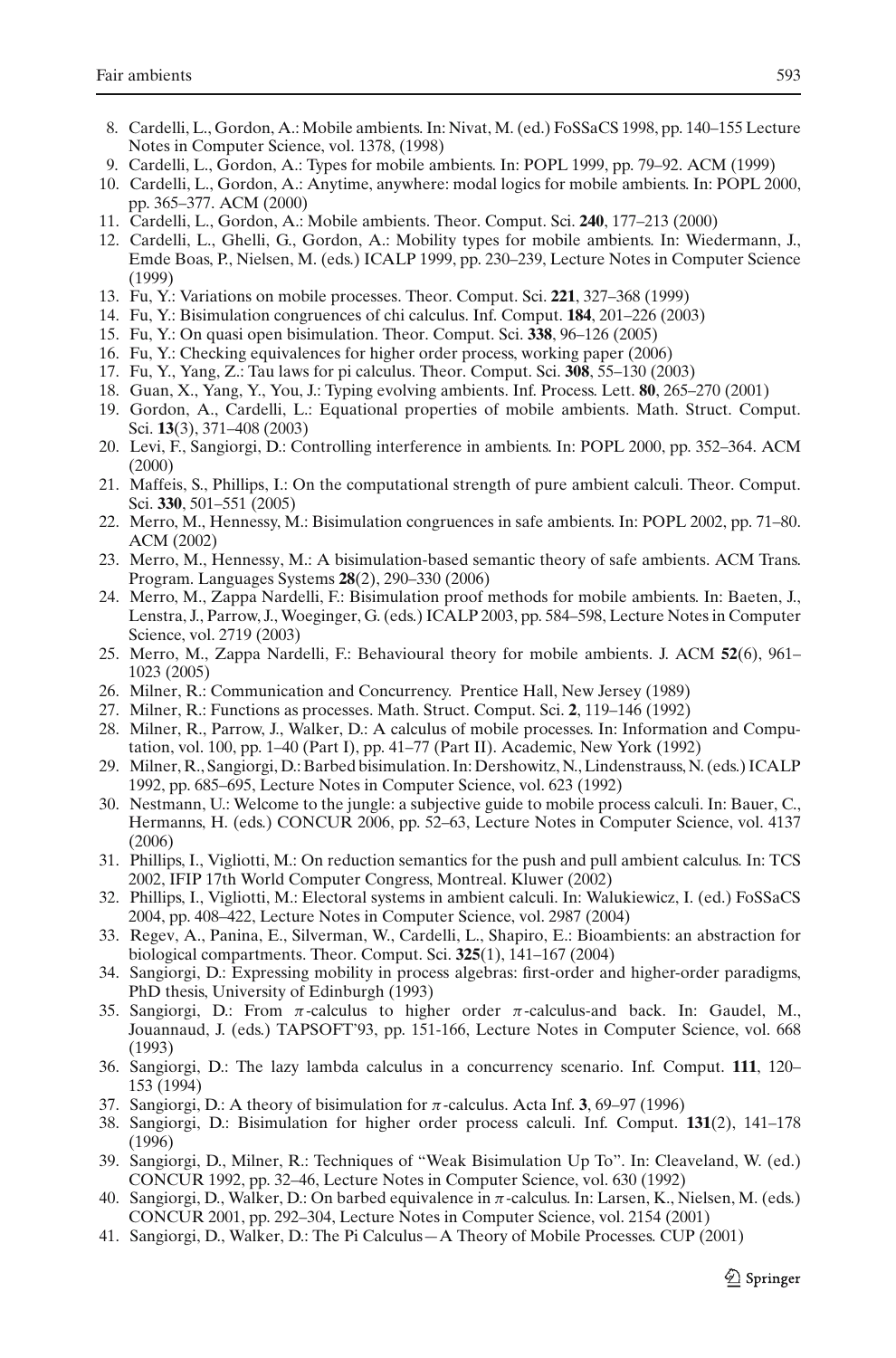- <span id="page-58-0"></span>8. Cardelli, L., Gordon, A.: Mobile ambients. In: Nivat, M. (ed.) FoSSaCS 1998, pp. 140–155 Lecture Notes in Computer Science, vol. 1378, (1998)
- 9. Cardelli, L., Gordon, A.: Types for mobile ambients. In: POPL 1999, pp. 79–92. ACM (1999)
- <span id="page-58-23"></span>10. Cardelli, L., Gordon, A.: Anytime, anywhere: modal logics for mobile ambients. In: POPL 2000, pp. 365–377. ACM (2000)
- <span id="page-58-1"></span>11. Cardelli, L., Gordon, A.: Mobile ambients. Theor. Comput. Sci. **240**, 177–213 (2000)
- <span id="page-58-24"></span>12. Cardelli, L., Ghelli, G., Gordon, A.: Mobility types for mobile ambients. In: Wiedermann, J., Emde Boas, P., Nielsen, M. (eds.) ICALP 1999, pp. 230–239, Lecture Notes in Computer Science (1999)
- <span id="page-58-10"></span>13. Fu, Y.: Variations on mobile processes. Theor. Comput. Sci. **221**, 327–368 (1999)
- 14. Fu, Y.: Bisimulation congruences of chi calculus. Inf. Comput. **184**, 201–226 (2003)
- <span id="page-58-9"></span>15. Fu, Y.: On quasi open bisimulation. Theor. Comput. Sci. **338**, 96–126 (2005)
- <span id="page-58-30"></span><span id="page-58-16"></span><span id="page-58-11"></span>16. Fu, Y.: Checking equivalences for higher order process, working paper (2006)
- 17. Fu, Y., Yang, Z.: Tau laws for pi calculus. Theor. Comput. Sci. **308**, 55–130 (2003)
- <span id="page-58-4"></span>18. Guan, X., Yang, Y., You, J.: Typing evolving ambients. Inf. Process. Lett. **80**, 265–270 (2001)
- <span id="page-58-19"></span>19. Gordon, A., Cardelli, L.: Equational properties of mobile ambients. Math. Struct. Comput. Sci. **13**(3), 371–408 (2003)
- <span id="page-58-3"></span>20. Levi, F., Sangiorgi, D.: Controlling interference in ambients. In: POPL 2000, pp. 352–364. ACM (2000)
- <span id="page-58-25"></span>21. Maffeis, S., Phillips, I.: On the computational strength of pure ambient calculi. Theor. Comput. Sci. **330**, 501–551 (2005)
- <span id="page-58-5"></span>22. Merro, M., Hennessy, M.: Bisimulation congruences in safe ambients. In: POPL 2002, pp. 71–80. ACM (2002)
- <span id="page-58-20"></span>23. Merro, M., Hennessy, M.: A bisimulation-based semantic theory of safe ambients. ACM Trans. Program. Languages Systems **28**(2), 290–330 (2006)
- <span id="page-58-13"></span>24. Merro, M., Zappa Nardelli, F.: Bisimulation proof methods for mobile ambients. In: Baeten, J., Lenstra, J., Parrow, J., Woeginger, G. (eds.) ICALP 2003, pp. 584–598, Lecture Notes in Computer Science, vol. 2719 (2003)
- <span id="page-58-21"></span>25. Merro, M., Zappa Nardelli, F.: Behavioural theory for mobile ambients. J. ACM **52**(6), 961– 1023 (2005)
- <span id="page-58-7"></span>26. Milner, R.: Communication and Concurrency. Prentice Hall, New Jersey (1989)
- <span id="page-58-17"></span>27. Milner, R.: Functions as processes. Math. Struct. Comput. Sci. **2**, 119–146 (1992)
- <span id="page-58-8"></span>28. Milner, R., Parrow, J., Walker, D.: A calculus of mobile processes. In: Information and Computation, vol. 100, pp. 1–40 (Part I), pp. 41–77 (Part II). Academic, New York (1992)
- <span id="page-58-12"></span>29. Milner, R., Sangiorgi, D.: Barbed bisimulation. In: Dershowitz, N., Lindenstrauss, N. (eds.) ICALP 1992, pp. 685–695, Lecture Notes in Computer Science, vol. 623 (1992)
- <span id="page-58-22"></span>30. Nestmann, U.: Welcome to the jungle: a subjective guide to mobile process calculi. In: Bauer, C., Hermanns, H. (eds.) CONCUR 2006, pp. 52–63, Lecture Notes in Computer Science, vol. 4137 (2006)
- <span id="page-58-2"></span>31. Phillips, I., Vigliotti, M.: On reduction semantics for the push and pull ambient calculus. In: TCS 2002, IFIP 17th World Computer Congress, Montreal. Kluwer (2002)
- <span id="page-58-26"></span>32. Phillips, I., Vigliotti, M.: Electoral systems in ambient calculi. In: Walukiewicz, I. (ed.) FoSSaCS 2004, pp. 408–422, Lecture Notes in Computer Science, vol. 2987 (2004)
- <span id="page-58-6"></span>33. Regev, A., Panina, E., Silverman, W., Cardelli, L., Shapiro, E.: Bioambients: an abstraction for biological compartments. Theor. Comput. Sci. **325**(1), 141–167 (2004)
- 34. Sangiorgi, D.: Expressing mobility in process algebras: first-order and higher-order paradigms, PhD thesis, University of Edinburgh (1993)
- <span id="page-58-27"></span>35. Sangiorgi, D.: From  $\pi$ -calculus to higher order  $\pi$ -calculus-and back. In: Gaudel, M., Jouannaud, J. (eds.) TAPSOFT'93, pp. 151-166, Lecture Notes in Computer Science, vol. 668 (1993)
- <span id="page-58-18"></span>36. Sangiorgi, D.: The lazy lambda calculus in a concurrency scenario. Inf. Comput. **111**, 120– 153 (1994)
- <span id="page-58-14"></span>37. Sangiorgi, D.: A theory of bisimulation for π-calculus. Acta Inf. **3**, 69–97 (1996)
- <span id="page-58-28"></span>38. Sangiorgi, D.: Bisimulation for higher order process calculi. Inf. Comput. **131**(2), 141–178 (1996)
- <span id="page-58-31"></span>39. Sangiorgi, D., Milner, R.: Techniques of "Weak Bisimulation Up To". In: Cleaveland, W. (ed.) CONCUR 1992, pp. 32–46, Lecture Notes in Computer Science, vol. 630 (1992)
- <span id="page-58-15"></span>40. Sangiorgi, D., Walker, D.: On barbed equivalence in  $\pi$ -calculus. In: Larsen, K., Nielsen, M. (eds.) CONCUR 2001, pp. 292–304, Lecture Notes in Computer Science, vol. 2154 (2001)
- <span id="page-58-29"></span>41. Sangiorgi, D., Walker, D.: The Pi Calculus—A Theory of Mobile Processes. CUP (2001)